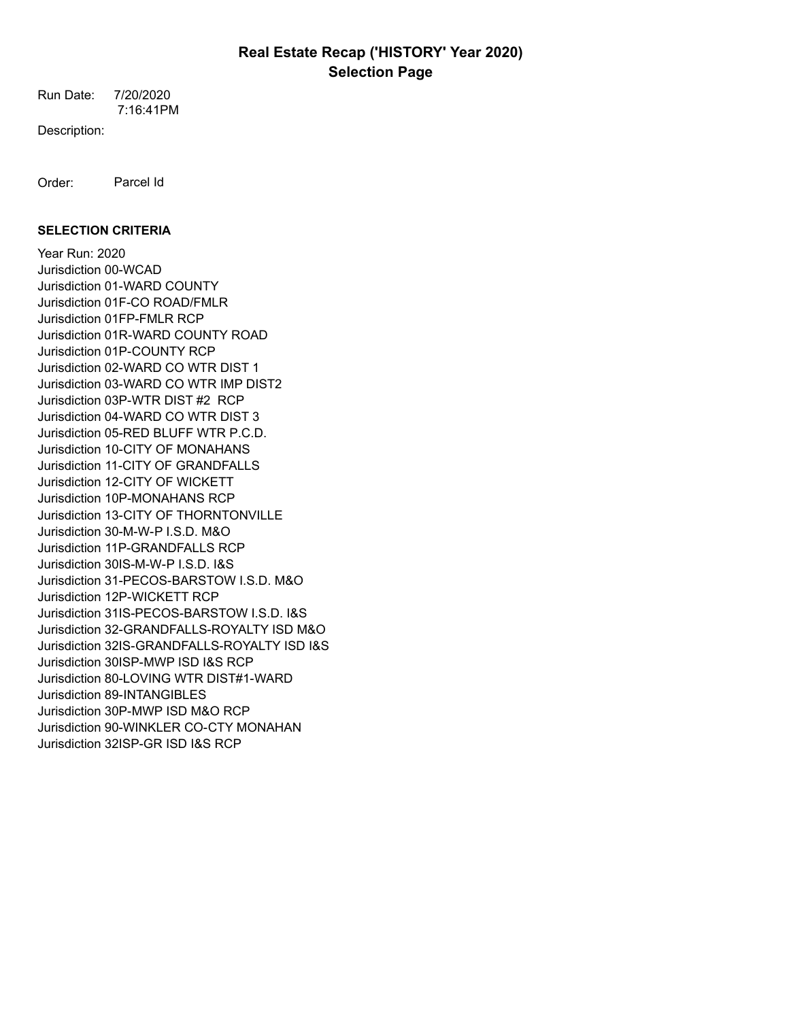7:16:41PM Run Date: 7/20/2020

Description:

Order: Parcel Id

## **SELECTION CRITERIA**

Year Run: 2020 Jurisdiction 00-WCAD Jurisdiction 01-WARD COUNTY Jurisdiction 01F-CO ROAD/FMLR Jurisdiction 01FP-FMLR RCP Jurisdiction 01R-WARD COUNTY ROAD Jurisdiction 01P-COUNTY RCP Jurisdiction 02-WARD CO WTR DIST 1 Jurisdiction 03-WARD CO WTR IMP DIST2 Jurisdiction 03P-WTR DIST #2 RCP Jurisdiction 04-WARD CO WTR DIST 3 Jurisdiction 05-RED BLUFF WTR P.C.D. Jurisdiction 10-CITY OF MONAHANS Jurisdiction 11-CITY OF GRANDFALLS Jurisdiction 12-CITY OF WICKETT Jurisdiction 10P-MONAHANS RCP Jurisdiction 13-CITY OF THORNTONVILLE Jurisdiction 30-M-W-P I.S.D. M&O Jurisdiction 11P-GRANDFALLS RCP Jurisdiction 30IS-M-W-P I.S.D. I&S Jurisdiction 31-PECOS-BARSTOW I.S.D. M&O Jurisdiction 12P-WICKETT RCP Jurisdiction 31IS-PECOS-BARSTOW I.S.D. I&S Jurisdiction 32-GRANDFALLS-ROYALTY ISD M&O Jurisdiction 32IS-GRANDFALLS-ROYALTY ISD I&S Jurisdiction 30ISP-MWP ISD I&S RCP Jurisdiction 80-LOVING WTR DIST#1-WARD Jurisdiction 89-INTANGIBLES Jurisdiction 30P-MWP ISD M&O RCP Jurisdiction 90-WINKLER CO-CTY MONAHAN Jurisdiction 32ISP-GR ISD I&S RCP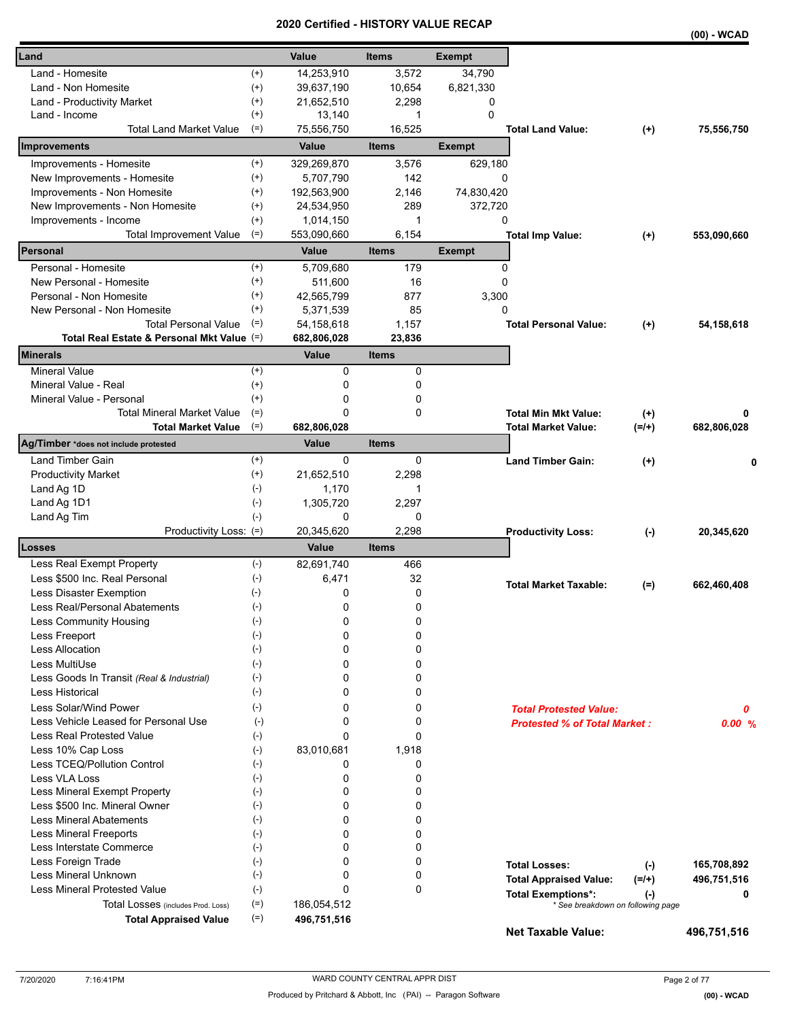|                                                                    |                |                |              |               |                                     |           | $\cdots$    |
|--------------------------------------------------------------------|----------------|----------------|--------------|---------------|-------------------------------------|-----------|-------------|
| Land                                                               |                | Value          | <b>Items</b> | <b>Exempt</b> |                                     |           |             |
| Land - Homesite                                                    | $(+)$          | 14,253,910     | 3,572        | 34,790        |                                     |           |             |
| Land - Non Homesite                                                | $^{(+)}$       | 39,637,190     | 10,654       | 6,821,330     |                                     |           |             |
| Land - Productivity Market                                         | $^{(+)}$       | 21,652,510     | 2,298        | 0             |                                     |           |             |
| Land - Income                                                      | $^{(+)}$       | 13,140         | 1            | $\mathbf 0$   |                                     |           |             |
| <b>Total Land Market Value</b>                                     | $(=)$          | 75,556,750     | 16,525       |               | <b>Total Land Value:</b>            | $^{(+)}$  | 75,556,750  |
| Improvements                                                       |                | Value          | <b>Items</b> | <b>Exempt</b> |                                     |           |             |
| Improvements - Homesite                                            | $^{(+)}$       | 329,269,870    | 3,576        | 629,180       |                                     |           |             |
| New Improvements - Homesite                                        | $(+)$          | 5,707,790      | 142          | 0             |                                     |           |             |
| Improvements - Non Homesite                                        | $^{(+)}$       | 192,563,900    | 2,146        | 74,830,420    |                                     |           |             |
| New Improvements - Non Homesite                                    | $^{(+)}$       | 24,534,950     | 289          | 372,720       |                                     |           |             |
| Improvements - Income                                              | $^{(+)}$       | 1,014,150      | 1            | 0             |                                     |           |             |
| <b>Total Improvement Value</b>                                     | $(=)$          | 553,090,660    | 6,154        |               | <b>Total Imp Value:</b>             | $^{(+)}$  | 553,090,660 |
| Personal                                                           |                | Value          | <b>Items</b> | <b>Exempt</b> |                                     |           |             |
| Personal - Homesite                                                | $^{(+)}$       | 5,709,680      | 179          | 0             |                                     |           |             |
| New Personal - Homesite                                            | $(+)$          | 511,600        | 16           | $\Omega$      |                                     |           |             |
| Personal - Non Homesite                                            | $^{(+)}$       | 42,565,799     | 877          | 3,300         |                                     |           |             |
| New Personal - Non Homesite                                        | $^{(+)}$       | 5,371,539      | 85           | 0             |                                     |           |             |
| <b>Total Personal Value</b>                                        | $(=)$          | 54,158,618     | 1,157        |               | <b>Total Personal Value:</b>        | $(+)$     | 54,158,618  |
| Total Real Estate & Personal Mkt Value (=)                         |                | 682,806,028    | 23,836       |               |                                     |           |             |
| Minerals                                                           |                | Value          | <b>Items</b> |               |                                     |           |             |
| <b>Mineral Value</b>                                               | $^{(+)}$       | 0              | 0            |               |                                     |           |             |
| Mineral Value - Real                                               | $^{(+)}$       | 0              | 0            |               |                                     |           |             |
| Mineral Value - Personal                                           | $^{(+)}$       | 0              | 0            |               |                                     |           |             |
| <b>Total Mineral Market Value</b>                                  | $(=)$          | 0              | 0            |               | <b>Total Min Mkt Value:</b>         | $^{(+)}$  | 0           |
| <b>Total Market Value</b><br>Ag/Timber *does not include protested | $(=)$          | 682,806,028    |              |               | <b>Total Market Value:</b>          | $(=/+)$   | 682,806,028 |
|                                                                    |                | Value          | <b>Items</b> |               |                                     |           |             |
| Land Timber Gain                                                   | $(+)$          | $\Omega$       | $\Omega$     |               | <b>Land Timber Gain:</b>            | $^{(+)}$  | 0           |
| <b>Productivity Market</b>                                         | $^{(+)}$       | 21,652,510     | 2,298        |               |                                     |           |             |
| Land Ag 1D                                                         | $(-)$          | 1,170          | 1            |               |                                     |           |             |
| Land Ag 1D1                                                        | $(-)$<br>$(-)$ | 1,305,720<br>0 | 2,297<br>0   |               |                                     |           |             |
| Land Ag Tim<br>Productivity Loss: (=)                              |                | 20,345,620     | 2,298        |               |                                     |           | 20,345,620  |
| Losses                                                             |                | Value          | <b>Items</b> |               | <b>Productivity Loss:</b>           | $(\cdot)$ |             |
| Less Real Exempt Property                                          | $(-)$          | 82,691,740     | 466          |               |                                     |           |             |
| Less \$500 Inc. Real Personal                                      | $(-)$          | 6,471          | 32           |               |                                     |           |             |
| <b>Less Disaster Exemption</b>                                     | $(-)$          | 0              | 0            |               | <b>Total Market Taxable:</b>        | $(=)$     | 662,460,408 |
| Less Real/Personal Abatements                                      | $(-)$          | 0              | 0            |               |                                     |           |             |
| Less Community Housing                                             | $(\text{-})$   | 0              | 0            |               |                                     |           |             |
| Less Freeport                                                      | $(-)$          | 0              | 0            |               |                                     |           |             |
| Less Allocation                                                    | $(-)$          | 0              | 0            |               |                                     |           |             |
| Less MultiUse                                                      | $(-)$          | 0              | 0            |               |                                     |           |             |
| Less Goods In Transit (Real & Industrial)                          | $(-)$          | 0              | 0            |               |                                     |           |             |
| Less Historical                                                    | $(-)$          | 0              | 0            |               |                                     |           |             |
| Less Solar/Wind Power                                              | $(-)$          | 0              | 0            |               | <b>Total Protested Value:</b>       |           | 0           |
| Less Vehicle Leased for Personal Use                               | $(-)$          | 0              | 0            |               | <b>Protested % of Total Market:</b> |           | 0.00%       |
| <b>Less Real Protested Value</b>                                   | $(\cdot)$      | $\Omega$       | 0            |               |                                     |           |             |
| Less 10% Cap Loss                                                  | $(-)$          | 83,010,681     | 1,918        |               |                                     |           |             |
| Less TCEQ/Pollution Control                                        | $(-)$          | 0              | 0            |               |                                     |           |             |
| Less VLA Loss                                                      | $(-)$          | 0              | 0            |               |                                     |           |             |
| Less Mineral Exempt Property                                       | $(-)$          | 0              | 0            |               |                                     |           |             |
| Less \$500 Inc. Mineral Owner                                      | $(-)$          | 0              | 0            |               |                                     |           |             |
| <b>Less Mineral Abatements</b>                                     | $(-)$          | 0              | 0            |               |                                     |           |             |
| <b>Less Mineral Freeports</b>                                      | $(-)$          | 0              | 0            |               |                                     |           |             |
| Less Interstate Commerce                                           | $(-)$          | 0              | 0            |               |                                     |           |             |
| Less Foreign Trade                                                 | $(-)$          | 0              | 0            |               | <b>Total Losses:</b>                | $(-)$     | 165,708,892 |
| Less Mineral Unknown                                               | $(-)$          | 0              | 0            |               | <b>Total Appraised Value:</b>       | $(=/+)$   | 496,751,516 |
| Less Mineral Protested Value                                       | $(-)$          | 0              | 0            |               | <b>Total Exemptions*:</b>           | $(\cdot)$ | 0           |
| Total Losses (includes Prod. Loss)                                 | $(=)$          | 186,054,512    |              |               | * See breakdown on following page   |           |             |
| <b>Total Appraised Value</b>                                       | $(=)$          | 496,751,516    |              |               | <b>Net Taxable Value:</b>           |           | 496,751,516 |
|                                                                    |                |                |              |               |                                     |           |             |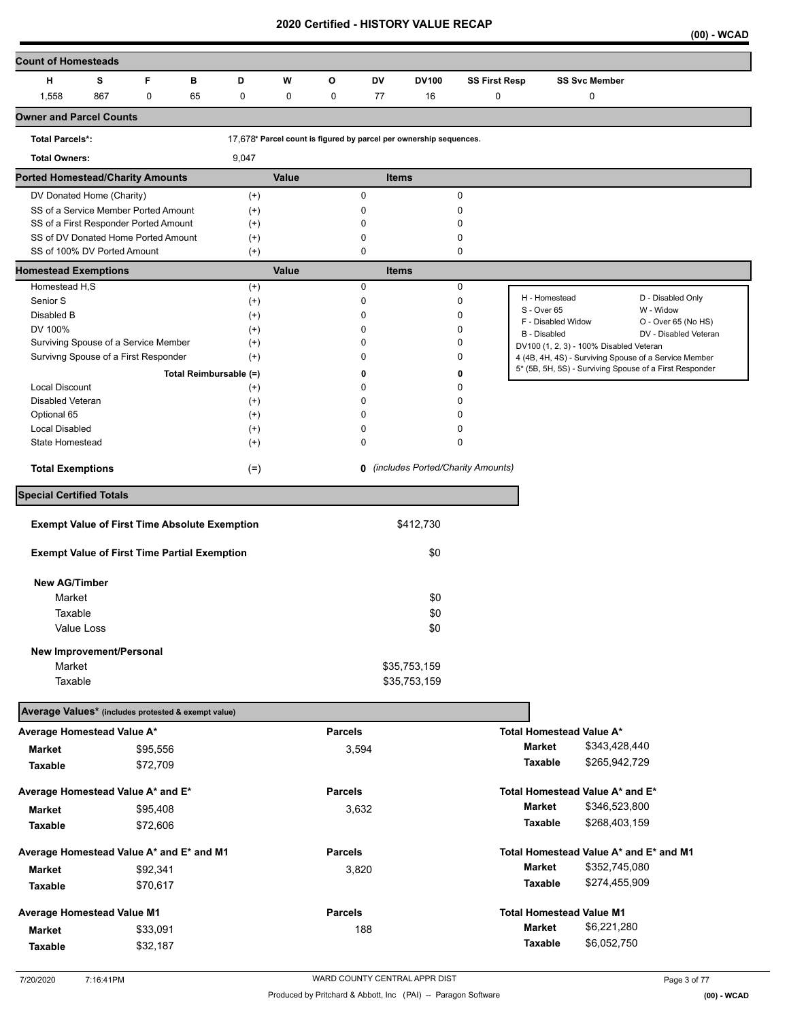**(00) - WCAD** 

| <b>Count of Homesteads</b>                                         |     |          |    |                        |       |                |                  |                                                                    |                                   |                                   |                                         |                                                         |
|--------------------------------------------------------------------|-----|----------|----|------------------------|-------|----------------|------------------|--------------------------------------------------------------------|-----------------------------------|-----------------------------------|-----------------------------------------|---------------------------------------------------------|
| н                                                                  | s   | F        | в  | D                      | W     | o              | DV               | <b>DV100</b>                                                       | <b>SS First Resp</b>              |                                   | <b>SS Svc Member</b>                    |                                                         |
| 1,558                                                              | 867 | 0        | 65 | 0                      | 0     | 0              | 77               | 16                                                                 | 0                                 |                                   | 0                                       |                                                         |
| <b>Owner and Parcel Counts</b>                                     |     |          |    |                        |       |                |                  |                                                                    |                                   |                                   |                                         |                                                         |
| <b>Total Parcels*:</b>                                             |     |          |    |                        |       |                |                  | 17,678* Parcel count is figured by parcel per ownership sequences. |                                   |                                   |                                         |                                                         |
| <b>Total Owners:</b>                                               |     |          |    | 9,047                  |       |                |                  |                                                                    |                                   |                                   |                                         |                                                         |
| <b>Ported Homestead/Charity Amounts</b>                            |     |          |    |                        | Value |                |                  | <b>Items</b>                                                       |                                   |                                   |                                         |                                                         |
| DV Donated Home (Charity)                                          |     |          |    | $(+)$                  |       |                | 0                |                                                                    | $\mathbf 0$                       |                                   |                                         |                                                         |
| SS of a Service Member Ported Amount                               |     |          |    | $^{(+)}$               |       |                | 0                |                                                                    | 0                                 |                                   |                                         |                                                         |
| SS of a First Responder Ported Amount                              |     |          |    | $^{(+)}$               |       |                | 0                |                                                                    | 0                                 |                                   |                                         |                                                         |
| SS of DV Donated Home Ported Amount<br>SS of 100% DV Ported Amount |     |          |    | $^{(+)}$<br>$(+)$      |       |                | 0<br>$\mathbf 0$ |                                                                    | 0<br>0                            |                                   |                                         |                                                         |
| <b>Homestead Exemptions</b>                                        |     |          |    |                        | Value |                |                  | <b>Items</b>                                                       |                                   |                                   |                                         |                                                         |
| Homestead H,S                                                      |     |          |    | $^{(+)}$               |       |                | 0                |                                                                    | $\mathbf 0$                       |                                   |                                         |                                                         |
| Senior S                                                           |     |          |    | $^{(+)}$               |       |                | 0                |                                                                    | 0                                 | H - Homestead                     |                                         | D - Disabled Only                                       |
| Disabled B                                                         |     |          |    | $^{(+)}$               |       |                | 0                |                                                                    | 0                                 | S - Over 65<br>F - Disabled Widow |                                         | W - Widow<br>O - Over 65 (No HS)                        |
| DV 100%                                                            |     |          |    | $^{(+)}$               |       |                | $\mathbf 0$      |                                                                    | 0                                 | <b>B</b> - Disabled               |                                         | DV - Disabled Veteran                                   |
| Surviving Spouse of a Service Member                               |     |          |    | $^{(+)}$               |       |                | 0                |                                                                    | 0                                 |                                   | DV100 (1, 2, 3) - 100% Disabled Veteran |                                                         |
| Survivng Spouse of a First Responder                               |     |          |    | $^{(+)}$               |       |                | 0                |                                                                    | 0                                 |                                   |                                         | 4 (4B, 4H, 4S) - Surviving Spouse of a Service Member   |
|                                                                    |     |          |    | Total Reimbursable (=) |       |                | 0                |                                                                    | 0                                 |                                   |                                         | 5* (5B, 5H, 5S) - Surviving Spouse of a First Responder |
| <b>Local Discount</b>                                              |     |          |    | $^{(+)}$               |       |                | 0                |                                                                    | 0                                 |                                   |                                         |                                                         |
| Disabled Veteran                                                   |     |          |    | $^{(+)}$               |       |                | 0                |                                                                    | 0                                 |                                   |                                         |                                                         |
| Optional 65<br><b>Local Disabled</b>                               |     |          |    | $^{(+)}$<br>$^{(+)}$   |       |                | 0<br>$\mathbf 0$ |                                                                    | 0<br>0                            |                                   |                                         |                                                         |
| State Homestead                                                    |     |          |    | $^{(+)}$               |       |                | 0                |                                                                    | 0                                 |                                   |                                         |                                                         |
|                                                                    |     |          |    |                        |       |                |                  |                                                                    |                                   |                                   |                                         |                                                         |
| <b>Total Exemptions</b>                                            |     |          |    | $(=)$                  |       |                | 0                |                                                                    | (includes Ported/Charity Amounts) |                                   |                                         |                                                         |
| <b>Special Certified Totals</b>                                    |     |          |    |                        |       |                |                  |                                                                    |                                   |                                   |                                         |                                                         |
| <b>Exempt Value of First Time Absolute Exemption</b>               |     |          |    |                        |       |                |                  | \$412,730                                                          |                                   |                                   |                                         |                                                         |
|                                                                    |     |          |    |                        |       |                |                  |                                                                    |                                   |                                   |                                         |                                                         |
| <b>Exempt Value of First Time Partial Exemption</b>                |     |          |    |                        |       |                |                  | \$0                                                                |                                   |                                   |                                         |                                                         |
| <b>New AG/Timber</b>                                               |     |          |    |                        |       |                |                  |                                                                    |                                   |                                   |                                         |                                                         |
| Market                                                             |     |          |    |                        |       |                |                  | \$0                                                                |                                   |                                   |                                         |                                                         |
| Taxable                                                            |     |          |    |                        |       |                |                  | \$0                                                                |                                   |                                   |                                         |                                                         |
| Value Loss                                                         |     |          |    |                        |       |                |                  | \$0                                                                |                                   |                                   |                                         |                                                         |
| New Improvement/Personal                                           |     |          |    |                        |       |                |                  |                                                                    |                                   |                                   |                                         |                                                         |
| Market                                                             |     |          |    |                        |       |                |                  | \$35,753,159                                                       |                                   |                                   |                                         |                                                         |
| Taxable                                                            |     |          |    |                        |       |                |                  | \$35,753,159                                                       |                                   |                                   |                                         |                                                         |
| Average Values* (includes protested & exempt value)                |     |          |    |                        |       |                |                  |                                                                    |                                   |                                   |                                         |                                                         |
| Average Homestead Value A*                                         |     |          |    |                        |       | <b>Parcels</b> |                  |                                                                    |                                   |                                   | <b>Total Homestead Value A*</b>         |                                                         |
|                                                                    |     |          |    |                        |       |                |                  |                                                                    |                                   | <b>Market</b>                     | \$343,428,440                           |                                                         |
| Market                                                             |     | \$95,556 |    |                        |       |                | 3,594            |                                                                    |                                   | Taxable                           | \$265,942,729                           |                                                         |
| Taxable                                                            |     | \$72,709 |    |                        |       |                |                  |                                                                    |                                   |                                   |                                         |                                                         |
| Average Homestead Value A* and E*                                  |     |          |    |                        |       | <b>Parcels</b> |                  |                                                                    |                                   |                                   | Total Homestead Value A* and E*         |                                                         |
| <b>Market</b>                                                      |     | \$95,408 |    |                        |       |                | 3,632            |                                                                    |                                   | <b>Market</b>                     | \$346,523,800                           |                                                         |
| Taxable                                                            |     | \$72,606 |    |                        |       |                |                  |                                                                    |                                   | Taxable                           | \$268,403,159                           |                                                         |
| Average Homestead Value A* and E* and M1                           |     |          |    |                        |       | <b>Parcels</b> |                  |                                                                    |                                   |                                   |                                         | Total Homestead Value A* and E* and M1                  |
| <b>Market</b>                                                      |     | \$92,341 |    |                        |       |                | 3,820            |                                                                    |                                   | <b>Market</b>                     | \$352,745,080                           |                                                         |
| Taxable                                                            |     | \$70,617 |    |                        |       |                |                  |                                                                    |                                   | Taxable                           | \$274,455,909                           |                                                         |
|                                                                    |     |          |    |                        |       |                |                  |                                                                    |                                   |                                   |                                         |                                                         |
| <b>Average Homestead Value M1</b>                                  |     |          |    |                        |       | <b>Parcels</b> |                  |                                                                    |                                   |                                   | <b>Total Homestead Value M1</b>         |                                                         |
| Market                                                             |     | \$33,091 |    |                        |       |                | 188              |                                                                    |                                   | <b>Market</b>                     | \$6,221,280                             |                                                         |
| Taxable                                                            |     | \$32,187 |    |                        |       |                |                  |                                                                    |                                   | <b>Taxable</b>                    | \$6,052,750                             |                                                         |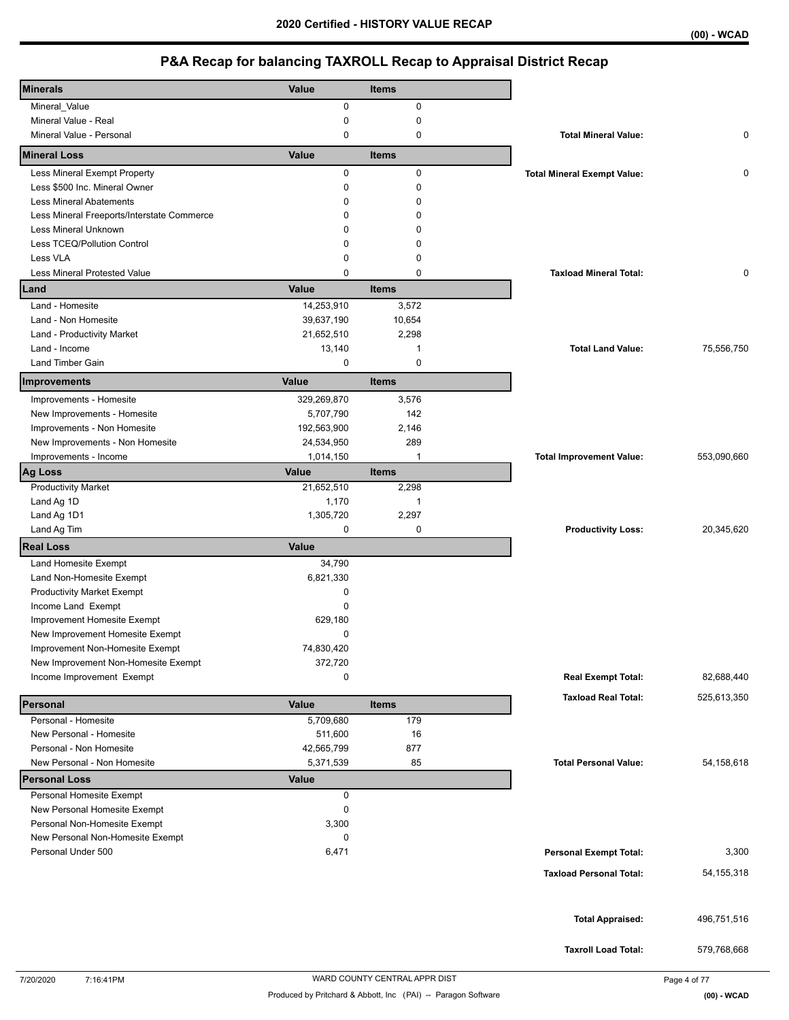| <b>Minerals</b>                                    | Value                 | <b>Items</b>   |                                    |              |
|----------------------------------------------------|-----------------------|----------------|------------------------------------|--------------|
| Mineral_Value                                      | 0                     | 0              |                                    |              |
| Mineral Value - Real                               | 0                     | 0              |                                    |              |
| Mineral Value - Personal                           | 0                     | 0              | <b>Total Mineral Value:</b>        | 0            |
| <b>Mineral Loss</b>                                | Value                 | <b>Items</b>   |                                    |              |
| Less Mineral Exempt Property                       | 0                     | 0              | <b>Total Mineral Exempt Value:</b> | 0            |
| Less \$500 Inc. Mineral Owner                      | 0                     | $\mathbf 0$    |                                    |              |
| <b>Less Mineral Abatements</b>                     | $\Omega$              | 0              |                                    |              |
| Less Mineral Freeports/Interstate Commerce         | $\Omega$              | $\Omega$       |                                    |              |
| Less Mineral Unknown                               | 0                     | <sup>0</sup>   |                                    |              |
| Less TCEQ/Pollution Control                        | $\Omega$              | 0              |                                    |              |
| Less VLA                                           | 0                     | 0              |                                    |              |
| <b>Less Mineral Protested Value</b>                | $\Omega$              | $\mathbf 0$    | <b>Taxload Mineral Total:</b>      | 0            |
| Land                                               | Value                 | <b>Items</b>   |                                    |              |
| Land - Homesite                                    | 14,253,910            | 3,572          |                                    |              |
| Land - Non Homesite                                | 39,637,190            | 10,654         |                                    |              |
| Land - Productivity Market                         | 21,652,510            | 2,298          |                                    |              |
| Land - Income                                      | 13,140                | 1              | <b>Total Land Value:</b>           | 75,556,750   |
| Land Timber Gain                                   | 0                     | 0              |                                    |              |
| Improvements                                       | Value                 | <b>Items</b>   |                                    |              |
| Improvements - Homesite                            | 329,269,870           | 3,576          |                                    |              |
| New Improvements - Homesite                        | 5,707,790             | 142            |                                    |              |
| Improvements - Non Homesite                        | 192,563,900           | 2,146          |                                    |              |
| New Improvements - Non Homesite                    | 24,534,950            | 289            |                                    |              |
| Improvements - Income                              | 1,014,150             | $\overline{1}$ | <b>Total Improvement Value:</b>    | 553,090,660  |
| Ag Loss                                            | Value                 | <b>Items</b>   |                                    |              |
| <b>Productivity Market</b>                         | 21,652,510            | 2,298          |                                    |              |
| Land Ag 1D                                         | 1,170                 | $\mathbf{1}$   |                                    |              |
|                                                    | 1,305,720             | 2,297          |                                    |              |
| Land Ag 1D1                                        |                       |                |                                    |              |
| Land Ag Tim                                        | $\mathbf 0$           | 0              | <b>Productivity Loss:</b>          | 20,345,620   |
| <b>Real Loss</b>                                   | <b>Value</b>          |                |                                    |              |
| Land Homesite Exempt                               | 34,790                |                |                                    |              |
| Land Non-Homesite Exempt                           | 6,821,330             |                |                                    |              |
| <b>Productivity Market Exempt</b>                  | 0                     |                |                                    |              |
| Income Land Exempt                                 | 0                     |                |                                    |              |
| Improvement Homesite Exempt                        | 629,180               |                |                                    |              |
| New Improvement Homesite Exempt                    | 0                     |                |                                    |              |
| Improvement Non-Homesite Exempt                    | 74,830,420            |                |                                    |              |
| New Improvement Non-Homesite Exempt                | 372,720               |                |                                    |              |
| Income Improvement Exempt                          | 0                     |                | <b>Real Exempt Total:</b>          | 82,688,440   |
|                                                    |                       | <b>Items</b>   | <b>Taxload Real Total:</b>         | 525,613,350  |
| Personal                                           | Value                 |                |                                    |              |
| Personal - Homesite                                | 5,709,680             | 179            |                                    |              |
| New Personal - Homesite<br>Personal - Non Homesite | 511,600<br>42,565,799 | 16<br>877      |                                    |              |
| New Personal - Non Homesite                        | 5,371,539             | 85             | <b>Total Personal Value:</b>       | 54, 158, 618 |
| <b>Personal Loss</b>                               | <b>Value</b>          |                |                                    |              |
| Personal Homesite Exempt                           | 0                     |                |                                    |              |
| New Personal Homesite Exempt                       | 0                     |                |                                    |              |
| Personal Non-Homesite Exempt                       | 3,300                 |                |                                    |              |
| New Personal Non-Homesite Exempt                   | 0                     |                |                                    |              |
| Personal Under 500                                 | 6,471                 |                | <b>Personal Exempt Total:</b>      | 3,300        |
|                                                    |                       |                | <b>Taxload Personal Total:</b>     |              |
|                                                    |                       |                |                                    | 54, 155, 318 |
|                                                    |                       |                |                                    |              |
|                                                    |                       |                | <b>Total Appraised:</b>            | 496,751,516  |
|                                                    |                       |                |                                    |              |
|                                                    |                       |                | <b>Taxroll Load Total:</b>         | 579,768,668  |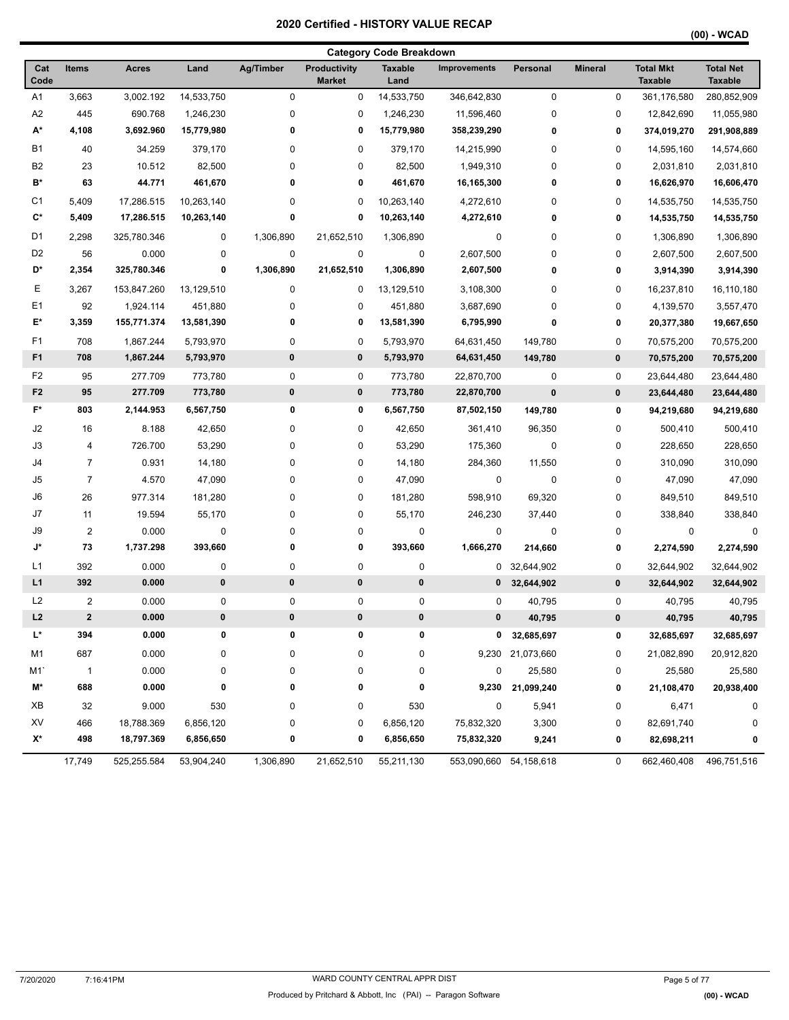|  | (00) - WCAD |
|--|-------------|
|--|-------------|

|                |                         |              |            |           |                                      | <b>Category Code Breakdown</b> |                        |                  |                |                                    |                                    |
|----------------|-------------------------|--------------|------------|-----------|--------------------------------------|--------------------------------|------------------------|------------------|----------------|------------------------------------|------------------------------------|
| Cat<br>Code    | Items                   | <b>Acres</b> | Land       | Ag/Timber | <b>Productivity</b><br><b>Market</b> | <b>Taxable</b><br>Land         | <b>Improvements</b>    | Personal         | <b>Mineral</b> | <b>Total Mkt</b><br><b>Taxable</b> | <b>Total Net</b><br><b>Taxable</b> |
| A <sub>1</sub> | 3,663                   | 3,002.192    | 14,533,750 | 0         | 0                                    | 14,533,750                     | 346,642,830            | 0                | $\pmb{0}$      | 361,176,580                        | 280,852,909                        |
| A <sub>2</sub> | 445                     | 690.768      | 1,246,230  | 0         | 0                                    | 1,246,230                      | 11,596,460             | 0                | 0              | 12,842,690                         | 11,055,980                         |
| A*             | 4,108                   | 3,692.960    | 15,779,980 | 0         | 0                                    | 15,779,980                     | 358,239,290            | 0                | 0              | 374,019,270                        | 291,908,889                        |
| <b>B1</b>      | 40                      | 34.259       | 379,170    | 0         | 0                                    | 379,170                        | 14,215,990             | 0                | 0              | 14,595,160                         | 14,574,660                         |
| B <sub>2</sub> | 23                      | 10.512       | 82,500     | 0         | $\pmb{0}$                            | 82,500                         | 1,949,310              | 0                | 0              | 2,031,810                          | 2,031,810                          |
| B*             | 63                      | 44.771       | 461,670    | 0         | 0                                    | 461,670                        | 16,165,300             | 0                | 0              | 16,626,970                         | 16,606,470                         |
| C <sub>1</sub> | 5,409                   | 17,286.515   | 10,263,140 | 0         | 0                                    | 10,263,140                     | 4,272,610              | 0                | 0              | 14,535,750                         | 14,535,750                         |
| C*             | 5,409                   | 17,286.515   | 10,263,140 | 0         | 0                                    | 10,263,140                     | 4,272,610              | 0                | 0              | 14,535,750                         | 14,535,750                         |
| D1             | 2,298                   | 325,780.346  | 0          | 1,306,890 | 21,652,510                           | 1,306,890                      | 0                      | 0                | 0              | 1,306,890                          | 1,306,890                          |
| D <sub>2</sub> | 56                      | 0.000        | 0          | 0         | $\pmb{0}$                            | 0                              | 2,607,500              | 0                | 0              | 2,607,500                          | 2,607,500                          |
| D*             | 2,354                   | 325,780.346  | 0          | 1,306,890 | 21,652,510                           | 1,306,890                      | 2,607,500              | 0                | 0              | 3,914,390                          | 3,914,390                          |
| Ε              | 3,267                   | 153,847.260  | 13,129,510 | 0         | 0                                    | 13,129,510                     | 3,108,300              | 0                | 0              | 16,237,810                         | 16,110,180                         |
| E <sub>1</sub> | 92                      | 1,924.114    | 451,880    | 0         | 0                                    | 451,880                        | 3,687,690              | 0                | 0              | 4,139,570                          | 3,557,470                          |
| E*             | 3,359                   | 155,771.374  | 13,581,390 | 0         | 0                                    | 13,581,390                     | 6,795,990              | 0                | 0              | 20,377,380                         | 19,667,650                         |
| F1             | 708                     | 1,867.244    | 5,793,970  | 0         | 0                                    | 5,793,970                      | 64,631,450             | 149,780          | 0              | 70,575,200                         | 70,575,200                         |
| F <sub>1</sub> | 708                     | 1,867.244    | 5,793,970  | $\pmb{0}$ | 0                                    | 5,793,970                      | 64,631,450             | 149,780          | 0              | 70,575,200                         | 70,575,200                         |
| F <sub>2</sub> | 95                      | 277.709      | 773,780    | 0         | 0                                    | 773,780                        | 22,870,700             | 0                | 0              | 23,644,480                         | 23,644,480                         |
| F <sub>2</sub> | 95                      | 277.709      | 773,780    | $\bf{0}$  | 0                                    | 773,780                        | 22,870,700             | $\pmb{0}$        | 0              | 23,644,480                         | 23,644,480                         |
| F*             | 803                     | 2,144.953    | 6,567,750  | 0         | 0                                    | 6,567,750                      | 87,502,150             | 149,780          | 0              | 94,219,680                         | 94,219,680                         |
| J2             | 16                      | 8.188        | 42,650     | 0         | 0                                    | 42,650                         | 361,410                | 96,350           | 0              | 500,410                            | 500,410                            |
| J3             | 4                       | 726.700      | 53,290     | 0         | 0                                    | 53,290                         | 175,360                | 0                | 0              | 228,650                            | 228,650                            |
| J4             | $\overline{7}$          | 0.931        | 14,180     | 0         | 0                                    | 14,180                         | 284,360                | 11,550           | 0              | 310,090                            | 310,090                            |
| J5             | $\overline{7}$          | 4.570        | 47,090     | 0         | 0                                    | 47,090                         | 0                      | 0                | 0              | 47,090                             | 47,090                             |
| J6             | 26                      | 977.314      | 181,280    | 0         | $\pmb{0}$                            | 181,280                        | 598,910                | 69,320           | 0              | 849,510                            | 849,510                            |
| J7             | 11                      | 19.594       | 55,170     | 0         | $\pmb{0}$                            | 55,170                         | 246,230                | 37,440           | 0              | 338,840                            | 338,840                            |
| J9             | $\overline{2}$          | 0.000        | $\pmb{0}$  | 0         | $\pmb{0}$                            | 0                              | 0                      | 0                | 0              | 0                                  | 0                                  |
| J*             | 73                      | 1,737.298    | 393,660    | 0         | 0                                    | 393,660                        | 1,666,270              | 214,660          | 0              | 2,274,590                          | 2,274,590                          |
| L1             | 392                     | 0.000        | 0          | 0         | $\pmb{0}$                            | 0                              |                        | 0 32,644,902     | 0              | 32,644,902                         | 32,644,902                         |
| L1             | 392                     | 0.000        | 0          | $\bf{0}$  | 0                                    | 0                              | $\mathbf{0}$           | 32,644,902       | 0              | 32,644,902                         | 32,644,902                         |
| L2             | $\overline{\mathbf{c}}$ | 0.000        | 0          | 0         | $\pmb{0}$                            | 0                              | 0                      | 40,795           | 0              | 40,795                             | 40,795                             |
| L2             | $\mathbf 2$             | 0.000        | 0          | $\pmb{0}$ | $\bf{0}$                             | 0                              | 0                      | 40,795           | $\bf{0}$       | 40,795                             | 40,795                             |
| L*             | 394                     | 0.000        | 0          | 0         | 0                                    | 0                              |                        | 0 32,685,697     | 0              | 32,685,697                         | 32,685,697                         |
| M1             | 687                     | 0.000        | 0          | 0         | 0                                    | 0                              |                        | 9,230 21,073,660 | 0              | 21,082,890                         | 20,912,820                         |
| M1`            | $\overline{1}$          | 0.000        | 0          | 0         | $\pmb{0}$                            | 0                              | 0                      | 25,580           | 0              | 25,580                             | 25,580                             |
| M*             | 688                     | 0.000        | 0          | 0         | 0                                    | 0                              | 9,230                  | 21,099,240       | 0              | 21,108,470                         | 20,938,400                         |
| ХB             | 32                      | 9.000        | 530        | 0         | 0                                    | 530                            | 0                      | 5,941            | 0              | 6,471                              | 0                                  |
| XV             | 466                     | 18,788.369   | 6,856,120  | 0         | 0                                    | 6,856,120                      | 75,832,320             | 3,300            | 0              | 82,691,740                         | 0                                  |
| X*             | 498                     | 18,797.369   | 6,856,650  | 0         | 0                                    | 6,856,650                      | 75,832,320             | 9,241            | 0              | 82,698,211                         | 0                                  |
|                | 17,749                  | 525,255.584  | 53,904,240 | 1,306,890 | 21,652,510                           | 55,211,130                     | 553,090,660 54,158,618 |                  | 0              | 662,460,408                        | 496,751,516                        |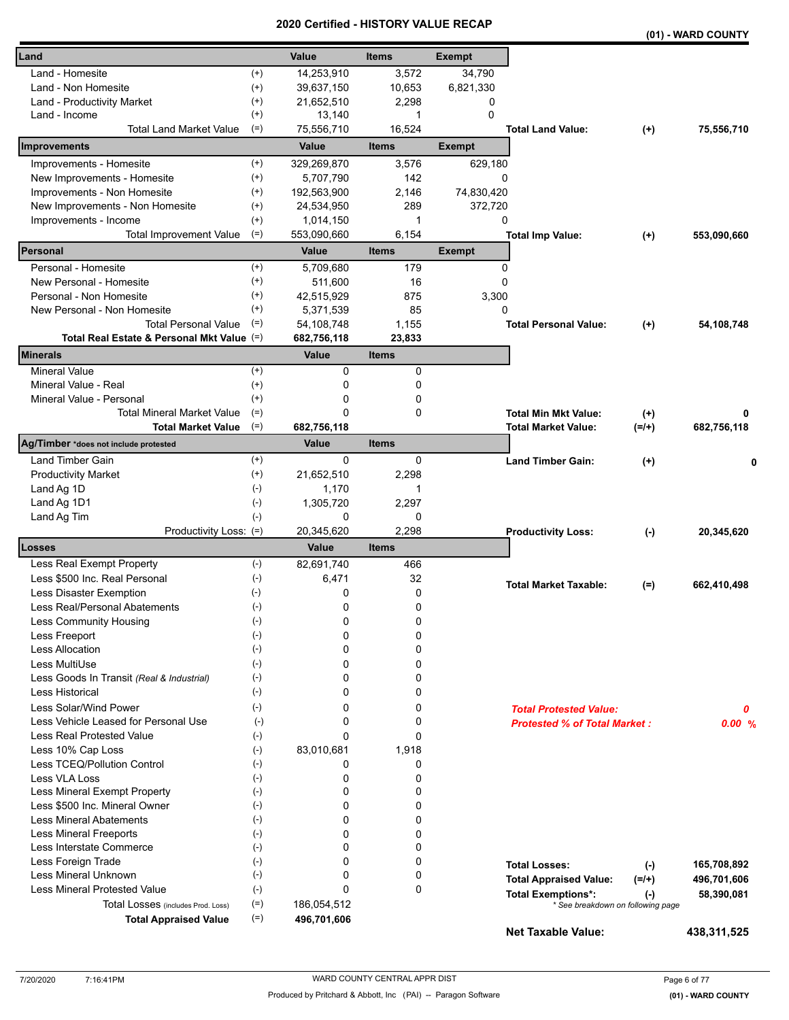|                                            |                    | unca         | ו טווי<br>VN L |               |                                     |           | (01) - WARD COUNTY |
|--------------------------------------------|--------------------|--------------|----------------|---------------|-------------------------------------|-----------|--------------------|
| Land                                       |                    | Value        | <b>Items</b>   | <b>Exempt</b> |                                     |           |                    |
| Land - Homesite                            | $^{(+)}$           | 14,253,910   | 3,572          | 34,790        |                                     |           |                    |
| Land - Non Homesite                        | $^{(+)}$           | 39,637,150   | 10,653         | 6,821,330     |                                     |           |                    |
| Land - Productivity Market                 | $^{(+)}$           | 21,652,510   | 2,298          | 0             |                                     |           |                    |
| Land - Income                              | $^{(+)}$           | 13,140       | 1              | $\mathbf{0}$  |                                     |           |                    |
| Total Land Market Value                    | $(=)$              | 75,556,710   | 16,524         |               | <b>Total Land Value:</b>            | $(+)$     | 75,556,710         |
| Improvements                               |                    | Value        | <b>Items</b>   | <b>Exempt</b> |                                     |           |                    |
| Improvements - Homesite                    | $^{(+)}$           | 329,269,870  | 3,576          | 629,180       |                                     |           |                    |
| New Improvements - Homesite                | $^{(+)}$           | 5,707,790    | 142            | 0             |                                     |           |                    |
| Improvements - Non Homesite                | $^{(+)}$           | 192,563,900  | 2,146          | 74,830,420    |                                     |           |                    |
| New Improvements - Non Homesite            | $^{(+)}$           | 24,534,950   | 289            | 372,720       |                                     |           |                    |
| Improvements - Income                      | $^{(+)}$           | 1,014,150    | 1              | 0             |                                     |           |                    |
| <b>Total Improvement Value</b>             | $(=)$              | 553,090,660  | 6,154          |               | <b>Total Imp Value:</b>             | $^{(+)}$  | 553,090,660        |
| Personal                                   |                    | Value        | <b>Items</b>   | <b>Exempt</b> |                                     |           |                    |
| Personal - Homesite                        | $^{(+)}$           | 5,709,680    | 179            | 0             |                                     |           |                    |
| New Personal - Homesite                    | $^{(+)}$           | 511,600      | 16             | 0             |                                     |           |                    |
| Personal - Non Homesite                    | $^{(+)}$           | 42,515,929   | 875            | 3,300         |                                     |           |                    |
| New Personal - Non Homesite                | $^{(+)}$           | 5,371,539    | 85             | 0             |                                     |           |                    |
| <b>Total Personal Value</b>                | $(=)$              | 54,108,748   | 1,155          |               | <b>Total Personal Value:</b>        | $(+)$     | 54,108,748         |
| Total Real Estate & Personal Mkt Value (=) |                    | 682,756,118  | 23,833         |               |                                     |           |                    |
| <b>Minerals</b>                            |                    | <b>Value</b> | <b>Items</b>   |               |                                     |           |                    |
| <b>Mineral Value</b>                       | $(+)$              | 0            | 0              |               |                                     |           |                    |
| Mineral Value - Real                       | $^{(+)}$           | 0            | 0              |               |                                     |           |                    |
| Mineral Value - Personal                   | $^{(+)}$           | 0            | 0              |               |                                     |           |                    |
| <b>Total Mineral Market Value</b>          | $(=)$              | 0            | 0              |               | <b>Total Min Mkt Value:</b>         | $^{(+)}$  | 0                  |
| <b>Total Market Value</b>                  | $(=)$              | 682,756,118  |                |               | <b>Total Market Value:</b>          | $(=/+)$   | 682,756,118        |
| Ag/Timber *does not include protested      |                    | Value        | <b>Items</b>   |               |                                     |           |                    |
| Land Timber Gain                           | $^{(+)}$           | 0            | 0              |               | <b>Land Timber Gain:</b>            | $^{(+)}$  | 0                  |
| <b>Productivity Market</b>                 | $^{(+)}$           | 21,652,510   | 2,298          |               |                                     |           |                    |
| Land Ag 1D                                 | $(\text{-})$       | 1,170        | 1              |               |                                     |           |                    |
| Land Ag 1D1                                | $(-)$              | 1,305,720    | 2,297          |               |                                     |           |                    |
| Land Ag Tim                                | $(-)$              | 0            | 0              |               |                                     |           |                    |
| Productivity Loss: (=)                     |                    | 20,345,620   | 2,298          |               | <b>Productivity Loss:</b>           | $(\cdot)$ | 20,345,620         |
| Losses                                     |                    | Value        | <b>Items</b>   |               |                                     |           |                    |
| Less Real Exempt Property                  | $(-)$              | 82,691,740   | 466            |               |                                     |           |                    |
| Less \$500 Inc. Real Personal              | $(\text{-})$       | 6,471        | 32             |               | <b>Total Market Taxable:</b>        | $(=)$     | 662,410,498        |
| Less Disaster Exemption                    | $(-)$              | 0            | 0              |               |                                     |           |                    |
| Less Real/Personal Abatements              | $(\textnormal{-})$ | 0            | 0              |               |                                     |           |                    |
| Less Community Housing                     | $(\textnormal{-})$ | 0            | 0              |               |                                     |           |                    |
| Less Freeport                              | $(-)$              | 0            | 0              |               |                                     |           |                    |
| <b>Less Allocation</b>                     | $(-)$              | 0            | 0              |               |                                     |           |                    |
| Less MultiUse                              | $(-)$              | 0            | 0              |               |                                     |           |                    |
| Less Goods In Transit (Real & Industrial)  | $(-)$              | 0            | 0              |               |                                     |           |                    |
| <b>Less Historical</b>                     | $(-)$              | 0            | 0              |               |                                     |           |                    |
| Less Solar/Wind Power                      | $(-)$              | 0            | 0              |               | <b>Total Protested Value:</b>       |           | 0                  |
| Less Vehicle Leased for Personal Use       | $(-)$              | 0            | 0              |               | <b>Protested % of Total Market:</b> |           | 0.00%              |
| Less Real Protested Value                  | $(-)$              | 0            | 0              |               |                                     |           |                    |
| Less 10% Cap Loss                          | $(-)$              | 83,010,681   | 1,918          |               |                                     |           |                    |
| Less TCEQ/Pollution Control                | $(-)$              | 0            | 0              |               |                                     |           |                    |
| Less VLA Loss                              | $(-)$              | 0            | 0              |               |                                     |           |                    |
| Less Mineral Exempt Property               | $(-)$              | 0            | 0              |               |                                     |           |                    |
| Less \$500 Inc. Mineral Owner              | $(-)$              | 0            | 0              |               |                                     |           |                    |
| <b>Less Mineral Abatements</b>             | $(-)$              | 0            | 0              |               |                                     |           |                    |
| <b>Less Mineral Freeports</b>              | $(-)$              | 0            | 0              |               |                                     |           |                    |
| Less Interstate Commerce                   | $(-)$              | 0            | 0              |               |                                     |           |                    |
| Less Foreign Trade                         | $(-)$              | 0            | 0              |               | <b>Total Losses:</b>                | $(-)$     | 165,708,892        |
| Less Mineral Unknown                       | $(-)$              | 0            | 0              |               | <b>Total Appraised Value:</b>       | $(=/+)$   | 496,701,606        |
| <b>Less Mineral Protested Value</b>        | $(-)$              | 0            | 0              |               | <b>Total Exemptions*:</b>           | $(-)$     | 58,390,081         |
| Total Losses (includes Prod. Loss)         | $(=)$              | 186,054,512  |                |               | * See breakdown on following page   |           |                    |
| <b>Total Appraised Value</b>               | $(=)$              | 496,701,606  |                |               | <b>Net Taxable Value:</b>           |           | 438,311,525        |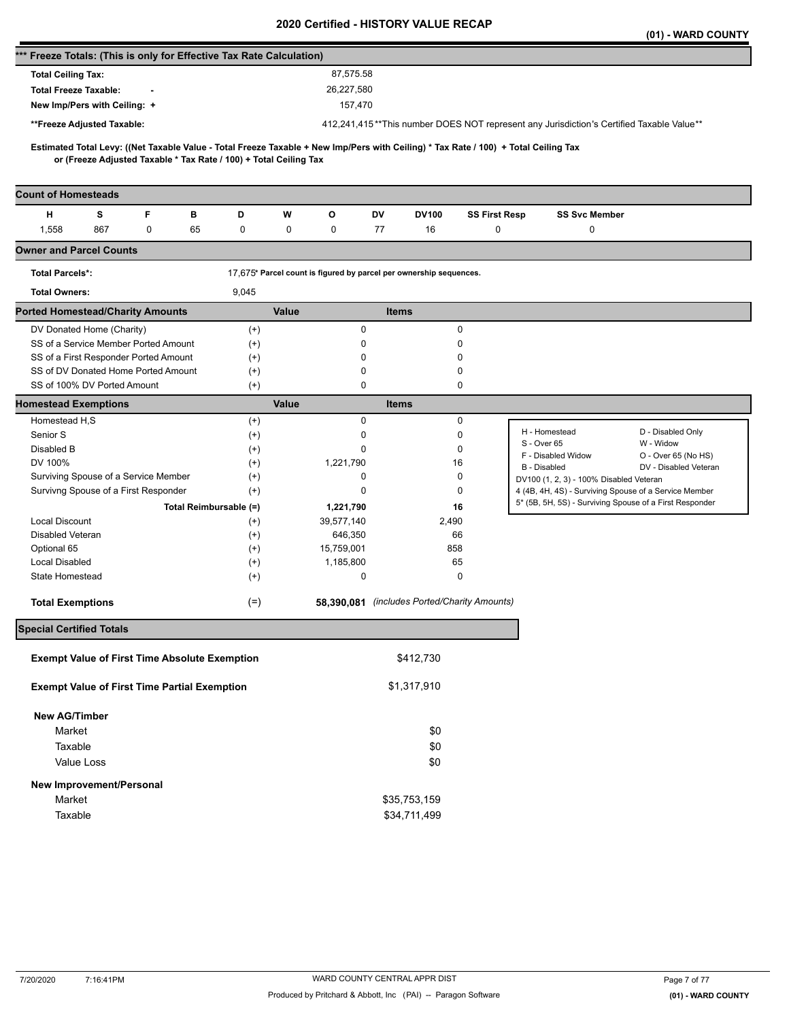|                                                                      |     |             |    |                                                                   |       |                                                                    |              |              |                                              |                                                                                                                                     |                      | (01) - WARD COUNTY                                                                       |
|----------------------------------------------------------------------|-----|-------------|----|-------------------------------------------------------------------|-------|--------------------------------------------------------------------|--------------|--------------|----------------------------------------------|-------------------------------------------------------------------------------------------------------------------------------------|----------------------|------------------------------------------------------------------------------------------|
| *** Freeze Totals: (This is only for Effective Tax Rate Calculation) |     |             |    |                                                                   |       |                                                                    |              |              |                                              |                                                                                                                                     |                      |                                                                                          |
| <b>Total Ceiling Tax:</b>                                            |     |             |    |                                                                   |       | 87,575.58                                                          |              |              |                                              |                                                                                                                                     |                      |                                                                                          |
| <b>Total Freeze Taxable:</b>                                         |     |             |    |                                                                   |       | 26,227,580                                                         |              |              |                                              |                                                                                                                                     |                      |                                                                                          |
| New Imp/Pers with Ceiling: +                                         |     |             |    |                                                                   |       | 157,470                                                            |              |              |                                              |                                                                                                                                     |                      |                                                                                          |
| **Freeze Adjusted Taxable:                                           |     |             |    |                                                                   |       |                                                                    |              |              |                                              |                                                                                                                                     |                      | 412,241,415**This number DOES NOT represent any Jurisdiction's Certified Taxable Value** |
|                                                                      |     |             |    |                                                                   |       |                                                                    |              |              |                                              |                                                                                                                                     |                      |                                                                                          |
|                                                                      |     |             |    | or (Freeze Adjusted Taxable * Tax Rate / 100) + Total Ceiling Tax |       |                                                                    |              |              |                                              | Estimated Total Levy: ((Net Taxable Value - Total Freeze Taxable + New Imp/Pers with Ceiling) * Tax Rate / 100) + Total Ceiling Tax |                      |                                                                                          |
| <b>Count of Homesteads</b>                                           |     |             |    |                                                                   |       |                                                                    |              |              |                                              |                                                                                                                                     |                      |                                                                                          |
| н                                                                    | s   | F           | в  | D                                                                 | W     | O                                                                  | DV           | <b>DV100</b> | <b>SS First Resp</b>                         |                                                                                                                                     | <b>SS Svc Member</b> |                                                                                          |
| 1,558                                                                | 867 | $\mathbf 0$ | 65 | 0                                                                 | 0     | 0                                                                  | 77           | 16           | 0                                            |                                                                                                                                     | 0                    |                                                                                          |
| <b>Owner and Parcel Counts</b>                                       |     |             |    |                                                                   |       |                                                                    |              |              |                                              |                                                                                                                                     |                      |                                                                                          |
| <b>Total Parcels*:</b>                                               |     |             |    |                                                                   |       | 17,675* Parcel count is figured by parcel per ownership sequences. |              |              |                                              |                                                                                                                                     |                      |                                                                                          |
| <b>Total Owners:</b>                                                 |     |             |    | 9,045                                                             |       |                                                                    |              |              |                                              |                                                                                                                                     |                      |                                                                                          |
| <b>Ported Homestead/Charity Amounts</b>                              |     |             |    |                                                                   | Value |                                                                    | <b>Items</b> |              |                                              |                                                                                                                                     |                      |                                                                                          |
| DV Donated Home (Charity)                                            |     |             |    | $^{(+)}$                                                          |       | 0                                                                  |              |              | 0                                            |                                                                                                                                     |                      |                                                                                          |
| SS of a Service Member Ported Amount                                 |     |             |    | $^{(+)}$                                                          |       | 0                                                                  |              |              | 0                                            |                                                                                                                                     |                      |                                                                                          |
| SS of a First Responder Ported Amount                                |     |             |    | $^{(+)}$                                                          |       | 0                                                                  |              |              | 0                                            |                                                                                                                                     |                      |                                                                                          |
| SS of DV Donated Home Ported Amount                                  |     |             |    | $^{(+)}$                                                          |       | 0                                                                  |              |              | 0                                            |                                                                                                                                     |                      |                                                                                          |
| SS of 100% DV Ported Amount                                          |     |             |    | $^{(+)}$                                                          |       | 0                                                                  |              |              | 0                                            |                                                                                                                                     |                      |                                                                                          |
| <b>Homestead Exemptions</b>                                          |     |             |    |                                                                   | Value |                                                                    | <b>Items</b> |              |                                              |                                                                                                                                     |                      |                                                                                          |
| Homestead H,S                                                        |     |             |    | $^{(+)}$                                                          |       | 0                                                                  |              |              | 0                                            |                                                                                                                                     |                      | D - Disabled Only                                                                        |
| Senior S                                                             |     |             |    | $^{(+)}$                                                          |       | 0                                                                  |              |              | $\Omega$                                     | H - Homestead<br>S - Over 65                                                                                                        |                      | W - Widow                                                                                |
| Disabled B                                                           |     |             |    | $^{(+)}$                                                          |       | 0                                                                  |              |              | 0                                            | F - Disabled Widow                                                                                                                  |                      | O - Over 65 (No HS)                                                                      |
| DV 100%<br>Surviving Spouse of a Service Member                      |     |             |    | $^{(+)}$                                                          |       | 1,221,790<br>0                                                     |              |              | 16<br>0                                      | <b>B</b> - Disabled                                                                                                                 |                      | DV - Disabled Veteran                                                                    |
| Survivng Spouse of a First Responder                                 |     |             |    | $^{(+)}$<br>$^{(+)}$                                              |       | 0                                                                  |              |              | 0                                            | DV100 (1, 2, 3) - 100% Disabled Veteran                                                                                             |                      | 4 (4B, 4H, 4S) - Surviving Spouse of a Service Member                                    |
|                                                                      |     |             |    | Total Reimbursable (=)                                            |       | 1,221,790                                                          |              |              | 16                                           |                                                                                                                                     |                      | 5* (5B, 5H, 5S) - Surviving Spouse of a First Responder                                  |
| <b>Local Discount</b>                                                |     |             |    | $^{(+)}$                                                          |       | 39,577,140                                                         |              | 2,490        |                                              |                                                                                                                                     |                      |                                                                                          |
| Disabled Veteran                                                     |     |             |    | $^{(+)}$                                                          |       | 646,350                                                            |              |              | 66                                           |                                                                                                                                     |                      |                                                                                          |
| Optional 65                                                          |     |             |    | $^{(+)}$                                                          |       | 15,759,001                                                         |              |              | 858                                          |                                                                                                                                     |                      |                                                                                          |
| <b>Local Disabled</b>                                                |     |             |    | $^{(+)}$                                                          |       | 1,185,800                                                          |              |              | 65                                           |                                                                                                                                     |                      |                                                                                          |
| State Homestead                                                      |     |             |    | $^{(+)}$                                                          |       | 0                                                                  |              |              | 0                                            |                                                                                                                                     |                      |                                                                                          |
| <b>Total Exemptions</b>                                              |     |             |    | $(=)$                                                             |       |                                                                    |              |              | 58.390.081 (includes Ported/Charity Amounts) |                                                                                                                                     |                      |                                                                                          |
| <b>Special Certified Totals</b>                                      |     |             |    |                                                                   |       |                                                                    |              |              |                                              |                                                                                                                                     |                      |                                                                                          |
| <b>Exempt Value of First Time Absolute Exemption</b>                 |     |             |    |                                                                   |       |                                                                    |              | \$412,730    |                                              |                                                                                                                                     |                      |                                                                                          |
| <b>Exempt Value of First Time Partial Exemption</b>                  |     |             |    |                                                                   |       |                                                                    |              | \$1,317,910  |                                              |                                                                                                                                     |                      |                                                                                          |
| <b>New AG/Timber</b>                                                 |     |             |    |                                                                   |       |                                                                    |              |              |                                              |                                                                                                                                     |                      |                                                                                          |
| Market                                                               |     |             |    |                                                                   |       |                                                                    |              | \$0          |                                              |                                                                                                                                     |                      |                                                                                          |
| Taxable                                                              |     |             |    |                                                                   |       |                                                                    |              |              |                                              |                                                                                                                                     |                      |                                                                                          |
|                                                                      |     |             |    |                                                                   |       |                                                                    |              | \$0          |                                              |                                                                                                                                     |                      |                                                                                          |
| Value Loss                                                           |     |             |    |                                                                   |       |                                                                    |              | \$0          |                                              |                                                                                                                                     |                      |                                                                                          |
| New Improvement/Personal                                             |     |             |    |                                                                   |       |                                                                    |              |              |                                              |                                                                                                                                     |                      |                                                                                          |
| Market                                                               |     |             |    |                                                                   |       |                                                                    |              | \$35,753,159 |                                              |                                                                                                                                     |                      |                                                                                          |
| Taxable                                                              |     |             |    |                                                                   |       |                                                                    |              | \$34,711,499 |                                              |                                                                                                                                     |                      |                                                                                          |
|                                                                      |     |             |    |                                                                   |       |                                                                    |              |              |                                              |                                                                                                                                     |                      |                                                                                          |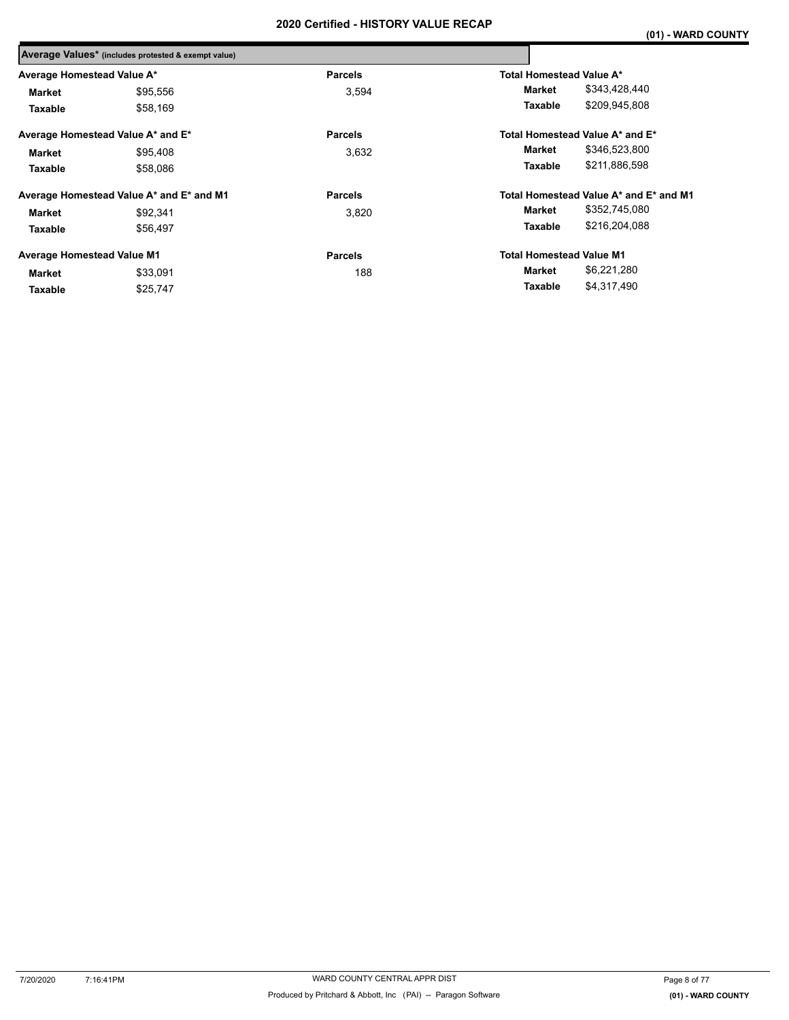|                                   | Average Values* (includes protested & exempt value) |                |                                 |                                        |
|-----------------------------------|-----------------------------------------------------|----------------|---------------------------------|----------------------------------------|
| Average Homestead Value A*        |                                                     | <b>Parcels</b> | Total Homestead Value A*        |                                        |
| Market                            | \$95,556                                            | 3,594          | Market                          | \$343,428,440                          |
| Taxable                           | \$58,169                                            |                | Taxable                         | \$209,945,808                          |
|                                   | Average Homestead Value A* and E*                   | <b>Parcels</b> |                                 | Total Homestead Value A* and E*        |
| Market                            | \$95,408                                            | 3,632          | Market                          | \$346,523,800                          |
| Taxable                           | \$58,086                                            |                | Taxable                         | \$211,886,598                          |
|                                   | Average Homestead Value A* and E* and M1            | <b>Parcels</b> |                                 | Total Homestead Value A* and E* and M1 |
| <b>Market</b>                     | \$92.341                                            | 3.820          | Market                          | \$352,745,080                          |
| Taxable                           | \$56.497                                            |                | <b>Taxable</b>                  | \$216,204,088                          |
| <b>Average Homestead Value M1</b> |                                                     | <b>Parcels</b> | <b>Total Homestead Value M1</b> |                                        |
| Market                            | \$33,091                                            | 188            | Market                          | \$6,221,280                            |
| Taxable                           | \$25,747                                            |                | Taxable                         | \$4,317,490                            |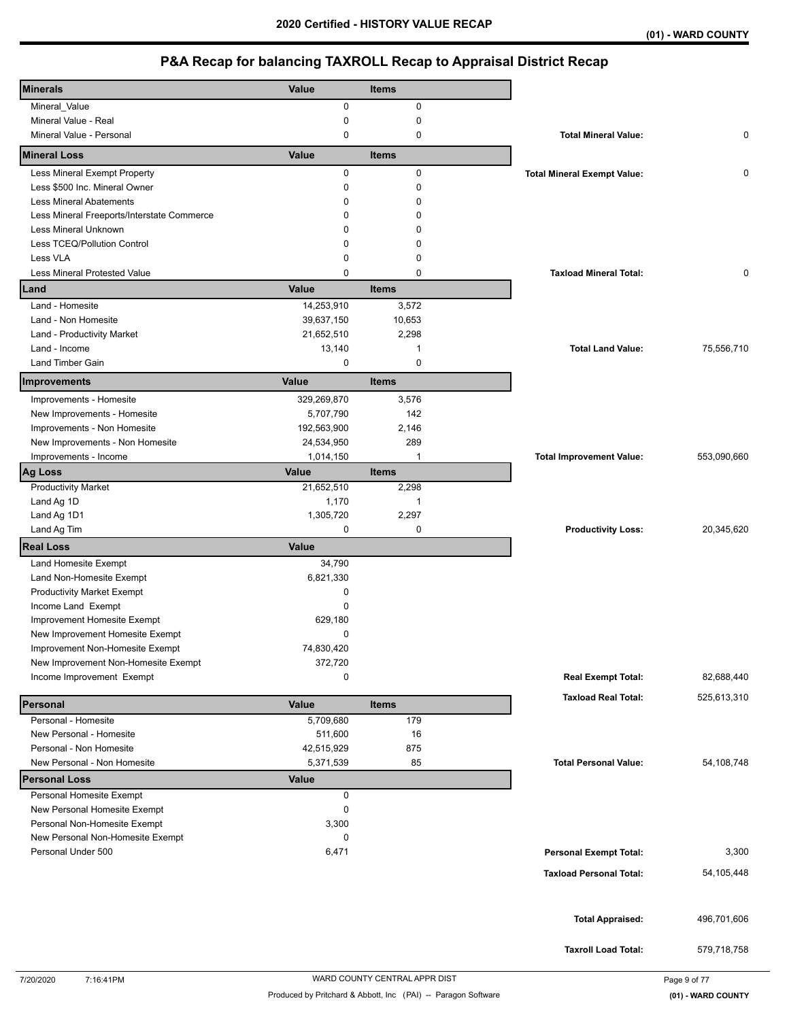| <b>Minerals</b>                                  | Value             | <b>Items</b> |                                    |             |
|--------------------------------------------------|-------------------|--------------|------------------------------------|-------------|
| Mineral_Value                                    | 0                 | 0            |                                    |             |
| Mineral Value - Real                             | 0                 | 0            |                                    |             |
| Mineral Value - Personal                         | 0                 | 0            | <b>Total Mineral Value:</b>        | 0           |
| <b>Mineral Loss</b>                              | Value             | <b>Items</b> |                                    |             |
| Less Mineral Exempt Property                     | 0                 | $\mathbf 0$  | <b>Total Mineral Exempt Value:</b> | 0           |
| Less \$500 Inc. Mineral Owner                    | 0                 | 0            |                                    |             |
| <b>Less Mineral Abatements</b>                   | $\Omega$          | 0            |                                    |             |
| Less Mineral Freeports/Interstate Commerce       | 0                 | 0            |                                    |             |
| Less Mineral Unknown                             | 0                 | ŋ            |                                    |             |
| Less TCEQ/Pollution Control                      | 0                 | 0            |                                    |             |
| Less VLA                                         | 0                 | 0            |                                    |             |
| <b>Less Mineral Protested Value</b>              | $\Omega$          | 0            | <b>Taxload Mineral Total:</b>      | 0           |
| Land                                             | Value             | <b>Items</b> |                                    |             |
| Land - Homesite                                  | 14,253,910        | 3,572        |                                    |             |
| Land - Non Homesite                              | 39,637,150        | 10,653       |                                    |             |
| Land - Productivity Market                       | 21,652,510        | 2,298        |                                    |             |
| Land - Income                                    | 13,140            | 1            | <b>Total Land Value:</b>           | 75,556,710  |
| Land Timber Gain                                 | 0                 | $\mathbf 0$  |                                    |             |
| Improvements                                     | Value             | <b>Items</b> |                                    |             |
| Improvements - Homesite                          | 329,269,870       | 3,576        |                                    |             |
| New Improvements - Homesite                      | 5,707,790         | 142          |                                    |             |
| Improvements - Non Homesite                      | 192,563,900       | 2,146        |                                    |             |
| New Improvements - Non Homesite                  | 24,534,950        | 289          |                                    |             |
| Improvements - Income                            | 1,014,150         | $\mathbf{1}$ | <b>Total Improvement Value:</b>    | 553,090,660 |
| <b>Ag Loss</b>                                   | Value             | <b>Items</b> |                                    |             |
| <b>Productivity Market</b>                       | 21,652,510        | 2,298        |                                    |             |
| Land Ag 1D                                       | 1,170             | $\mathbf{1}$ |                                    |             |
| Land Ag 1D1                                      | 1,305,720         | 2,297        |                                    |             |
| Land Ag Tim                                      | 0                 | 0            | <b>Productivity Loss:</b>          | 20,345,620  |
| <b>Real Loss</b>                                 | <b>Value</b>      |              |                                    |             |
| Land Homesite Exempt                             | 34,790            |              |                                    |             |
| Land Non-Homesite Exempt                         | 6,821,330         |              |                                    |             |
| <b>Productivity Market Exempt</b>                | $\mathbf 0$       |              |                                    |             |
| Income Land Exempt                               | 0                 |              |                                    |             |
| Improvement Homesite Exempt                      | 629,180           |              |                                    |             |
| New Improvement Homesite Exempt                  | 0                 |              |                                    |             |
| Improvement Non-Homesite Exempt                  | 74,830,420        |              |                                    |             |
| New Improvement Non-Homesite Exempt              | 372,720           |              |                                    |             |
| Income Improvement Exempt                        | 0                 |              | <b>Real Exempt Total:</b>          | 82,688,440  |
| Personal                                         | Value             | <b>Items</b> | <b>Taxload Real Total:</b>         | 525,613,310 |
| Personal - Homesite                              | 5,709,680         | 179          |                                    |             |
|                                                  |                   |              |                                    |             |
|                                                  |                   |              |                                    |             |
| New Personal - Homesite                          | 511,600           | 16           |                                    |             |
| Personal - Non Homesite                          | 42,515,929        | 875          | <b>Total Personal Value:</b>       |             |
| New Personal - Non Homesite                      | 5,371,539         | 85           |                                    | 54,108,748  |
| <b>Personal Loss</b><br>Personal Homesite Exempt | <b>Value</b><br>0 |              |                                    |             |
| New Personal Homesite Exempt                     | 0                 |              |                                    |             |
| Personal Non-Homesite Exempt                     | 3,300             |              |                                    |             |
| New Personal Non-Homesite Exempt                 | 0                 |              |                                    |             |
| Personal Under 500                               | 6,471             |              | <b>Personal Exempt Total:</b>      | 3,300       |
|                                                  |                   |              |                                    |             |
|                                                  |                   |              | <b>Taxload Personal Total:</b>     | 54,105,448  |
|                                                  |                   |              |                                    |             |
|                                                  |                   |              |                                    |             |
|                                                  |                   |              | <b>Total Appraised:</b>            | 496,701,606 |
|                                                  |                   |              | <b>Taxroll Load Total:</b>         | 579,718,758 |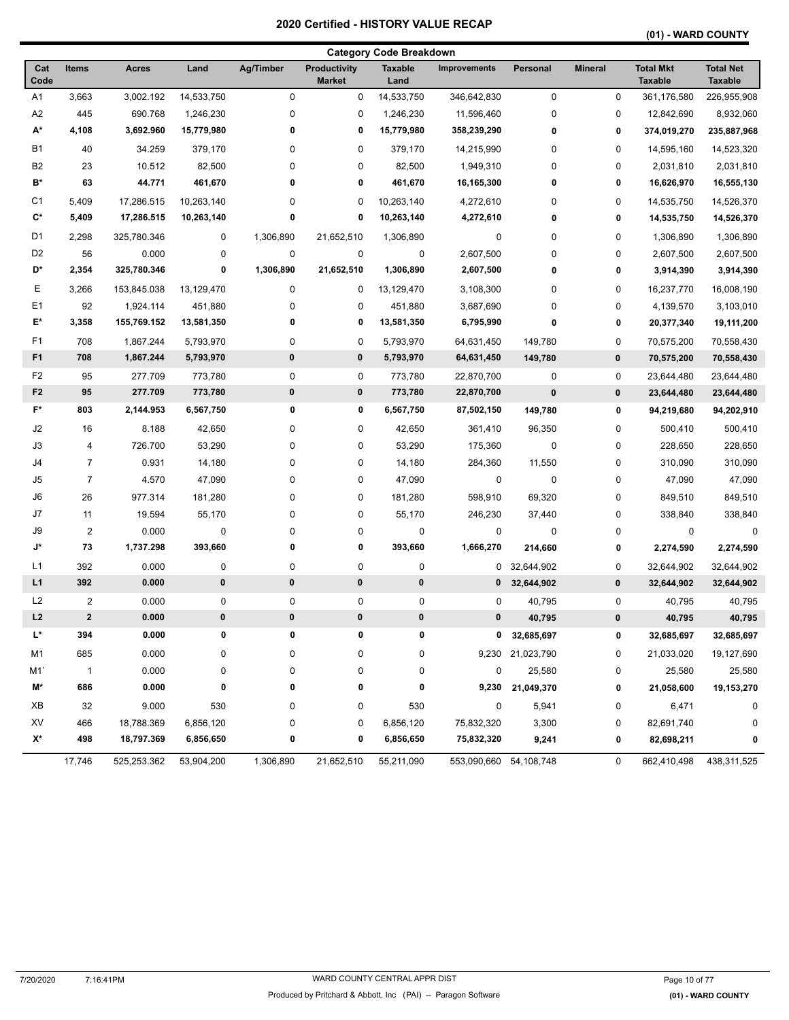**(01) - WARD COUNTY** 

|                |                |              |            |             |                                      | <b>Category Code Breakdown</b> |                        |                  |                |                                    |                                    |
|----------------|----------------|--------------|------------|-------------|--------------------------------------|--------------------------------|------------------------|------------------|----------------|------------------------------------|------------------------------------|
| Cat<br>Code    | <b>Items</b>   | <b>Acres</b> | Land       | Ag/Timber   | <b>Productivity</b><br><b>Market</b> | <b>Taxable</b><br>Land         | <b>Improvements</b>    | Personal         | <b>Mineral</b> | <b>Total Mkt</b><br><b>Taxable</b> | <b>Total Net</b><br><b>Taxable</b> |
| A1             | 3,663          | 3,002.192    | 14,533,750 | $\mathbf 0$ | 0                                    | 14,533,750                     | 346,642,830            | $\pmb{0}$        | $\pmb{0}$      | 361,176,580                        | 226,955,908                        |
| A2             | 445            | 690.768      | 1,246,230  | 0           | 0                                    | 1,246,230                      | 11,596,460             | 0                | 0              | 12,842,690                         | 8,932,060                          |
| А*             | 4,108          | 3,692.960    | 15,779,980 | 0           | 0                                    | 15,779,980                     | 358,239,290            | 0                | 0              | 374,019,270                        | 235,887,968                        |
| <b>B1</b>      | 40             | 34.259       | 379,170    | 0           | 0                                    | 379,170                        | 14,215,990             | 0                | 0              | 14,595,160                         | 14,523,320                         |
| B <sub>2</sub> | 23             | 10.512       | 82,500     | 0           | 0                                    | 82,500                         | 1,949,310              | 0                | 0              | 2,031,810                          | 2,031,810                          |
| B*             | 63             | 44.771       | 461,670    | 0           | 0                                    | 461,670                        | 16,165,300             | 0                | 0              | 16,626,970                         | 16,555,130                         |
| C <sub>1</sub> | 5,409          | 17,286.515   | 10,263,140 | 0           | 0                                    | 10,263,140                     | 4,272,610              | 0                | 0              | 14,535,750                         | 14,526,370                         |
| $\mathbf{C}^*$ | 5,409          | 17,286.515   | 10,263,140 | 0           | 0                                    | 10,263,140                     | 4,272,610              | 0                | 0              | 14,535,750                         | 14,526,370                         |
| D1             | 2,298          | 325,780.346  | 0          | 1,306,890   | 21,652,510                           | 1,306,890                      | 0                      | 0                | 0              | 1,306,890                          | 1,306,890                          |
| D <sub>2</sub> | 56             | 0.000        | 0          | $\pmb{0}$   | $\pmb{0}$                            | 0                              | 2,607,500              | 0                | 0              | 2,607,500                          | 2,607,500                          |
| D*             | 2,354          | 325,780.346  | 0          | 1,306,890   | 21,652,510                           | 1,306,890                      | 2,607,500              | 0                | 0              | 3,914,390                          | 3,914,390                          |
| Ε              | 3,266          | 153,845.038  | 13,129,470 | 0           | 0                                    | 13,129,470                     | 3,108,300              | 0                | 0              | 16,237,770                         | 16,008,190                         |
| E1             | 92             | 1,924.114    | 451,880    | 0           | 0                                    | 451,880                        | 3,687,690              | 0                | 0              | 4,139,570                          | 3,103,010                          |
| E*             | 3,358          | 155,769.152  | 13,581,350 | 0           | 0                                    | 13,581,350                     | 6,795,990              | 0                | 0              | 20,377,340                         | 19,111,200                         |
| F <sub>1</sub> | 708            | 1,867.244    | 5,793,970  | 0           | 0                                    | 5,793,970                      | 64,631,450             | 149,780          | 0              | 70,575,200                         | 70,558,430                         |
| F <sub>1</sub> | 708            | 1,867.244    | 5,793,970  | $\pmb{0}$   | 0                                    | 5,793,970                      | 64,631,450             | 149,780          | 0              | 70,575,200                         | 70,558,430                         |
| F <sub>2</sub> | 95             | 277.709      | 773,780    | 0           | 0                                    | 773,780                        | 22,870,700             | 0                | 0              | 23,644,480                         | 23,644,480                         |
| F <sub>2</sub> | 95             | 277.709      | 773,780    | $\bf{0}$    | 0                                    | 773,780                        | 22,870,700             | $\bf{0}$         | 0              | 23,644,480                         | 23,644,480                         |
| F*             | 803            | 2,144.953    | 6,567,750  | 0           | 0                                    | 6,567,750                      | 87,502,150             | 149,780          | 0              | 94,219,680                         | 94,202,910                         |
| J2             | 16             | 8.188        | 42,650     | 0           | 0                                    | 42,650                         | 361,410                | 96,350           | 0              | 500,410                            | 500,410                            |
| J3             | 4              | 726.700      | 53,290     | 0           | 0                                    | 53,290                         | 175,360                | 0                | 0              | 228,650                            | 228,650                            |
| J4             | $\overline{7}$ | 0.931        | 14,180     | 0           | 0                                    | 14,180                         | 284,360                | 11,550           | 0              | 310,090                            | 310,090                            |
| J5             | $\overline{7}$ | 4.570        | 47,090     | 0           | 0                                    | 47,090                         | 0                      | 0                | 0              | 47,090                             | 47,090                             |
| J6             | 26             | 977.314      | 181,280    | 0           | 0                                    | 181,280                        | 598,910                | 69,320           | 0              | 849,510                            | 849,510                            |
| J7             | 11             | 19.594       | 55,170     | 0           | 0                                    | 55,170                         | 246,230                | 37,440           | 0              | 338,840                            | 338,840                            |
| J9             | $\overline{c}$ | 0.000        | 0          | 0           | 0                                    | 0                              | 0                      | 0                | 0              | 0                                  | 0                                  |
| J*             | 73             | 1,737.298    | 393,660    | 0           | 0                                    | 393,660                        | 1,666,270              | 214,660          | 0              | 2,274,590                          | 2,274,590                          |
| L1             | 392            | 0.000        | 0          | 0           | 0                                    | 0                              | 0                      | 32,644,902       | 0              | 32,644,902                         | 32,644,902                         |
| L1             | 392            | 0.000        | 0          | $\pmb{0}$   | 0                                    | 0                              | $\mathbf{0}$           | 32,644,902       | 0              | 32,644,902                         | 32,644,902                         |
| L <sub>2</sub> | $\overline{c}$ | 0.000        | 0          | $\pmb{0}$   | 0                                    | 0                              | 0                      | 40,795           | 0              | 40,795                             | 40,795                             |
| L2             | $\mathbf{2}$   | 0.000        | $\pmb{0}$  | $\pmb{0}$   | 0                                    | 0                              | 0                      | 40,795           | 0              | 40,795                             | 40,795                             |
| L*             | 394            | 0.000        | 0          | 0           | 0                                    | 0                              |                        | 0 32,685,697     | 0              | 32,685,697                         | 32,685,697                         |
| M1             | 685            | 0.000        | 0          | 0           | 0                                    | 0                              |                        | 9,230 21,023,790 | 0              | 21,033,020                         | 19,127,690                         |
| M1             | $\overline{1}$ | 0.000        | 0          | 0           | 0                                    | 0                              | 0                      | 25,580           | 0              | 25,580                             | 25,580                             |
| M*             | 686            | 0.000        | 0          | 0           | 0                                    | 0                              | 9,230                  | 21,049,370       | 0              | 21,058,600                         | 19,153,270                         |
| XB             | 32             | 9.000        | 530        | 0           | 0                                    | 530                            | 0                      | 5,941            | 0              | 6,471                              | 0                                  |
| XV             | 466            | 18,788.369   | 6,856,120  | 0           | 0                                    | 6,856,120                      | 75,832,320             | 3,300            | 0              | 82,691,740                         | 0                                  |
| X*             | 498            | 18,797.369   | 6,856,650  | 0           | 0                                    | 6,856,650                      | 75,832,320             | 9,241            | 0              | 82,698,211                         | 0                                  |
|                | 17,746         | 525,253.362  | 53,904,200 | 1,306,890   | 21,652,510                           | 55,211,090                     | 553,090,660 54,108,748 |                  | 0              | 662,410,498                        | 438,311,525                        |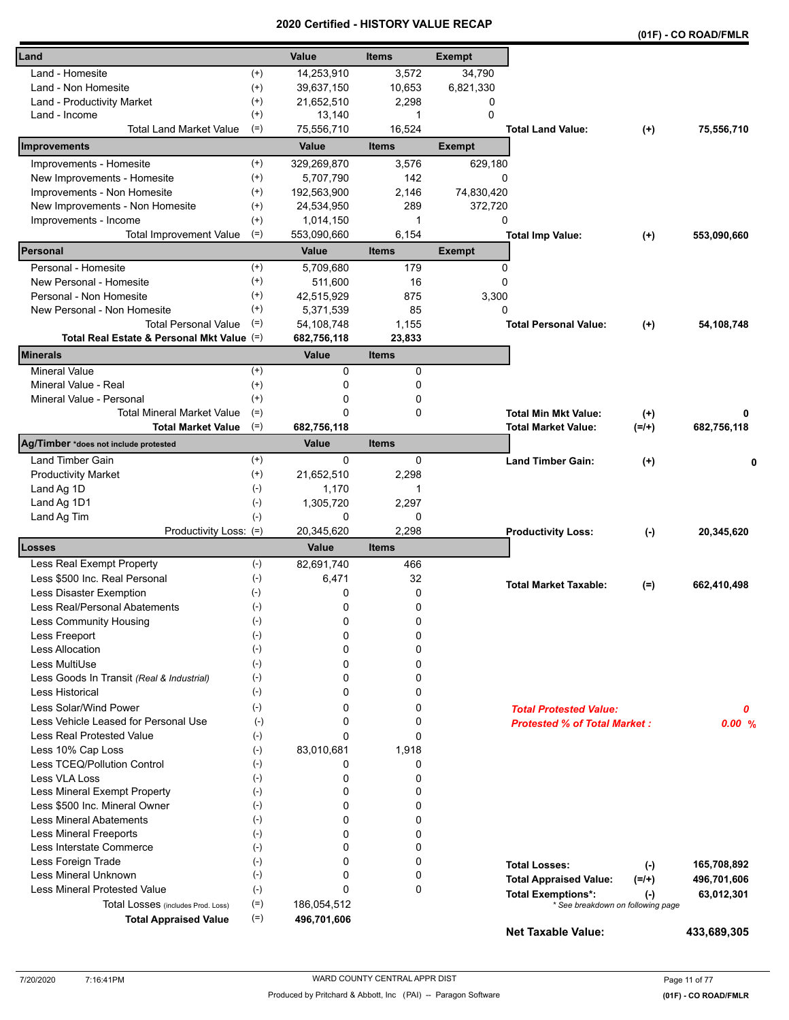|                                            |                    | a unea      | ו טווי<br>vn i |               |                                                                |          | (01F) - CO ROAD/FMLR |
|--------------------------------------------|--------------------|-------------|----------------|---------------|----------------------------------------------------------------|----------|----------------------|
| Land                                       |                    | Value       | <b>Items</b>   | <b>Exempt</b> |                                                                |          |                      |
| Land - Homesite                            | $^{(+)}$           | 14,253,910  | 3,572          | 34,790        |                                                                |          |                      |
| Land - Non Homesite                        | $^{(+)}$           | 39,637,150  | 10,653         | 6,821,330     |                                                                |          |                      |
| Land - Productivity Market                 | $^{(+)}$           | 21,652,510  | 2,298          | 0             |                                                                |          |                      |
| Land - Income                              | $^{(+)}$           | 13,140      | 1              | $\Omega$      |                                                                |          |                      |
| <b>Total Land Market Value</b>             | $(=)$              | 75,556,710  | 16,524         |               | <b>Total Land Value:</b>                                       | $^{(+)}$ | 75,556,710           |
| Improvements                               |                    | Value       | <b>Items</b>   | <b>Exempt</b> |                                                                |          |                      |
| Improvements - Homesite                    | $^{(+)}$           | 329,269,870 | 3,576          | 629,180       |                                                                |          |                      |
| New Improvements - Homesite                | $^{(+)}$           | 5,707,790   | 142            | 0             |                                                                |          |                      |
| Improvements - Non Homesite                | $^{(+)}$           | 192,563,900 | 2,146          | 74,830,420    |                                                                |          |                      |
| New Improvements - Non Homesite            | $^{(+)}$           | 24,534,950  | 289            | 372,720       |                                                                |          |                      |
| Improvements - Income                      | $^{(+)}$           | 1,014,150   | 1              | 0             |                                                                |          |                      |
| <b>Total Improvement Value</b>             | $(=)$              | 553,090,660 | 6,154          |               | <b>Total Imp Value:</b>                                        | $(+)$    | 553,090,660          |
| Personal                                   |                    | Value       | <b>Items</b>   | <b>Exempt</b> |                                                                |          |                      |
| Personal - Homesite                        | $^{(+)}$           | 5,709,680   | 179            | 0             |                                                                |          |                      |
| New Personal - Homesite                    | $^{(+)}$           | 511,600     | 16             | 0             |                                                                |          |                      |
| Personal - Non Homesite                    | $^{(+)}$           | 42,515,929  | 875            | 3,300         |                                                                |          |                      |
| New Personal - Non Homesite                | $^{(+)}$           | 5,371,539   | 85             | 0             |                                                                |          |                      |
| <b>Total Personal Value</b>                | $(=)$              | 54,108,748  | 1,155          |               | <b>Total Personal Value:</b>                                   |          | 54,108,748           |
| Total Real Estate & Personal Mkt Value (=) |                    | 682,756,118 | 23,833         |               |                                                                | $(+)$    |                      |
| <b>Minerals</b>                            |                    | Value       | <b>Items</b>   |               |                                                                |          |                      |
| <b>Mineral Value</b>                       | $^{(+)}$           | 0           | 0              |               |                                                                |          |                      |
| Mineral Value - Real                       | $^{(+)}$           | 0           | 0              |               |                                                                |          |                      |
| Mineral Value - Personal                   | $^{(+)}$           | 0           | 0              |               |                                                                |          |                      |
| <b>Total Mineral Market Value</b>          | $(=)$              | 0           | 0              |               | <b>Total Min Mkt Value:</b>                                    | $^{(+)}$ | 0                    |
| <b>Total Market Value</b>                  | $(=)$              | 682,756,118 |                |               | <b>Total Market Value:</b>                                     | $(=/+)$  | 682,756,118          |
| Ag/Timber *does not include protested      |                    | Value       | <b>Items</b>   |               |                                                                |          |                      |
| Land Timber Gain                           | $^{(+)}$           | 0           | 0              |               | <b>Land Timber Gain:</b>                                       | $(+)$    | 0                    |
| <b>Productivity Market</b>                 | $^{(+)}$           | 21,652,510  | 2,298          |               |                                                                |          |                      |
| Land Ag 1D                                 | $(-)$              | 1,170       | 1              |               |                                                                |          |                      |
| Land Ag 1D1                                | $(-)$              | 1,305,720   | 2,297          |               |                                                                |          |                      |
| Land Ag Tim                                | $(-)$              | 0           | 0              |               |                                                                |          |                      |
| Productivity Loss: (=)                     |                    | 20,345,620  | 2,298          |               | <b>Productivity Loss:</b>                                      | $(-)$    | 20,345,620           |
| Losses                                     |                    | Value       | <b>Items</b>   |               |                                                                |          |                      |
| Less Real Exempt Property                  | $(-)$              | 82,691,740  | 466            |               |                                                                |          |                      |
| Less \$500 Inc. Real Personal              | $(-)$              | 6,471       | 32             |               | <b>Total Market Taxable:</b>                                   |          | 662,410,498          |
| Less Disaster Exemption                    | $(-)$              | 0           | 0              |               |                                                                | $(=)$    |                      |
| Less Real/Personal Abatements              | $(\textnormal{-})$ | 0           | 0              |               |                                                                |          |                      |
| Less Community Housing                     | $(-)$              | 0           | 0              |               |                                                                |          |                      |
| Less Freeport                              | $(-)$              | 0           | 0              |               |                                                                |          |                      |
| <b>Less Allocation</b>                     | $(-)$              | 0           | 0              |               |                                                                |          |                      |
| Less MultiUse                              | $(-)$              | 0           | 0              |               |                                                                |          |                      |
| Less Goods In Transit (Real & Industrial)  | $(-)$              | 0           | 0              |               |                                                                |          |                      |
| <b>Less Historical</b>                     | $(-)$              | 0           | 0              |               |                                                                |          |                      |
| Less Solar/Wind Power                      | $(-)$              | 0           | 0              |               | <b>Total Protested Value:</b>                                  |          | 0                    |
| Less Vehicle Leased for Personal Use       | $(-)$              | 0           | 0              |               | <b>Protested % of Total Market:</b>                            |          | 0.00%                |
| Less Real Protested Value                  | $(-)$              | 0           | 0              |               |                                                                |          |                      |
| Less 10% Cap Loss                          | $(-)$              | 83,010,681  | 1,918          |               |                                                                |          |                      |
| Less TCEQ/Pollution Control                | $(\text{-})$       | 0           | 0              |               |                                                                |          |                      |
| Less VLA Loss                              | $(-)$              | 0           | 0              |               |                                                                |          |                      |
| Less Mineral Exempt Property               | $(-)$              | 0           | 0              |               |                                                                |          |                      |
| Less \$500 Inc. Mineral Owner              | $(-)$              | 0           | 0              |               |                                                                |          |                      |
| <b>Less Mineral Abatements</b>             | $(-)$              | 0           | 0              |               |                                                                |          |                      |
| <b>Less Mineral Freeports</b>              | $(-)$              | 0           | 0              |               |                                                                |          |                      |
| Less Interstate Commerce                   | $(\cdot)$          | 0           | 0              |               |                                                                |          |                      |
| Less Foreign Trade                         | $(-)$              | 0           | 0              |               |                                                                |          |                      |
| Less Mineral Unknown                       | $(-)$              | 0           | 0              |               | <b>Total Losses:</b>                                           | $(-)$    | 165,708,892          |
| <b>Less Mineral Protested Value</b>        | $(-)$              | 0           | 0              |               | <b>Total Appraised Value:</b>                                  | $(=/+)$  | 496,701,606          |
| Total Losses (includes Prod. Loss)         | $(=)$              | 186,054,512 |                |               | <b>Total Exemptions*:</b><br>* See breakdown on following page | $(-)$    | 63,012,301           |
| <b>Total Appraised Value</b>               | $(=)$              | 496,701,606 |                |               |                                                                |          |                      |
|                                            |                    |             |                |               | <b>Net Taxable Value:</b>                                      |          | 433,689,305          |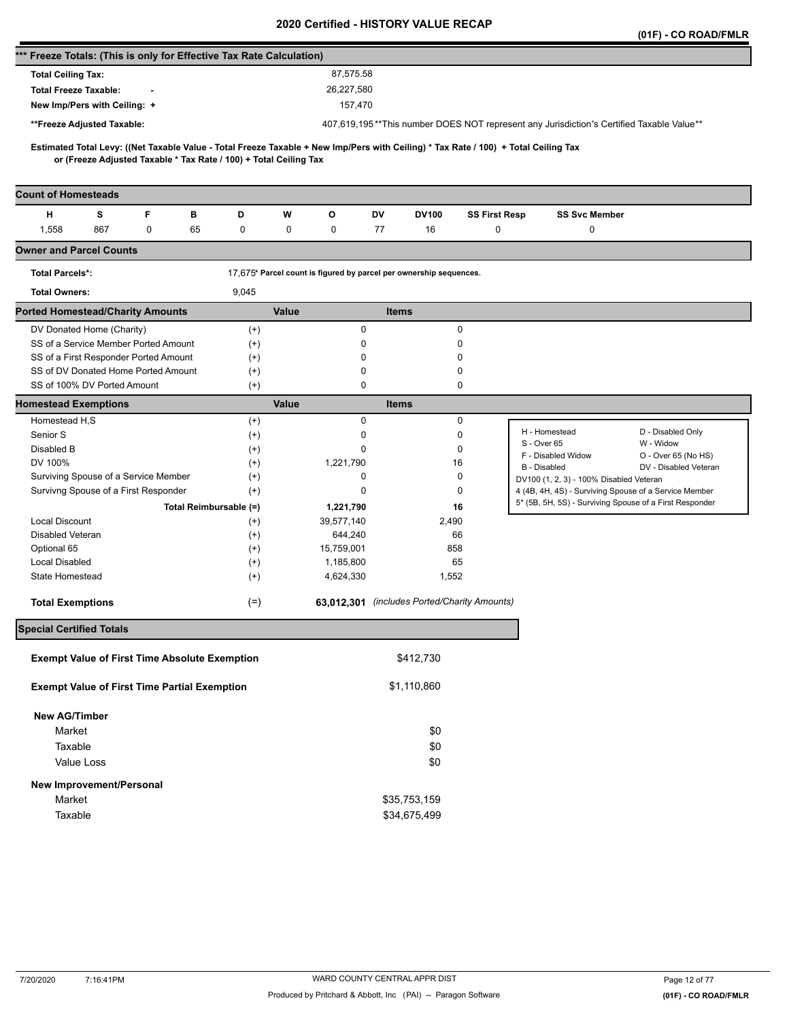|                                                                      |                                                                    |   |                                                                   |          |       |                                                                    |              |              |                                              |                                                                                                                                     | (01F) - CO ROAD/FMLR  |
|----------------------------------------------------------------------|--------------------------------------------------------------------|---|-------------------------------------------------------------------|----------|-------|--------------------------------------------------------------------|--------------|--------------|----------------------------------------------|-------------------------------------------------------------------------------------------------------------------------------------|-----------------------|
| *** Freeze Totals: (This is only for Effective Tax Rate Calculation) |                                                                    |   |                                                                   |          |       |                                                                    |              |              |                                              |                                                                                                                                     |                       |
| <b>Total Ceiling Tax:</b>                                            |                                                                    |   |                                                                   |          |       | 87,575.58                                                          |              |              |                                              |                                                                                                                                     |                       |
| <b>Total Freeze Taxable:</b>                                         |                                                                    |   |                                                                   |          |       | 26,227,580                                                         |              |              |                                              |                                                                                                                                     |                       |
|                                                                      | New Imp/Pers with Ceiling: +                                       |   |                                                                   |          |       | 157,470                                                            |              |              |                                              |                                                                                                                                     |                       |
|                                                                      | **Freeze Adjusted Taxable:                                         |   |                                                                   |          |       |                                                                    |              |              |                                              | 407,619,195**This number DOES NOT represent any Jurisdiction's Certified Taxable Value**                                            |                       |
|                                                                      |                                                                    |   |                                                                   |          |       |                                                                    |              |              |                                              |                                                                                                                                     |                       |
|                                                                      |                                                                    |   | or (Freeze Adjusted Taxable * Tax Rate / 100) + Total Ceiling Tax |          |       |                                                                    |              |              |                                              | Estimated Total Levy: ((Net Taxable Value - Total Freeze Taxable + New Imp/Pers with Ceiling) * Tax Rate / 100) + Total Ceiling Tax |                       |
| <b>Count of Homesteads</b>                                           |                                                                    |   |                                                                   |          |       |                                                                    |              |              |                                              |                                                                                                                                     |                       |
| н                                                                    | s                                                                  | F | в                                                                 | D        | W     | О                                                                  | DV           | <b>DV100</b> | <b>SS First Resp</b>                         | <b>SS Svc Member</b>                                                                                                                |                       |
| 1,558                                                                | 867                                                                | 0 | 65                                                                | 0        | 0     | 0                                                                  | 77           | 16           | 0                                            | 0                                                                                                                                   |                       |
| <b>Owner and Parcel Counts</b>                                       |                                                                    |   |                                                                   |          |       |                                                                    |              |              |                                              |                                                                                                                                     |                       |
| <b>Total Parcels*:</b>                                               |                                                                    |   |                                                                   |          |       | 17,675* Parcel count is figured by parcel per ownership sequences. |              |              |                                              |                                                                                                                                     |                       |
| <b>Total Owners:</b>                                                 |                                                                    |   |                                                                   | 9,045    |       |                                                                    |              |              |                                              |                                                                                                                                     |                       |
| <b>Ported Homestead/Charity Amounts</b>                              |                                                                    |   |                                                                   |          | Value |                                                                    | <b>Items</b> |              |                                              |                                                                                                                                     |                       |
|                                                                      | DV Donated Home (Charity)                                          |   |                                                                   | $^{(+)}$ |       | 0                                                                  |              |              | $\mathbf 0$                                  |                                                                                                                                     |                       |
|                                                                      | SS of a Service Member Ported Amount                               |   |                                                                   | $^{(+)}$ |       | 0                                                                  |              |              | 0                                            |                                                                                                                                     |                       |
|                                                                      | SS of a First Responder Ported Amount                              |   |                                                                   | $^{(+)}$ |       | 0                                                                  |              |              | 0                                            |                                                                                                                                     |                       |
|                                                                      | SS of DV Donated Home Ported Amount<br>SS of 100% DV Ported Amount |   |                                                                   | $^{(+)}$ |       | 0<br>0                                                             |              |              | 0<br>0                                       |                                                                                                                                     |                       |
| <b>Homestead Exemptions</b>                                          |                                                                    |   |                                                                   | $(+)$    | Value |                                                                    | <b>Items</b> |              |                                              |                                                                                                                                     |                       |
| Homestead H,S                                                        |                                                                    |   |                                                                   | $^{(+)}$ |       | $\mathbf 0$                                                        |              |              | 0                                            |                                                                                                                                     |                       |
| Senior S                                                             |                                                                    |   |                                                                   | $^{(+)}$ |       | 0                                                                  |              |              | 0                                            | H - Homestead                                                                                                                       | D - Disabled Only     |
| Disabled B                                                           |                                                                    |   |                                                                   | $^{(+)}$ |       | 0                                                                  |              |              | 0                                            | S - Over 65                                                                                                                         | W - Widow             |
| DV 100%                                                              |                                                                    |   |                                                                   | $^{(+)}$ |       | 1,221,790                                                          |              |              | 16                                           | F - Disabled Widow                                                                                                                  | O - Over 65 (No HS)   |
|                                                                      | Surviving Spouse of a Service Member                               |   |                                                                   | $^{(+)}$ |       | 0                                                                  |              |              | 0                                            | B - Disabled<br>DV100 (1, 2, 3) - 100% Disabled Veteran                                                                             | DV - Disabled Veteran |
|                                                                      | Survivng Spouse of a First Responder                               |   |                                                                   | $^{(+)}$ |       | 0                                                                  |              |              | 0                                            | 4 (4B, 4H, 4S) - Surviving Spouse of a Service Member                                                                               |                       |
|                                                                      |                                                                    |   | Total Reimbursable (=)                                            |          |       | 1,221,790                                                          |              |              | 16                                           | 5* (5B, 5H, 5S) - Surviving Spouse of a First Responder                                                                             |                       |
| <b>Local Discount</b>                                                |                                                                    |   |                                                                   | $^{(+)}$ |       | 39,577,140                                                         |              | 2,490        |                                              |                                                                                                                                     |                       |
| Disabled Veteran                                                     |                                                                    |   |                                                                   | $^{(+)}$ |       | 644,240                                                            |              |              | 66                                           |                                                                                                                                     |                       |
| Optional 65                                                          |                                                                    |   |                                                                   | $^{(+)}$ |       | 15,759,001                                                         |              | 858          |                                              |                                                                                                                                     |                       |
| <b>Local Disabled</b>                                                |                                                                    |   |                                                                   | $^{(+)}$ |       | 1,185,800                                                          |              |              | 65                                           |                                                                                                                                     |                       |
| State Homestead                                                      |                                                                    |   |                                                                   | $^{(+)}$ |       | 4,624,330                                                          |              | 1,552        |                                              |                                                                                                                                     |                       |
| <b>Total Exemptions</b>                                              |                                                                    |   |                                                                   | $(=)$    |       |                                                                    |              |              | 63,012,301 (includes Ported/Charity Amounts) |                                                                                                                                     |                       |
| <b>Special Certified Totals</b>                                      |                                                                    |   |                                                                   |          |       |                                                                    |              |              |                                              |                                                                                                                                     |                       |
|                                                                      |                                                                    |   |                                                                   |          |       |                                                                    |              |              |                                              |                                                                                                                                     |                       |
|                                                                      |                                                                    |   | <b>Exempt Value of First Time Absolute Exemption</b>              |          |       |                                                                    |              | \$412,730    |                                              |                                                                                                                                     |                       |
|                                                                      |                                                                    |   | <b>Exempt Value of First Time Partial Exemption</b>               |          |       |                                                                    |              | \$1,110,860  |                                              |                                                                                                                                     |                       |
| <b>New AG/Timber</b>                                                 |                                                                    |   |                                                                   |          |       |                                                                    |              |              |                                              |                                                                                                                                     |                       |
| Market                                                               |                                                                    |   |                                                                   |          |       |                                                                    |              | \$0          |                                              |                                                                                                                                     |                       |
| Taxable                                                              |                                                                    |   |                                                                   |          |       |                                                                    |              | \$0          |                                              |                                                                                                                                     |                       |
|                                                                      | Value Loss                                                         |   |                                                                   |          |       |                                                                    |              | \$0          |                                              |                                                                                                                                     |                       |
|                                                                      |                                                                    |   |                                                                   |          |       |                                                                    |              |              |                                              |                                                                                                                                     |                       |
| Market                                                               | New Improvement/Personal                                           |   |                                                                   |          |       |                                                                    |              | \$35,753,159 |                                              |                                                                                                                                     |                       |
| Taxable                                                              |                                                                    |   |                                                                   |          |       |                                                                    |              | \$34,675,499 |                                              |                                                                                                                                     |                       |
|                                                                      |                                                                    |   |                                                                   |          |       |                                                                    |              |              |                                              |                                                                                                                                     |                       |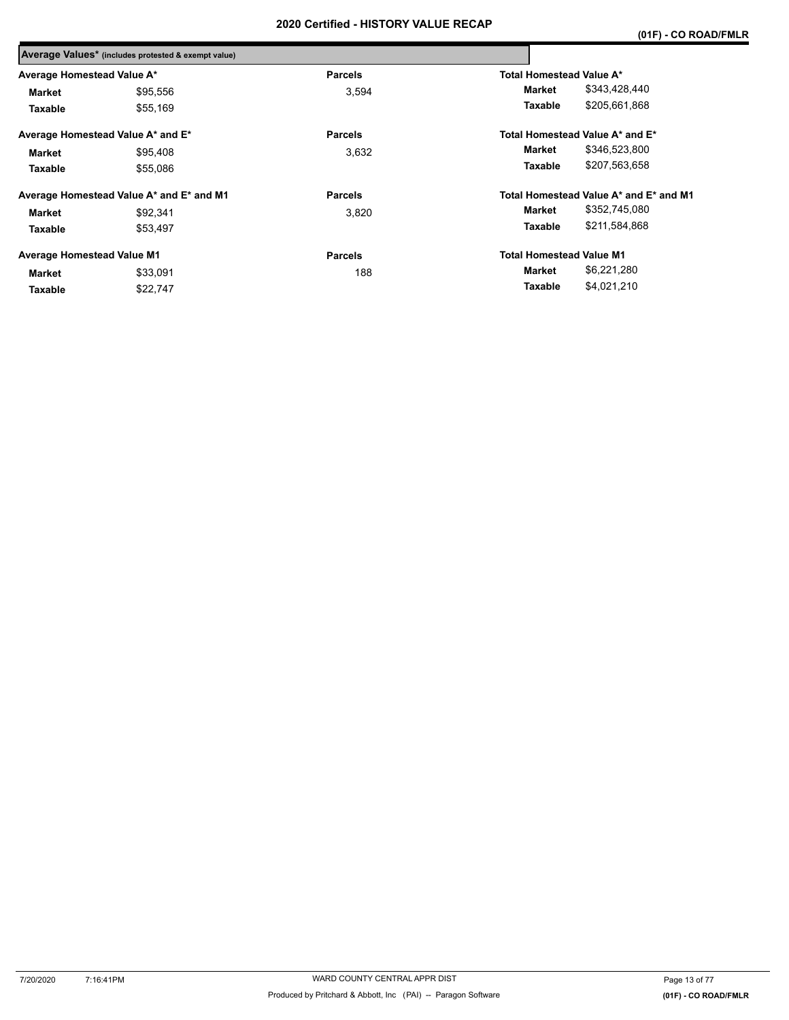|                                   | Average Values* (includes protested & exempt value) |                |                                        |  |
|-----------------------------------|-----------------------------------------------------|----------------|----------------------------------------|--|
| Average Homestead Value A*        |                                                     | <b>Parcels</b> | Total Homestead Value A*               |  |
| Market                            | \$95,556                                            | 3.594          | \$343,428,440<br>Market                |  |
| Taxable                           | \$55,169                                            |                | \$205,661,868<br>Taxable               |  |
|                                   | Average Homestead Value A* and E*                   | <b>Parcels</b> | Total Homestead Value A* and E*        |  |
| Market                            | \$95,408                                            | 3.632          | \$346,523,800<br>Market                |  |
| Taxable                           | \$55.086                                            |                | \$207,563,658<br>Taxable               |  |
|                                   | Average Homestead Value A* and E* and M1            | <b>Parcels</b> | Total Homestead Value A* and E* and M1 |  |
| Market                            | \$92,341                                            | 3,820          | \$352,745,080<br>Market                |  |
| Taxable                           | \$53.497                                            |                | \$211,584,868<br><b>Taxable</b>        |  |
| <b>Average Homestead Value M1</b> |                                                     | <b>Parcels</b> | <b>Total Homestead Value M1</b>        |  |
| Market                            | \$33,091                                            | 188            | \$6,221,280<br>Market                  |  |
| Taxable                           | \$22,747                                            |                | \$4,021,210<br>Taxable                 |  |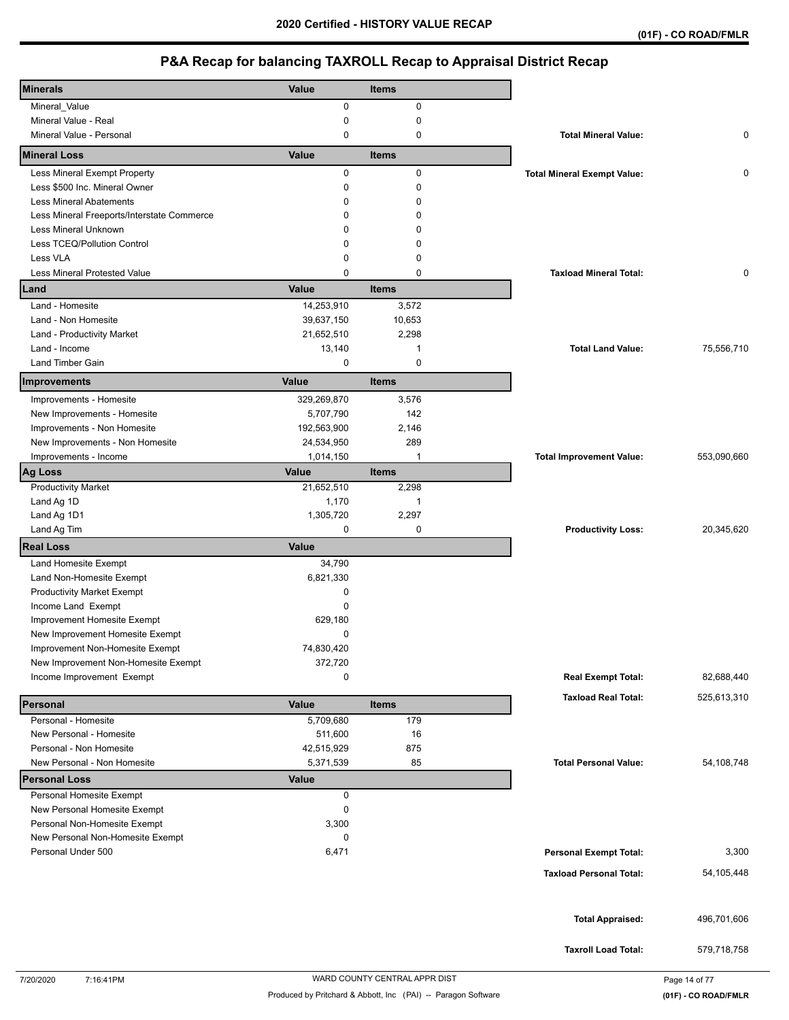| <b>Minerals</b>                            | Value       | Items        |                                    |             |
|--------------------------------------------|-------------|--------------|------------------------------------|-------------|
| Mineral_Value                              | 0           | $\mathbf 0$  |                                    |             |
| Mineral Value - Real                       | 0           | $\mathbf 0$  |                                    |             |
| Mineral Value - Personal                   | $\mathbf 0$ | $\mathbf 0$  | <b>Total Mineral Value:</b>        | 0           |
| <b>Mineral Loss</b>                        | Value       | <b>Items</b> |                                    |             |
| Less Mineral Exempt Property               | 0           | $\mathbf 0$  | <b>Total Mineral Exempt Value:</b> | 0           |
| Less \$500 Inc. Mineral Owner              | $\mathbf 0$ | $\mathbf 0$  |                                    |             |
| <b>Less Mineral Abatements</b>             | $\Omega$    | 0            |                                    |             |
| Less Mineral Freeports/Interstate Commerce | 0           | 0            |                                    |             |
| <b>Less Mineral Unknown</b>                | $\Omega$    | 0            |                                    |             |
| Less TCEQ/Pollution Control                | 0           | 0            |                                    |             |
| Less VLA                                   | $\mathbf 0$ | 0            |                                    |             |
| <b>Less Mineral Protested Value</b>        | $\mathbf 0$ | 0            | <b>Taxload Mineral Total:</b>      | 0           |
| Land                                       | Value       | <b>Items</b> |                                    |             |
| Land - Homesite                            | 14,253,910  | 3,572        |                                    |             |
| Land - Non Homesite                        | 39,637,150  | 10,653       |                                    |             |
| Land - Productivity Market                 | 21,652,510  | 2,298        |                                    |             |
| Land - Income                              | 13,140      | 1            | <b>Total Land Value:</b>           | 75,556,710  |
| Land Timber Gain                           | 0           | $\mathbf 0$  |                                    |             |
| Improvements                               | Value       | <b>Items</b> |                                    |             |
| Improvements - Homesite                    | 329,269,870 | 3,576        |                                    |             |
| New Improvements - Homesite                | 5,707,790   | 142          |                                    |             |
| Improvements - Non Homesite                | 192,563,900 | 2,146        |                                    |             |
| New Improvements - Non Homesite            | 24,534,950  | 289          |                                    |             |
| Improvements - Income                      | 1,014,150   | $\mathbf{1}$ | <b>Total Improvement Value:</b>    | 553,090,660 |
| <b>Ag Loss</b>                             | Value       | <b>Items</b> |                                    |             |
| <b>Productivity Market</b>                 | 21,652,510  | 2,298        |                                    |             |
| Land Ag 1D                                 | 1,170       | 1            |                                    |             |
| Land Ag 1D1                                | 1,305,720   | 2,297        |                                    |             |
| Land Ag Tim                                | $\mathbf 0$ | 0            | <b>Productivity Loss:</b>          | 20,345,620  |
| <b>Real Loss</b>                           | Value       |              |                                    |             |
| Land Homesite Exempt                       | 34,790      |              |                                    |             |
| Land Non-Homesite Exempt                   | 6,821,330   |              |                                    |             |
| <b>Productivity Market Exempt</b>          | 0           |              |                                    |             |
| Income Land Exempt                         | $\Omega$    |              |                                    |             |
| Improvement Homesite Exempt                | 629,180     |              |                                    |             |
| New Improvement Homesite Exempt            | $\mathbf 0$ |              |                                    |             |
| Improvement Non-Homesite Exempt            | 74,830,420  |              |                                    |             |
| New Improvement Non-Homesite Exempt        | 372,720     |              |                                    |             |
| Income Improvement Exempt                  | 0           |              | <b>Real Exempt Total:</b>          | 82,688,440  |
| Personal                                   | Value       | <b>Items</b> | <b>Taxload Real Total:</b>         | 525,613,310 |
| Personal - Homesite                        | 5,709,680   | 179          |                                    |             |
| New Personal - Homesite                    | 511,600     | 16           |                                    |             |
| Personal - Non Homesite                    | 42,515,929  | 875          |                                    |             |
| New Personal - Non Homesite                | 5,371,539   | 85           | <b>Total Personal Value:</b>       | 54,108,748  |
| <b>Personal Loss</b>                       | Value       |              |                                    |             |
| Personal Homesite Exempt                   | 0           |              |                                    |             |
| New Personal Homesite Exempt               | 0           |              |                                    |             |
| Personal Non-Homesite Exempt               | 3,300       |              |                                    |             |
| New Personal Non-Homesite Exempt           | 0           |              |                                    |             |
| Personal Under 500                         | 6,471       |              | <b>Personal Exempt Total:</b>      | 3,300       |
|                                            |             |              | <b>Taxload Personal Total:</b>     | 54,105,448  |
|                                            |             |              |                                    |             |
|                                            |             |              |                                    |             |
|                                            |             |              | <b>Total Appraised:</b>            | 496,701,606 |
|                                            |             |              | <b>Taxroll Load Total:</b>         | 579,718,758 |
|                                            |             |              |                                    |             |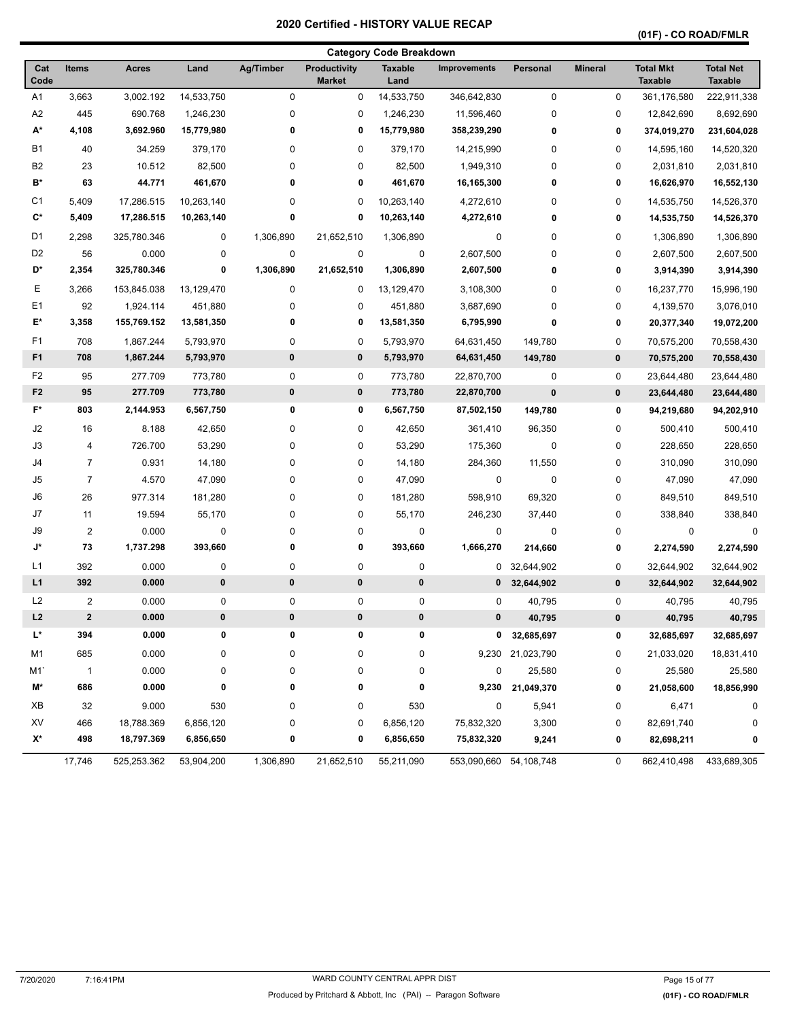## **(01F) - CO ROAD/FMLR**

|                |                |              |            |             |                                      | <b>Category Code Breakdown</b> |                        |                  |                |                                    |                                    |
|----------------|----------------|--------------|------------|-------------|--------------------------------------|--------------------------------|------------------------|------------------|----------------|------------------------------------|------------------------------------|
| Cat<br>Code    | <b>Items</b>   | <b>Acres</b> | Land       | Ag/Timber   | <b>Productivity</b><br><b>Market</b> | <b>Taxable</b><br>Land         | <b>Improvements</b>    | Personal         | <b>Mineral</b> | <b>Total Mkt</b><br><b>Taxable</b> | <b>Total Net</b><br><b>Taxable</b> |
| A1             | 3,663          | 3,002.192    | 14,533,750 | $\mathbf 0$ | 0                                    | 14,533,750                     | 346,642,830            | $\pmb{0}$        | $\mathbf 0$    | 361,176,580                        | 222,911,338                        |
| A2             | 445            | 690.768      | 1,246,230  | 0           | 0                                    | 1,246,230                      | 11,596,460             | $\mathbf 0$      | 0              | 12,842,690                         | 8,692,690                          |
| А*             | 4,108          | 3,692.960    | 15,779,980 | 0           | 0                                    | 15,779,980                     | 358,239,290            | $\pmb{0}$        | 0              | 374,019,270                        | 231,604,028                        |
| <b>B1</b>      | 40             | 34.259       | 379,170    | 0           | 0                                    | 379,170                        | 14,215,990             | $\mathbf 0$      | 0              | 14,595,160                         | 14,520,320                         |
| B <sub>2</sub> | 23             | 10.512       | 82,500     | 0           | 0                                    | 82,500                         | 1,949,310              | $\mathbf 0$      | 0              | 2,031,810                          | 2,031,810                          |
| B*             | 63             | 44.771       | 461,670    | 0           | 0                                    | 461,670                        | 16,165,300             | 0                | 0              | 16,626,970                         | 16,552,130                         |
| C <sub>1</sub> | 5,409          | 17,286.515   | 10,263,140 | 0           | 0                                    | 10,263,140                     | 4,272,610              | 0                | 0              | 14,535,750                         | 14,526,370                         |
| $\mathbf{C}^*$ | 5,409          | 17,286.515   | 10,263,140 | 0           | 0                                    | 10,263,140                     | 4,272,610              | 0                | 0              | 14,535,750                         | 14,526,370                         |
| D <sub>1</sub> | 2,298          | 325,780.346  | 0          | 1,306,890   | 21,652,510                           | 1,306,890                      | 0                      | 0                | 0              | 1,306,890                          | 1,306,890                          |
| D <sub>2</sub> | 56             | 0.000        | 0          | $\pmb{0}$   | $\pmb{0}$                            | 0                              | 2,607,500              | 0                | 0              | 2,607,500                          | 2,607,500                          |
| D*             | 2,354          | 325,780.346  | 0          | 1,306,890   | 21,652,510                           | 1,306,890                      | 2,607,500              | 0                | 0              | 3,914,390                          | 3,914,390                          |
| Е              | 3,266          | 153,845.038  | 13,129,470 | 0           | 0                                    | 13,129,470                     | 3,108,300              | 0                | 0              | 16,237,770                         | 15,996,190                         |
| E1             | 92             | 1,924.114    | 451,880    | 0           | 0                                    | 451,880                        | 3,687,690              | $\mathbf 0$      | 0              | 4,139,570                          | 3,076,010                          |
| E*             | 3,358          | 155,769.152  | 13,581,350 | 0           | 0                                    | 13,581,350                     | 6,795,990              | 0                | 0              | 20,377,340                         | 19,072,200                         |
| F <sub>1</sub> | 708            | 1,867.244    | 5,793,970  | 0           | 0                                    | 5,793,970                      | 64,631,450             | 149,780          | 0              | 70,575,200                         | 70,558,430                         |
| F <sub>1</sub> | 708            | 1,867.244    | 5,793,970  | $\pmb{0}$   | $\pmb{0}$                            | 5,793,970                      | 64,631,450             | 149,780          | $\pmb{0}$      | 70,575,200                         | 70,558,430                         |
| F <sub>2</sub> | 95             | 277.709      | 773,780    | $\pmb{0}$   | 0                                    | 773,780                        | 22,870,700             | $\mathbf 0$      | 0              | 23,644,480                         | 23,644,480                         |
| F <sub>2</sub> | 95             | 277.709      | 773,780    | $\pmb{0}$   | $\pmb{0}$                            | 773,780                        | 22,870,700             | $\mathbf 0$      | $\pmb{0}$      | 23,644,480                         | 23,644,480                         |
| F*             | 803            | 2,144.953    | 6,567,750  | 0           | 0                                    | 6,567,750                      | 87,502,150             | 149,780          | 0              | 94,219,680                         | 94,202,910                         |
| J2             | 16             | 8.188        | 42,650     | 0           | 0                                    | 42,650                         | 361,410                | 96,350           | 0              | 500,410                            | 500,410                            |
| J3             | 4              | 726.700      | 53,290     | 0           | 0                                    | 53,290                         | 175,360                | $\mathbf 0$      | 0              | 228,650                            | 228,650                            |
| J4             | $\overline{7}$ | 0.931        | 14,180     | 0           | 0                                    | 14,180                         | 284,360                | 11,550           | 0              | 310,090                            | 310,090                            |
| J5             | $\overline{7}$ | 4.570        | 47,090     | 0           | 0                                    | 47,090                         | 0                      | $\pmb{0}$        | $\mathbf 0$    | 47,090                             | 47,090                             |
| J6             | 26             | 977.314      | 181,280    | 0           | 0                                    | 181,280                        | 598,910                | 69,320           | 0              | 849,510                            | 849,510                            |
| J7             | 11             | 19.594       | 55,170     | 0           | 0                                    | 55,170                         | 246,230                | 37,440           | 0              | 338,840                            | 338,840                            |
| $\sqrt{9}$     | $\overline{c}$ | 0.000        | 0          | 0           | 0                                    | 0                              | 0                      | $\mathbf 0$      | 0              | 0                                  | 0                                  |
| J*             | 73             | 1,737.298    | 393,660    | 0           | 0                                    | 393,660                        | 1,666,270              | 214,660          | 0              | 2,274,590                          | 2,274,590                          |
| L1             | 392            | 0.000        | 0          | 0           | 0                                    | 0                              | 0                      | 32,644,902       | 0              | 32,644,902                         | 32,644,902                         |
| L1             | 392            | 0.000        | $\pmb{0}$  | $\pmb{0}$   | $\pmb{0}$                            | $\pmb{0}$                      |                        | $0$ 32,644,902   | $\pmb{0}$      | 32,644,902                         | 32,644,902                         |
| L <sub>2</sub> | $\overline{c}$ | 0.000        | 0          | 0           | 0                                    | 0                              | 0                      | 40,795           | 0              | 40,795                             | 40,795                             |
| L2             | $\mathbf{2}$   | 0.000        | 0          | $\pmb{0}$   | 0                                    | 0                              | 0                      | 40,795           | $\pmb{0}$      | 40,795                             | 40,795                             |
| L*             | 394            | 0.000        | 0          | 0           | 0                                    | 0                              | 0                      | 32,685,697       | 0              | 32,685,697                         | 32,685,697                         |
| M1             | 685            | 0.000        | 0          | 0           | 0                                    | 0                              |                        | 9,230 21,023,790 | 0              | 21,033,020                         | 18,831,410                         |
| M1`            | $\overline{1}$ | 0.000        | 0          | 0           | 0                                    | 0                              | 0                      | 25,580           | 0              | 25,580                             | 25,580                             |
| M*             | 686            | 0.000        | 0          | 0           | 0                                    | 0                              | 9,230                  | 21,049,370       | 0              | 21,058,600                         | 18,856,990                         |
| XВ             | 32             | 9.000        | 530        | 0           | 0                                    | 530                            | 0                      | 5,941            | 0              | 6,471                              | 0                                  |
| XV             | 466            | 18,788.369   | 6,856,120  | 0           | 0                                    | 6,856,120                      | 75,832,320             | 3,300            | 0              | 82,691,740                         | 0                                  |
| X*             | 498            | 18,797.369   | 6,856,650  | 0           | 0                                    | 6,856,650                      | 75,832,320             | 9,241            | 0              | 82,698,211                         | 0                                  |
|                | 17,746         | 525,253.362  | 53,904,200 | 1,306,890   | 21,652,510                           | 55,211,090                     | 553,090,660 54,108,748 |                  | 0              | 662,410,498                        | 433,689,305                        |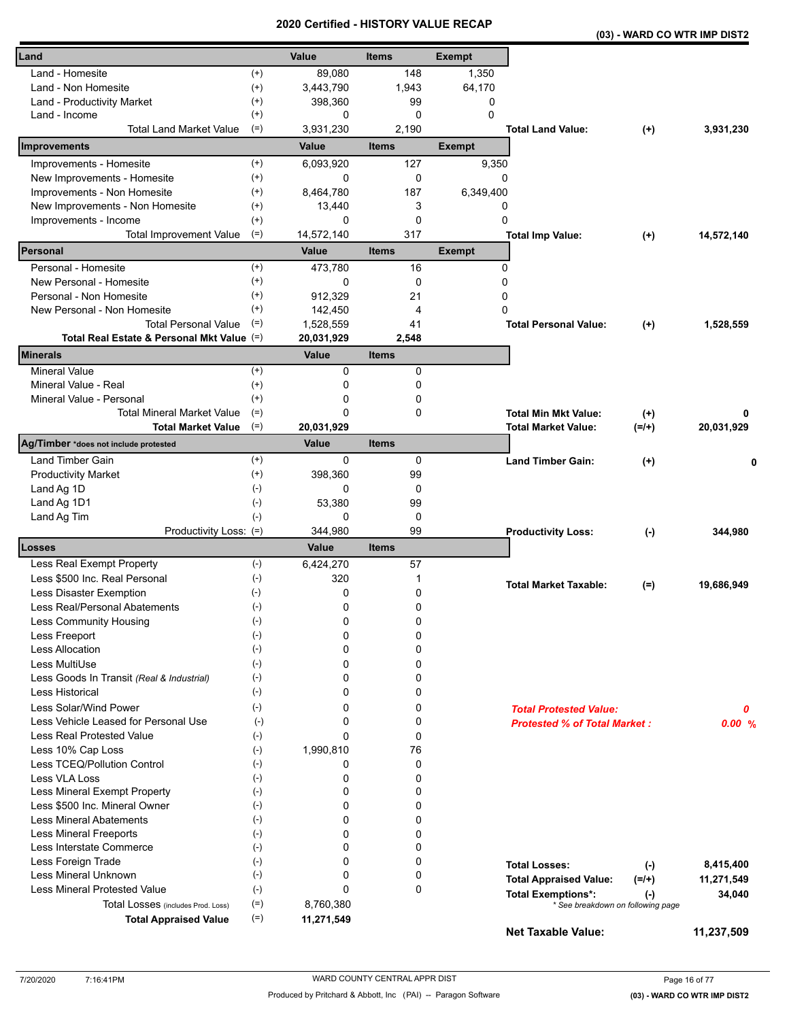|                                                        | a un cu          | ו טווי<br>UNI      |               |                                     | (03) - WARD CO WTR IMP DIST2 |            |
|--------------------------------------------------------|------------------|--------------------|---------------|-------------------------------------|------------------------------|------------|
| Land                                                   | Value            | <b>Items</b>       | <b>Exempt</b> |                                     |                              |            |
| Land - Homesite<br>$^{(+)}$                            | 89,080           | 148                | 1,350         |                                     |                              |            |
| $^{(+)}$<br>Land - Non Homesite                        | 3,443,790        | 1,943              | 64,170        |                                     |                              |            |
| $^{(+)}$<br>Land - Productivity Market                 | 398,360          | 99                 | 0             |                                     |                              |            |
| $^{(+)}$<br>Land - Income                              | 0                | 0                  | $\mathbf 0$   |                                     |                              |            |
| <b>Total Land Market Value</b><br>$(=)$                | 3,931,230        | 2,190              |               | <b>Total Land Value:</b>            | $^{(+)}$                     | 3,931,230  |
| Improvements                                           | Value            | <b>Items</b>       | <b>Exempt</b> |                                     |                              |            |
| Improvements - Homesite<br>$^{(+)}$                    | 6,093,920        | 127                | 9,350         |                                     |                              |            |
| $^{(+)}$<br>New Improvements - Homesite                | 0                | 0                  |               | 0                                   |                              |            |
| Improvements - Non Homesite<br>$^{(+)}$                | 8,464,780        | 187                | 6,349,400     |                                     |                              |            |
| New Improvements - Non Homesite<br>$^{(+)}$            | 13,440           | 3                  |               | 0                                   |                              |            |
| $^{(+)}$<br>Improvements - Income                      | 0                | 0                  | 0             |                                     |                              |            |
| $(=)$<br><b>Total Improvement Value</b>                | 14,572,140       | 317                |               | <b>Total Imp Value:</b>             | $^{(+)}$                     | 14,572,140 |
| Personal                                               | Value            | <b>Items</b>       | <b>Exempt</b> |                                     |                              |            |
| Personal - Homesite<br>$^{(+)}$                        | 473,780          | 16                 |               | 0                                   |                              |            |
| $^{(+)}$<br>New Personal - Homesite                    | 0                | 0                  |               | 0                                   |                              |            |
| $^{(+)}$<br>Personal - Non Homesite                    | 912,329          | 21                 |               | 0                                   |                              |            |
| $^{(+)}$<br>New Personal - Non Homesite                | 142,450          | 4                  |               | $\Omega$                            |                              |            |
| <b>Total Personal Value</b><br>$(=)$                   | 1,528,559        | 41                 |               | <b>Total Personal Value:</b>        | $(+)$                        | 1,528,559  |
| Total Real Estate & Personal Mkt Value (=)             | 20,031,929       | 2,548              |               |                                     |                              |            |
| Minerals                                               | Value            | <b>Items</b>       |               |                                     |                              |            |
| $(+)$<br><b>Mineral Value</b>                          | 0                | 0                  |               |                                     |                              |            |
| Mineral Value - Real<br>$^{(+)}$                       | 0                | 0                  |               |                                     |                              |            |
| Mineral Value - Personal<br>$^{(+)}$                   | 0                | 0                  |               |                                     |                              |            |
| <b>Total Mineral Market Value</b><br>$(=)$             | 0                | 0                  |               | <b>Total Min Mkt Value:</b>         | $(+)$                        | 0          |
| $(=)$<br><b>Total Market Value</b>                     | 20,031,929       |                    |               | <b>Total Market Value:</b>          | $(=/+)$                      | 20,031,929 |
| Ag/Timber *does not include protested                  | Value            | <b>Items</b>       |               |                                     |                              |            |
| Land Timber Gain<br>$^{(+)}$                           | 0                | 0                  |               | <b>Land Timber Gain:</b>            | $(+)$                        | 0          |
| <b>Productivity Market</b><br>$^{(+)}$                 | 398,360          | 99                 |               |                                     |                              |            |
| $(-)$<br>Land Ag 1D                                    | 0                | 0                  |               |                                     |                              |            |
| Land Ag 1D1<br>$(-)$                                   | 53,380           | 99                 |               |                                     |                              |            |
| Land Ag Tim<br>$(-)$                                   | 0                | 0                  |               |                                     |                              |            |
| Productivity Loss: (=)<br>Losses                       | 344,980<br>Value | 99<br><b>Items</b> |               | <b>Productivity Loss:</b>           | $(-)$                        | 344,980    |
| Less Real Exempt Property<br>$(-)$                     | 6,424,270        | 57                 |               |                                     |                              |            |
| $(-)$<br>Less \$500 Inc. Real Personal                 | 320              | 1                  |               |                                     |                              |            |
| Less Disaster Exemption<br>$(-)$                       | 0                | 0                  |               | <b>Total Market Taxable:</b>        | $(=)$                        | 19,686,949 |
| Less Real/Personal Abatements                          | 0                | 0                  |               |                                     |                              |            |
| $(\textnormal{-})$<br>Less Community Housing<br>$(-)$  | 0                | 0                  |               |                                     |                              |            |
| $(-)$<br>Less Freeport                                 | 0                | 0                  |               |                                     |                              |            |
| <b>Less Allocation</b><br>$(-)$                        | 0                | 0                  |               |                                     |                              |            |
| Less MultiUse<br>$(-)$                                 | 0                | 0                  |               |                                     |                              |            |
| $(\cdot)$<br>Less Goods In Transit (Real & Industrial) | 0                | 0                  |               |                                     |                              |            |
| Less Historical<br>$(-)$                               | 0                | 0                  |               |                                     |                              |            |
| Less Solar/Wind Power<br>$(-)$                         | 0                | 0                  |               | <b>Total Protested Value:</b>       |                              |            |
| Less Vehicle Leased for Personal Use<br>$(-)$          | 0                | 0                  |               | <b>Protested % of Total Market:</b> |                              | 0<br>0.00% |
| Less Real Protested Value<br>$(-)$                     | 0                | 0                  |               |                                     |                              |            |
| $(-)$<br>Less 10% Cap Loss                             | 1,990,810        | 76                 |               |                                     |                              |            |
| Less TCEQ/Pollution Control<br>$(-)$                   | 0                | 0                  |               |                                     |                              |            |
| Less VLA Loss<br>$(-)$                                 | 0                | 0                  |               |                                     |                              |            |
| Less Mineral Exempt Property<br>$(-)$                  | 0                | 0                  |               |                                     |                              |            |
| Less \$500 Inc. Mineral Owner<br>$(-)$                 | 0                | 0                  |               |                                     |                              |            |
| <b>Less Mineral Abatements</b><br>$(-)$                | 0                | 0                  |               |                                     |                              |            |
| Less Mineral Freeports<br>$(-)$                        | 0                | 0                  |               |                                     |                              |            |
| $(-)$<br>Less Interstate Commerce                      | 0                | 0                  |               |                                     |                              |            |
| Less Foreign Trade<br>$(-)$                            | 0                | 0                  |               | <b>Total Losses:</b>                | $(-)$                        | 8,415,400  |
| Less Mineral Unknown<br>$(-)$                          | 0                | 0                  |               | <b>Total Appraised Value:</b>       | $(=/+)$                      | 11,271,549 |
| <b>Less Mineral Protested Value</b><br>$(-)$           | 0                | 0                  |               | <b>Total Exemptions*:</b>           | $(\cdot)$                    | 34,040     |
| $(=)$<br>Total Losses (includes Prod. Loss)            | 8,760,380        |                    |               | * See breakdown on following page   |                              |            |
| $(=)$<br><b>Total Appraised Value</b>                  | 11,271,549       |                    |               |                                     |                              |            |
|                                                        |                  |                    |               | <b>Net Taxable Value:</b>           |                              | 11,237,509 |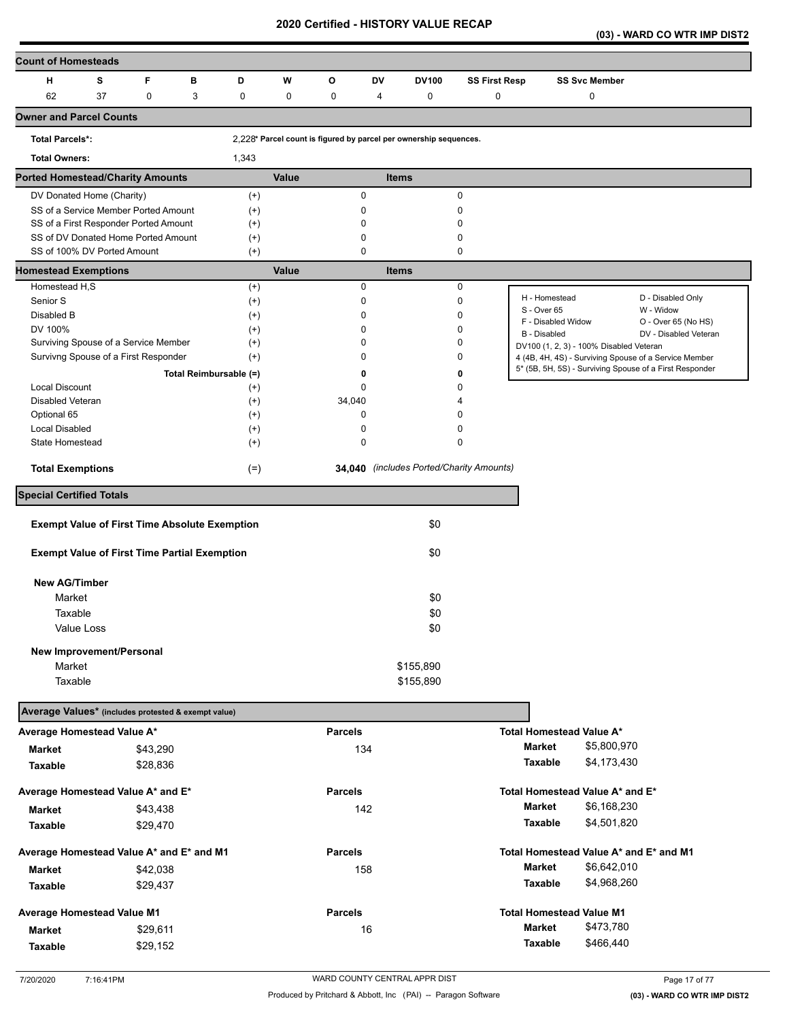**(03) - WARD CO WTR IMP DIST2** 

| <b>Count of Homesteads</b>                           |             |                        |                      |             |                                                                   |    |              |                                          |                     |                                         |                                                         |
|------------------------------------------------------|-------------|------------------------|----------------------|-------------|-------------------------------------------------------------------|----|--------------|------------------------------------------|---------------------|-----------------------------------------|---------------------------------------------------------|
| н<br>s                                               | F           | в                      | D                    | W           | O                                                                 | DV | <b>DV100</b> | <b>SS First Resp</b>                     |                     | <b>SS Svc Member</b>                    |                                                         |
| 62<br>37                                             | $\mathbf 0$ | 3                      | $\pmb{0}$            | $\mathbf 0$ | 0                                                                 | 4  | 0            | $\mathbf 0$                              |                     | 0                                       |                                                         |
| <b>Owner and Parcel Counts</b>                       |             |                        |                      |             |                                                                   |    |              |                                          |                     |                                         |                                                         |
| <b>Total Parcels*:</b>                               |             |                        |                      |             | 2,228* Parcel count is figured by parcel per ownership sequences. |    |              |                                          |                     |                                         |                                                         |
| <b>Total Owners:</b>                                 |             |                        | 1,343                |             |                                                                   |    |              |                                          |                     |                                         |                                                         |
| <b>Ported Homestead/Charity Amounts</b>              |             |                        |                      | Value       |                                                                   |    | <b>Items</b> |                                          |                     |                                         |                                                         |
| DV Donated Home (Charity)                            |             |                        | $^{(+)}$             |             | 0                                                                 |    |              | 0                                        |                     |                                         |                                                         |
| SS of a Service Member Ported Amount                 |             |                        | $^{(+)}$             |             | 0                                                                 |    |              | 0                                        |                     |                                         |                                                         |
| SS of a First Responder Ported Amount                |             |                        | $^{(+)}$             |             | 0                                                                 |    |              | 0                                        |                     |                                         |                                                         |
| SS of DV Donated Home Ported Amount                  |             |                        | $^{(+)}$             |             | 0                                                                 |    |              | 0                                        |                     |                                         |                                                         |
| SS of 100% DV Ported Amount                          |             |                        | $^{(+)}$             |             | $\mathbf 0$                                                       |    |              | 0                                        |                     |                                         |                                                         |
| <b>Homestead Exemptions</b>                          |             |                        |                      | Value       |                                                                   |    | <b>Items</b> |                                          |                     |                                         |                                                         |
| Homestead H,S<br>Senior S                            |             |                        | $^{(+)}$             |             | 0<br>0                                                            |    |              | 0<br>0                                   | H - Homestead       |                                         | D - Disabled Only                                       |
| Disabled B                                           |             |                        | $^{(+)}$<br>$^{(+)}$ |             | 0                                                                 |    |              | 0                                        | S - Over 65         |                                         | W - Widow                                               |
| DV 100%                                              |             |                        |                      |             | 0                                                                 |    |              | 0                                        | F - Disabled Widow  |                                         | O - Over 65 (No HS)                                     |
| Surviving Spouse of a Service Member                 |             |                        | $^{(+)}$<br>$^{(+)}$ |             | 0                                                                 |    |              | 0                                        | <b>B</b> - Disabled |                                         | DV - Disabled Veteran                                   |
| Survivng Spouse of a First Responder                 |             |                        | $^{(+)}$             |             | 0                                                                 |    |              | 0                                        |                     | DV100 (1, 2, 3) - 100% Disabled Veteran | 4 (4B, 4H, 4S) - Surviving Spouse of a Service Member   |
|                                                      |             |                        |                      |             |                                                                   |    |              |                                          |                     |                                         | 5* (5B, 5H, 5S) - Surviving Spouse of a First Responder |
| <b>Local Discount</b>                                |             | Total Reimbursable (=) |                      |             | 0<br>0                                                            |    |              | 0<br>$\Omega$                            |                     |                                         |                                                         |
| Disabled Veteran                                     |             |                        | $^{(+)}$<br>$^{(+)}$ |             | 34,040                                                            |    |              | 4                                        |                     |                                         |                                                         |
| Optional 65                                          |             |                        | $^{(+)}$             |             | 0                                                                 |    |              | 0                                        |                     |                                         |                                                         |
| <b>Local Disabled</b>                                |             |                        | $^{(+)}$             |             | 0                                                                 |    |              | 0                                        |                     |                                         |                                                         |
| State Homestead                                      |             |                        | $^{(+)}$             |             | 0                                                                 |    |              | 0                                        |                     |                                         |                                                         |
| <b>Total Exemptions</b>                              |             |                        | $(=)$                |             |                                                                   |    |              | 34,040 (includes Ported/Charity Amounts) |                     |                                         |                                                         |
| <b>Special Certified Totals</b>                      |             |                        |                      |             |                                                                   |    |              |                                          |                     |                                         |                                                         |
|                                                      |             |                        |                      |             |                                                                   |    |              |                                          |                     |                                         |                                                         |
| <b>Exempt Value of First Time Absolute Exemption</b> |             |                        |                      |             |                                                                   |    | \$0          |                                          |                     |                                         |                                                         |
| <b>Exempt Value of First Time Partial Exemption</b>  |             |                        |                      |             |                                                                   |    | \$0          |                                          |                     |                                         |                                                         |
| <b>New AG/Timber</b>                                 |             |                        |                      |             |                                                                   |    |              |                                          |                     |                                         |                                                         |
| Market                                               |             |                        |                      |             |                                                                   |    | \$0          |                                          |                     |                                         |                                                         |
| Taxable                                              |             |                        |                      |             |                                                                   |    | \$0          |                                          |                     |                                         |                                                         |
| Value Loss                                           |             |                        |                      |             |                                                                   |    | \$0          |                                          |                     |                                         |                                                         |
|                                                      |             |                        |                      |             |                                                                   |    |              |                                          |                     |                                         |                                                         |
| New Improvement/Personal<br>Market                   |             |                        |                      |             |                                                                   |    | \$155,890    |                                          |                     |                                         |                                                         |
| Taxable                                              |             |                        |                      |             |                                                                   |    | \$155,890    |                                          |                     |                                         |                                                         |
|                                                      |             |                        |                      |             |                                                                   |    |              |                                          |                     |                                         |                                                         |
| Average Values* (includes protested & exempt value)  |             |                        |                      |             |                                                                   |    |              |                                          |                     |                                         |                                                         |
| Average Homestead Value A*                           |             |                        |                      |             | <b>Parcels</b>                                                    |    |              |                                          |                     | Total Homestead Value A*                |                                                         |
| <b>Market</b>                                        | \$43,290    |                        |                      |             | 134                                                               |    |              |                                          | <b>Market</b>       | \$5,800,970                             |                                                         |
| Taxable                                              | \$28,836    |                        |                      |             |                                                                   |    |              |                                          | Taxable             | \$4,173,430                             |                                                         |
| Average Homestead Value A* and E*                    |             |                        |                      |             | <b>Parcels</b>                                                    |    |              |                                          |                     | Total Homestead Value A* and E*         |                                                         |
| Market                                               | \$43,438    |                        |                      |             | 142                                                               |    |              |                                          | <b>Market</b>       | \$6,168,230                             |                                                         |
| Taxable                                              | \$29,470    |                        |                      |             |                                                                   |    |              |                                          | Taxable             | \$4,501,820                             |                                                         |
|                                                      |             |                        |                      |             |                                                                   |    |              |                                          |                     |                                         |                                                         |
| Average Homestead Value A* and E* and M1             |             |                        |                      |             | <b>Parcels</b>                                                    |    |              |                                          |                     | Total Homestead Value A* and E* and M1  |                                                         |
| Market                                               | \$42,038    |                        |                      |             | 158                                                               |    |              |                                          | <b>Market</b>       | \$6,642,010                             |                                                         |
| Taxable                                              | \$29,437    |                        |                      |             |                                                                   |    |              |                                          | Taxable             | \$4,968,260                             |                                                         |
| <b>Average Homestead Value M1</b>                    |             |                        |                      |             | <b>Parcels</b>                                                    |    |              |                                          |                     | <b>Total Homestead Value M1</b>         |                                                         |
| <b>Market</b>                                        | \$29,611    |                        |                      |             |                                                                   | 16 |              |                                          | <b>Market</b>       | \$473,780                               |                                                         |
|                                                      |             |                        |                      |             |                                                                   |    |              |                                          | <b>Taxable</b>      | \$466,440                               |                                                         |
| Taxable                                              | \$29,152    |                        |                      |             |                                                                   |    |              |                                          |                     |                                         |                                                         |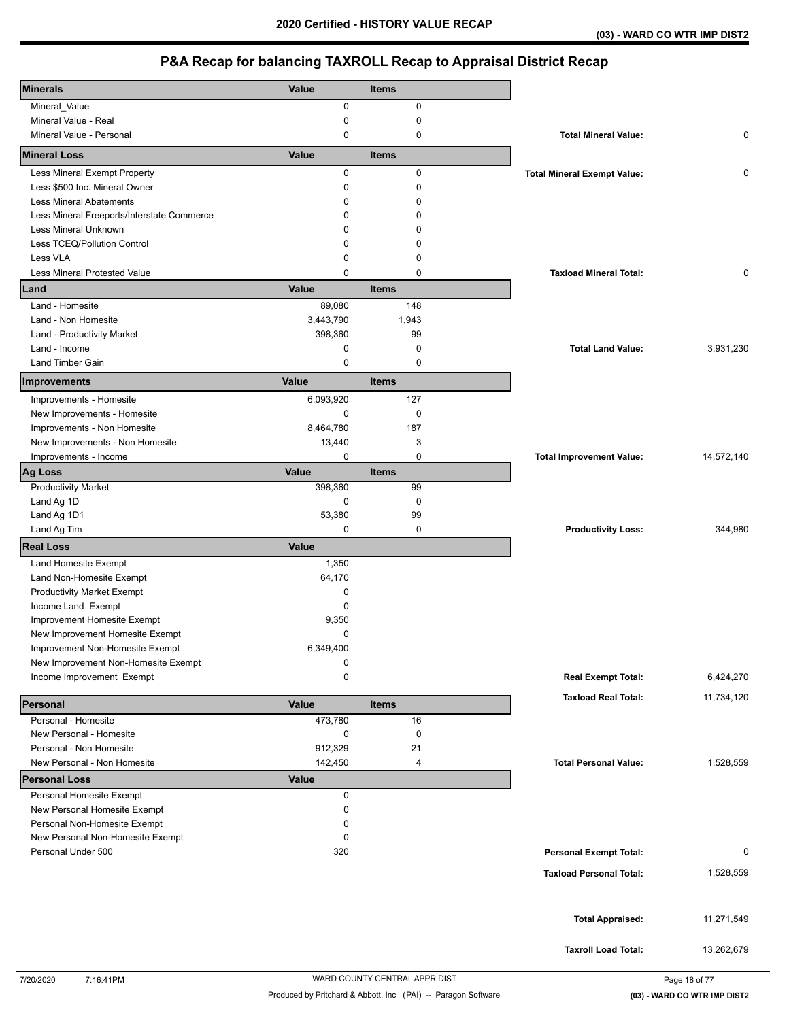| <b>Minerals</b>                                                  | Value        | <b>Items</b> |                                    |            |
|------------------------------------------------------------------|--------------|--------------|------------------------------------|------------|
| Mineral_Value                                                    | 0            | $\mathbf 0$  |                                    |            |
| Mineral Value - Real                                             | 0            | $\mathbf 0$  |                                    |            |
| Mineral Value - Personal                                         | 0            | 0            | <b>Total Mineral Value:</b>        | 0          |
| <b>Mineral Loss</b>                                              | Value        | <b>Items</b> |                                    |            |
| Less Mineral Exempt Property                                     | $\mathbf 0$  | $\mathbf 0$  | <b>Total Mineral Exempt Value:</b> | 0          |
| Less \$500 Inc. Mineral Owner                                    | 0            | $\mathbf 0$  |                                    |            |
| <b>Less Mineral Abatements</b>                                   | 0            | 0            |                                    |            |
| Less Mineral Freeports/Interstate Commerce                       | 0            | 0            |                                    |            |
| <b>Less Mineral Unknown</b>                                      | 0            | 0            |                                    |            |
| Less TCEQ/Pollution Control                                      | 0            | 0            |                                    |            |
| Less VLA                                                         | 0            | 0            |                                    |            |
| <b>Less Mineral Protested Value</b>                              | 0            | 0            | <b>Taxload Mineral Total:</b>      | 0          |
| Land                                                             | Value        | <b>Items</b> |                                    |            |
| Land - Homesite                                                  | 89,080       | 148          |                                    |            |
| Land - Non Homesite                                              | 3,443,790    | 1,943        |                                    |            |
| Land - Productivity Market                                       | 398,360      | 99           |                                    |            |
| Land - Income                                                    | 0            | 0            | <b>Total Land Value:</b>           | 3,931,230  |
| Land Timber Gain                                                 | 0            | 0            |                                    |            |
| Improvements                                                     | Value        | <b>Items</b> |                                    |            |
| Improvements - Homesite                                          | 6,093,920    | 127          |                                    |            |
| New Improvements - Homesite                                      | 0            | 0            |                                    |            |
| Improvements - Non Homesite                                      | 8,464,780    | 187          |                                    |            |
| New Improvements - Non Homesite                                  | 13,440       | 3            |                                    |            |
| Improvements - Income                                            | 0            | 0            | <b>Total Improvement Value:</b>    | 14,572,140 |
| <b>Ag Loss</b>                                                   | Value        | <b>Items</b> |                                    |            |
| <b>Productivity Market</b>                                       | 398,360      | 99           |                                    |            |
| Land Ag 1D                                                       | 0            | $\mathbf 0$  |                                    |            |
| Land Ag 1D1                                                      | 53,380       | 99           |                                    |            |
| Land Ag Tim                                                      | 0            | 0            | <b>Productivity Loss:</b>          | 344,980    |
| <b>Real Loss</b>                                                 | Value        |              |                                    |            |
| Land Homesite Exempt                                             | 1,350        |              |                                    |            |
| Land Non-Homesite Exempt                                         | 64,170       |              |                                    |            |
| <b>Productivity Market Exempt</b>                                | 0            |              |                                    |            |
| Income Land Exempt                                               | 0            |              |                                    |            |
| Improvement Homesite Exempt                                      | 9,350        |              |                                    |            |
| New Improvement Homesite Exempt                                  | 0            |              |                                    |            |
| Improvement Non-Homesite Exempt                                  | 6,349,400    |              |                                    |            |
| New Improvement Non-Homesite Exempt<br>Income Improvement Exempt | 0<br>0       |              |                                    | 6,424,270  |
|                                                                  |              |              | <b>Real Exempt Total:</b>          |            |
| Personal                                                         | Value        | <b>Items</b> | <b>Taxload Real Total:</b>         | 11,734,120 |
| Personal - Homesite                                              | 473,780      | 16           |                                    |            |
| New Personal - Homesite                                          | 0            | 0            |                                    |            |
| Personal - Non Homesite                                          | 912,329      | 21           |                                    |            |
| New Personal - Non Homesite                                      | 142,450      | 4            | <b>Total Personal Value:</b>       | 1,528,559  |
| <b>Personal Loss</b>                                             | <b>Value</b> |              |                                    |            |
| Personal Homesite Exempt<br>New Personal Homesite Exempt         | 0<br>0       |              |                                    |            |
| Personal Non-Homesite Exempt                                     | 0            |              |                                    |            |
| New Personal Non-Homesite Exempt                                 | 0            |              |                                    |            |
| Personal Under 500                                               | 320          |              | <b>Personal Exempt Total:</b>      | 0          |
|                                                                  |              |              |                                    |            |
|                                                                  |              |              | <b>Taxload Personal Total:</b>     | 1,528,559  |
|                                                                  |              |              |                                    |            |
|                                                                  |              |              | <b>Total Appraised:</b>            | 11,271,549 |
|                                                                  |              |              |                                    |            |
|                                                                  |              |              | <b>Taxroll Load Total:</b>         | 13,262,679 |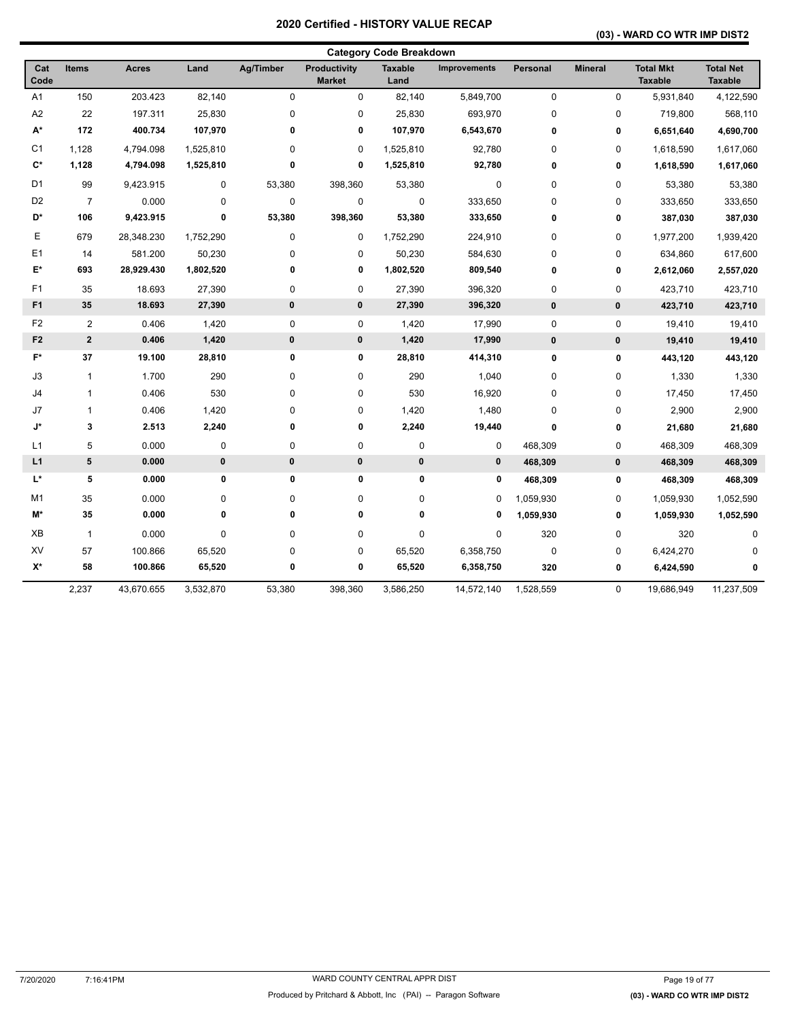## **(03) - WARD CO WTR IMP DIST2**

|                    |                |              |           |                  |                               | <b>Category Code Breakdown</b> |                     |             |                |                                    |                                    |
|--------------------|----------------|--------------|-----------|------------------|-------------------------------|--------------------------------|---------------------|-------------|----------------|------------------------------------|------------------------------------|
| Cat<br>Code        | <b>Items</b>   | <b>Acres</b> | Land      | <b>Ag/Timber</b> | Productivity<br><b>Market</b> | <b>Taxable</b><br>Land         | <b>Improvements</b> | Personal    | <b>Mineral</b> | <b>Total Mkt</b><br><b>Taxable</b> | <b>Total Net</b><br><b>Taxable</b> |
| A1                 | 150            | 203.423      | 82,140    | $\mathbf 0$      | 0                             | 82,140                         | 5,849,700           | $\mathbf 0$ | $\mathbf 0$    | 5,931,840                          | 4,122,590                          |
| A <sub>2</sub>     | 22             | 197.311      | 25,830    | 0                | 0                             | 25,830                         | 693,970             | $\mathbf 0$ | 0              | 719,800                            | 568,110                            |
| A*                 | 172            | 400.734      | 107,970   | 0                | 0                             | 107,970                        | 6,543,670           | $\bf{0}$    | 0              | 6,651,640                          | 4,690,700                          |
| C <sub>1</sub>     | 1,128          | 4,794.098    | 1,525,810 | 0                | 0                             | 1,525,810                      | 92,780              | $\mathbf 0$ | 0              | 1,618,590                          | 1,617,060                          |
| $\mathbf{C}^*$     | 1,128          | 4,794.098    | 1,525,810 | 0                | 0                             | 1,525,810                      | 92,780              | 0           | 0              | 1,618,590                          | 1,617,060                          |
| D <sub>1</sub>     | 99             | 9,423.915    | 0         | 53,380           | 398,360                       | 53,380                         | 0                   | $\mathbf 0$ | $\pmb{0}$      | 53,380                             | 53,380                             |
| D <sub>2</sub>     | $\overline{7}$ | 0.000        | 0         | $\pmb{0}$        | 0                             | $\pmb{0}$                      | 333,650             | $\mathbf 0$ | 0              | 333,650                            | 333,650                            |
| D*                 | 106            | 9,423.915    | 0         | 53,380           | 398,360                       | 53,380                         | 333,650             | 0           | 0              | 387,030                            | 387,030                            |
| E                  | 679            | 28,348.230   | 1,752,290 | 0                | 0                             | 1,752,290                      | 224,910             | $\mathbf 0$ | $\pmb{0}$      | 1,977,200                          | 1,939,420                          |
| E <sub>1</sub>     | 14             | 581.200      | 50,230    | 0                | 0                             | 50,230                         | 584,630             | $\mathbf 0$ | 0              | 634,860                            | 617,600                            |
| $E^*$              | 693            | 28,929.430   | 1,802,520 | 0                | 0                             | 1,802,520                      | 809,540             | $\pmb{0}$   | 0              | 2,612,060                          | 2,557,020                          |
| F <sub>1</sub>     | 35             | 18.693       | 27,390    | 0                | 0                             | 27,390                         | 396,320             | $\mathbf 0$ | $\pmb{0}$      | 423,710                            | 423,710                            |
| F <sub>1</sub>     | 35             | 18.693       | 27,390    | $\pmb{0}$        | $\pmb{0}$                     | 27,390                         | 396,320             | $\pmb{0}$   | $\pmb{0}$      | 423,710                            | 423,710                            |
| F <sub>2</sub>     | $\overline{2}$ | 0.406        | 1,420     | 0                | 0                             | 1,420                          | 17,990              | $\mathbf 0$ | $\mathbf 0$    | 19,410                             | 19,410                             |
| F <sub>2</sub>     | $\overline{2}$ | 0.406        | 1,420     | $\pmb{0}$        | 0                             | 1,420                          | 17,990              | $\pmb{0}$   | $\pmb{0}$      | 19,410                             | 19,410                             |
| $\mathsf{F}^\star$ | 37             | 19.100       | 28,810    | 0                | 0                             | 28,810                         | 414,310             | $\pmb{0}$   | 0              | 443,120                            | 443,120                            |
| J3                 | $\mathbf{1}$   | 1.700        | 290       | 0                | 0                             | 290                            | 1,040               | $\mathbf 0$ | $\mathbf 0$    | 1,330                              | 1,330                              |
| J4                 | 1              | 0.406        | 530       | 0                | 0                             | 530                            | 16,920              | $\mathbf 0$ | $\mathbf 0$    | 17,450                             | 17,450                             |
| J7                 | 1              | 0.406        | 1,420     | 0                | 0                             | 1,420                          | 1,480               | $\mathbf 0$ | $\pmb{0}$      | 2,900                              | 2,900                              |
| J*                 | 3              | 2.513        | 2,240     | 0                | 0                             | 2,240                          | 19,440              | $\pmb{0}$   | 0              | 21,680                             | 21,680                             |
| L1                 | 5              | 0.000        | 0         | 0                | 0                             | $\pmb{0}$                      | 0                   | 468,309     | 0              | 468,309                            | 468,309                            |
| L1                 | 5              | 0.000        | 0         | $\pmb{0}$        | $\pmb{0}$                     | $\pmb{0}$                      | $\bf{0}$            | 468,309     | $\pmb{0}$      | 468,309                            | 468,309                            |
| L*                 | 5              | 0.000        | 0         | 0                | 0                             | $\pmb{0}$                      | 0                   | 468,309     | 0              | 468,309                            | 468,309                            |
| M1                 | 35             | 0.000        | 0         | 0                | 0                             | 0                              | 0                   | 1,059,930   | $\mathbf 0$    | 1,059,930                          | 1,052,590                          |
| M*                 | 35             | 0.000        | 0         | 0                | 0                             | 0                              | 0                   | 1,059,930   | 0              | 1,059,930                          | 1,052,590                          |
| XB                 | $\mathbf{1}$   | 0.000        | 0         | 0                | 0                             | 0                              | 0                   | 320         | 0              | 320                                | $\Omega$                           |
| XV                 | 57             | 100.866      | 65,520    | 0                | 0                             | 65,520                         | 6,358,750           | $\mathbf 0$ | 0              | 6,424,270                          | O                                  |
| X*                 | 58             | 100.866      | 65,520    | 0                | 0                             | 65,520                         | 6,358,750           | 320         | 0              | 6,424,590                          | 0                                  |
|                    | 2,237          | 43,670.655   | 3,532,870 | 53,380           | 398,360                       | 3,586,250                      | 14,572,140          | 1,528,559   | $\mathbf 0$    | 19,686,949                         | 11,237,509                         |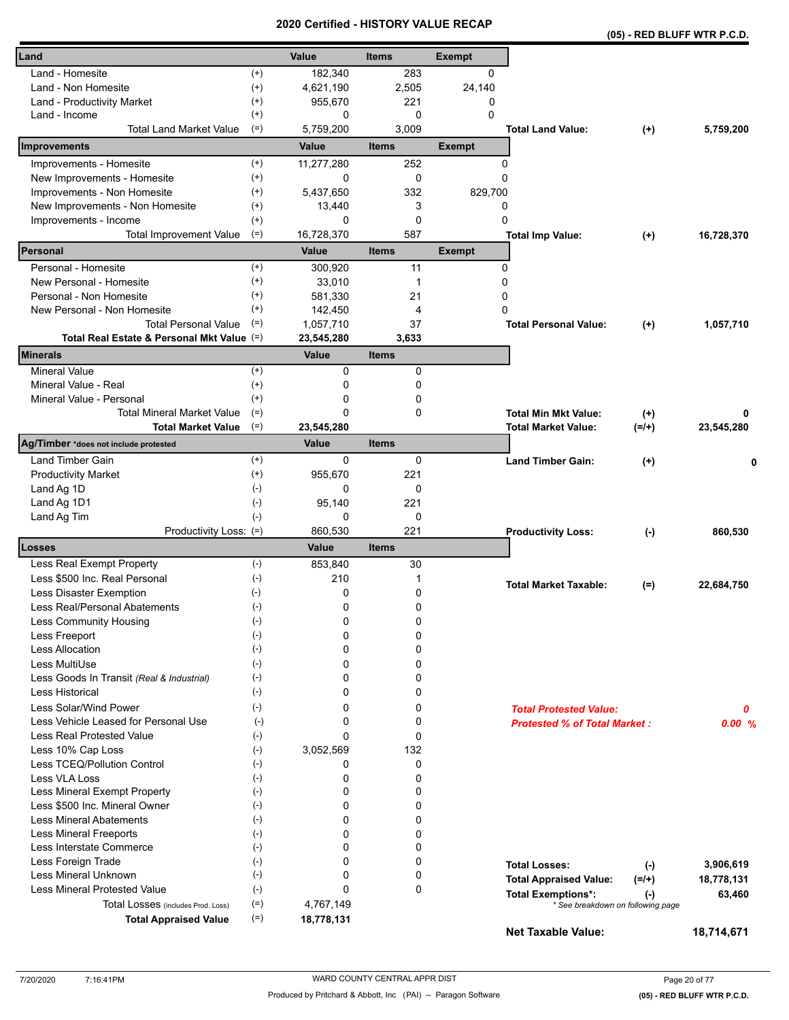|                                                        | a un cu    | ו טווי<br>UNI |               |                                     | (05) - RED BLUFF WTR P.C.D.       |            |
|--------------------------------------------------------|------------|---------------|---------------|-------------------------------------|-----------------------------------|------------|
| Land                                                   | Value      | <b>Items</b>  | <b>Exempt</b> |                                     |                                   |            |
| Land - Homesite<br>$^{(+)}$                            | 182,340    | 283           | 0             |                                     |                                   |            |
| $^{(+)}$<br>Land - Non Homesite                        | 4,621,190  | 2,505         | 24,140        |                                     |                                   |            |
| $^{(+)}$<br>Land - Productivity Market                 | 955,670    | 221           | 0             |                                     |                                   |            |
| $^{(+)}$<br>Land - Income                              | 0          | $\Omega$      | $\mathbf 0$   |                                     |                                   |            |
| <b>Total Land Market Value</b><br>$(=)$                | 5,759,200  | 3,009         |               | <b>Total Land Value:</b>            | $(+)$                             | 5,759,200  |
| Improvements                                           | Value      | <b>Items</b>  | <b>Exempt</b> |                                     |                                   |            |
| Improvements - Homesite<br>$^{(+)}$                    | 11,277,280 | 252           |               | 0                                   |                                   |            |
| New Improvements - Homesite<br>$^{(+)}$                | 0          | 0             | 0             |                                     |                                   |            |
| Improvements - Non Homesite<br>$^{(+)}$                | 5,437,650  | 332           | 829,700       |                                     |                                   |            |
| New Improvements - Non Homesite<br>$^{(+)}$            | 13,440     | 3             |               | 0                                   |                                   |            |
| $^{(+)}$<br>Improvements - Income                      | 0          | 0             | 0             |                                     |                                   |            |
| $(=)$<br><b>Total Improvement Value</b>                | 16,728,370 | 587           |               | <b>Total Imp Value:</b>             | $^{(+)}$                          | 16,728,370 |
| Personal                                               | Value      | <b>Items</b>  | <b>Exempt</b> |                                     |                                   |            |
| Personal - Homesite<br>$^{(+)}$                        | 300,920    | 11            |               | 0                                   |                                   |            |
| $^{(+)}$<br>New Personal - Homesite                    | 33,010     | $\mathbf{1}$  | 0             |                                     |                                   |            |
| $^{(+)}$<br>Personal - Non Homesite                    | 581,330    | 21            | 0             |                                     |                                   |            |
| $^{(+)}$<br>New Personal - Non Homesite                | 142,450    | 4             | 0             |                                     |                                   |            |
| <b>Total Personal Value</b><br>$(=)$                   | 1,057,710  | 37            |               | <b>Total Personal Value:</b>        | $(+)$                             | 1,057,710  |
| Total Real Estate & Personal Mkt Value (=)             | 23,545,280 | 3,633         |               |                                     |                                   |            |
| Minerals                                               | Value      | <b>Items</b>  |               |                                     |                                   |            |
| $(+)$<br><b>Mineral Value</b>                          | 0          | 0             |               |                                     |                                   |            |
| Mineral Value - Real<br>$^{(+)}$                       | 0          | 0             |               |                                     |                                   |            |
| Mineral Value - Personal<br>$^{(+)}$                   | 0          | 0             |               |                                     |                                   |            |
| <b>Total Mineral Market Value</b><br>$(=)$             | 0          | 0             |               | <b>Total Min Mkt Value:</b>         | $^{(+)}$                          | 0          |
| $(=)$<br><b>Total Market Value</b>                     | 23,545,280 |               |               | <b>Total Market Value:</b>          | $(=/+)$                           | 23,545,280 |
| Ag/Timber *does not include protested                  | Value      | <b>Items</b>  |               |                                     |                                   |            |
| Land Timber Gain<br>$^{(+)}$                           | 0          | 0             |               | <b>Land Timber Gain:</b>            | $(+)$                             | 0          |
| <b>Productivity Market</b><br>$^{(+)}$                 | 955,670    | 221           |               |                                     |                                   |            |
| $(-)$<br>Land Ag 1D                                    | 0          | 0             |               |                                     |                                   |            |
| Land Ag 1D1<br>$(-)$                                   | 95,140     | 221           |               |                                     |                                   |            |
| Land Ag Tim<br>$(-)$                                   | 0          | 0             |               |                                     |                                   |            |
| Productivity Loss: (=)                                 | 860,530    | 221           |               | <b>Productivity Loss:</b>           | $(-)$                             | 860,530    |
| Losses                                                 | Value      | <b>Items</b>  |               |                                     |                                   |            |
| $(-)$<br>Less Real Exempt Property                     | 853,840    | 30            |               |                                     |                                   |            |
| $(-)$<br>Less \$500 Inc. Real Personal                 | 210        | 1             |               | <b>Total Market Taxable:</b>        | $(=)$                             | 22,684,750 |
| Less Disaster Exemption<br>$(-)$                       | 0          | 0             |               |                                     |                                   |            |
| Less Real/Personal Abatements<br>$(\textnormal{-})$    | 0          | 0             |               |                                     |                                   |            |
| $(-)$<br>Less Community Housing                        | 0          | 0             |               |                                     |                                   |            |
| $(-)$<br>Less Freeport                                 | 0          | 0             |               |                                     |                                   |            |
| <b>Less Allocation</b><br>$(-)$                        | 0          | 0             |               |                                     |                                   |            |
| Less MultiUse<br>$(-)$                                 | 0          | 0             |               |                                     |                                   |            |
| $(\cdot)$<br>Less Goods In Transit (Real & Industrial) | 0          | 0             |               |                                     |                                   |            |
| Less Historical<br>$(-)$                               | 0          | 0             |               |                                     |                                   |            |
| Less Solar/Wind Power<br>$(-)$                         | 0          | 0             |               | <b>Total Protested Value:</b>       |                                   | 0          |
| Less Vehicle Leased for Personal Use<br>$(-)$          | 0          | 0             |               | <b>Protested % of Total Market:</b> |                                   | 0.00%      |
| Less Real Protested Value<br>$(-)$                     | $\Omega$   | 0             |               |                                     |                                   |            |
| Less 10% Cap Loss<br>$(-)$                             | 3,052,569  | 132           |               |                                     |                                   |            |
| Less TCEQ/Pollution Control<br>$(-)$                   | 0          | 0             |               |                                     |                                   |            |
| Less VLA Loss<br>$(-)$                                 | 0          | 0             |               |                                     |                                   |            |
| Less Mineral Exempt Property<br>$(-)$                  | 0          | 0             |               |                                     |                                   |            |
| Less \$500 Inc. Mineral Owner<br>$(-)$                 | 0          | 0             |               |                                     |                                   |            |
| <b>Less Mineral Abatements</b><br>$(-)$                | 0          | 0             |               |                                     |                                   |            |
| Less Mineral Freeports<br>$(-)$                        | 0          | 0             |               |                                     |                                   |            |
| $(-)$<br>Less Interstate Commerce                      | 0          | 0             |               |                                     |                                   |            |
| Less Foreign Trade<br>$(-)$                            | 0          | 0             |               | <b>Total Losses:</b>                | $(-)$                             | 3,906,619  |
| Less Mineral Unknown<br>$(-)$                          | 0          | 0             |               | <b>Total Appraised Value:</b>       | $(=/+)$                           | 18,778,131 |
| <b>Less Mineral Protested Value</b><br>$(-)$           | 0          | 0             |               | <b>Total Exemptions*:</b>           | $(\cdot)$                         | 63,460     |
| $(=)$<br>Total Losses (includes Prod. Loss)            | 4,767,149  |               |               |                                     | * See breakdown on following page |            |
| $(=)$<br><b>Total Appraised Value</b>                  | 18,778,131 |               |               | <b>Net Taxable Value:</b>           |                                   | 18,714,671 |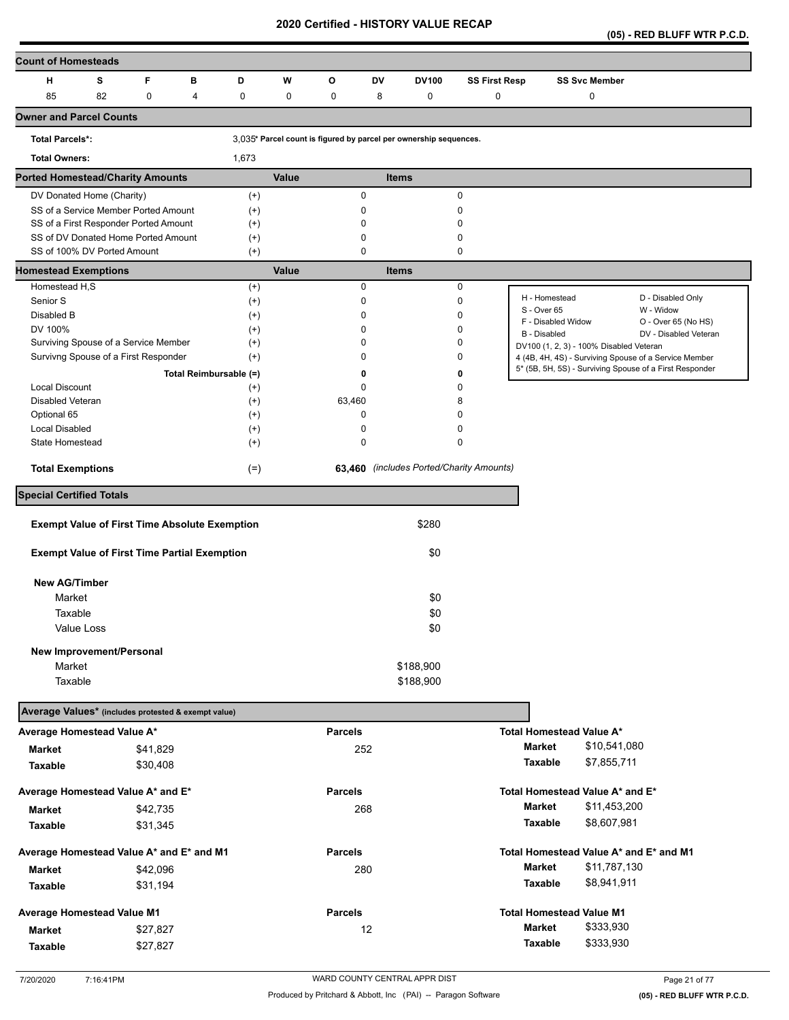**(05) - RED BLUFF WTR P.C.D.** 

| <b>Count of Homesteads</b>                                         |   |                  |                        |       |                                                                   |              |                        |                                          |                                    |                                         |                                                         |
|--------------------------------------------------------------------|---|------------------|------------------------|-------|-------------------------------------------------------------------|--------------|------------------------|------------------------------------------|------------------------------------|-----------------------------------------|---------------------------------------------------------|
| s<br>н                                                             | F | в                | D                      | W     | O                                                                 | <b>DV</b>    | <b>DV100</b>           | <b>SS First Resp</b>                     |                                    | <b>SS Svc Member</b>                    |                                                         |
| 82<br>85                                                           |   | $\mathbf 0$<br>4 | $\mathbf 0$            | 0     | 0                                                                 | 8            | 0                      | 0                                        |                                    | 0                                       |                                                         |
| <b>Owner and Parcel Counts</b>                                     |   |                  |                        |       |                                                                   |              |                        |                                          |                                    |                                         |                                                         |
| <b>Total Parcels*:</b>                                             |   |                  |                        |       | 3,035* Parcel count is figured by parcel per ownership sequences. |              |                        |                                          |                                    |                                         |                                                         |
| <b>Total Owners:</b>                                               |   |                  | 1,673                  |       |                                                                   |              |                        |                                          |                                    |                                         |                                                         |
| <b>Ported Homestead/Charity Amounts</b>                            |   |                  |                        | Value |                                                                   | <b>Items</b> |                        |                                          |                                    |                                         |                                                         |
| DV Donated Home (Charity)                                          |   |                  | $^{(+)}$               |       |                                                                   | 0            |                        | $\mathbf 0$                              |                                    |                                         |                                                         |
| SS of a Service Member Ported Amount                               |   |                  | $^{(+)}$               |       | 0                                                                 |              |                        | 0                                        |                                    |                                         |                                                         |
| SS of a First Responder Ported Amount                              |   |                  | $^{(+)}$               |       | 0                                                                 |              |                        | 0                                        |                                    |                                         |                                                         |
| SS of DV Donated Home Ported Amount<br>SS of 100% DV Ported Amount |   |                  | $^{(+)}$               |       | $\mathbf 0$                                                       | 0            |                        | 0<br>$\mathbf 0$                         |                                    |                                         |                                                         |
| <b>Homestead Exemptions</b>                                        |   |                  | $^{(+)}$               | Value |                                                                   | <b>Items</b> |                        |                                          |                                    |                                         |                                                         |
| Homestead H,S                                                      |   |                  | $^{(+)}$               |       |                                                                   | 0            |                        | $\mathbf 0$                              |                                    |                                         |                                                         |
| Senior S                                                           |   |                  | $^{(+)}$               |       |                                                                   | 0            |                        | $\mathbf 0$                              | H - Homestead                      |                                         | D - Disabled Only                                       |
| Disabled B                                                         |   |                  | $^{(+)}$               |       | $\mathbf 0$                                                       |              |                        | 0                                        | S - Over 65                        |                                         | W - Widow                                               |
| DV 100%                                                            |   |                  | $^{(+)}$               |       |                                                                   | 0            |                        | 0                                        | F - Disabled Widow<br>B - Disabled |                                         | O - Over 65 (No HS)<br>DV - Disabled Veteran            |
| Surviving Spouse of a Service Member                               |   |                  | $^{(+)}$               |       | $\Omega$                                                          |              |                        | 0                                        |                                    | DV100 (1, 2, 3) - 100% Disabled Veteran |                                                         |
| Survivng Spouse of a First Responder                               |   |                  | $^{(+)}$               |       | 0                                                                 |              |                        | 0                                        |                                    |                                         | 4 (4B, 4H, 4S) - Surviving Spouse of a Service Member   |
|                                                                    |   |                  | Total Reimbursable (=) |       |                                                                   | 0            |                        | 0                                        |                                    |                                         | 5* (5B, 5H, 5S) - Surviving Spouse of a First Responder |
| Local Discount                                                     |   |                  | $^{(+)}$               |       |                                                                   | 0            |                        | 0                                        |                                    |                                         |                                                         |
| Disabled Veteran                                                   |   |                  | $^{(+)}$               |       | 63,460                                                            |              |                        | 8                                        |                                    |                                         |                                                         |
| Optional 65                                                        |   |                  | $^{(+)}$               |       |                                                                   | 0            |                        | 0                                        |                                    |                                         |                                                         |
| Local Disabled                                                     |   |                  | $^{(+)}$               |       | $\mathbf 0$                                                       |              |                        | 0                                        |                                    |                                         |                                                         |
| State Homestead                                                    |   |                  | $^{(+)}$               |       | $\mathbf 0$                                                       |              |                        | 0                                        |                                    |                                         |                                                         |
| <b>Total Exemptions</b>                                            |   |                  | $(=)$                  |       |                                                                   |              |                        | 63,460 (includes Ported/Charity Amounts) |                                    |                                         |                                                         |
| <b>Special Certified Totals</b>                                    |   |                  |                        |       |                                                                   |              |                        |                                          |                                    |                                         |                                                         |
| <b>Exempt Value of First Time Absolute Exemption</b>               |   |                  |                        |       |                                                                   |              | \$280                  |                                          |                                    |                                         |                                                         |
|                                                                    |   |                  |                        |       |                                                                   |              |                        |                                          |                                    |                                         |                                                         |
| <b>Exempt Value of First Time Partial Exemption</b>                |   |                  |                        |       |                                                                   |              | \$0                    |                                          |                                    |                                         |                                                         |
| <b>New AG/Timber</b>                                               |   |                  |                        |       |                                                                   |              |                        |                                          |                                    |                                         |                                                         |
| Market                                                             |   |                  |                        |       |                                                                   |              | \$0                    |                                          |                                    |                                         |                                                         |
| Taxable                                                            |   |                  |                        |       |                                                                   |              | \$0                    |                                          |                                    |                                         |                                                         |
| Value Loss                                                         |   |                  |                        |       |                                                                   |              | \$0                    |                                          |                                    |                                         |                                                         |
|                                                                    |   |                  |                        |       |                                                                   |              |                        |                                          |                                    |                                         |                                                         |
| New Improvement/Personal<br>Market                                 |   |                  |                        |       |                                                                   |              |                        |                                          |                                    |                                         |                                                         |
| Taxable                                                            |   |                  |                        |       |                                                                   |              | \$188,900<br>\$188,900 |                                          |                                    |                                         |                                                         |
|                                                                    |   |                  |                        |       |                                                                   |              |                        |                                          |                                    |                                         |                                                         |
| Average Values* (includes protested & exempt value)                |   |                  |                        |       |                                                                   |              |                        |                                          |                                    |                                         |                                                         |
| Average Homestead Value A*                                         |   |                  |                        |       | <b>Parcels</b>                                                    |              |                        |                                          |                                    | Total Homestead Value A*                |                                                         |
| Market                                                             |   | \$41,829         |                        |       |                                                                   | 252          |                        |                                          | Market                             | \$10,541,080                            |                                                         |
| Taxable                                                            |   | \$30,408         |                        |       |                                                                   |              |                        |                                          | Taxable                            | \$7,855,711                             |                                                         |
| Average Homestead Value A* and E*                                  |   |                  |                        |       | <b>Parcels</b>                                                    |              |                        |                                          |                                    | Total Homestead Value A* and E*         |                                                         |
| Market                                                             |   | \$42,735         |                        |       |                                                                   | 268          |                        |                                          | <b>Market</b>                      | \$11,453,200                            |                                                         |
|                                                                    |   |                  |                        |       |                                                                   |              |                        |                                          | Taxable                            | \$8,607,981                             |                                                         |
| Taxable                                                            |   | \$31,345         |                        |       |                                                                   |              |                        |                                          |                                    |                                         |                                                         |
| Average Homestead Value A* and E* and M1                           |   |                  |                        |       | <b>Parcels</b>                                                    |              |                        |                                          |                                    |                                         | Total Homestead Value A* and E* and M1                  |
| Market                                                             |   | \$42,096         |                        |       |                                                                   | 280          |                        |                                          | <b>Market</b>                      | \$11,787,130                            |                                                         |
| Taxable                                                            |   | \$31,194         |                        |       |                                                                   |              |                        |                                          | Taxable                            | \$8,941,911                             |                                                         |
| <b>Average Homestead Value M1</b>                                  |   |                  |                        |       | <b>Parcels</b>                                                    |              |                        |                                          |                                    | <b>Total Homestead Value M1</b>         |                                                         |
| Market                                                             |   | \$27,827         |                        |       |                                                                   | 12           |                        |                                          | Market                             | \$333,930                               |                                                         |
| Taxable                                                            |   | \$27,827         |                        |       |                                                                   |              |                        |                                          | Taxable                            | \$333,930                               |                                                         |
|                                                                    |   |                  |                        |       |                                                                   |              |                        |                                          |                                    |                                         |                                                         |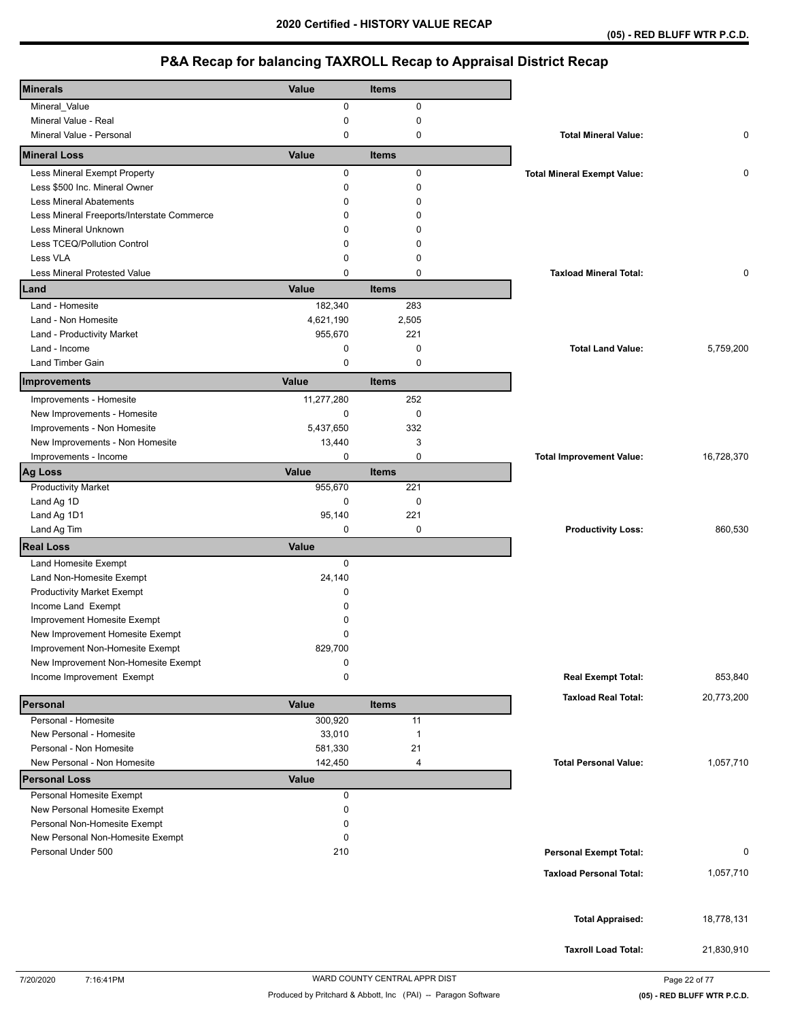| <b>Minerals</b>                            | Value        | <b>Items</b> |                                    |             |
|--------------------------------------------|--------------|--------------|------------------------------------|-------------|
| Mineral_Value                              | 0            | 0            |                                    |             |
| Mineral Value - Real                       | 0            | 0            |                                    |             |
| Mineral Value - Personal                   | 0            | 0            | <b>Total Mineral Value:</b>        | 0           |
| <b>Mineral Loss</b>                        | Value        | <b>Items</b> |                                    |             |
| Less Mineral Exempt Property               | 0            | $\mathbf 0$  | <b>Total Mineral Exempt Value:</b> | 0           |
| Less \$500 Inc. Mineral Owner              | 0            | 0            |                                    |             |
| <b>Less Mineral Abatements</b>             | 0            | 0            |                                    |             |
| Less Mineral Freeports/Interstate Commerce | 0            | 0            |                                    |             |
| Less Mineral Unknown                       | 0            | ŋ            |                                    |             |
| Less TCEQ/Pollution Control                | 0            | 0            |                                    |             |
| Less VLA                                   | 0            | 0            |                                    |             |
| <b>Less Mineral Protested Value</b>        | $\Omega$     | $\mathbf 0$  | <b>Taxload Mineral Total:</b>      | $\mathbf 0$ |
| Land                                       | Value        | <b>Items</b> |                                    |             |
| Land - Homesite                            | 182,340      | 283          |                                    |             |
| Land - Non Homesite                        | 4,621,190    | 2,505        |                                    |             |
| Land - Productivity Market                 | 955,670      | 221          |                                    |             |
| Land - Income                              | 0            | $\mathbf 0$  | <b>Total Land Value:</b>           | 5,759,200   |
| <b>Land Timber Gain</b>                    | 0            | 0            |                                    |             |
| Improvements                               | Value        | <b>Items</b> |                                    |             |
| Improvements - Homesite                    | 11,277,280   | 252          |                                    |             |
| New Improvements - Homesite                | $\mathbf 0$  | $\mathbf 0$  |                                    |             |
| Improvements - Non Homesite                | 5,437,650    | 332          |                                    |             |
| New Improvements - Non Homesite            | 13,440       | 3            |                                    |             |
| Improvements - Income                      | 0            | $\mathbf 0$  | <b>Total Improvement Value:</b>    | 16,728,370  |
| <b>Ag Loss</b>                             | Value        | <b>Items</b> |                                    |             |
| <b>Productivity Market</b>                 | 955,670      | 221          |                                    |             |
| Land Ag 1D                                 | 0            | 0            |                                    |             |
| Land Ag 1D1                                | 95,140       | 221          |                                    |             |
| Land Ag Tim                                | 0            | 0            | <b>Productivity Loss:</b>          | 860,530     |
| <b>Real Loss</b>                           | Value        |              |                                    |             |
| Land Homesite Exempt                       | $\mathbf 0$  |              |                                    |             |
| Land Non-Homesite Exempt                   | 24,140       |              |                                    |             |
| <b>Productivity Market Exempt</b>          | 0            |              |                                    |             |
| Income Land Exempt                         | 0            |              |                                    |             |
| Improvement Homesite Exempt                | 0            |              |                                    |             |
| New Improvement Homesite Exempt            | 0            |              |                                    |             |
| Improvement Non-Homesite Exempt            | 829,700      |              |                                    |             |
| New Improvement Non-Homesite Exempt        | 0            |              |                                    |             |
| Income Improvement Exempt                  | 0            |              | <b>Real Exempt Total:</b>          | 853,840     |
| Personal                                   | Value        | <b>Items</b> | <b>Taxload Real Total:</b>         | 20,773,200  |
| Personal - Homesite                        | 300,920      | 11           |                                    |             |
| New Personal - Homesite                    | 33,010       | $\mathbf{1}$ |                                    |             |
| Personal - Non Homesite                    | 581,330      | 21           |                                    |             |
| New Personal - Non Homesite                | 142,450      | 4            | <b>Total Personal Value:</b>       | 1,057,710   |
| <b>Personal Loss</b>                       | <b>Value</b> |              |                                    |             |
| Personal Homesite Exempt                   | 0            |              |                                    |             |
| New Personal Homesite Exempt               | 0            |              |                                    |             |
| Personal Non-Homesite Exempt               | 0            |              |                                    |             |
| New Personal Non-Homesite Exempt           | 0            |              |                                    |             |
| Personal Under 500                         | 210          |              | <b>Personal Exempt Total:</b>      | 0           |
|                                            |              |              | <b>Taxload Personal Total:</b>     | 1,057,710   |
|                                            |              |              |                                    |             |
|                                            |              |              |                                    |             |
|                                            |              |              | <b>Total Appraised:</b>            | 18,778,131  |
|                                            |              |              |                                    |             |
|                                            |              |              | <b>Taxroll Load Total:</b>         | 21,830,910  |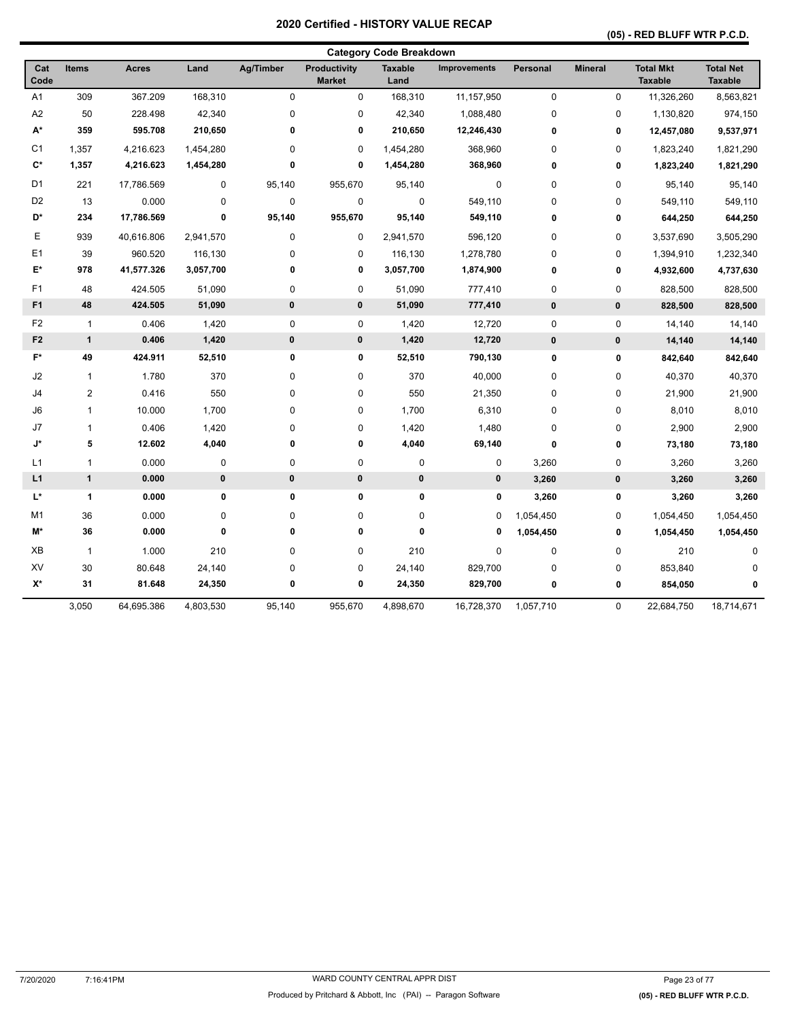## **(05) - RED BLUFF WTR P.C.D.**

|                    |                |              |           |              |                               | <b>Category Code Breakdown</b> |                     |              |                |                                    |                                    |
|--------------------|----------------|--------------|-----------|--------------|-------------------------------|--------------------------------|---------------------|--------------|----------------|------------------------------------|------------------------------------|
| Cat<br>Code        | <b>Items</b>   | <b>Acres</b> | Land      | Ag/Timber    | Productivity<br><b>Market</b> | <b>Taxable</b><br>Land         | <b>Improvements</b> | Personal     | <b>Mineral</b> | <b>Total Mkt</b><br><b>Taxable</b> | <b>Total Net</b><br><b>Taxable</b> |
| A1                 | 309            | 367.209      | 168,310   | $\mathbf 0$  | $\mathbf 0$                   | 168,310                        | 11,157,950          | $\mathbf 0$  | $\mathbf 0$    | 11,326,260                         | 8,563,821                          |
| A2                 | 50             | 228.498      | 42,340    | $\pmb{0}$    | 0                             | 42,340                         | 1,088,480           | 0            | 0              | 1,130,820                          | 974,150                            |
| A*                 | 359            | 595.708      | 210,650   | 0            | 0                             | 210,650                        | 12,246,430          | 0            | 0              | 12,457,080                         | 9,537,971                          |
| C <sub>1</sub>     | 1,357          | 4,216.623    | 1,454,280 | $\mathbf 0$  | 0                             | 1,454,280                      | 368,960             | 0            | 0              | 1,823,240                          | 1,821,290                          |
| $C^*$              | 1,357          | 4,216.623    | 1,454,280 | 0            | $\mathbf 0$                   | 1,454,280                      | 368,960             | 0            | $\mathbf 0$    | 1,823,240                          | 1,821,290                          |
| D <sub>1</sub>     | 221            | 17,786.569   | $\pmb{0}$ | 95,140       | 955,670                       | 95,140                         | 0                   | $\mathbf 0$  | 0              | 95,140                             | 95,140                             |
| D <sub>2</sub>     | 13             | 0.000        | $\pmb{0}$ | $\mathbf 0$  | $\pmb{0}$                     | $\mathbf 0$                    | 549,110             | 0            | 0              | 549,110                            | 549,110                            |
| D*                 | 234            | 17,786.569   | 0         | 95,140       | 955,670                       | 95,140                         | 549,110             | 0            | 0              | 644,250                            | 644,250                            |
| Е                  | 939            | 40,616.806   | 2,941,570 | $\pmb{0}$    | 0                             | 2,941,570                      | 596,120             | 0            | 0              | 3,537,690                          | 3,505,290                          |
| E <sub>1</sub>     | 39             | 960.520      | 116,130   | 0            | 0                             | 116,130                        | 1,278,780           | 0            | 0              | 1,394,910                          | 1,232,340                          |
| E*                 | 978            | 41,577.326   | 3,057,700 | 0            | 0                             | 3,057,700                      | 1,874,900           | 0            | 0              | 4,932,600                          | 4,737,630                          |
| F1                 | 48             | 424.505      | 51,090    | $\pmb{0}$    | 0                             | 51,090                         | 777,410             | $\mathbf 0$  | 0              | 828,500                            | 828,500                            |
| F1                 | 48             | 424.505      | 51,090    | $\mathbf{0}$ | $\pmb{0}$                     | 51,090                         | 777,410             | $\mathbf{0}$ | $\mathbf{0}$   | 828,500                            | 828,500                            |
| F <sub>2</sub>     | $\mathbf{1}$   | 0.406        | 1,420     | $\pmb{0}$    | 0                             | 1,420                          | 12,720              | $\pmb{0}$    | $\pmb{0}$      | 14,140                             | 14,140                             |
| F <sub>2</sub>     | $\mathbf{1}$   | 0.406        | 1,420     | 0            | $\pmb{0}$                     | 1,420                          | 12,720              | $\pmb{0}$    | $\pmb{0}$      | 14,140                             | 14,140                             |
| F*                 | 49             | 424.911      | 52,510    | 0            | 0                             | 52,510                         | 790,130             | 0            | 0              | 842,640                            | 842,640                            |
| J2                 | $\mathbf{1}$   | 1.780        | 370       | $\pmb{0}$    | 0                             | 370                            | 40,000              | 0            | 0              | 40,370                             | 40,370                             |
| J4                 | $\overline{c}$ | 0.416        | 550       | $\pmb{0}$    | 0                             | 550                            | 21,350              | 0            | 0              | 21,900                             | 21,900                             |
| J6                 | $\mathbf{1}$   | 10.000       | 1,700     | $\mathbf 0$  | 0                             | 1,700                          | 6,310               | $\mathbf 0$  | 0              | 8,010                              | 8,010                              |
| J7                 | 1              | 0.406        | 1,420     | $\pmb{0}$    | 0                             | 1,420                          | 1,480               | 0            | 0              | 2,900                              | 2,900                              |
| J*                 | 5              | 12.602       | 4,040     | 0            | 0                             | 4,040                          | 69,140              | 0            | $\pmb{0}$      | 73,180                             | 73,180                             |
| L1                 | $\mathbf{1}$   | 0.000        | 0         | $\pmb{0}$    | 0                             | 0                              | 0                   | 3,260        | 0              | 3,260                              | 3,260                              |
| L1                 | $\mathbf{1}$   | 0.000        | $\pmb{0}$ | $\pmb{0}$    | $\pmb{0}$                     | 0                              | 0                   | 3,260        | $\pmb{0}$      | 3,260                              | 3,260                              |
| L*                 | $\mathbf{1}$   | 0.000        | 0         | 0            | 0                             | 0                              | $\pmb{0}$           | 3,260        | 0              | 3,260                              | 3,260                              |
| M <sub>1</sub>     | 36             | 0.000        | $\pmb{0}$ | $\mathbf 0$  | 0                             | 0                              | $\mathbf 0$         | 1,054,450    | 0              | 1,054,450                          | 1,054,450                          |
| M*                 | 36             | 0.000        | 0         | 0            | 0                             | 0                              | 0                   | 1,054,450    | 0              | 1,054,450                          | 1,054,450                          |
| ХB                 | $\mathbf{1}$   | 1.000        | 210       | $\pmb{0}$    | 0                             | 210                            | 0                   | $\pmb{0}$    | 0              | 210                                | 0                                  |
| XV                 | 30             | 80.648       | 24,140    | $\mathbf 0$  | 0                             | 24,140                         | 829,700             | 0            | 0              | 853,840                            | $\Omega$                           |
| $\mathsf{X}^\star$ | 31             | 81.648       | 24,350    | 0            | 0                             | 24,350                         | 829,700             | 0            | 0              | 854,050                            | 0                                  |
|                    | 3,050          | 64,695.386   | 4,803,530 | 95,140       | 955,670                       | 4,898,670                      | 16,728,370          | 1,057,710    | 0              | 22,684,750                         | 18,714,671                         |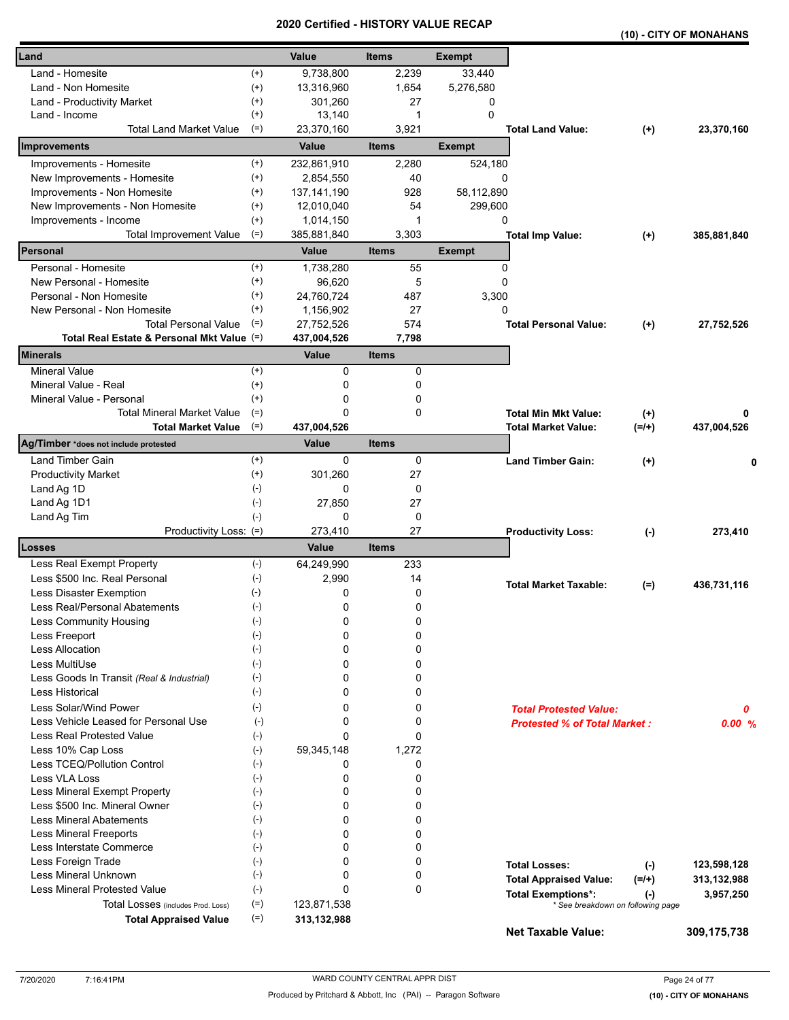|                                            |                    | a un cu      | ו טווי<br>UNI VALUL |               |                                     |                                                | (10) - CITY OF MONAHANS |
|--------------------------------------------|--------------------|--------------|---------------------|---------------|-------------------------------------|------------------------------------------------|-------------------------|
| Land                                       |                    | Value        | <b>Items</b>        | <b>Exempt</b> |                                     |                                                |                         |
| Land - Homesite                            | $^{(+)}$           | 9,738,800    | 2,239               | 33,440        |                                     |                                                |                         |
| Land - Non Homesite                        | $^{(+)}$           | 13,316,960   | 1,654               | 5,276,580     |                                     |                                                |                         |
| Land - Productivity Market                 | $^{(+)}$           | 301,260      | 27                  | 0             |                                     |                                                |                         |
| Land - Income                              | $^{(+)}$           | 13,140       | 1                   | 0             |                                     |                                                |                         |
| <b>Total Land Market Value</b>             | $(=)$              | 23,370,160   | 3,921               |               | <b>Total Land Value:</b>            | $(+)$                                          | 23,370,160              |
| Improvements                               |                    | Value        | <b>Items</b>        | <b>Exempt</b> |                                     |                                                |                         |
| Improvements - Homesite                    | $^{(+)}$           | 232,861,910  | 2,280               | 524,180       |                                     |                                                |                         |
| New Improvements - Homesite                | $^{(+)}$           | 2,854,550    | 40                  | $\Omega$      |                                     |                                                |                         |
| Improvements - Non Homesite                | $^{(+)}$           | 137,141,190  | 928                 | 58,112,890    |                                     |                                                |                         |
| New Improvements - Non Homesite            | $^{(+)}$           | 12,010,040   | 54                  | 299,600       |                                     |                                                |                         |
| Improvements - Income                      | $^{(+)}$           | 1,014,150    | 1                   | 0             |                                     |                                                |                         |
| <b>Total Improvement Value</b>             | $(=)$              | 385,881,840  | 3,303               |               | <b>Total Imp Value:</b>             | $^{(+)}$                                       | 385,881,840             |
| Personal                                   |                    | Value        | <b>Items</b>        | <b>Exempt</b> |                                     |                                                |                         |
| Personal - Homesite                        | $^{(+)}$           | 1,738,280    | 55                  | 0             |                                     |                                                |                         |
| New Personal - Homesite                    | $^{(+)}$           | 96,620       | 5                   | 0             |                                     |                                                |                         |
| Personal - Non Homesite                    | $^{(+)}$           | 24,760,724   | 487                 | 3,300         |                                     |                                                |                         |
| New Personal - Non Homesite                | $^{(+)}$           | 1,156,902    | 27                  | $\Omega$      |                                     |                                                |                         |
| <b>Total Personal Value</b>                | $(=)$              | 27,752,526   | 574                 |               | <b>Total Personal Value:</b>        | $(+)$                                          | 27,752,526              |
| Total Real Estate & Personal Mkt Value (=) |                    | 437,004,526  | 7,798               |               |                                     |                                                |                         |
| <b>Minerals</b>                            |                    | <b>Value</b> | <b>Items</b>        |               |                                     |                                                |                         |
| <b>Mineral Value</b>                       | $(+)$              | 0            | 0                   |               |                                     |                                                |                         |
| Mineral Value - Real                       | $^{(+)}$           | 0            | 0                   |               |                                     |                                                |                         |
| Mineral Value - Personal                   | $^{(+)}$           | 0            | 0                   |               |                                     |                                                |                         |
| <b>Total Mineral Market Value</b>          | $(=)$              | 0            | 0                   |               | <b>Total Min Mkt Value:</b>         | $^{(+)}$                                       | 0                       |
| <b>Total Market Value</b>                  | $(=)$              | 437,004,526  |                     |               | <b>Total Market Value:</b>          | $(=/+)$                                        | 437,004,526             |
| Ag/Timber *does not include protested      |                    | Value        | <b>Items</b>        |               |                                     |                                                |                         |
| Land Timber Gain                           | $^{(+)}$           | 0            | 0                   |               | <b>Land Timber Gain:</b>            | $(+)$                                          | 0                       |
| <b>Productivity Market</b>                 | $^{(+)}$           | 301,260      | 27                  |               |                                     |                                                |                         |
| Land Ag 1D                                 | $(-)$              | 0            | 0                   |               |                                     |                                                |                         |
| Land Ag 1D1                                | $(-)$              | 27,850       | 27                  |               |                                     |                                                |                         |
| Land Ag Tim                                | $(-)$              | 0            | 0                   |               |                                     |                                                |                         |
| Productivity Loss: (=)                     |                    | 273,410      | 27                  |               | <b>Productivity Loss:</b>           | $(\cdot)$                                      | 273,410                 |
| Losses                                     |                    | <b>Value</b> | <b>Items</b>        |               |                                     |                                                |                         |
| Less Real Exempt Property                  | $(-)$              | 64,249,990   | 233                 |               |                                     |                                                |                         |
| Less \$500 Inc. Real Personal              | $(-)$              | 2,990        | 14                  |               | <b>Total Market Taxable:</b>        |                                                | 436,731,116             |
| Less Disaster Exemption                    | $(\text{-})$       | 0            | 0                   |               |                                     | $(=)$                                          |                         |
| Less Real/Personal Abatements              | $(\textnormal{-})$ | 0            | 0                   |               |                                     |                                                |                         |
| Less Community Housing                     | $(-)$              | 0            | 0                   |               |                                     |                                                |                         |
| Less Freeport                              | $(-)$              | 0            | 0                   |               |                                     |                                                |                         |
| <b>Less Allocation</b>                     | $(-)$              | 0            | 0                   |               |                                     |                                                |                         |
| Less MultiUse                              | $(-)$              | 0            | 0                   |               |                                     |                                                |                         |
| Less Goods In Transit (Real & Industrial)  | $(-)$              | 0            | 0                   |               |                                     |                                                |                         |
| <b>Less Historical</b>                     | $(-)$              | 0            | 0                   |               |                                     |                                                |                         |
| Less Solar/Wind Power                      | $(-)$              | 0            | 0                   |               | <b>Total Protested Value:</b>       |                                                | 0                       |
| Less Vehicle Leased for Personal Use       | $(-)$              | 0            | 0                   |               | <b>Protested % of Total Market:</b> |                                                | 0.00%                   |
| Less Real Protested Value                  | $(-)$              | 0            | 0                   |               |                                     |                                                |                         |
| Less 10% Cap Loss                          | $(-)$              | 59,345,148   | 1,272               |               |                                     |                                                |                         |
| Less TCEQ/Pollution Control                | $(-)$              | 0            | 0                   |               |                                     |                                                |                         |
| Less VLA Loss                              | $(\cdot)$          | 0            | 0                   |               |                                     |                                                |                         |
| Less Mineral Exempt Property               | $(-)$              | 0            | 0                   |               |                                     |                                                |                         |
| Less \$500 Inc. Mineral Owner              | $(-)$              | 0            | 0                   |               |                                     |                                                |                         |
| <b>Less Mineral Abatements</b>             | $(-)$              | 0            | 0                   |               |                                     |                                                |                         |
| <b>Less Mineral Freeports</b>              | $(-)$              | 0            | 0                   |               |                                     |                                                |                         |
| Less Interstate Commerce                   | $(-)$              | 0            | 0                   |               |                                     |                                                |                         |
| Less Foreign Trade                         | $(-)$              | 0            | 0                   |               |                                     |                                                |                         |
| Less Mineral Unknown                       | $(-)$              | 0            | 0                   |               | <b>Total Losses:</b>                | $(-)$                                          | 123,598,128             |
| Less Mineral Protested Value               | $(-)$              | 0            | 0                   |               | <b>Total Appraised Value:</b>       | $(=/+)$                                        | 313,132,988             |
| Total Losses (includes Prod. Loss)         | $(=)$              | 123,871,538  |                     |               | <b>Total Exemptions*:</b>           | $(\cdot)$<br>* See breakdown on following page | 3,957,250               |
| <b>Total Appraised Value</b>               | $(=)$              | 313,132,988  |                     |               |                                     |                                                |                         |
|                                            |                    |              |                     |               | <b>Net Taxable Value:</b>           |                                                | 309,175,738             |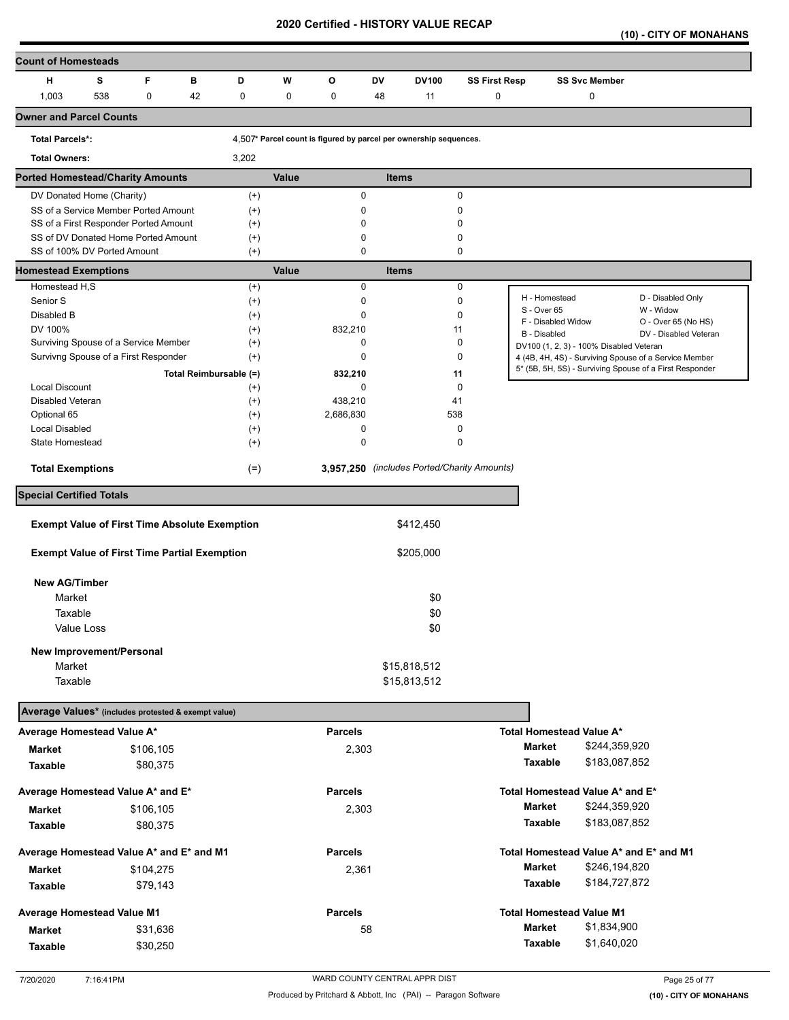**(10) - CITY OF MONAHANS** 

| <b>Count of Homesteads</b>                           |     |             |    |                        |       |                |              |                                                                   |                      |                                         |                      |                                                         |
|------------------------------------------------------|-----|-------------|----|------------------------|-------|----------------|--------------|-------------------------------------------------------------------|----------------------|-----------------------------------------|----------------------|---------------------------------------------------------|
| н                                                    | s   | F           | в  | D                      | W     | O              | DV           | <b>DV100</b>                                                      | <b>SS First Resp</b> |                                         | <b>SS Svc Member</b> |                                                         |
| 1,003                                                | 538 | $\mathbf 0$ | 42 | 0                      | 0     | 0              | 48           | 11                                                                | 0                    |                                         | 0                    |                                                         |
| <b>Owner and Parcel Counts</b>                       |     |             |    |                        |       |                |              |                                                                   |                      |                                         |                      |                                                         |
| <b>Total Parcels*:</b>                               |     |             |    |                        |       |                |              | 4,507* Parcel count is figured by parcel per ownership sequences. |                      |                                         |                      |                                                         |
| <b>Total Owners:</b>                                 |     |             |    | 3,202                  |       |                |              |                                                                   |                      |                                         |                      |                                                         |
| <b>Ported Homestead/Charity Amounts</b>              |     |             |    |                        | Value |                | <b>Items</b> |                                                                   |                      |                                         |                      |                                                         |
| DV Donated Home (Charity)                            |     |             |    |                        |       | 0              |              |                                                                   | 0                    |                                         |                      |                                                         |
| SS of a Service Member Ported Amount                 |     |             |    | $^{(+)}$<br>$^{(+)}$   |       | 0              |              |                                                                   | 0                    |                                         |                      |                                                         |
| SS of a First Responder Ported Amount                |     |             |    | $^{(+)}$               |       | 0              |              |                                                                   | 0                    |                                         |                      |                                                         |
| SS of DV Donated Home Ported Amount                  |     |             |    | $^{(+)}$               |       | 0              |              |                                                                   | 0                    |                                         |                      |                                                         |
| SS of 100% DV Ported Amount                          |     |             |    | $^{(+)}$               |       | 0              |              |                                                                   | 0                    |                                         |                      |                                                         |
| <b>Homestead Exemptions</b>                          |     |             |    |                        | Value |                | <b>Items</b> |                                                                   |                      |                                         |                      |                                                         |
| Homestead H,S                                        |     |             |    | $^{(+)}$               |       | $\mathbf 0$    |              |                                                                   | 0                    |                                         |                      |                                                         |
| Senior S                                             |     |             |    | $^{(+)}$               |       | 0              |              |                                                                   | 0                    | H - Homestead                           |                      | D - Disabled Only                                       |
| Disabled B                                           |     |             |    | $^{(+)}$               |       | 0              |              |                                                                   | 0                    | S - Over 65                             |                      | W - Widow                                               |
| DV 100%                                              |     |             |    | $^{(+)}$               |       | 832,210        |              | 11                                                                |                      | F - Disabled Widow<br>B - Disabled      |                      | O - Over 65 (No HS)<br>DV - Disabled Veteran            |
| Surviving Spouse of a Service Member                 |     |             |    | $^{(+)}$               |       | 0              |              |                                                                   | 0                    | DV100 (1, 2, 3) - 100% Disabled Veteran |                      |                                                         |
| Survivng Spouse of a First Responder                 |     |             |    | $^{(+)}$               |       | 0              |              |                                                                   | 0                    |                                         |                      | 4 (4B, 4H, 4S) - Surviving Spouse of a Service Member   |
|                                                      |     |             |    | Total Reimbursable (=) |       | 832,210        |              | 11                                                                |                      |                                         |                      | 5* (5B, 5H, 5S) - Surviving Spouse of a First Responder |
| <b>Local Discount</b>                                |     |             |    | $^{(+)}$               |       | 0              |              |                                                                   | 0                    |                                         |                      |                                                         |
| <b>Disabled Veteran</b>                              |     |             |    | $^{(+)}$               |       | 438,210        |              | 41                                                                |                      |                                         |                      |                                                         |
| Optional 65                                          |     |             |    | $^{(+)}$               |       | 2,686,830      |              | 538                                                               |                      |                                         |                      |                                                         |
| <b>Local Disabled</b>                                |     |             |    | $^{(+)}$               |       | 0              |              |                                                                   | 0                    |                                         |                      |                                                         |
| State Homestead                                      |     |             |    | $^{(+)}$               |       | 0              |              |                                                                   | 0                    |                                         |                      |                                                         |
| <b>Total Exemptions</b>                              |     |             |    | $(=)$                  |       |                |              | 3,957,250 (includes Ported/Charity Amounts)                       |                      |                                         |                      |                                                         |
|                                                      |     |             |    |                        |       |                |              |                                                                   |                      |                                         |                      |                                                         |
| <b>Special Certified Totals</b>                      |     |             |    |                        |       |                |              |                                                                   |                      |                                         |                      |                                                         |
|                                                      |     |             |    |                        |       |                |              |                                                                   |                      |                                         |                      |                                                         |
| <b>Exempt Value of First Time Absolute Exemption</b> |     |             |    |                        |       |                |              | \$412,450                                                         |                      |                                         |                      |                                                         |
| <b>Exempt Value of First Time Partial Exemption</b>  |     |             |    |                        |       |                |              | \$205,000                                                         |                      |                                         |                      |                                                         |
|                                                      |     |             |    |                        |       |                |              |                                                                   |                      |                                         |                      |                                                         |
| <b>New AG/Timber</b>                                 |     |             |    |                        |       |                |              |                                                                   |                      |                                         |                      |                                                         |
| Market                                               |     |             |    |                        |       |                |              | \$0                                                               |                      |                                         |                      |                                                         |
| Taxable                                              |     |             |    |                        |       |                |              | \$0                                                               |                      |                                         |                      |                                                         |
| Value Loss                                           |     |             |    |                        |       |                |              | \$0                                                               |                      |                                         |                      |                                                         |
|                                                      |     |             |    |                        |       |                |              |                                                                   |                      |                                         |                      |                                                         |
| New Improvement/Personal                             |     |             |    |                        |       |                |              |                                                                   |                      |                                         |                      |                                                         |
| Market                                               |     |             |    |                        |       |                |              | \$15,818,512                                                      |                      |                                         |                      |                                                         |
| Taxable                                              |     |             |    |                        |       |                |              | \$15,813,512                                                      |                      |                                         |                      |                                                         |
| Average Values* (includes protested & exempt value)  |     |             |    |                        |       |                |              |                                                                   |                      |                                         |                      |                                                         |
|                                                      |     |             |    |                        |       | <b>Parcels</b> |              |                                                                   |                      |                                         |                      |                                                         |
| Average Homestead Value A*                           |     |             |    |                        |       |                |              |                                                                   |                      | Total Homestead Value A*                |                      |                                                         |
| <b>Market</b>                                        |     | \$106,105   |    |                        |       | 2,303          |              |                                                                   |                      | Market                                  | \$244,359,920        |                                                         |
| Taxable                                              |     | \$80,375    |    |                        |       |                |              |                                                                   |                      | <b>Taxable</b>                          | \$183,087,852        |                                                         |
| Average Homestead Value A* and E*                    |     |             |    |                        |       | <b>Parcels</b> |              |                                                                   |                      | Total Homestead Value A* and E*         |                      |                                                         |
| Market                                               |     | \$106,105   |    |                        |       | 2,303          |              |                                                                   |                      | <b>Market</b>                           | \$244,359,920        |                                                         |
|                                                      |     |             |    |                        |       |                |              |                                                                   |                      | Taxable                                 | \$183,087,852        |                                                         |
| Taxable                                              |     | \$80,375    |    |                        |       |                |              |                                                                   |                      |                                         |                      |                                                         |
| Average Homestead Value A* and E* and M1             |     |             |    |                        |       | <b>Parcels</b> |              |                                                                   |                      |                                         |                      | Total Homestead Value A* and E* and M1                  |
| Market                                               |     | \$104,275   |    |                        |       | 2,361          |              |                                                                   |                      | <b>Market</b>                           | \$246,194,820        |                                                         |
| Taxable                                              |     | \$79,143    |    |                        |       |                |              |                                                                   |                      | Taxable                                 | \$184,727,872        |                                                         |
|                                                      |     |             |    |                        |       |                |              |                                                                   |                      |                                         |                      |                                                         |
| <b>Average Homestead Value M1</b>                    |     |             |    |                        |       | <b>Parcels</b> |              |                                                                   |                      | <b>Total Homestead Value M1</b>         |                      |                                                         |
| <b>Market</b>                                        |     | \$31,636    |    |                        |       |                | 58           |                                                                   |                      | <b>Market</b>                           | \$1,834,900          |                                                         |
| Taxable                                              |     | \$30,250    |    |                        |       |                |              |                                                                   |                      | Taxable                                 | \$1,640,020          |                                                         |
|                                                      |     |             |    |                        |       |                |              |                                                                   |                      |                                         |                      |                                                         |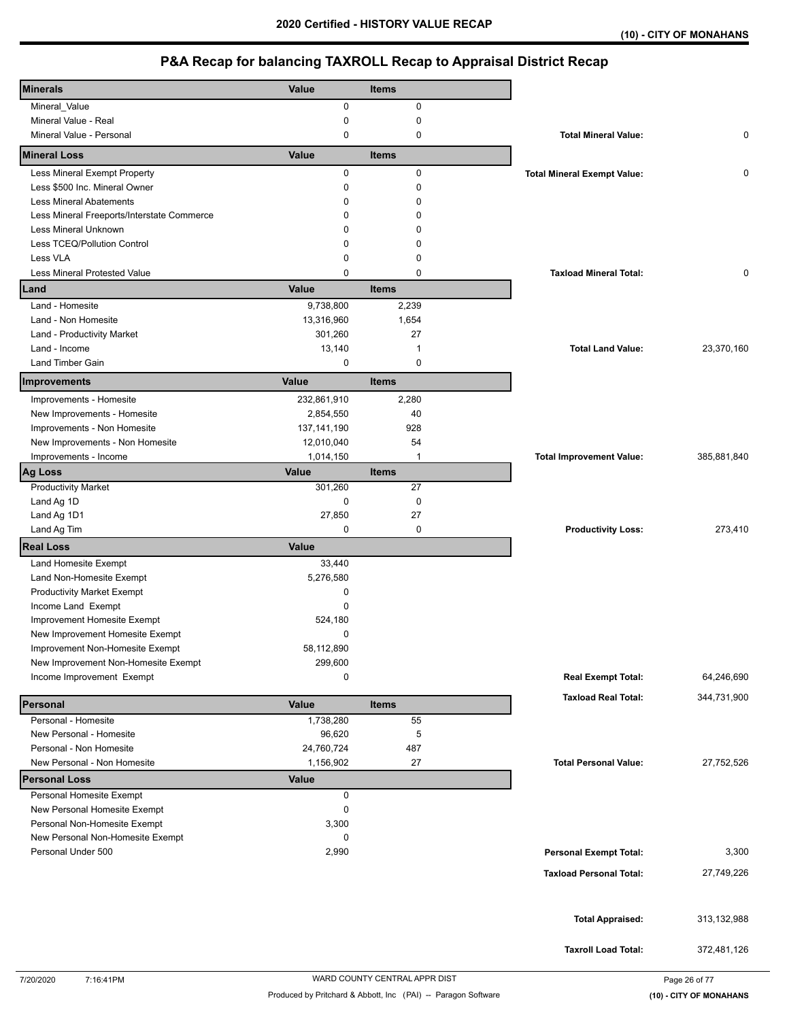| <b>Minerals</b>                                     | Value                     | <b>Items</b> |                                    |             |
|-----------------------------------------------------|---------------------------|--------------|------------------------------------|-------------|
| Mineral_Value                                       | 0                         | 0            |                                    |             |
| Mineral Value - Real                                | 0                         | 0            |                                    |             |
| Mineral Value - Personal                            | 0                         | 0            | <b>Total Mineral Value:</b>        | 0           |
| <b>Mineral Loss</b>                                 | Value                     | <b>Items</b> |                                    |             |
| Less Mineral Exempt Property                        | 0                         | 0            | <b>Total Mineral Exempt Value:</b> | 0           |
| Less \$500 Inc. Mineral Owner                       | 0                         | 0            |                                    |             |
| <b>Less Mineral Abatements</b>                      | 0                         | 0            |                                    |             |
| Less Mineral Freeports/Interstate Commerce          | 0                         | 0            |                                    |             |
| Less Mineral Unknown                                | 0                         | 0            |                                    |             |
| Less TCEQ/Pollution Control                         | 0                         | 0            |                                    |             |
| Less VLA                                            | 0                         | 0            |                                    |             |
| <b>Less Mineral Protested Value</b>                 | 0                         | 0            | <b>Taxload Mineral Total:</b>      | 0           |
| Land                                                | Value                     | <b>Items</b> |                                    |             |
| Land - Homesite                                     | 9,738,800                 | 2,239        |                                    |             |
| Land - Non Homesite                                 | 13,316,960                | 1,654        |                                    |             |
| Land - Productivity Market                          | 301,260                   | 27           |                                    |             |
| Land - Income                                       | 13,140                    | $\mathbf{1}$ | <b>Total Land Value:</b>           | 23,370,160  |
| Land Timber Gain                                    | 0                         | 0            |                                    |             |
| Improvements                                        | Value                     | <b>Items</b> |                                    |             |
| Improvements - Homesite                             | 232,861,910               | 2,280        |                                    |             |
| New Improvements - Homesite                         | 2,854,550                 | 40           |                                    |             |
| Improvements - Non Homesite                         | 137, 141, 190             | 928          |                                    |             |
| New Improvements - Non Homesite                     | 12,010,040                | 54           |                                    |             |
| Improvements - Income                               | 1,014,150                 | $\mathbf{1}$ | <b>Total Improvement Value:</b>    | 385,881,840 |
| <b>Ag Loss</b>                                      | Value                     | <b>Items</b> |                                    |             |
| <b>Productivity Market</b>                          | 301,260                   | 27           |                                    |             |
| Land Ag 1D                                          | 0                         | $\mathbf 0$  |                                    |             |
| Land Ag 1D1                                         | 27,850                    | 27           |                                    |             |
|                                                     |                           |              |                                    |             |
| Land Ag Tim                                         | 0                         | 0            | <b>Productivity Loss:</b>          | 273,410     |
| <b>Real Loss</b>                                    | Value                     |              |                                    |             |
| Land Homesite Exempt                                | 33,440                    |              |                                    |             |
| Land Non-Homesite Exempt                            | 5,276,580                 |              |                                    |             |
| <b>Productivity Market Exempt</b>                   | 0                         |              |                                    |             |
| Income Land Exempt                                  | 0                         |              |                                    |             |
| Improvement Homesite Exempt                         | 524,180                   |              |                                    |             |
| New Improvement Homesite Exempt                     | 0                         |              |                                    |             |
| Improvement Non-Homesite Exempt                     | 58,112,890                |              |                                    |             |
| New Improvement Non-Homesite Exempt                 | 299,600                   |              |                                    |             |
| Income Improvement Exempt                           | 0                         |              | <b>Real Exempt Total:</b>          | 64,246,690  |
|                                                     |                           |              | <b>Taxload Real Total:</b>         | 344,731,900 |
| Personal                                            | Value                     | <b>Items</b> |                                    |             |
| Personal - Homesite                                 | 1,738,280                 | 55           |                                    |             |
| New Personal - Homesite                             | 96,620                    | 5            |                                    |             |
| Personal - Non Homesite                             | 24,760,724                | 487          |                                    |             |
| New Personal - Non Homesite<br><b>Personal Loss</b> | 1,156,902<br><b>Value</b> | 27           | <b>Total Personal Value:</b>       | 27,752,526  |
| Personal Homesite Exempt                            | 0                         |              |                                    |             |
| New Personal Homesite Exempt                        | 0                         |              |                                    |             |
| Personal Non-Homesite Exempt                        | 3,300                     |              |                                    |             |
| New Personal Non-Homesite Exempt                    | 0                         |              |                                    |             |
| Personal Under 500                                  | 2,990                     |              | <b>Personal Exempt Total:</b>      | 3,300       |
|                                                     |                           |              |                                    |             |
|                                                     |                           |              | <b>Taxload Personal Total:</b>     | 27,749,226  |
|                                                     |                           |              |                                    |             |
|                                                     |                           |              |                                    | 313,132,988 |
|                                                     |                           |              | <b>Total Appraised:</b>            |             |
|                                                     |                           |              | <b>Taxroll Load Total:</b>         | 372,481,126 |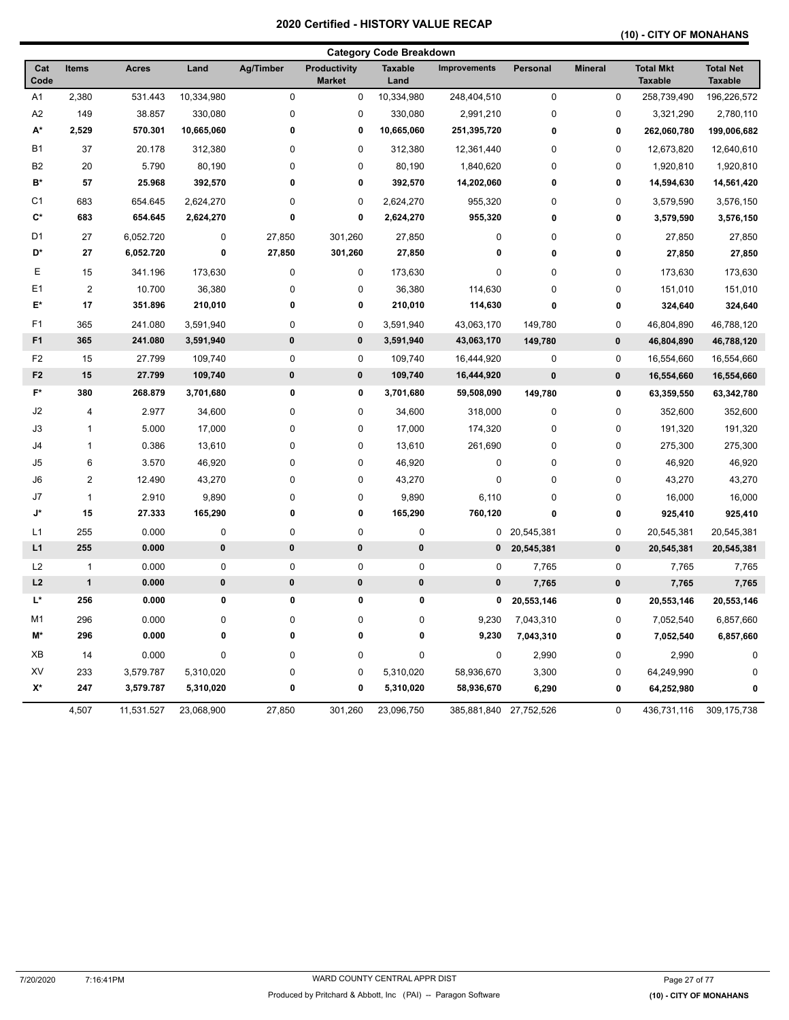## **(10) - CITY OF MONAHANS**

|                |              |              |             |             |                                      | <b>Category Code Breakdown</b> |              |              |                |                                    |                                    |
|----------------|--------------|--------------|-------------|-------------|--------------------------------------|--------------------------------|--------------|--------------|----------------|------------------------------------|------------------------------------|
| Cat<br>Code    | <b>Items</b> | <b>Acres</b> | Land        | Ag/Timber   | <b>Productivity</b><br><b>Market</b> | <b>Taxable</b><br>Land         | Improvements | Personal     | <b>Mineral</b> | <b>Total Mkt</b><br><b>Taxable</b> | <b>Total Net</b><br><b>Taxable</b> |
| A <sub>1</sub> | 2,380        | 531.443      | 10,334,980  | $\mathbf 0$ | 0                                    | 10,334,980                     | 248,404,510  | $\mathbf 0$  | $\mathbf 0$    | 258,739,490                        | 196,226,572                        |
| A <sub>2</sub> | 149          | 38.857       | 330,080     | $\pmb{0}$   | $\pmb{0}$                            | 330,080                        | 2,991,210    | 0            | 0              | 3,321,290                          | 2,780,110                          |
| A*             | 2,529        | 570.301      | 10,665,060  | 0           | 0                                    | 10,665,060                     | 251,395,720  | 0            | 0              | 262,060,780                        | 199,006,682                        |
| <b>B1</b>      | 37           | 20.178       | 312,380     | $\mathbf 0$ | $\mathbf 0$                          | 312,380                        | 12,361,440   | $\mathbf 0$  | $\mathbf 0$    | 12,673,820                         | 12,640,610                         |
| B <sub>2</sub> | 20           | 5.790        | 80,190      | $\mathbf 0$ | 0                                    | 80,190                         | 1,840,620    | $\mathbf 0$  | 0              | 1,920,810                          | 1,920,810                          |
| B*             | 57           | 25.968       | 392,570     | 0           | 0                                    | 392,570                        | 14,202,060   | 0            | 0              | 14,594,630                         | 14,561,420                         |
| C <sub>1</sub> | 683          | 654.645      | 2,624,270   | $\pmb{0}$   | 0                                    | 2,624,270                      | 955,320      | 0            | 0              | 3,579,590                          | 3,576,150                          |
| C*             | 683          | 654.645      | 2,624,270   | 0           | $\mathbf 0$                          | 2,624,270                      | 955,320      | 0            | 0              | 3,579,590                          | 3,576,150                          |
| D <sub>1</sub> | 27           | 6,052.720    | 0           | 27,850      | 301,260                              | 27,850                         | $\pmb{0}$    | 0            | $\mathbf 0$    | 27,850                             | 27,850                             |
| D*             | 27           | 6,052.720    | 0           | 27,850      | 301,260                              | 27,850                         | 0            | $\bf{0}$     | 0              | 27,850                             | 27,850                             |
| E              | 15           | 341.196      | 173,630     | $\pmb{0}$   | 0                                    | 173,630                        | $\pmb{0}$    | 0            | 0              | 173,630                            | 173,630                            |
| E1             | $\mathbf 2$  | 10.700       | 36,380      | $\pmb{0}$   | 0                                    | 36,380                         | 114,630      | 0            | 0              | 151,010                            | 151,010                            |
| E*             | 17           | 351.896      | 210,010     | 0           | 0                                    | 210,010                        | 114,630      | $\bf{0}$     | 0              | 324,640                            | 324,640                            |
| F <sub>1</sub> | 365          | 241.080      | 3,591,940   | $\pmb{0}$   | $\pmb{0}$                            | 3,591,940                      | 43,063,170   | 149,780      | 0              | 46,804,890                         | 46,788,120                         |
| F <sub>1</sub> | 365          | 241.080      | 3,591,940   | $\pmb{0}$   | $\pmb{0}$                            | 3,591,940                      | 43,063,170   | 149,780      | $\pmb{0}$      | 46,804,890                         | 46,788,120                         |
| F <sub>2</sub> | 15           | 27.799       | 109,740     | $\pmb{0}$   | $\pmb{0}$                            | 109,740                        | 16,444,920   | 0            | 0              | 16,554,660                         | 16,554,660                         |
| F <sub>2</sub> | 15           | 27.799       | 109,740     | $\pmb{0}$   | 0                                    | 109,740                        | 16,444,920   | $\pmb{0}$    | $\pmb{0}$      | 16,554,660                         | 16,554,660                         |
| $F^*$          | 380          | 268.879      | 3,701,680   | 0           | 0                                    | 3,701,680                      | 59,508,090   | 149,780      | 0              | 63,359,550                         | 63,342,780                         |
| J2             | 4            | 2.977        | 34,600      | $\mathbf 0$ | 0                                    | 34,600                         | 318,000      | 0            | $\mathbf 0$    | 352,600                            | 352,600                            |
| J3             | $\mathbf{1}$ | 5.000        | 17,000      | $\mathbf 0$ | $\pmb{0}$                            | 17,000                         | 174,320      | 0            | 0              | 191,320                            | 191,320                            |
| J4             | $\mathbf{1}$ | 0.386        | 13,610      | $\mathbf 0$ | $\pmb{0}$                            | 13,610                         | 261,690      | 0            | 0              | 275,300                            | 275,300                            |
| J <sub>5</sub> | 6            | 3.570        | 46,920      | $\pmb{0}$   | 0                                    | 46,920                         | $\pmb{0}$    | 0            | 0              | 46,920                             | 46,920                             |
| J6             | $\mathbf{2}$ | 12.490       | 43,270      | $\pmb{0}$   | 0                                    | 43,270                         | $\pmb{0}$    | 0            | 0              | 43,270                             | 43,270                             |
| J7             | $\mathbf{1}$ | 2.910        | 9,890       | $\pmb{0}$   | 0                                    | 9,890                          | 6,110        | 0            | 0              | 16,000                             | 16,000                             |
| J*             | 15           | 27.333       | 165,290     | 0           | $\pmb{0}$                            | 165,290                        | 760,120      | 0            | 0              | 925,410                            | 925,410                            |
| L1             | 255          | 0.000        | 0           | $\mathbf 0$ | 0                                    | $\pmb{0}$                      |              | 0 20,545,381 | 0              | 20,545,381                         | 20,545,381                         |
| L1             | 255          | 0.000        | $\pmb{0}$   | $\pmb{0}$   | $\pmb{0}$                            | $\pmb{0}$                      | $\mathbf 0$  | 20,545,381   | $\pmb{0}$      | 20,545,381                         | 20,545,381                         |
| L2             | $\mathbf{1}$ | 0.000        | 0           | $\mathbf 0$ | 0                                    | $\pmb{0}$                      | $\mathbf 0$  | 7,765        | 0              | 7,765                              | 7,765                              |
| L2             | $\mathbf{1}$ | 0.000        | $\pmb{0}$   | $\pmb{0}$   | 0                                    | $\pmb{0}$                      | $\bf{0}$     | 7,765        | $\pmb{0}$      | 7,765                              | 7,765                              |
| L*             | 256          | 0.000        | 0           | $\mathbf 0$ | $\pmb{0}$                            | $\pmb{0}$                      | 0            | 20,553,146   | 0              | 20,553,146                         | 20,553,146                         |
| M1             | 296          | 0.000        | 0           | $\pmb{0}$   | $\pmb{0}$                            | 0                              | 9,230        | 7,043,310    | 0              | 7,052,540                          | 6,857,660                          |
| M*             | 296          | 0.000        | $\pmb{0}$   | $\mathbf 0$ | $\bf{0}$                             | $\bf{0}$                       | 9,230        | 7,043,310    | 0              | 7,052,540                          | 6,857,660                          |
| XB             | 14           | 0.000        | $\mathsf 0$ | $\mathbf 0$ | $\pmb{0}$                            | $\pmb{0}$                      | $\pmb{0}$    | 2,990        | 0              | 2,990                              | $\mathbf 0$                        |
| XV             | 233          | 3,579.787    | 5,310,020   | $\pmb{0}$   | $\mathbf 0$                          | 5,310,020                      | 58,936,670   | 3,300        | $\mathbf 0$    | 64,249,990                         | 0                                  |
| $X^*$          | 247          | 3,579.787    | 5,310,020   | 0           | $\pmb{0}$                            | 5,310,020                      | 58,936,670   | 6,290        | 0              | 64,252,980                         | $\mathbf{0}$                       |
|                | 4,507        | 11,531.527   | 23,068,900  | 27,850      | 301,260                              | 23,096,750                     | 385,881,840  | 27,752,526   | 0              | 436,731,116                        | 309,175,738                        |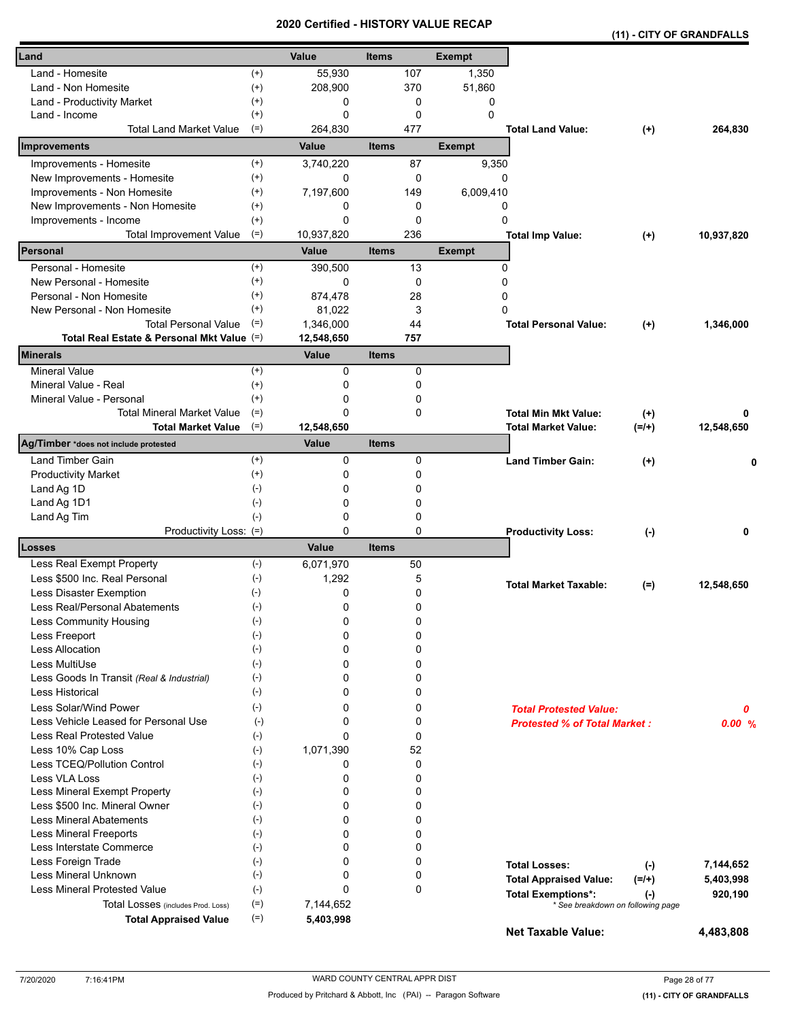|                                            |                    | cerunea      |              |     | <u>- NIJIURI VALUE REVAR</u> |                                     | (11) - CITY OF GRANDFALLS         |            |
|--------------------------------------------|--------------------|--------------|--------------|-----|------------------------------|-------------------------------------|-----------------------------------|------------|
| Land                                       |                    | Value        | <b>Items</b> |     | <b>Exempt</b>                |                                     |                                   |            |
| Land - Homesite                            | $^{(+)}$           | 55,930       |              | 107 | 1,350                        |                                     |                                   |            |
| Land - Non Homesite                        | $^{(+)}$           | 208,900      |              | 370 | 51,860                       |                                     |                                   |            |
| Land - Productivity Market                 | $^{(+)}$           | 0            |              | 0   | 0                            |                                     |                                   |            |
| Land - Income                              | $^{(+)}$           | 0            |              | 0   | $\Omega$                     |                                     |                                   |            |
| <b>Total Land Market Value</b>             | $(=)$              | 264,830      |              | 477 |                              | <b>Total Land Value:</b>            | $^{(+)}$                          | 264,830    |
| Improvements                               |                    | Value        | <b>Items</b> |     | <b>Exempt</b>                |                                     |                                   |            |
| Improvements - Homesite                    | $^{(+)}$           | 3,740,220    |              | 87  | 9,350                        |                                     |                                   |            |
| New Improvements - Homesite                | $^{(+)}$           | 0            |              | 0   | 0                            |                                     |                                   |            |
| Improvements - Non Homesite                | $^{(+)}$           | 7,197,600    |              | 149 | 6,009,410                    |                                     |                                   |            |
| New Improvements - Non Homesite            | $^{(+)}$           | 0            |              | 0   | 0                            |                                     |                                   |            |
| Improvements - Income                      | $^{(+)}$           | 0            |              | 0   | 0                            |                                     |                                   |            |
| <b>Total Improvement Value</b>             | $(=)$              | 10,937,820   |              | 236 |                              | <b>Total Imp Value:</b>             | $^{(+)}$                          | 10,937,820 |
| Personal                                   |                    | <b>Value</b> | <b>Items</b> |     | <b>Exempt</b>                |                                     |                                   |            |
| Personal - Homesite                        | $^{(+)}$           | 390,500      |              | 13  | 0                            |                                     |                                   |            |
| New Personal - Homesite                    | $^{(+)}$           | 0            |              | 0   | 0                            |                                     |                                   |            |
| Personal - Non Homesite                    | $^{(+)}$           | 874,478      |              | 28  | 0                            |                                     |                                   |            |
| New Personal - Non Homesite                | $^{(+)}$           | 81,022       |              | 3   | 0                            |                                     |                                   |            |
| <b>Total Personal Value</b>                | $(=)$              | 1,346,000    |              | 44  |                              | <b>Total Personal Value:</b>        | $^{(+)}$                          | 1,346,000  |
| Total Real Estate & Personal Mkt Value (=) |                    | 12,548,650   |              | 757 |                              |                                     |                                   |            |
| Minerals                                   |                    | Value        | <b>Items</b> |     |                              |                                     |                                   |            |
| <b>Mineral Value</b>                       | $^{(+)}$           | 0            |              | 0   |                              |                                     |                                   |            |
| Mineral Value - Real                       | $^{(+)}$           | 0            |              | 0   |                              |                                     |                                   |            |
| Mineral Value - Personal                   | $^{(+)}$           | 0            |              | 0   |                              |                                     |                                   |            |
| <b>Total Mineral Market Value</b>          | $(=)$              | 0            |              | 0   |                              | <b>Total Min Mkt Value:</b>         | $^{(+)}$                          | 0          |
| <b>Total Market Value</b>                  | $(=)$              | 12,548,650   |              |     |                              | <b>Total Market Value:</b>          | $(=/+)$                           | 12,548,650 |
| Ag/Timber *does not include protested      |                    | Value        | <b>Items</b> |     |                              |                                     |                                   |            |
| Land Timber Gain                           | $^{(+)}$           | 0            |              | 0   |                              | <b>Land Timber Gain:</b>            | $^{(+)}$                          | 0          |
| <b>Productivity Market</b>                 | $^{(+)}$           | 0            |              | 0   |                              |                                     |                                   |            |
| Land Ag 1D                                 | $(-)$              | 0            |              | 0   |                              |                                     |                                   |            |
| Land Ag 1D1                                | $(-)$              | 0            |              | 0   |                              |                                     |                                   |            |
| Land Ag Tim                                | $(-)$              | 0            |              | 0   |                              |                                     |                                   |            |
| Productivity Loss: (=)                     |                    | 0            |              | 0   |                              | <b>Productivity Loss:</b>           | $(-)$                             | 0          |
| Losses                                     |                    | Value        | <b>Items</b> |     |                              |                                     |                                   |            |
| Less Real Exempt Property                  | $(-)$              | 6,071,970    |              | 50  |                              |                                     |                                   |            |
| Less \$500 Inc. Real Personal              | $(-)$              | 1,292        |              | 5   |                              | <b>Total Market Taxable:</b>        | $(=)$                             | 12,548,650 |
| Less Disaster Exemption                    | $(-)$              | 0            |              | 0   |                              |                                     |                                   |            |
| Less Real/Personal Abatements              | $(\textnormal{-})$ | 0            |              | 0   |                              |                                     |                                   |            |
| Less Community Housing                     | $(-)$              | 0            |              | 0   |                              |                                     |                                   |            |
| Less Freeport                              | $(-)$              | 0            |              | 0   |                              |                                     |                                   |            |
| <b>Less Allocation</b>                     | $(-)$              | 0            |              | 0   |                              |                                     |                                   |            |
| Less MultiUse                              | $(-)$              | 0            |              | 0   |                              |                                     |                                   |            |
| Less Goods In Transit (Real & Industrial)  | $(-)$              | 0            |              | 0   |                              |                                     |                                   |            |
| <b>Less Historical</b>                     | $(-)$              | 0            |              | 0   |                              |                                     |                                   |            |
| Less Solar/Wind Power                      | $(-)$              | 0            |              | 0   |                              | <b>Total Protested Value:</b>       |                                   | 0          |
| Less Vehicle Leased for Personal Use       | $(-)$              | 0            |              | 0   |                              | <b>Protested % of Total Market:</b> |                                   | 0.00%      |
| <b>Less Real Protested Value</b>           | $(-)$              | 0            |              | 0   |                              |                                     |                                   |            |
| Less 10% Cap Loss                          | $(-)$              | 1,071,390    |              | 52  |                              |                                     |                                   |            |
| Less TCEQ/Pollution Control                | $(-)$              | 0            |              | 0   |                              |                                     |                                   |            |
| Less VLA Loss                              | $(\cdot)$          | 0            |              | 0   |                              |                                     |                                   |            |
| Less Mineral Exempt Property               | $(-)$              | 0            |              | 0   |                              |                                     |                                   |            |
| Less \$500 Inc. Mineral Owner              | $(-)$              | 0            |              | 0   |                              |                                     |                                   |            |
| <b>Less Mineral Abatements</b>             | $(-)$              | 0            |              | 0   |                              |                                     |                                   |            |
| <b>Less Mineral Freeports</b>              | $(-)$              | 0            |              | 0   |                              |                                     |                                   |            |
| Less Interstate Commerce                   | $(-)$              | 0            |              | 0   |                              |                                     |                                   |            |
| Less Foreign Trade                         | $(-)$              | 0            |              | 0   |                              | <b>Total Losses:</b>                | $(-)$                             | 7,144,652  |
| Less Mineral Unknown                       | $(-)$              | 0            |              | 0   |                              | <b>Total Appraised Value:</b>       | $(=/+)$                           | 5,403,998  |
| Less Mineral Protested Value               | $(-)$              | 0            |              | 0   |                              | <b>Total Exemptions*:</b>           | $(\cdot)$                         | 920,190    |
| Total Losses (includes Prod. Loss)         | $(=)$              | 7,144,652    |              |     |                              |                                     | * See breakdown on following page |            |
| <b>Total Appraised Value</b>               | $(=)$              | 5,403,998    |              |     |                              | <b>Net Taxable Value:</b>           |                                   | 4,483,808  |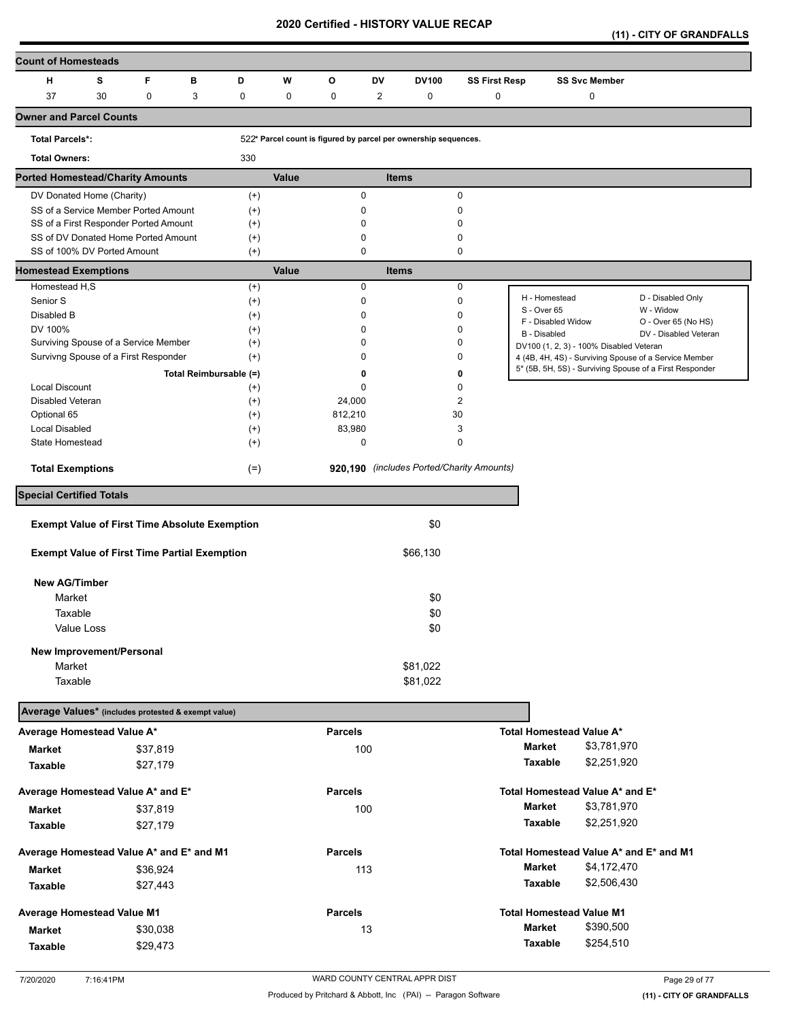**(11) - CITY OF GRANDFALLS** 

| <b>Count of Homesteads</b>                           |   |                        |          |       |                                                                 |              |              |                                           |                              |                                                |                                                         |
|------------------------------------------------------|---|------------------------|----------|-------|-----------------------------------------------------------------|--------------|--------------|-------------------------------------------|------------------------------|------------------------------------------------|---------------------------------------------------------|
| н<br>s                                               | F | в                      | D        | W     | O                                                               | DV           | <b>DV100</b> | <b>SS First Resp</b>                      |                              | <b>SS Svc Member</b>                           |                                                         |
| 37<br>30                                             | 0 | 3                      | 0        | 0     | 0                                                               | 2            | 0            | 0                                         |                              | 0                                              |                                                         |
| <b>Owner and Parcel Counts</b>                       |   |                        |          |       |                                                                 |              |              |                                           |                              |                                                |                                                         |
| <b>Total Parcels*:</b>                               |   |                        |          |       | 522* Parcel count is figured by parcel per ownership sequences. |              |              |                                           |                              |                                                |                                                         |
| <b>Total Owners:</b>                                 |   |                        | 330      |       |                                                                 |              |              |                                           |                              |                                                |                                                         |
| <b>Ported Homestead/Charity Amounts</b>              |   |                        |          | Value |                                                                 | <b>Items</b> |              |                                           |                              |                                                |                                                         |
| DV Donated Home (Charity)                            |   |                        | $^{(+)}$ |       | $\mathbf 0$                                                     |              |              | $\mathbf 0$                               |                              |                                                |                                                         |
| SS of a Service Member Ported Amount                 |   |                        | $^{(+)}$ |       | 0                                                               |              |              | 0                                         |                              |                                                |                                                         |
| SS of a First Responder Ported Amount                |   |                        | $^{(+)}$ |       | 0                                                               |              |              | 0                                         |                              |                                                |                                                         |
| SS of DV Donated Home Ported Amount                  |   |                        | $^{(+)}$ |       | $\mathbf 0$                                                     |              |              | 0                                         |                              |                                                |                                                         |
| SS of 100% DV Ported Amount                          |   |                        | $(+)$    |       | 0                                                               |              |              | $\mathbf 0$                               |                              |                                                |                                                         |
| <b>Homestead Exemptions</b>                          |   |                        |          | Value |                                                                 | <b>Items</b> |              |                                           |                              |                                                |                                                         |
| Homestead H,S                                        |   |                        | $^{(+)}$ |       | 0                                                               |              |              | $\pmb{0}$                                 |                              |                                                |                                                         |
| Senior S                                             |   |                        | $^{(+)}$ |       | 0                                                               |              |              | $\pmb{0}$                                 | H - Homestead<br>S - Over 65 |                                                | D - Disabled Only<br>W - Widow                          |
| Disabled B                                           |   |                        | $^{(+)}$ |       | 0                                                               |              |              | 0                                         | F - Disabled Widow           |                                                | O - Over 65 (No HS)                                     |
| DV 100%                                              |   |                        | $^{(+)}$ |       | $\mathbf 0$                                                     |              |              | 0                                         | <b>B</b> - Disabled          |                                                | DV - Disabled Veteran                                   |
| Surviving Spouse of a Service Member                 |   |                        | $^{(+)}$ |       | 0                                                               |              |              | 0                                         |                              | DV100 (1, 2, 3) - 100% Disabled Veteran        |                                                         |
| Survivng Spouse of a First Responder                 |   |                        | $^{(+)}$ |       | 0                                                               |              |              | 0                                         |                              |                                                | 4 (4B, 4H, 4S) - Surviving Spouse of a Service Member   |
|                                                      |   | Total Reimbursable (=) |          |       | 0                                                               |              |              | 0                                         |                              |                                                | 5* (5B, 5H, 5S) - Surviving Spouse of a First Responder |
| Local Discount                                       |   |                        | $^{(+)}$ |       | 0                                                               |              |              | $\mathbf 0$                               |                              |                                                |                                                         |
| Disabled Veteran                                     |   |                        | $^{(+)}$ |       | 24,000                                                          |              |              | $\overline{2}$                            |                              |                                                |                                                         |
| Optional 65                                          |   |                        | $^{(+)}$ |       | 812,210                                                         |              | 30           |                                           |                              |                                                |                                                         |
| Local Disabled                                       |   |                        | $^{(+)}$ |       | 83,980                                                          |              |              | 3                                         |                              |                                                |                                                         |
| State Homestead                                      |   |                        | $^{(+)}$ |       | $\mathbf 0$                                                     |              |              | $\mathbf 0$                               |                              |                                                |                                                         |
| <b>Total Exemptions</b>                              |   |                        | $(=)$    |       |                                                                 |              |              | 920,190 (includes Ported/Charity Amounts) |                              |                                                |                                                         |
| <b>Special Certified Totals</b>                      |   |                        |          |       |                                                                 |              |              |                                           |                              |                                                |                                                         |
| <b>Exempt Value of First Time Absolute Exemption</b> |   |                        |          |       |                                                                 |              | \$0          |                                           |                              |                                                |                                                         |
|                                                      |   |                        |          |       |                                                                 |              |              |                                           |                              |                                                |                                                         |
| <b>Exempt Value of First Time Partial Exemption</b>  |   |                        |          |       |                                                                 |              | \$66,130     |                                           |                              |                                                |                                                         |
| <b>New AG/Timber</b>                                 |   |                        |          |       |                                                                 |              |              |                                           |                              |                                                |                                                         |
| Market                                               |   |                        |          |       |                                                                 |              | \$0          |                                           |                              |                                                |                                                         |
| Taxable                                              |   |                        |          |       |                                                                 |              | \$0          |                                           |                              |                                                |                                                         |
|                                                      |   |                        |          |       |                                                                 |              |              |                                           |                              |                                                |                                                         |
| Value Loss                                           |   |                        |          |       |                                                                 |              | \$0          |                                           |                              |                                                |                                                         |
| New Improvement/Personal                             |   |                        |          |       |                                                                 |              |              |                                           |                              |                                                |                                                         |
| Market                                               |   |                        |          |       |                                                                 |              | \$81,022     |                                           |                              |                                                |                                                         |
| Taxable                                              |   |                        |          |       |                                                                 |              | \$81,022     |                                           |                              |                                                |                                                         |
| Average Values* (includes protested & exempt value)  |   |                        |          |       |                                                                 |              |              |                                           |                              |                                                |                                                         |
| Average Homestead Value A*                           |   |                        |          |       | <b>Parcels</b>                                                  |              |              |                                           |                              | Total Homestead Value A*                       |                                                         |
| Market                                               |   | \$37,819               |          |       | 100                                                             |              |              |                                           | <b>Market</b>                | \$3,781,970                                    |                                                         |
| Taxable                                              |   | \$27,179               |          |       |                                                                 |              |              |                                           | Taxable                      | \$2,251,920                                    |                                                         |
|                                                      |   |                        |          |       |                                                                 |              |              |                                           |                              |                                                |                                                         |
| Average Homestead Value A* and E*                    |   |                        |          |       | <b>Parcels</b>                                                  |              |              |                                           | <b>Market</b>                | Total Homestead Value A* and E*<br>\$3,781,970 |                                                         |
| Market                                               |   | \$37,819               |          |       | 100                                                             |              |              |                                           |                              |                                                |                                                         |
| Taxable                                              |   | \$27,179               |          |       |                                                                 |              |              |                                           | Taxable                      | \$2,251,920                                    |                                                         |
| Average Homestead Value A* and E* and M1             |   |                        |          |       | <b>Parcels</b>                                                  |              |              |                                           |                              |                                                | Total Homestead Value A* and E* and M1                  |
| <b>Market</b>                                        |   | \$36,924               |          |       | 113                                                             |              |              |                                           | <b>Market</b>                | \$4,172,470                                    |                                                         |
| Taxable                                              |   | \$27,443               |          |       |                                                                 |              |              |                                           | Taxable                      | \$2,506,430                                    |                                                         |
|                                                      |   |                        |          |       |                                                                 |              |              |                                           |                              |                                                |                                                         |
| <b>Average Homestead Value M1</b>                    |   |                        |          |       | <b>Parcels</b>                                                  |              |              |                                           | Market                       | <b>Total Homestead Value M1</b><br>\$390,500   |                                                         |
| Market                                               |   | \$30,038               |          |       |                                                                 | 13           |              |                                           |                              |                                                |                                                         |
| Taxable                                              |   | \$29,473               |          |       |                                                                 |              |              |                                           | Taxable                      | \$254,510                                      |                                                         |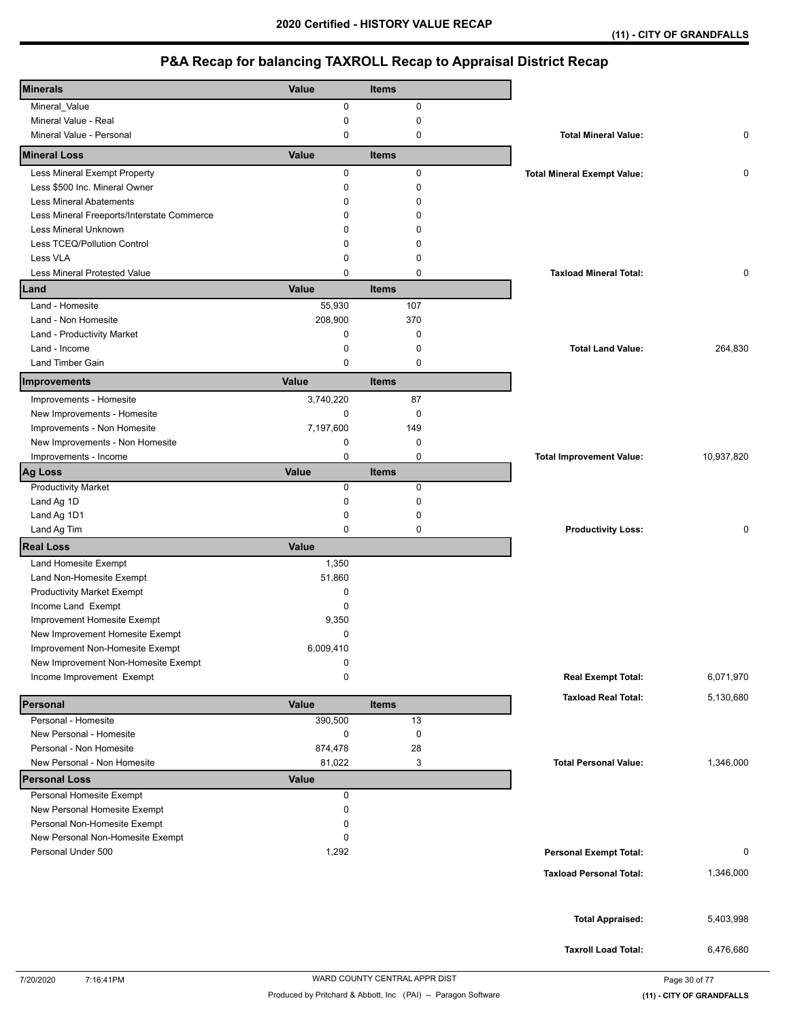| <b>Minerals</b>                                          | Value        | <b>Items</b> |                                    |            |
|----------------------------------------------------------|--------------|--------------|------------------------------------|------------|
| Mineral_Value                                            | 0            | $\pmb{0}$    |                                    |            |
| Mineral Value - Real                                     | 0            | $\mathbf 0$  |                                    |            |
| Mineral Value - Personal                                 | 0            | 0            | <b>Total Mineral Value:</b>        | 0          |
| <b>Mineral Loss</b>                                      | Value        | <b>Items</b> |                                    |            |
| Less Mineral Exempt Property                             | 0            | $\pmb{0}$    | <b>Total Mineral Exempt Value:</b> | 0          |
| Less \$500 Inc. Mineral Owner                            | 0            | 0            |                                    |            |
| <b>Less Mineral Abatements</b>                           | 0            | $\Omega$     |                                    |            |
| Less Mineral Freeports/Interstate Commerce               | 0            | $\Omega$     |                                    |            |
| Less Mineral Unknown                                     | 0            | <sup>0</sup> |                                    |            |
| Less TCEQ/Pollution Control                              | 0            | 0            |                                    |            |
| Less VLA                                                 | 0            | $\Omega$     |                                    |            |
| <b>Less Mineral Protested Value</b>                      | 0            | $\mathbf 0$  | <b>Taxload Mineral Total:</b>      | 0          |
| Land                                                     | Value        | <b>Items</b> |                                    |            |
| Land - Homesite                                          | 55,930       | 107          |                                    |            |
| Land - Non Homesite                                      | 208,900      | 370          |                                    |            |
| Land - Productivity Market                               | 0            | 0            |                                    |            |
| Land - Income                                            | 0            | 0            | <b>Total Land Value:</b>           | 264,830    |
| Land Timber Gain                                         | 0            | 0            |                                    |            |
|                                                          |              |              |                                    |            |
| Improvements                                             | Value        | <b>Items</b> |                                    |            |
| Improvements - Homesite                                  | 3,740,220    | 87           |                                    |            |
| New Improvements - Homesite                              | 0            | 0            |                                    |            |
| Improvements - Non Homesite                              | 7,197,600    | 149          |                                    |            |
| New Improvements - Non Homesite                          | 0            | 0            |                                    |            |
| Improvements - Income                                    | 0            | 0            | <b>Total Improvement Value:</b>    | 10,937,820 |
| <b>Ag Loss</b>                                           | Value        | <b>Items</b> |                                    |            |
| <b>Productivity Market</b>                               | 0            | 0            |                                    |            |
| Land Ag 1D                                               | 0            | $\pmb{0}$    |                                    |            |
| Land Ag 1D1                                              | 0            | 0            |                                    |            |
| Land Ag Tim                                              | 0            | 0            | <b>Productivity Loss:</b>          | 0          |
| <b>Real Loss</b>                                         | Value        |              |                                    |            |
| Land Homesite Exempt                                     | 1,350        |              |                                    |            |
| Land Non-Homesite Exempt                                 | 51,860       |              |                                    |            |
| <b>Productivity Market Exempt</b>                        | 0            |              |                                    |            |
| Income Land Exempt                                       | 0            |              |                                    |            |
| Improvement Homesite Exempt                              | 9,350        |              |                                    |            |
| New Improvement Homesite Exempt                          | 0            |              |                                    |            |
| Improvement Non-Homesite Exempt                          | 6,009,410    |              |                                    |            |
| New Improvement Non-Homesite Exempt                      | 0            |              |                                    |            |
| Income Improvement Exempt                                | 0            |              | <b>Real Exempt Total:</b>          | 6,071,970  |
|                                                          |              |              | <b>Taxload Real Total:</b>         | 5,130,680  |
| Personal                                                 | Value        | <b>Items</b> |                                    |            |
| Personal - Homesite                                      | 390,500      | 13           |                                    |            |
| New Personal - Homesite                                  | 0            | 0            |                                    |            |
| Personal - Non Homesite                                  | 874,478      | 28           |                                    |            |
| New Personal - Non Homesite                              | 81,022       | 3            | <b>Total Personal Value:</b>       | 1,346,000  |
| <b>Personal Loss</b>                                     | <b>Value</b> |              |                                    |            |
| Personal Homesite Exempt<br>New Personal Homesite Exempt | 0<br>0       |              |                                    |            |
| Personal Non-Homesite Exempt                             | 0            |              |                                    |            |
|                                                          |              |              |                                    |            |
| New Personal Non-Homesite Exempt<br>Personal Under 500   | 0<br>1,292   |              |                                    | 0          |
|                                                          |              |              | <b>Personal Exempt Total:</b>      |            |
|                                                          |              |              | <b>Taxload Personal Total:</b>     | 1,346,000  |
|                                                          |              |              |                                    |            |
|                                                          |              |              |                                    |            |
|                                                          |              |              | <b>Total Appraised:</b>            | 5,403,998  |
|                                                          |              |              |                                    |            |
|                                                          |              |              | <b>Taxroll Load Total:</b>         | 6,476,680  |
|                                                          |              |              |                                    |            |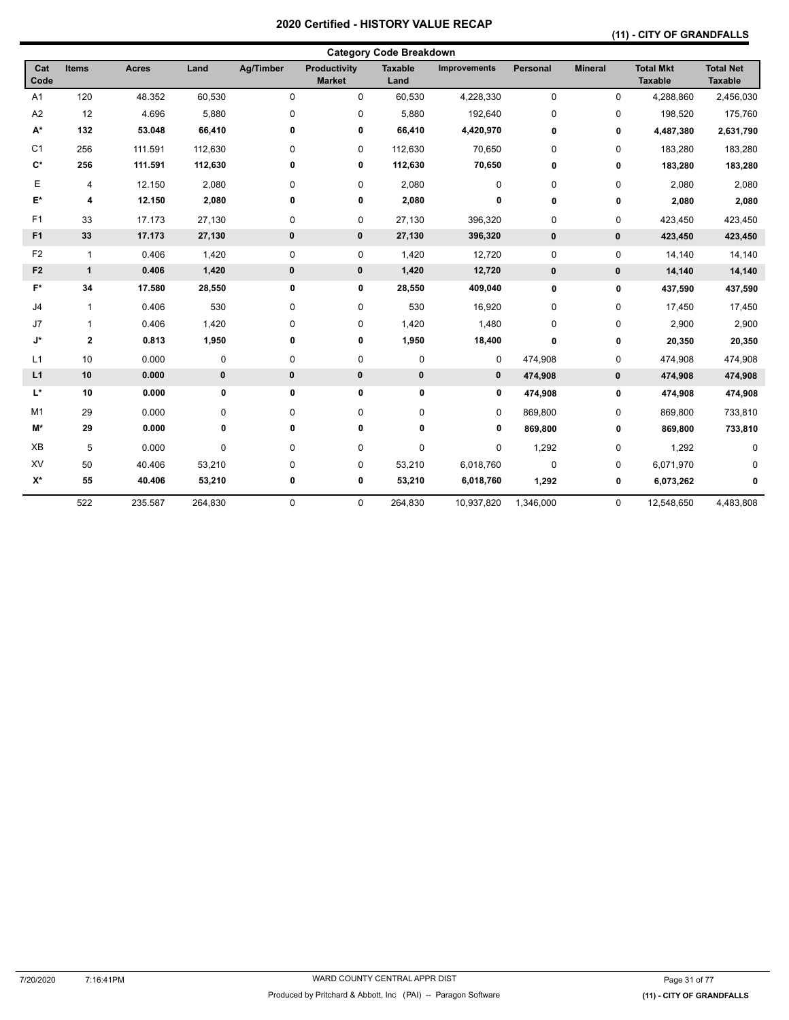## **(11) - CITY OF GRANDFALLS**

|                    |                         |              |           |             |                                      | <b>Category Code Breakdown</b> |              |           |                |                                    |                                    |
|--------------------|-------------------------|--------------|-----------|-------------|--------------------------------------|--------------------------------|--------------|-----------|----------------|------------------------------------|------------------------------------|
| Cat<br>Code        | <b>Items</b>            | <b>Acres</b> | Land      | Ag/Timber   | <b>Productivity</b><br><b>Market</b> | <b>Taxable</b><br>Land         | Improvements | Personal  | <b>Mineral</b> | <b>Total Mkt</b><br><b>Taxable</b> | <b>Total Net</b><br><b>Taxable</b> |
| A <sub>1</sub>     | 120                     | 48.352       | 60,530    | 0           | 0                                    | 60,530                         | 4,228,330    | 0         | 0              | 4,288,860                          | 2,456,030                          |
| A <sub>2</sub>     | 12                      | 4.696        | 5,880     | 0           | $\pmb{0}$                            | 5,880                          | 192,640      | 0         | 0              | 198,520                            | 175,760                            |
| $A^*$              | 132                     | 53.048       | 66,410    | 0           | 0                                    | 66,410                         | 4,420,970    | 0         | 0              | 4,487,380                          | 2,631,790                          |
| C <sub>1</sub>     | 256                     | 111.591      | 112,630   | 0           | 0                                    | 112,630                        | 70,650       | 0         | 0              | 183,280                            | 183,280                            |
| $\mathbf{C}^*$     | 256                     | 111.591      | 112,630   | 0           | 0                                    | 112,630                        | 70,650       | 0         | 0              | 183,280                            | 183,280                            |
| Е                  | 4                       | 12.150       | 2,080     | 0           | 0                                    | 2,080                          | 0            | 0         | 0              | 2,080                              | 2,080                              |
| E*                 | 4                       | 12.150       | 2,080     | 0           | 0                                    | 2,080                          | 0            | 0         | 0              | 2,080                              | 2,080                              |
| F1                 | 33                      | 17.173       | 27,130    | 0           | 0                                    | 27,130                         | 396,320      | 0         | 0              | 423,450                            | 423,450                            |
| F <sub>1</sub>     | 33                      | 17.173       | 27,130    | $\mathbf 0$ | $\mathbf 0$                          | 27,130                         | 396,320      | $\pmb{0}$ | 0              | 423,450                            | 423,450                            |
| F <sub>2</sub>     | $\mathbf{1}$            | 0.406        | 1,420     | 0           | 0                                    | 1,420                          | 12,720       | 0         | 0              | 14,140                             | 14,140                             |
| F <sub>2</sub>     | $\mathbf{1}$            | 0.406        | 1,420     | $\bf{0}$    | 0                                    | 1,420                          | 12,720       | $\pmb{0}$ | $\pmb{0}$      | 14,140                             | 14,140                             |
| $F^*$              | 34                      | 17.580       | 28,550    | 0           | 0                                    | 28,550                         | 409,040      | 0         | 0              | 437,590                            | 437,590                            |
| J <sub>4</sub>     | $\mathbf{1}$            | 0.406        | 530       | 0           | $\pmb{0}$                            | 530                            | 16,920       | 0         | 0              | 17,450                             | 17,450                             |
| J7                 | $\mathbf{1}$            | 0.406        | 1,420     | 0           | $\pmb{0}$                            | 1,420                          | 1,480        | 0         | 0              | 2,900                              | 2,900                              |
| J*                 | $\overline{\mathbf{2}}$ | 0.813        | 1,950     | 0           | 0                                    | 1,950                          | 18,400       | 0         | 0              | 20,350                             | 20,350                             |
| L1                 | 10                      | 0.000        | $\pmb{0}$ | 0           | $\pmb{0}$                            | 0                              | 0            | 474,908   | 0              | 474,908                            | 474,908                            |
| L1                 | 10                      | 0.000        | $\bf{0}$  | $\bf{0}$    | $\pmb{0}$                            | 0                              | 0            | 474,908   | 0              | 474,908                            | 474,908                            |
| $\mathsf{L}^\star$ | 10                      | 0.000        | 0         | 0           | 0                                    | 0                              | 0            | 474,908   | 0              | 474,908                            | 474,908                            |
| M <sub>1</sub>     | 29                      | 0.000        | 0         | 0           | $\pmb{0}$                            | 0                              | $\mathbf 0$  | 869,800   | 0              | 869,800                            | 733,810                            |
| M*                 | 29                      | 0.000        | 0         | 0           | 0                                    | 0                              | 0            | 869,800   | 0              | 869,800                            | 733,810                            |
| XB                 | 5                       | 0.000        | 0         | 0           | 0                                    | 0                              | 0            | 1,292     | 0              | 1,292                              | $\mathbf 0$                        |
| XV                 | 50                      | 40.406       | 53,210    | 0           | 0                                    | 53,210                         | 6,018,760    | 0         | 0              | 6,071,970                          |                                    |
| $X^*$              | 55                      | 40.406       | 53,210    | 0           | 0                                    | 53,210                         | 6,018,760    | 1,292     | 0              | 6,073,262                          | 0                                  |
|                    | 522                     | 235.587      | 264,830   | 0           | 0                                    | 264,830                        | 10,937,820   | 1,346,000 | 0              | 12,548,650                         | 4,483,808                          |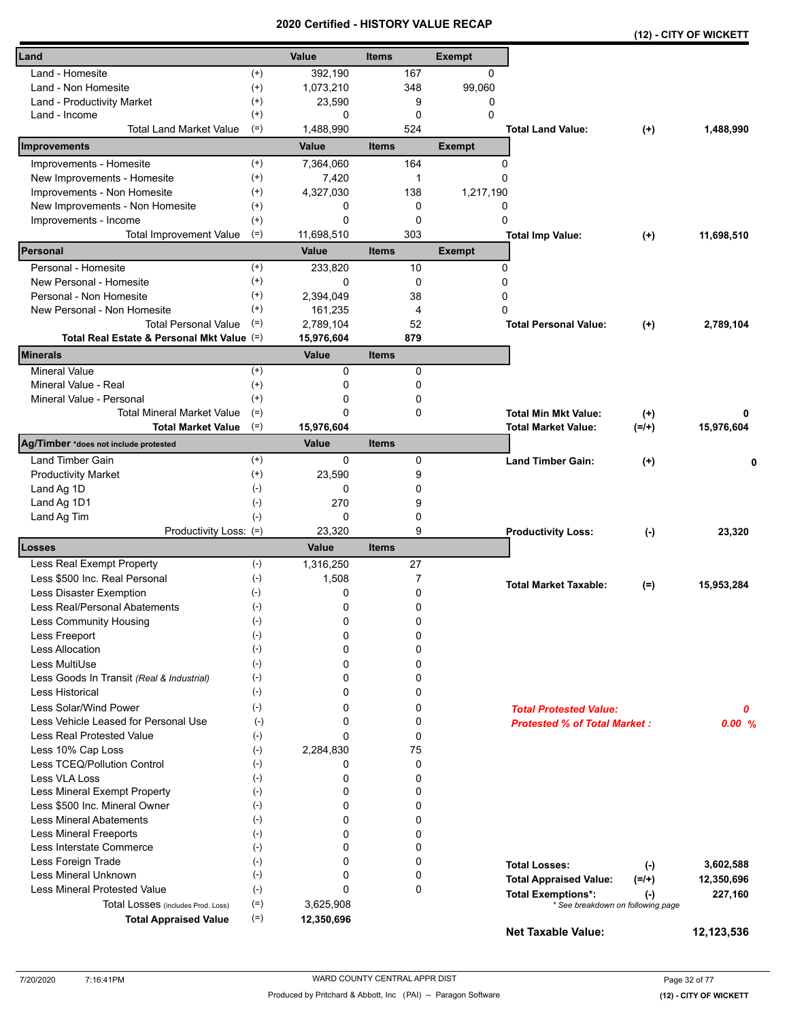|                                            |                    | a unea     | ו טווי<br>vn i |                |               |                                     |          | (12) - CITY OF WICKETT |
|--------------------------------------------|--------------------|------------|----------------|----------------|---------------|-------------------------------------|----------|------------------------|
| Land                                       |                    | Value      | <b>Items</b>   |                | <b>Exempt</b> |                                     |          |                        |
| Land - Homesite                            | $^{(+)}$           | 392,190    |                | 167            | 0             |                                     |          |                        |
| Land - Non Homesite                        | $^{(+)}$           | 1,073,210  |                | 348            | 99,060        |                                     |          |                        |
| Land - Productivity Market                 | $^{(+)}$           | 23,590     |                | 9              | 0             |                                     |          |                        |
| Land - Income                              | $^{(+)}$           | 0          |                | 0              | $\Omega$      |                                     |          |                        |
| <b>Total Land Market Value</b>             | $(=)$              | 1,488,990  |                | 524            |               | <b>Total Land Value:</b>            | $^{(+)}$ | 1,488,990              |
| Improvements                               |                    | Value      | <b>Items</b>   |                | <b>Exempt</b> |                                     |          |                        |
| Improvements - Homesite                    | $^{(+)}$           | 7,364,060  |                | 164            |               | 0                                   |          |                        |
| New Improvements - Homesite                | $^{(+)}$           | 7,420      |                | 1              | 0             |                                     |          |                        |
| Improvements - Non Homesite                | $^{(+)}$           | 4,327,030  |                | 138            | 1,217,190     |                                     |          |                        |
| New Improvements - Non Homesite            | $^{(+)}$           | 0          |                | 0              | 0             |                                     |          |                        |
| Improvements - Income                      | $^{(+)}$           | 0          |                | 0              | 0             |                                     |          |                        |
| <b>Total Improvement Value</b>             | $(=)$              | 11,698,510 |                | 303            |               | <b>Total Imp Value:</b>             | $^{(+)}$ | 11,698,510             |
| Personal                                   |                    | Value      | <b>Items</b>   |                | <b>Exempt</b> |                                     |          |                        |
| Personal - Homesite                        | $^{(+)}$           | 233,820    |                | 10             | 0             |                                     |          |                        |
| New Personal - Homesite                    | $^{(+)}$           | 0          |                | 0              | 0             |                                     |          |                        |
| Personal - Non Homesite                    | $^{(+)}$           | 2,394,049  |                | 38             | 0             |                                     |          |                        |
| New Personal - Non Homesite                | $^{(+)}$           | 161,235    |                | $\overline{4}$ | 0             |                                     |          |                        |
| <b>Total Personal Value</b>                | $(=)$              | 2,789,104  |                | 52             |               | <b>Total Personal Value:</b>        | $(+)$    | 2,789,104              |
| Total Real Estate & Personal Mkt Value (=) |                    | 15,976,604 |                | 879            |               |                                     |          |                        |
| <b>Minerals</b>                            |                    | Value      | <b>Items</b>   |                |               |                                     |          |                        |
| <b>Mineral Value</b>                       | $^{(+)}$           | 0          |                | 0              |               |                                     |          |                        |
| Mineral Value - Real                       | $^{(+)}$           | 0          |                | 0              |               |                                     |          |                        |
| Mineral Value - Personal                   | $^{(+)}$           | 0          |                | 0              |               |                                     |          |                        |
| <b>Total Mineral Market Value</b>          | $(=)$              | 0          |                | 0              |               | <b>Total Min Mkt Value:</b>         | $(+)$    | 0                      |
| <b>Total Market Value</b>                  | $(=)$              | 15,976,604 |                |                |               | <b>Total Market Value:</b>          | $(=/+)$  | 15,976,604             |
| Ag/Timber *does not include protested      |                    | Value      | <b>Items</b>   |                |               |                                     |          |                        |
| Land Timber Gain                           | $^{(+)}$           | 0          |                | 0              |               | <b>Land Timber Gain:</b>            | $(+)$    | 0                      |
| <b>Productivity Market</b>                 | $^{(+)}$           | 23,590     |                | 9              |               |                                     |          |                        |
| Land Ag 1D                                 | $(-)$              | 0          |                | 0              |               |                                     |          |                        |
| Land Ag 1D1                                | $(-)$              | 270        |                | 9              |               |                                     |          |                        |
| Land Ag Tim                                | $(-)$              | 0          |                | 0              |               |                                     |          |                        |
| Productivity Loss: (=)                     |                    | 23,320     |                | 9              |               | <b>Productivity Loss:</b>           | $(-)$    | 23,320                 |
| Losses                                     |                    | Value      | <b>Items</b>   |                |               |                                     |          |                        |
| Less Real Exempt Property                  | $(-)$              | 1,316,250  |                | 27             |               |                                     |          |                        |
| Less \$500 Inc. Real Personal              | $(-)$              | 1,508      |                | 7              |               | <b>Total Market Taxable:</b>        | $(=)$    | 15,953,284             |
| Less Disaster Exemption                    | $(-)$              | 0          |                | 0              |               |                                     |          |                        |
| Less Real/Personal Abatements              | $(\textnormal{-})$ | 0          |                | 0              |               |                                     |          |                        |
| Less Community Housing                     | $(-)$              | 0          |                | 0              |               |                                     |          |                        |
| Less Freeport                              | $(-)$              | 0          |                | 0              |               |                                     |          |                        |
| <b>Less Allocation</b>                     | $(-)$              | 0          |                | 0              |               |                                     |          |                        |
| Less MultiUse                              | $(-)$              | 0          |                | 0              |               |                                     |          |                        |
| Less Goods In Transit (Real & Industrial)  | $(-)$              | 0          |                | 0              |               |                                     |          |                        |
| <b>Less Historical</b>                     | $(-)$              | 0          |                | 0              |               |                                     |          |                        |
| Less Solar/Wind Power                      | $(-)$              | 0          |                | 0              |               | <b>Total Protested Value:</b>       |          | 0                      |
| Less Vehicle Leased for Personal Use       | $(-)$              | 0          |                | 0              |               | <b>Protested % of Total Market:</b> |          | 0.00%                  |
| Less Real Protested Value                  | $(-)$              | 0          |                | 0              |               |                                     |          |                        |
| Less 10% Cap Loss                          | $(-)$              | 2,284,830  |                | 75             |               |                                     |          |                        |
| Less TCEQ/Pollution Control                | $(-)$              | 0          |                | 0              |               |                                     |          |                        |
| Less VLA Loss                              | $(-)$              | 0          |                | 0              |               |                                     |          |                        |
| Less Mineral Exempt Property               | $(-)$              | 0          |                | 0              |               |                                     |          |                        |
| Less \$500 Inc. Mineral Owner              | $(-)$              | 0          |                | 0              |               |                                     |          |                        |
| <b>Less Mineral Abatements</b>             | $(-)$              | 0          |                | 0              |               |                                     |          |                        |
| <b>Less Mineral Freeports</b>              | $(-)$              | 0          |                | 0              |               |                                     |          |                        |
| Less Interstate Commerce                   | $(-)$              | 0          |                | 0              |               |                                     |          |                        |
| Less Foreign Trade                         | $(-)$              | 0          |                | 0              |               | <b>Total Losses:</b>                | $(-)$    | 3,602,588              |
| Less Mineral Unknown                       | $(-)$              | 0<br>0     |                | 0              |               | <b>Total Appraised Value:</b>       | $(=/+)$  | 12,350,696             |
| <b>Less Mineral Protested Value</b>        | $(-)$              |            |                | 0              |               | <b>Total Exemptions*:</b>           | $(-)$    | 227,160                |
| Total Losses (includes Prod. Loss)         | $(=)$<br>$(=)$     | 3,625,908  |                |                |               | * See breakdown on following page   |          |                        |
| <b>Total Appraised Value</b>               |                    | 12,350,696 |                |                |               | <b>Net Taxable Value:</b>           |          | 12,123,536             |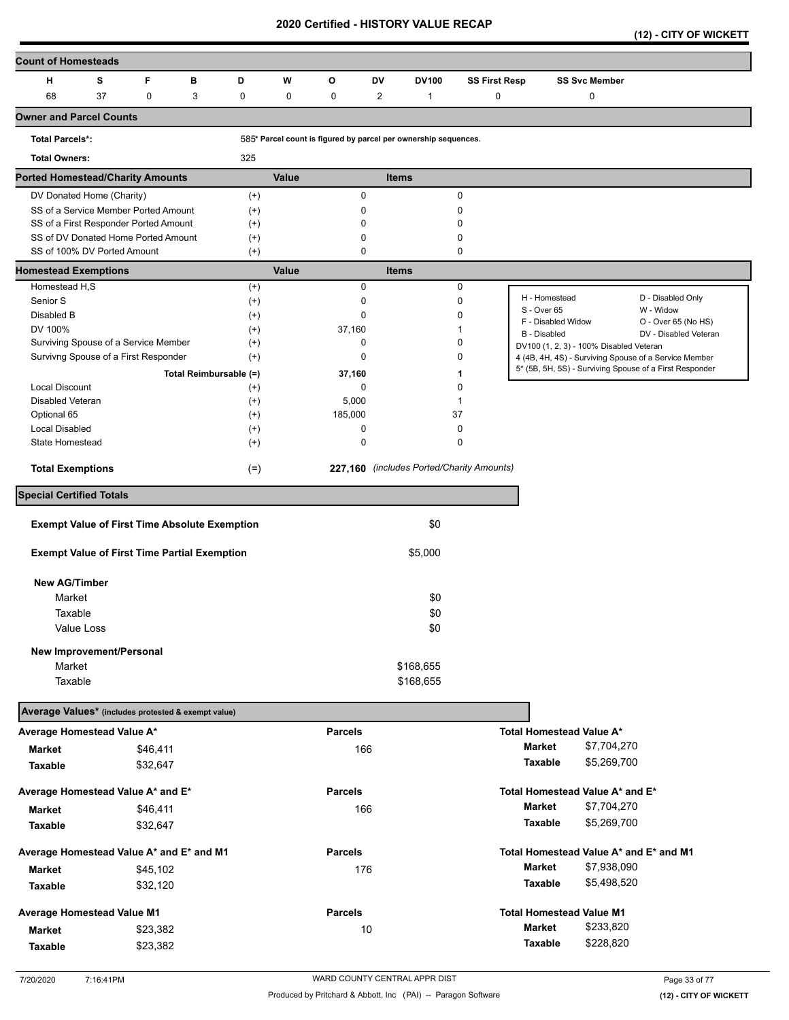**(12) - CITY OF WICKETT** 

| <b>Count of Homesteads</b>                           |    |          |   |                        |       |                                                                 |              |              |                                           |                    |                                         |                                                                                                                  |
|------------------------------------------------------|----|----------|---|------------------------|-------|-----------------------------------------------------------------|--------------|--------------|-------------------------------------------|--------------------|-----------------------------------------|------------------------------------------------------------------------------------------------------------------|
| н                                                    | s  | F        | в | D                      | W     | O                                                               | DV           | <b>DV100</b> | <b>SS First Resp</b>                      |                    | <b>SS Svc Member</b>                    |                                                                                                                  |
| 68                                                   | 37 | 0        | 3 | 0                      | 0     | 0                                                               | 2            | 1            | 0                                         |                    | 0                                       |                                                                                                                  |
| <b>Owner and Parcel Counts</b>                       |    |          |   |                        |       |                                                                 |              |              |                                           |                    |                                         |                                                                                                                  |
| <b>Total Parcels*:</b>                               |    |          |   |                        |       | 585* Parcel count is figured by parcel per ownership sequences. |              |              |                                           |                    |                                         |                                                                                                                  |
| <b>Total Owners:</b>                                 |    |          |   | 325                    |       |                                                                 |              |              |                                           |                    |                                         |                                                                                                                  |
| <b>Ported Homestead/Charity Amounts</b>              |    |          |   |                        | Value |                                                                 | <b>Items</b> |              |                                           |                    |                                         |                                                                                                                  |
| DV Donated Home (Charity)                            |    |          |   | $^{(+)}$               |       | $\mathbf 0$                                                     |              |              | 0                                         |                    |                                         |                                                                                                                  |
| SS of a Service Member Ported Amount                 |    |          |   | $^{(+)}$               |       | 0                                                               |              |              | 0                                         |                    |                                         |                                                                                                                  |
| SS of a First Responder Ported Amount                |    |          |   | $^{(+)}$               |       | 0                                                               |              |              | 0                                         |                    |                                         |                                                                                                                  |
| SS of DV Donated Home Ported Amount                  |    |          |   | $^{(+)}$               |       | $\mathbf 0$                                                     |              |              | 0                                         |                    |                                         |                                                                                                                  |
| SS of 100% DV Ported Amount                          |    |          |   | $(+)$                  |       | $\mathbf 0$                                                     |              |              | 0                                         |                    |                                         |                                                                                                                  |
| <b>Homestead Exemptions</b>                          |    |          |   |                        | Value |                                                                 | <b>Items</b> |              |                                           |                    |                                         |                                                                                                                  |
| Homestead H,S                                        |    |          |   | $^{(+)}$               |       | 0                                                               |              |              | 0                                         | H - Homestead      |                                         | D - Disabled Only                                                                                                |
| Senior S                                             |    |          |   | $^{(+)}$               |       | 0                                                               |              |              | 0                                         | S - Over 65        |                                         | W - Widow                                                                                                        |
| Disabled B                                           |    |          |   | $^{(+)}$               |       | $\mathbf 0$                                                     |              |              | 0                                         | F - Disabled Widow |                                         | O - Over 65 (No HS)                                                                                              |
| DV 100%                                              |    |          |   | $^{(+)}$               |       | 37,160<br>$\mathbf 0$                                           |              |              | 1<br>0                                    | B - Disabled       |                                         | DV - Disabled Veteran                                                                                            |
| Surviving Spouse of a Service Member                 |    |          |   | $^{(+)}$               |       | 0                                                               |              |              | 0                                         |                    | DV100 (1, 2, 3) - 100% Disabled Veteran |                                                                                                                  |
| Survivng Spouse of a First Responder                 |    |          |   | $^{(+)}$               |       |                                                                 |              |              |                                           |                    |                                         | 4 (4B, 4H, 4S) - Surviving Spouse of a Service Member<br>5* (5B, 5H, 5S) - Surviving Spouse of a First Responder |
|                                                      |    |          |   | Total Reimbursable (=) |       | 37,160                                                          |              |              | 1                                         |                    |                                         |                                                                                                                  |
| <b>Local Discount</b>                                |    |          |   | $^{(+)}$               |       | 0                                                               |              |              | 0                                         |                    |                                         |                                                                                                                  |
| Disabled Veteran                                     |    |          |   | $^{(+)}$               |       | 5,000                                                           |              |              | 1                                         |                    |                                         |                                                                                                                  |
| Optional 65                                          |    |          |   | $^{(+)}$               |       | 185,000                                                         |              |              | 37                                        |                    |                                         |                                                                                                                  |
| <b>Local Disabled</b><br>State Homestead             |    |          |   | $^{(+)}$<br>$^{(+)}$   |       | 0<br>$\mathbf 0$                                                |              |              | 0<br>0                                    |                    |                                         |                                                                                                                  |
|                                                      |    |          |   |                        |       |                                                                 |              |              |                                           |                    |                                         |                                                                                                                  |
| <b>Total Exemptions</b>                              |    |          |   | $(=)$                  |       |                                                                 |              |              | 227,160 (includes Ported/Charity Amounts) |                    |                                         |                                                                                                                  |
| <b>Special Certified Totals</b>                      |    |          |   |                        |       |                                                                 |              |              |                                           |                    |                                         |                                                                                                                  |
| <b>Exempt Value of First Time Absolute Exemption</b> |    |          |   |                        |       |                                                                 |              | \$0          |                                           |                    |                                         |                                                                                                                  |
| <b>Exempt Value of First Time Partial Exemption</b>  |    |          |   |                        |       |                                                                 |              | \$5,000      |                                           |                    |                                         |                                                                                                                  |
|                                                      |    |          |   |                        |       |                                                                 |              |              |                                           |                    |                                         |                                                                                                                  |
| <b>New AG/Timber</b>                                 |    |          |   |                        |       |                                                                 |              |              |                                           |                    |                                         |                                                                                                                  |
| Market                                               |    |          |   |                        |       |                                                                 |              | \$0          |                                           |                    |                                         |                                                                                                                  |
| Taxable                                              |    |          |   |                        |       |                                                                 |              | \$0          |                                           |                    |                                         |                                                                                                                  |
| Value Loss                                           |    |          |   |                        |       |                                                                 |              | \$0          |                                           |                    |                                         |                                                                                                                  |
| New Improvement/Personal                             |    |          |   |                        |       |                                                                 |              |              |                                           |                    |                                         |                                                                                                                  |
| Market                                               |    |          |   |                        |       |                                                                 |              | \$168,655    |                                           |                    |                                         |                                                                                                                  |
| Taxable                                              |    |          |   |                        |       |                                                                 |              | \$168,655    |                                           |                    |                                         |                                                                                                                  |
|                                                      |    |          |   |                        |       |                                                                 |              |              |                                           |                    |                                         |                                                                                                                  |
| Average Values* (includes protested & exempt value)  |    |          |   |                        |       |                                                                 |              |              |                                           |                    |                                         |                                                                                                                  |
| Average Homestead Value A*                           |    |          |   |                        |       | <b>Parcels</b>                                                  |              |              |                                           |                    | Total Homestead Value A*                |                                                                                                                  |
| <b>Market</b>                                        |    | \$46,411 |   |                        |       | 166                                                             |              |              |                                           | <b>Market</b>      | \$7,704,270                             |                                                                                                                  |
| <b>Taxable</b>                                       |    | \$32,647 |   |                        |       |                                                                 |              |              |                                           | Taxable            | \$5,269,700                             |                                                                                                                  |
| Average Homestead Value A* and E*                    |    |          |   |                        |       | <b>Parcels</b>                                                  |              |              |                                           |                    | Total Homestead Value A* and E*         |                                                                                                                  |
|                                                      |    |          |   |                        |       | 166                                                             |              |              |                                           | Market             | \$7,704,270                             |                                                                                                                  |
| <b>Market</b>                                        |    | \$46,411 |   |                        |       |                                                                 |              |              |                                           |                    |                                         |                                                                                                                  |
| Taxable                                              |    | \$32,647 |   |                        |       |                                                                 |              |              |                                           | Taxable            | \$5,269,700                             |                                                                                                                  |
| Average Homestead Value A* and E* and M1             |    |          |   |                        |       | <b>Parcels</b>                                                  |              |              |                                           |                    | Total Homestead Value A* and E* and M1  |                                                                                                                  |
| <b>Market</b>                                        |    | \$45,102 |   |                        |       | 176                                                             |              |              |                                           | Market             | \$7,938,090                             |                                                                                                                  |
| Taxable                                              |    | \$32,120 |   |                        |       |                                                                 |              |              |                                           | <b>Taxable</b>     | \$5,498,520                             |                                                                                                                  |
| Average Homestead Value M1                           |    |          |   |                        |       | <b>Parcels</b>                                                  |              |              |                                           |                    | <b>Total Homestead Value M1</b>         |                                                                                                                  |
|                                                      |    | \$23,382 |   |                        |       | 10                                                              |              |              |                                           | <b>Market</b>      | \$233,820                               |                                                                                                                  |
| Market                                               |    |          |   |                        |       |                                                                 |              |              |                                           | <b>Taxable</b>     | \$228,820                               |                                                                                                                  |
| Taxable                                              |    | \$23,382 |   |                        |       |                                                                 |              |              |                                           |                    |                                         |                                                                                                                  |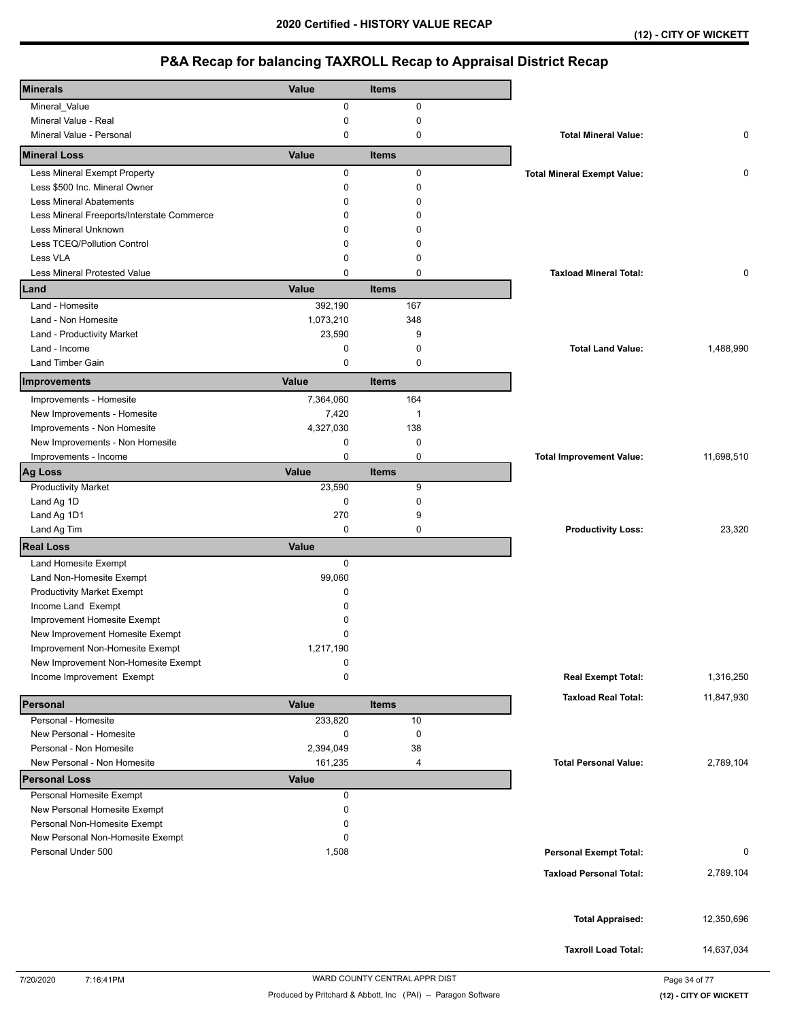| <b>Minerals</b>                            | Value        | <b>Items</b> |                                    |            |
|--------------------------------------------|--------------|--------------|------------------------------------|------------|
| Mineral_Value                              | 0            | 0            |                                    |            |
| Mineral Value - Real                       | 0            | 0            |                                    |            |
| Mineral Value - Personal                   | 0            | 0            | <b>Total Mineral Value:</b>        | 0          |
| <b>Mineral Loss</b>                        | Value        | <b>Items</b> |                                    |            |
| Less Mineral Exempt Property               | 0            | $\mathbf 0$  | <b>Total Mineral Exempt Value:</b> | 0          |
| Less \$500 Inc. Mineral Owner              | 0            | $\mathbf 0$  |                                    |            |
| <b>Less Mineral Abatements</b>             | 0            | $\mathbf 0$  |                                    |            |
| Less Mineral Freeports/Interstate Commerce | 0            | $\Omega$     |                                    |            |
| <b>Less Mineral Unknown</b>                | 0            | $\Omega$     |                                    |            |
| Less TCEQ/Pollution Control                | 0            | 0            |                                    |            |
| Less VLA                                   | 0            | $\mathbf 0$  |                                    |            |
| Less Mineral Protested Value               | 0            | 0            | <b>Taxload Mineral Total:</b>      | 0          |
| Land                                       | Value        | <b>Items</b> |                                    |            |
| Land - Homesite                            | 392,190      | 167          |                                    |            |
| Land - Non Homesite                        | 1,073,210    | 348          |                                    |            |
| Land - Productivity Market                 | 23,590       | 9            |                                    |            |
| Land - Income                              | 0            | 0            | <b>Total Land Value:</b>           | 1,488,990  |
| <b>Land Timber Gain</b>                    | 0            | 0            |                                    |            |
| Improvements                               | Value        | <b>Items</b> |                                    |            |
| Improvements - Homesite                    | 7,364,060    | 164          |                                    |            |
| New Improvements - Homesite                | 7,420        | $\mathbf 1$  |                                    |            |
| Improvements - Non Homesite                | 4,327,030    | 138          |                                    |            |
| New Improvements - Non Homesite            | 0            | 0            |                                    |            |
| Improvements - Income                      | 0            | $\mathbf 0$  | <b>Total Improvement Value:</b>    | 11,698,510 |
| <b>Ag Loss</b>                             | Value        | <b>Items</b> |                                    |            |
| <b>Productivity Market</b>                 | 23,590       | 9            |                                    |            |
| Land Ag 1D                                 | 0            | $\mathbf 0$  |                                    |            |
| Land Ag 1D1                                | 270          | 9            |                                    |            |
| Land Ag Tim                                | 0            | 0            | <b>Productivity Loss:</b>          | 23,320     |
| <b>Real Loss</b>                           | Value        |              |                                    |            |
| Land Homesite Exempt                       | $\mathbf 0$  |              |                                    |            |
| Land Non-Homesite Exempt                   | 99,060       |              |                                    |            |
| <b>Productivity Market Exempt</b>          | 0            |              |                                    |            |
| Income Land Exempt                         | 0            |              |                                    |            |
| Improvement Homesite Exempt                | 0            |              |                                    |            |
| New Improvement Homesite Exempt            | 0            |              |                                    |            |
| Improvement Non-Homesite Exempt            | 1,217,190    |              |                                    |            |
| New Improvement Non-Homesite Exempt        | 0            |              |                                    |            |
| Income Improvement Exempt                  | 0            |              | <b>Real Exempt Total:</b>          | 1,316,250  |
| Personal                                   | Value        | <b>Items</b> | <b>Taxload Real Total:</b>         | 11,847,930 |
| Personal - Homesite                        | 233,820      | 10           |                                    |            |
| New Personal - Homesite                    | 0            | 0            |                                    |            |
| Personal - Non Homesite                    | 2,394,049    | 38           |                                    |            |
| New Personal - Non Homesite                | 161,235      | 4            | <b>Total Personal Value:</b>       | 2,789,104  |
| <b>Personal Loss</b>                       | <b>Value</b> |              |                                    |            |
| Personal Homesite Exempt                   | 0            |              |                                    |            |
| New Personal Homesite Exempt               | 0            |              |                                    |            |
| Personal Non-Homesite Exempt               | 0            |              |                                    |            |
| New Personal Non-Homesite Exempt           | 0            |              |                                    |            |
| Personal Under 500                         | 1,508        |              | <b>Personal Exempt Total:</b>      | 0          |
|                                            |              |              | <b>Taxload Personal Total:</b>     |            |
|                                            |              |              |                                    | 2,789,104  |
|                                            |              |              |                                    | 12,350,696 |
|                                            |              |              | <b>Total Appraised:</b>            |            |
|                                            |              |              | <b>Taxroll Load Total:</b>         | 14,637,034 |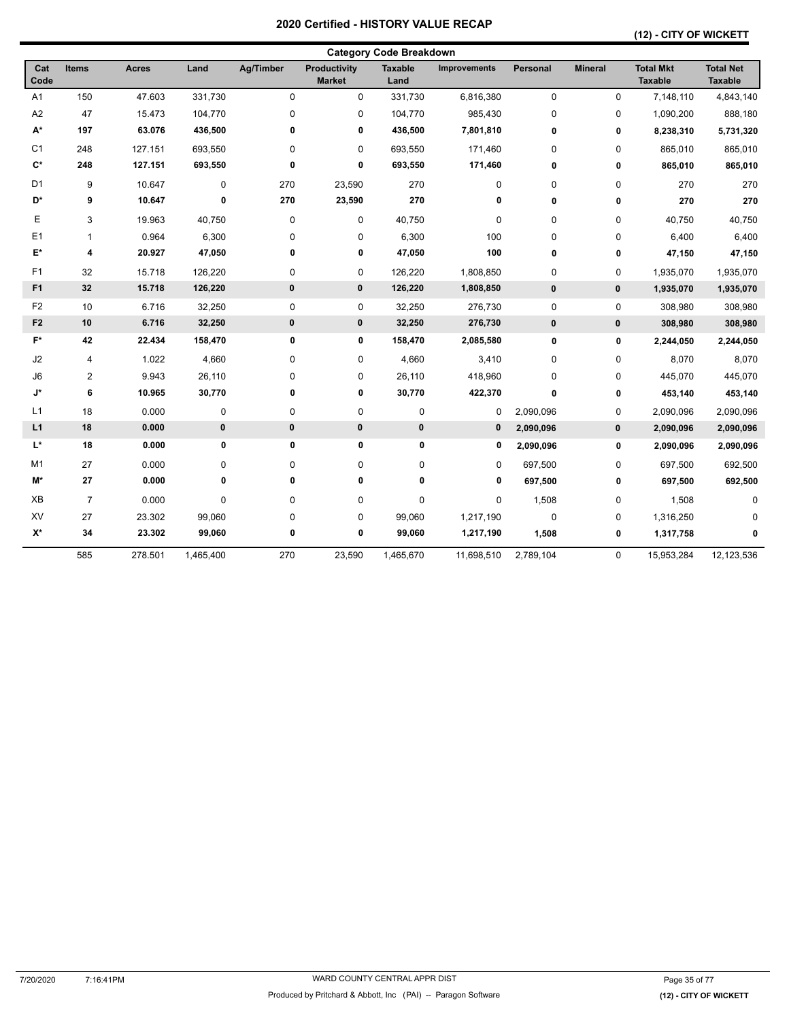## **(12) - CITY OF WICKETT**

|                    |                |              |           |           |                               | <b>Category Code Breakdown</b> |                     |             |                |                                    |                                    |
|--------------------|----------------|--------------|-----------|-----------|-------------------------------|--------------------------------|---------------------|-------------|----------------|------------------------------------|------------------------------------|
| Cat<br>Code        | <b>Items</b>   | <b>Acres</b> | Land      | Ag/Timber | Productivity<br><b>Market</b> | <b>Taxable</b><br>Land         | <b>Improvements</b> | Personal    | <b>Mineral</b> | <b>Total Mkt</b><br><b>Taxable</b> | <b>Total Net</b><br><b>Taxable</b> |
| A <sub>1</sub>     | 150            | 47.603       | 331,730   | 0         | 0                             | 331,730                        | 6,816,380           | $\mathbf 0$ | $\mathbf 0$    | 7,148,110                          | 4,843,140                          |
| A <sub>2</sub>     | 47             | 15.473       | 104,770   | 0         | $\pmb{0}$                     | 104,770                        | 985,430             | 0           | 0              | 1,090,200                          | 888,180                            |
| $\mathsf{A}^\star$ | 197            | 63.076       | 436,500   | 0         | 0                             | 436,500                        | 7,801,810           | 0           | 0              | 8,238,310                          | 5,731,320                          |
| C <sub>1</sub>     | 248            | 127.151      | 693,550   | 0         | 0                             | 693,550                        | 171,460             | 0           | 0              | 865,010                            | 865,010                            |
| $C^*$              | 248            | 127.151      | 693,550   | 0         | 0                             | 693,550                        | 171,460             | 0           | 0              | 865,010                            | 865,010                            |
| D <sub>1</sub>     | 9              | 10.647       | 0         | 270       | 23,590                        | 270                            | 0                   | 0           | 0              | 270                                | 270                                |
| D*                 | 9              | 10.647       | 0         | 270       | 23,590                        | 270                            | 0                   | 0           | 0              | 270                                | 270                                |
| Е                  | 3              | 19.963       | 40,750    | 0         | $\pmb{0}$                     | 40,750                         | $\pmb{0}$           | 0           | 0              | 40,750                             | 40,750                             |
| E1                 | $\mathbf{1}$   | 0.964        | 6,300     | 0         | 0                             | 6,300                          | 100                 | 0           | $\mathbf 0$    | 6,400                              | 6,400                              |
| E*                 | 4              | 20.927       | 47,050    | 0         | 0                             | 47,050                         | 100                 | 0           | 0              | 47,150                             | 47,150                             |
| F1                 | 32             | 15.718       | 126,220   | 0         | $\pmb{0}$                     | 126,220                        | 1,808,850           | 0           | 0              | 1,935,070                          | 1,935,070                          |
| F1                 | 32             | 15.718       | 126,220   | $\bf{0}$  | $\bf{0}$                      | 126,220                        | 1,808,850           | $\pmb{0}$   | $\pmb{0}$      | 1,935,070                          | 1,935,070                          |
| F <sub>2</sub>     | 10             | 6.716        | 32,250    | 0         | 0                             | 32,250                         | 276,730             | 0           | 0              | 308,980                            | 308,980                            |
| F <sub>2</sub>     | 10             | 6.716        | 32,250    | $\pmb{0}$ | 0                             | 32,250                         | 276,730             | $\pmb{0}$   | $\pmb{0}$      | 308,980                            | 308,980                            |
| F*                 | 42             | 22.434       | 158,470   | 0         | 0                             | 158,470                        | 2,085,580           | 0           | 0              | 2,244,050                          | 2,244,050                          |
| J2                 | 4              | 1.022        | 4,660     | 0         | $\pmb{0}$                     | 4,660                          | 3,410               | 0           | 0              | 8,070                              | 8,070                              |
| J <sub>6</sub>     | $\overline{2}$ | 9.943        | 26,110    | 0         | $\pmb{0}$                     | 26,110                         | 418,960             | 0           | 0              | 445,070                            | 445,070                            |
| J*                 | 6              | 10.965       | 30,770    | 0         | $\pmb{0}$                     | 30,770                         | 422,370             | 0           | 0              | 453,140                            | 453,140                            |
| L1                 | 18             | 0.000        | 0         | 0         | $\pmb{0}$                     | $\pmb{0}$                      | 0                   | 2,090,096   | 0              | 2,090,096                          | 2,090,096                          |
| L1                 | 18             | 0.000        | $\pmb{0}$ | $\pmb{0}$ | $\pmb{0}$                     | $\pmb{0}$                      | 0                   | 2,090,096   | 0              | 2,090,096                          | 2,090,096                          |
| L*                 | 18             | 0.000        | 0         | 0         | 0                             | 0                              | 0                   | 2,090,096   | 0              | 2,090,096                          | 2,090,096                          |
| M <sub>1</sub>     | 27             | 0.000        | 0         | 0         | $\pmb{0}$                     | 0                              | 0                   | 697,500     | 0              | 697,500                            | 692,500                            |
| M*                 | 27             | 0.000        | 0         | 0         | 0                             | 0                              | 0                   | 697,500     | 0              | 697,500                            | 692,500                            |
| XB                 | $\overline{7}$ | 0.000        | 0         | 0         | $\pmb{0}$                     | 0                              | $\pmb{0}$           | 1,508       | 0              | 1,508                              | $\Omega$                           |
| XV                 | 27             | 23.302       | 99,060    | 0         | $\pmb{0}$                     | 99,060                         | 1,217,190           | 0           | 0              | 1,316,250                          | <sup>0</sup>                       |
| $X^*$              | 34             | 23.302       | 99,060    | 0         | 0                             | 99,060                         | 1,217,190           | 1,508       | 0              | 1,317,758                          | 0                                  |
|                    | 585            | 278.501      | 1,465,400 | 270       | 23,590                        | 1,465,670                      | 11,698,510          | 2,789,104   | 0              | 15,953,284                         | 12,123,536                         |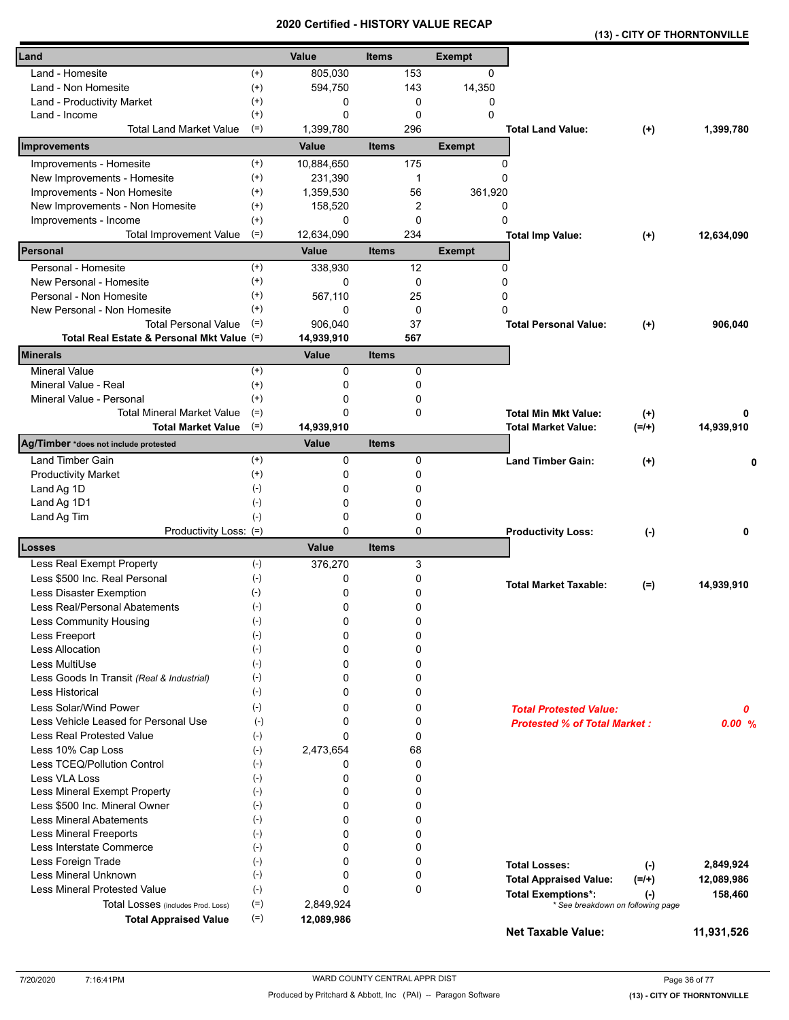|                    |                                                                                                                                                                                                                                                                                                                                                                            | <b>Items</b>                                                                                                                                                                                                                                                       |                                                                            | <b>Exempt</b>                                                                                                                       |                                     |                                                                                                                                                                                                                                                                                              |                                                                         |
|--------------------|----------------------------------------------------------------------------------------------------------------------------------------------------------------------------------------------------------------------------------------------------------------------------------------------------------------------------------------------------------------------------|--------------------------------------------------------------------------------------------------------------------------------------------------------------------------------------------------------------------------------------------------------------------|----------------------------------------------------------------------------|-------------------------------------------------------------------------------------------------------------------------------------|-------------------------------------|----------------------------------------------------------------------------------------------------------------------------------------------------------------------------------------------------------------------------------------------------------------------------------------------|-------------------------------------------------------------------------|
| $(+)$              | 805,030                                                                                                                                                                                                                                                                                                                                                                    |                                                                                                                                                                                                                                                                    | 153                                                                        | $\Omega$                                                                                                                            |                                     |                                                                                                                                                                                                                                                                                              |                                                                         |
| $^{(+)}$           | 594,750                                                                                                                                                                                                                                                                                                                                                                    |                                                                                                                                                                                                                                                                    | 143                                                                        | 14,350                                                                                                                              |                                     |                                                                                                                                                                                                                                                                                              |                                                                         |
| $^{(+)}$           | 0                                                                                                                                                                                                                                                                                                                                                                          |                                                                                                                                                                                                                                                                    | 0                                                                          | 0                                                                                                                                   |                                     |                                                                                                                                                                                                                                                                                              |                                                                         |
|                    | 0                                                                                                                                                                                                                                                                                                                                                                          |                                                                                                                                                                                                                                                                    | $\mathbf 0$                                                                |                                                                                                                                     |                                     |                                                                                                                                                                                                                                                                                              |                                                                         |
|                    |                                                                                                                                                                                                                                                                                                                                                                            |                                                                                                                                                                                                                                                                    |                                                                            |                                                                                                                                     |                                     | $(+)$                                                                                                                                                                                                                                                                                        | 1,399,780                                                               |
|                    |                                                                                                                                                                                                                                                                                                                                                                            |                                                                                                                                                                                                                                                                    |                                                                            |                                                                                                                                     |                                     |                                                                                                                                                                                                                                                                                              |                                                                         |
|                    |                                                                                                                                                                                                                                                                                                                                                                            |                                                                                                                                                                                                                                                                    |                                                                            |                                                                                                                                     |                                     |                                                                                                                                                                                                                                                                                              |                                                                         |
|                    |                                                                                                                                                                                                                                                                                                                                                                            |                                                                                                                                                                                                                                                                    |                                                                            |                                                                                                                                     |                                     |                                                                                                                                                                                                                                                                                              |                                                                         |
|                    |                                                                                                                                                                                                                                                                                                                                                                            |                                                                                                                                                                                                                                                                    |                                                                            |                                                                                                                                     |                                     |                                                                                                                                                                                                                                                                                              |                                                                         |
|                    |                                                                                                                                                                                                                                                                                                                                                                            |                                                                                                                                                                                                                                                                    |                                                                            |                                                                                                                                     |                                     |                                                                                                                                                                                                                                                                                              |                                                                         |
|                    |                                                                                                                                                                                                                                                                                                                                                                            |                                                                                                                                                                                                                                                                    |                                                                            |                                                                                                                                     |                                     |                                                                                                                                                                                                                                                                                              | 12,634,090                                                              |
|                    | Value                                                                                                                                                                                                                                                                                                                                                                      |                                                                                                                                                                                                                                                                    |                                                                            |                                                                                                                                     |                                     |                                                                                                                                                                                                                                                                                              |                                                                         |
|                    |                                                                                                                                                                                                                                                                                                                                                                            |                                                                                                                                                                                                                                                                    |                                                                            |                                                                                                                                     |                                     |                                                                                                                                                                                                                                                                                              |                                                                         |
|                    |                                                                                                                                                                                                                                                                                                                                                                            |                                                                                                                                                                                                                                                                    |                                                                            |                                                                                                                                     |                                     |                                                                                                                                                                                                                                                                                              |                                                                         |
|                    |                                                                                                                                                                                                                                                                                                                                                                            |                                                                                                                                                                                                                                                                    |                                                                            |                                                                                                                                     |                                     |                                                                                                                                                                                                                                                                                              |                                                                         |
| $^{(+)}$           | 0                                                                                                                                                                                                                                                                                                                                                                          |                                                                                                                                                                                                                                                                    |                                                                            |                                                                                                                                     |                                     |                                                                                                                                                                                                                                                                                              |                                                                         |
| $(=)$              | 906,040                                                                                                                                                                                                                                                                                                                                                                    |                                                                                                                                                                                                                                                                    | 37                                                                         |                                                                                                                                     |                                     |                                                                                                                                                                                                                                                                                              | 906,040                                                                 |
|                    | 14,939,910                                                                                                                                                                                                                                                                                                                                                                 |                                                                                                                                                                                                                                                                    | 567                                                                        |                                                                                                                                     |                                     |                                                                                                                                                                                                                                                                                              |                                                                         |
|                    | <b>Value</b>                                                                                                                                                                                                                                                                                                                                                               | <b>Items</b>                                                                                                                                                                                                                                                       |                                                                            |                                                                                                                                     |                                     |                                                                                                                                                                                                                                                                                              |                                                                         |
| $^{(+)}$           | 0                                                                                                                                                                                                                                                                                                                                                                          |                                                                                                                                                                                                                                                                    | 0                                                                          |                                                                                                                                     |                                     |                                                                                                                                                                                                                                                                                              |                                                                         |
| $^{(+)}$           | 0                                                                                                                                                                                                                                                                                                                                                                          |                                                                                                                                                                                                                                                                    | 0                                                                          |                                                                                                                                     |                                     |                                                                                                                                                                                                                                                                                              |                                                                         |
| $(+)$              | 0                                                                                                                                                                                                                                                                                                                                                                          |                                                                                                                                                                                                                                                                    | 0                                                                          |                                                                                                                                     |                                     |                                                                                                                                                                                                                                                                                              |                                                                         |
|                    | 0                                                                                                                                                                                                                                                                                                                                                                          |                                                                                                                                                                                                                                                                    | 0                                                                          |                                                                                                                                     |                                     | $(+)$                                                                                                                                                                                                                                                                                        | 0                                                                       |
|                    |                                                                                                                                                                                                                                                                                                                                                                            |                                                                                                                                                                                                                                                                    |                                                                            |                                                                                                                                     |                                     | $(=/+)$                                                                                                                                                                                                                                                                                      | 14,939,910                                                              |
|                    |                                                                                                                                                                                                                                                                                                                                                                            |                                                                                                                                                                                                                                                                    |                                                                            |                                                                                                                                     |                                     |                                                                                                                                                                                                                                                                                              |                                                                         |
|                    |                                                                                                                                                                                                                                                                                                                                                                            |                                                                                                                                                                                                                                                                    | 0                                                                          |                                                                                                                                     |                                     | $^{(+)}$                                                                                                                                                                                                                                                                                     | 0                                                                       |
|                    |                                                                                                                                                                                                                                                                                                                                                                            |                                                                                                                                                                                                                                                                    |                                                                            |                                                                                                                                     |                                     |                                                                                                                                                                                                                                                                                              |                                                                         |
|                    |                                                                                                                                                                                                                                                                                                                                                                            |                                                                                                                                                                                                                                                                    |                                                                            |                                                                                                                                     |                                     |                                                                                                                                                                                                                                                                                              |                                                                         |
|                    |                                                                                                                                                                                                                                                                                                                                                                            |                                                                                                                                                                                                                                                                    |                                                                            |                                                                                                                                     |                                     |                                                                                                                                                                                                                                                                                              |                                                                         |
|                    |                                                                                                                                                                                                                                                                                                                                                                            |                                                                                                                                                                                                                                                                    |                                                                            |                                                                                                                                     |                                     |                                                                                                                                                                                                                                                                                              |                                                                         |
|                    |                                                                                                                                                                                                                                                                                                                                                                            |                                                                                                                                                                                                                                                                    |                                                                            |                                                                                                                                     |                                     |                                                                                                                                                                                                                                                                                              | 0                                                                       |
|                    |                                                                                                                                                                                                                                                                                                                                                                            |                                                                                                                                                                                                                                                                    |                                                                            |                                                                                                                                     |                                     |                                                                                                                                                                                                                                                                                              |                                                                         |
|                    |                                                                                                                                                                                                                                                                                                                                                                            |                                                                                                                                                                                                                                                                    |                                                                            |                                                                                                                                     |                                     |                                                                                                                                                                                                                                                                                              |                                                                         |
|                    | 0                                                                                                                                                                                                                                                                                                                                                                          |                                                                                                                                                                                                                                                                    | 0                                                                          |                                                                                                                                     |                                     |                                                                                                                                                                                                                                                                                              | 14,939,910                                                              |
|                    | 0                                                                                                                                                                                                                                                                                                                                                                          |                                                                                                                                                                                                                                                                    | 0                                                                          |                                                                                                                                     |                                     |                                                                                                                                                                                                                                                                                              |                                                                         |
| $(-)$              | 0                                                                                                                                                                                                                                                                                                                                                                          |                                                                                                                                                                                                                                                                    | 0                                                                          |                                                                                                                                     |                                     |                                                                                                                                                                                                                                                                                              |                                                                         |
| $(\textnormal{-})$ | 0                                                                                                                                                                                                                                                                                                                                                                          |                                                                                                                                                                                                                                                                    | 0                                                                          |                                                                                                                                     |                                     |                                                                                                                                                                                                                                                                                              |                                                                         |
| $(-)$              | $\Omega$                                                                                                                                                                                                                                                                                                                                                                   |                                                                                                                                                                                                                                                                    | 0                                                                          |                                                                                                                                     |                                     |                                                                                                                                                                                                                                                                                              |                                                                         |
| $(-)$              | 0                                                                                                                                                                                                                                                                                                                                                                          |                                                                                                                                                                                                                                                                    | 0                                                                          |                                                                                                                                     |                                     |                                                                                                                                                                                                                                                                                              |                                                                         |
| $(-)$              | $\Omega$                                                                                                                                                                                                                                                                                                                                                                   |                                                                                                                                                                                                                                                                    | 0                                                                          |                                                                                                                                     |                                     |                                                                                                                                                                                                                                                                                              |                                                                         |
| $(-)$              | 0                                                                                                                                                                                                                                                                                                                                                                          |                                                                                                                                                                                                                                                                    | 0                                                                          |                                                                                                                                     |                                     |                                                                                                                                                                                                                                                                                              |                                                                         |
| $(-)$              | 0                                                                                                                                                                                                                                                                                                                                                                          |                                                                                                                                                                                                                                                                    | 0                                                                          |                                                                                                                                     | <b>Total Protested Value:</b>       |                                                                                                                                                                                                                                                                                              | 0                                                                       |
| $(-)$              | 0                                                                                                                                                                                                                                                                                                                                                                          |                                                                                                                                                                                                                                                                    | 0                                                                          |                                                                                                                                     |                                     |                                                                                                                                                                                                                                                                                              | 0.00%                                                                   |
| $(-)$              | $\Omega$                                                                                                                                                                                                                                                                                                                                                                   |                                                                                                                                                                                                                                                                    | 0                                                                          |                                                                                                                                     |                                     |                                                                                                                                                                                                                                                                                              |                                                                         |
|                    | 2,473,654                                                                                                                                                                                                                                                                                                                                                                  |                                                                                                                                                                                                                                                                    |                                                                            |                                                                                                                                     |                                     |                                                                                                                                                                                                                                                                                              |                                                                         |
|                    | 0                                                                                                                                                                                                                                                                                                                                                                          |                                                                                                                                                                                                                                                                    |                                                                            |                                                                                                                                     |                                     |                                                                                                                                                                                                                                                                                              |                                                                         |
|                    |                                                                                                                                                                                                                                                                                                                                                                            |                                                                                                                                                                                                                                                                    |                                                                            |                                                                                                                                     |                                     |                                                                                                                                                                                                                                                                                              |                                                                         |
|                    |                                                                                                                                                                                                                                                                                                                                                                            |                                                                                                                                                                                                                                                                    |                                                                            |                                                                                                                                     |                                     |                                                                                                                                                                                                                                                                                              |                                                                         |
|                    |                                                                                                                                                                                                                                                                                                                                                                            |                                                                                                                                                                                                                                                                    |                                                                            |                                                                                                                                     |                                     |                                                                                                                                                                                                                                                                                              |                                                                         |
|                    |                                                                                                                                                                                                                                                                                                                                                                            |                                                                                                                                                                                                                                                                    |                                                                            |                                                                                                                                     |                                     |                                                                                                                                                                                                                                                                                              |                                                                         |
|                    |                                                                                                                                                                                                                                                                                                                                                                            |                                                                                                                                                                                                                                                                    |                                                                            |                                                                                                                                     |                                     |                                                                                                                                                                                                                                                                                              |                                                                         |
|                    |                                                                                                                                                                                                                                                                                                                                                                            |                                                                                                                                                                                                                                                                    |                                                                            |                                                                                                                                     |                                     |                                                                                                                                                                                                                                                                                              |                                                                         |
| $(-)$              | $\Omega$                                                                                                                                                                                                                                                                                                                                                                   |                                                                                                                                                                                                                                                                    | 0                                                                          |                                                                                                                                     |                                     |                                                                                                                                                                                                                                                                                              |                                                                         |
| $(-)$              | 0                                                                                                                                                                                                                                                                                                                                                                          |                                                                                                                                                                                                                                                                    | 0                                                                          |                                                                                                                                     | <b>Total Losses:</b>                | $(-)$                                                                                                                                                                                                                                                                                        | 2,849,924                                                               |
| $(-)$              | $\Omega$                                                                                                                                                                                                                                                                                                                                                                   |                                                                                                                                                                                                                                                                    | 0                                                                          |                                                                                                                                     | <b>Total Appraised Value:</b>       | $(=/+)$                                                                                                                                                                                                                                                                                      | 12,089,986                                                              |
| $(-)$              | 0                                                                                                                                                                                                                                                                                                                                                                          |                                                                                                                                                                                                                                                                    | 0                                                                          |                                                                                                                                     | <b>Total Exemptions*:</b>           | $(\cdot)$                                                                                                                                                                                                                                                                                    | 158,460                                                                 |
| $(=)$<br>$(=)$     | 2,849,924<br>12,089,986                                                                                                                                                                                                                                                                                                                                                    |                                                                                                                                                                                                                                                                    |                                                                            |                                                                                                                                     | * See breakdown on following page   |                                                                                                                                                                                                                                                                                              |                                                                         |
|                    | $^{(+)}$<br>$(=)$<br>$^{(+)}$<br>$^{(+)}$<br>$^{(+)}$<br>$^{(+)}$<br>$(+)$<br>$(=)$<br>$^{(+)}$<br>$^{(+)}$<br>$^{(+)}$<br>Total Real Estate & Personal Mkt Value (=)<br>$(=)$<br>$(=)$<br>$(+)$<br>$^{(+)}$<br>$(\cdot)$<br>$(-)$<br>$(-)$<br>Productivity Loss: (=)<br>$(-)$<br>$(\text{-})$<br>$(\cdot)$<br>$(-)$<br>$(-)$<br>$(-)$<br>$(-)$<br>$(-)$<br>$(-)$<br>$(-)$ | Value<br>1,399,780<br>Value<br>10,884,650<br>231,390<br>1,359,530<br>158,520<br>$\Omega$<br>12,634,090<br>338,930<br>0<br>567,110<br>14,939,910<br>Value<br>$\mathbf 0$<br>0<br>$\Omega$<br>0<br>0<br>$\Omega$<br>Value<br>376,270<br>0<br>0<br>0<br>$\Omega$<br>0 | <b>Items</b><br><b>Items</b><br><b>Items</b><br><b>Items</b><br>$(-)$<br>0 | 296<br>175<br>1<br>56<br>2<br>0<br>234<br>12<br>0<br>25<br>0<br>0<br>0<br>0<br>0<br>0<br>3<br>0<br>68<br>0<br>0<br>0<br>0<br>0<br>0 | 0<br><b>Exempt</b><br><b>Exempt</b> | <b>Total Land Value:</b><br>0<br>0<br>361,920<br>0<br>0<br><b>Total Imp Value:</b><br>0<br>0<br>0<br>0<br><b>Total Personal Value:</b><br><b>Total Min Mkt Value:</b><br><b>Total Market Value:</b><br><b>Land Timber Gain:</b><br><b>Productivity Loss:</b><br><b>Total Market Taxable:</b> | $(+)$<br>$(+)$<br>$(-)$<br>$(=)$<br><b>Protested % of Total Market:</b> |

**(13) - CITY OF THORNTONVILLE**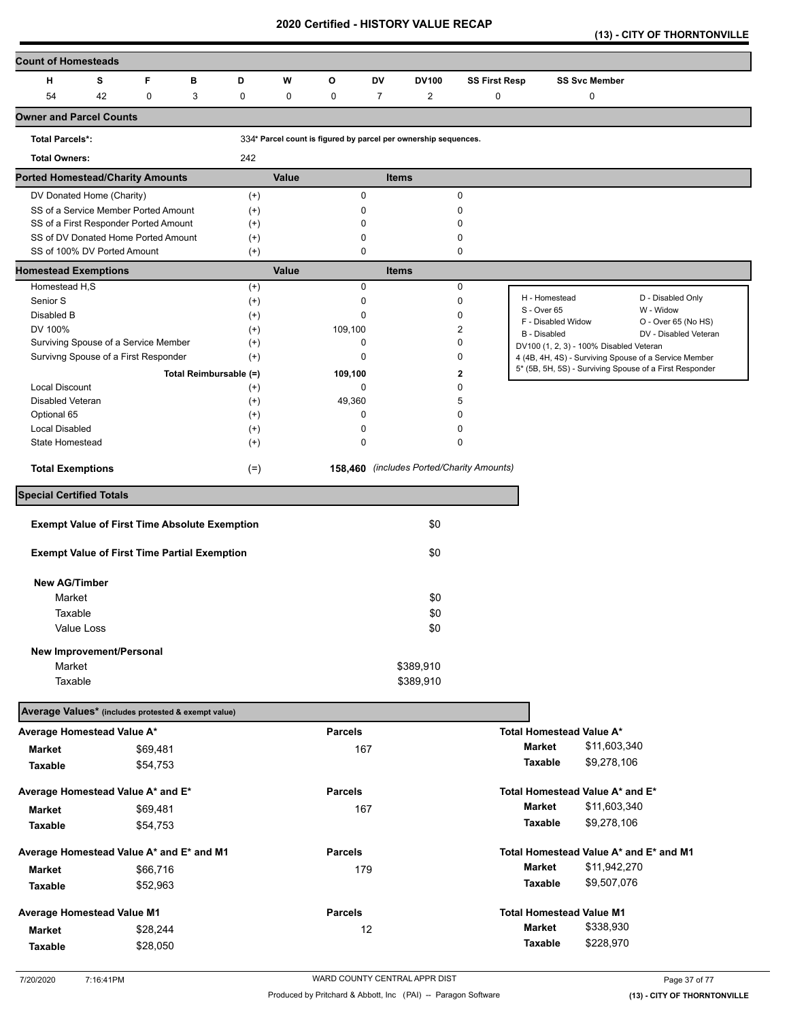**(13) - CITY OF THORNTONVILLE** 

| <b>Count of Homesteads</b>                                         |          |                        |                      |             |                                                                 |                |                |                                           |                                         |                      |                                                         |
|--------------------------------------------------------------------|----------|------------------------|----------------------|-------------|-----------------------------------------------------------------|----------------|----------------|-------------------------------------------|-----------------------------------------|----------------------|---------------------------------------------------------|
| н<br>s                                                             | F        | в                      | D                    | w           | О                                                               | DV             | <b>DV100</b>   | <b>SS First Resp</b>                      |                                         | <b>SS Svc Member</b> |                                                         |
| 54<br>42                                                           | 0        | 3                      | 0                    | $\mathbf 0$ | 0                                                               | $\overline{7}$ | $\overline{2}$ | 0                                         |                                         | 0                    |                                                         |
| <b>Owner and Parcel Counts</b>                                     |          |                        |                      |             |                                                                 |                |                |                                           |                                         |                      |                                                         |
| <b>Total Parcels*:</b>                                             |          |                        |                      |             | 334* Parcel count is figured by parcel per ownership sequences. |                |                |                                           |                                         |                      |                                                         |
| <b>Total Owners:</b>                                               |          |                        | 242                  |             |                                                                 |                |                |                                           |                                         |                      |                                                         |
| <b>Ported Homestead/Charity Amounts</b>                            |          |                        |                      | Value       |                                                                 | <b>Items</b>   |                |                                           |                                         |                      |                                                         |
| DV Donated Home (Charity)                                          |          |                        | $^{(+)}$             |             | 0                                                               |                |                | $\mathbf 0$                               |                                         |                      |                                                         |
| SS of a Service Member Ported Amount                               |          |                        | $^{(+)}$             |             | 0                                                               |                |                | 0                                         |                                         |                      |                                                         |
| SS of a First Responder Ported Amount                              |          |                        | $^{(+)}$             |             | $\mathbf 0$<br>0                                                |                |                | 0<br>0                                    |                                         |                      |                                                         |
| SS of DV Donated Home Ported Amount<br>SS of 100% DV Ported Amount |          |                        | $^{(+)}$<br>$(+)$    |             | 0                                                               |                |                | 0                                         |                                         |                      |                                                         |
| <b>Homestead Exemptions</b>                                        |          |                        |                      | Value       |                                                                 | <b>Items</b>   |                |                                           |                                         |                      |                                                         |
| Homestead H,S                                                      |          |                        | $(+)$                |             | 0                                                               |                |                | 0                                         |                                         |                      |                                                         |
| Senior S                                                           |          |                        | $^{(+)}$             |             | 0                                                               |                |                | 0                                         | H - Homestead                           |                      | D - Disabled Only                                       |
| Disabled B                                                         |          |                        | $^{(+)}$             |             | 0                                                               |                |                | 0                                         | S - Over 65<br>F - Disabled Widow       |                      | W - Widow<br>O - Over 65 (No HS)                        |
| DV 100%                                                            |          |                        | $^{(+)}$             |             | 109,100                                                         |                |                | 2                                         | B - Disabled                            |                      | DV - Disabled Veteran                                   |
| Surviving Spouse of a Service Member                               |          |                        | $^{(+)}$             |             | 0                                                               |                |                | 0                                         | DV100 (1, 2, 3) - 100% Disabled Veteran |                      |                                                         |
| Survivng Spouse of a First Responder                               |          |                        | $^{(+)}$             |             | 0                                                               |                |                | 0                                         |                                         |                      | 4 (4B, 4H, 4S) - Surviving Spouse of a Service Member   |
|                                                                    |          | Total Reimbursable (=) |                      |             | 109,100                                                         |                |                | $\mathbf 2$                               |                                         |                      | 5* (5B, 5H, 5S) - Surviving Spouse of a First Responder |
| <b>Local Discount</b>                                              |          |                        | $^{(+)}$             |             | 0                                                               |                |                | 0                                         |                                         |                      |                                                         |
| Disabled Veteran                                                   |          |                        | $^{(+)}$             |             | 49,360                                                          |                |                | 5                                         |                                         |                      |                                                         |
| Optional 65<br><b>Local Disabled</b>                               |          |                        | $^{(+)}$<br>$^{(+)}$ |             | 0<br>0                                                          |                |                | 0<br>0                                    |                                         |                      |                                                         |
| State Homestead                                                    |          |                        | $^{(+)}$             |             | 0                                                               |                |                | 0                                         |                                         |                      |                                                         |
|                                                                    |          |                        |                      |             |                                                                 |                |                |                                           |                                         |                      |                                                         |
| <b>Total Exemptions</b>                                            |          |                        | $(=)$                |             |                                                                 |                |                | 158,460 (includes Ported/Charity Amounts) |                                         |                      |                                                         |
| <b>Special Certified Totals</b>                                    |          |                        |                      |             |                                                                 |                |                |                                           |                                         |                      |                                                         |
| <b>Exempt Value of First Time Absolute Exemption</b>               |          |                        |                      |             |                                                                 |                | \$0            |                                           |                                         |                      |                                                         |
|                                                                    |          |                        |                      |             |                                                                 |                |                |                                           |                                         |                      |                                                         |
| <b>Exempt Value of First Time Partial Exemption</b>                |          |                        |                      |             |                                                                 |                | \$0            |                                           |                                         |                      |                                                         |
| <b>New AG/Timber</b>                                               |          |                        |                      |             |                                                                 |                |                |                                           |                                         |                      |                                                         |
| Market                                                             |          |                        |                      |             |                                                                 |                | \$0            |                                           |                                         |                      |                                                         |
| Taxable                                                            |          |                        |                      |             |                                                                 |                | \$0            |                                           |                                         |                      |                                                         |
| Value Loss                                                         |          |                        |                      |             |                                                                 |                | \$0            |                                           |                                         |                      |                                                         |
| New Improvement/Personal                                           |          |                        |                      |             |                                                                 |                |                |                                           |                                         |                      |                                                         |
| Market                                                             |          |                        |                      |             |                                                                 |                | \$389,910      |                                           |                                         |                      |                                                         |
| Taxable                                                            |          |                        |                      |             |                                                                 |                | \$389,910      |                                           |                                         |                      |                                                         |
|                                                                    |          |                        |                      |             |                                                                 |                |                |                                           |                                         |                      |                                                         |
| Average Values* (includes protested & exempt value)                |          |                        |                      |             |                                                                 |                |                |                                           |                                         |                      |                                                         |
| Average Homestead Value A*                                         |          |                        |                      |             | <b>Parcels</b>                                                  |                |                |                                           | <b>Total Homestead Value A*</b>         |                      |                                                         |
| Market                                                             | \$69,481 |                        |                      |             | 167                                                             |                |                |                                           | <b>Market</b>                           | \$11,603,340         |                                                         |
| Taxable                                                            | \$54,753 |                        |                      |             |                                                                 |                |                |                                           | Taxable                                 | \$9,278,106          |                                                         |
| Average Homestead Value A* and E*                                  |          |                        |                      |             | <b>Parcels</b>                                                  |                |                |                                           | Total Homestead Value A* and E*         |                      |                                                         |
| <b>Market</b>                                                      | \$69,481 |                        |                      |             | 167                                                             |                |                |                                           | <b>Market</b>                           | \$11,603,340         |                                                         |
| Taxable                                                            | \$54,753 |                        |                      |             |                                                                 |                |                |                                           | Taxable                                 | \$9,278,106          |                                                         |
|                                                                    |          |                        |                      |             | <b>Parcels</b>                                                  |                |                |                                           |                                         |                      | Total Homestead Value A* and E* and M1                  |
| Average Homestead Value A* and E* and M1                           |          |                        |                      |             | 179                                                             |                |                |                                           | Market                                  | \$11,942,270         |                                                         |
| <b>Market</b>                                                      | \$66,716 |                        |                      |             |                                                                 |                |                |                                           | Taxable                                 | \$9,507,076          |                                                         |
| Taxable                                                            | \$52,963 |                        |                      |             |                                                                 |                |                |                                           |                                         |                      |                                                         |
| Average Homestead Value M1                                         |          |                        |                      |             | <b>Parcels</b>                                                  |                |                |                                           | <b>Total Homestead Value M1</b>         |                      |                                                         |
| <b>Market</b>                                                      | \$28,244 |                        |                      |             |                                                                 | 12             |                |                                           | Market                                  | \$338,930            |                                                         |
| Taxable                                                            | \$28,050 |                        |                      |             |                                                                 |                |                |                                           | Taxable                                 | \$228,970            |                                                         |
|                                                                    |          |                        |                      |             |                                                                 |                |                |                                           |                                         |                      |                                                         |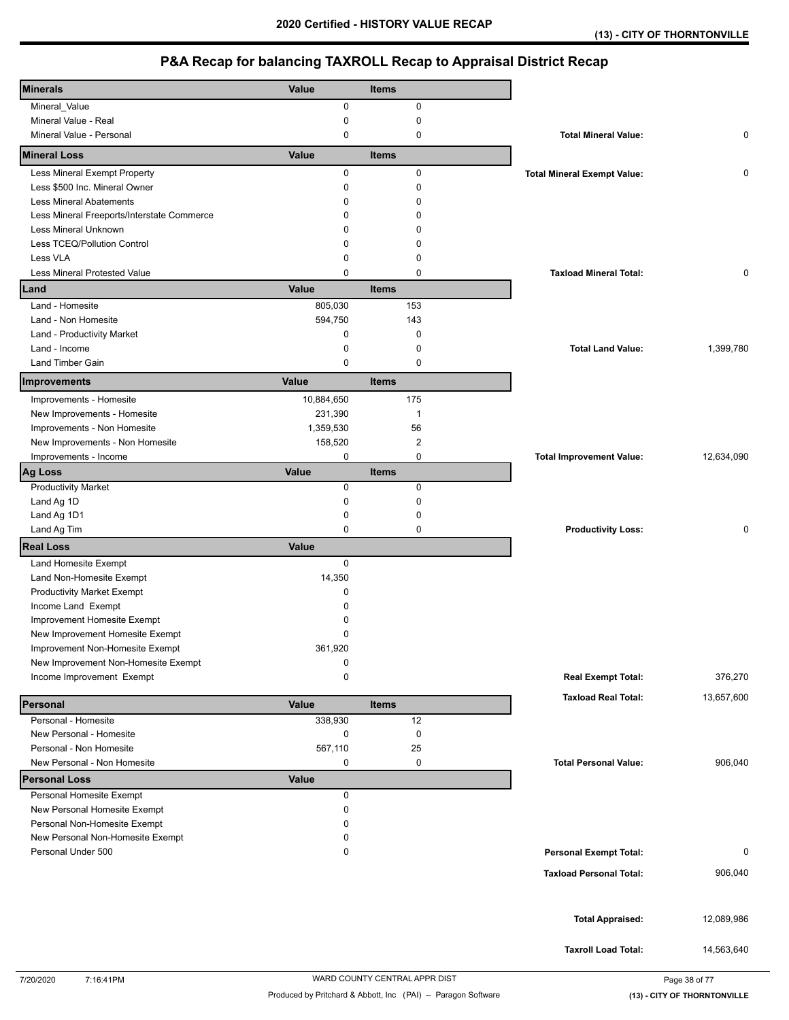| <b>Minerals</b>                            | Value       | <b>Items</b> |                                    |            |
|--------------------------------------------|-------------|--------------|------------------------------------|------------|
|                                            | 0           | 0            |                                    |            |
| Mineral_Value<br>Mineral Value - Real      | 0           | $\mathbf 0$  |                                    |            |
| Mineral Value - Personal                   | 0           | 0            | <b>Total Mineral Value:</b>        | 0          |
| <b>Mineral Loss</b>                        | Value       | <b>Items</b> |                                    |            |
| Less Mineral Exempt Property               | 0           | 0            | <b>Total Mineral Exempt Value:</b> | 0          |
| Less \$500 Inc. Mineral Owner              | 0           | 0            |                                    |            |
| <b>Less Mineral Abatements</b>             | 0           | $\mathbf 0$  |                                    |            |
| Less Mineral Freeports/Interstate Commerce | 0           | $\mathbf 0$  |                                    |            |
| Less Mineral Unknown                       | 0           | $\Omega$     |                                    |            |
| Less TCEQ/Pollution Control                | 0           | $\Omega$     |                                    |            |
| Less VLA                                   | 0           | $\mathbf 0$  |                                    |            |
| <b>Less Mineral Protested Value</b>        | 0           | $\mathbf 0$  | <b>Taxload Mineral Total:</b>      | 0          |
| Land                                       | Value       | Items        |                                    |            |
| Land - Homesite                            | 805,030     | 153          |                                    |            |
| Land - Non Homesite                        | 594,750     | 143          |                                    |            |
| Land - Productivity Market                 | 0           | 0            |                                    |            |
| Land - Income                              | 0           | 0            | <b>Total Land Value:</b>           | 1,399,780  |
| <b>Land Timber Gain</b>                    | 0           | 0            |                                    |            |
|                                            | Value       | <b>Items</b> |                                    |            |
| Improvements                               |             |              |                                    |            |
| Improvements - Homesite                    | 10,884,650  | 175          |                                    |            |
| New Improvements - Homesite                | 231,390     | $\mathbf{1}$ |                                    |            |
| Improvements - Non Homesite                | 1,359,530   | 56           |                                    |            |
| New Improvements - Non Homesite            | 158,520     | 2            |                                    |            |
| Improvements - Income                      | 0           | 0            | <b>Total Improvement Value:</b>    | 12,634,090 |
| <b>Ag Loss</b>                             | Value       | <b>Items</b> |                                    |            |
| <b>Productivity Market</b>                 | 0           | 0            |                                    |            |
| Land Ag 1D                                 | 0           | 0            |                                    |            |
| Land Ag 1D1                                | 0           | 0            |                                    |            |
| Land Ag Tim                                | 0           | 0            | <b>Productivity Loss:</b>          | 0          |
| <b>Real Loss</b>                           | Value       |              |                                    |            |
| Land Homesite Exempt                       | $\mathbf 0$ |              |                                    |            |
| Land Non-Homesite Exempt                   | 14,350      |              |                                    |            |
| <b>Productivity Market Exempt</b>          | 0           |              |                                    |            |
| Income Land Exempt                         | 0           |              |                                    |            |
| Improvement Homesite Exempt                | 0           |              |                                    |            |
| New Improvement Homesite Exempt            | 0           |              |                                    |            |
| Improvement Non-Homesite Exempt            | 361,920     |              |                                    |            |
| New Improvement Non-Homesite Exempt        | 0           |              |                                    |            |
| Income Improvement Exempt                  | 0           |              | <b>Real Exempt Total:</b>          | 376,270    |
| Personal                                   | Value       | <b>Items</b> | <b>Taxload Real Total:</b>         | 13,657,600 |
| Personal - Homesite                        | 338,930     | 12           |                                    |            |
| New Personal - Homesite                    | 0           | $\pmb{0}$    |                                    |            |
| Personal - Non Homesite                    | 567,110     | 25           |                                    |            |
| New Personal - Non Homesite                | 0           | 0            | <b>Total Personal Value:</b>       | 906,040    |
| <b>Personal Loss</b>                       | Value       |              |                                    |            |
| Personal Homesite Exempt                   | 0           |              |                                    |            |
| New Personal Homesite Exempt               | 0           |              |                                    |            |
| Personal Non-Homesite Exempt               | 0           |              |                                    |            |
| New Personal Non-Homesite Exempt           | 0           |              |                                    |            |
| Personal Under 500                         | 0           |              | <b>Personal Exempt Total:</b>      | 0          |
|                                            |             |              |                                    |            |
|                                            |             |              | <b>Taxload Personal Total:</b>     | 906,040    |
|                                            |             |              |                                    |            |
|                                            |             |              | <b>Total Appraised:</b>            | 12,089,986 |
|                                            |             |              |                                    |            |
|                                            |             |              | <b>Taxroll Load Total:</b>         | 14,563,640 |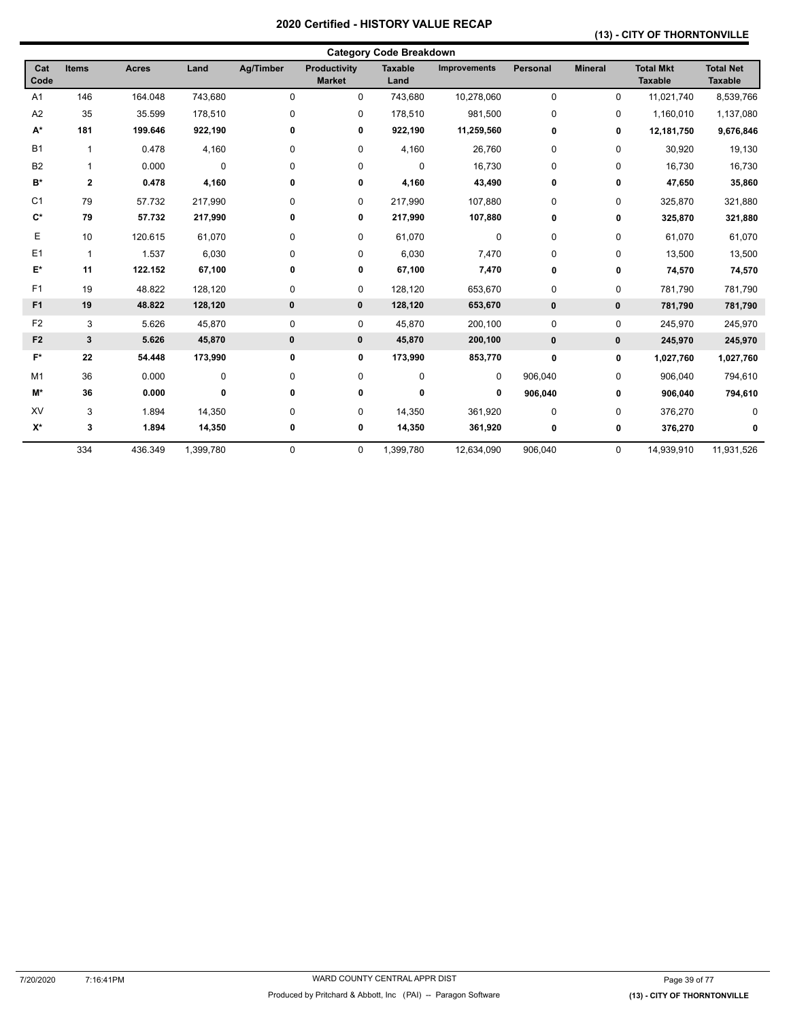### **(13) - CITY OF THORNTONVILLE**

|                    |              |              |           |             |                               | <b>Category Code Breakdown</b> |                     |                 |                |                                    |                                    |
|--------------------|--------------|--------------|-----------|-------------|-------------------------------|--------------------------------|---------------------|-----------------|----------------|------------------------------------|------------------------------------|
| Cat<br>Code        | <b>Items</b> | <b>Acres</b> | Land      | Ag/Timber   | Productivity<br><b>Market</b> | <b>Taxable</b><br>Land         | <b>Improvements</b> | <b>Personal</b> | <b>Mineral</b> | <b>Total Mkt</b><br><b>Taxable</b> | <b>Total Net</b><br><b>Taxable</b> |
| A <sub>1</sub>     | 146          | 164.048      | 743,680   | $\mathbf 0$ | $\Omega$                      | 743,680                        | 10,278,060          | $\Omega$        | 0              | 11,021,740                         | 8,539,766                          |
| A <sub>2</sub>     | 35           | 35.599       | 178,510   | $\mathbf 0$ | 0                             | 178,510                        | 981,500             | $\mathbf 0$     | 0              | 1,160,010                          | 1,137,080                          |
| $\mathsf{A}^\star$ | 181          | 199.646      | 922,190   | 0           | 0                             | 922,190                        | 11,259,560          | 0               | 0              | 12,181,750                         | 9,676,846                          |
| <b>B1</b>          | $\mathbf{1}$ | 0.478        | 4,160     | 0           | 0                             | 4,160                          | 26,760              | 0               | 0              | 30,920                             | 19,130                             |
| <b>B2</b>          | 1            | 0.000        | $\pmb{0}$ | $\mathbf 0$ | 0                             | 0                              | 16,730              | 0               | 0              | 16,730                             | 16,730                             |
| B*                 | $\mathbf 2$  | 0.478        | 4,160     | 0           | 0                             | 4,160                          | 43,490              | 0               | 0              | 47,650                             | 35,860                             |
| C <sub>1</sub>     | 79           | 57.732       | 217,990   | 0           | 0                             | 217,990                        | 107,880             | 0               | 0              | 325,870                            | 321,880                            |
| $C^*$              | 79           | 57.732       | 217,990   | 0           | 0                             | 217,990                        | 107,880             | 0               | 0              | 325,870                            | 321,880                            |
| Е                  | 10           | 120.615      | 61,070    | 0           | 0                             | 61,070                         | 0                   | 0               | 0              | 61,070                             | 61,070                             |
| E1                 | $\mathbf{1}$ | 1.537        | 6,030     | 0           | 0                             | 6,030                          | 7,470               | 0               | 0              | 13,500                             | 13,500                             |
| E*                 | 11           | 122.152      | 67,100    | 0           | 0                             | 67,100                         | 7,470               | 0               | 0              | 74,570                             | 74,570                             |
| F1                 | 19           | 48.822       | 128,120   | $\pmb{0}$   | 0                             | 128,120                        | 653,670             | 0               | 0              | 781,790                            | 781,790                            |
| F <sub>1</sub>     | 19           | 48.822       | 128,120   | 0           | $\mathbf 0$                   | 128,120                        | 653,670             | $\mathbf{0}$    | $\mathbf 0$    | 781,790                            | 781,790                            |
| F <sub>2</sub>     | 3            | 5.626        | 45,870    | $\pmb{0}$   | 0                             | 45,870                         | 200,100             | 0               | 0              | 245,970                            | 245,970                            |
| F <sub>2</sub>     | $\mathbf{3}$ | 5.626        | 45,870    | 0           | 0                             | 45,870                         | 200,100             | $\bf{0}$        | $\pmb{0}$      | 245,970                            | 245,970                            |
| $F^*$              | 22           | 54.448       | 173,990   | 0           | 0                             | 173,990                        | 853,770             | 0               | 0              | 1,027,760                          | 1,027,760                          |
| M <sub>1</sub>     | 36           | 0.000        | $\pmb{0}$ | $\pmb{0}$   | 0                             | 0                              | 0                   | 906,040         | 0              | 906,040                            | 794,610                            |
| M*                 | 36           | 0.000        | 0         | 0           | 0                             | 0                              | 0                   | 906,040         | 0              | 906,040                            | 794,610                            |
| XV                 | 3            | 1.894        | 14,350    | 0           | 0                             | 14,350                         | 361,920             | $\mathbf 0$     | 0              | 376,270                            | $\Omega$                           |
| $\mathsf{X}^\star$ | 3            | 1.894        | 14,350    | 0           | 0                             | 14,350                         | 361,920             | 0               | 0              | 376,270                            | 0                                  |
|                    | 334          | 436.349      | 1,399,780 | $\mathbf 0$ | 0                             | 1,399,780                      | 12,634,090          | 906,040         | 0              | 14,939,910                         | 11,931,526                         |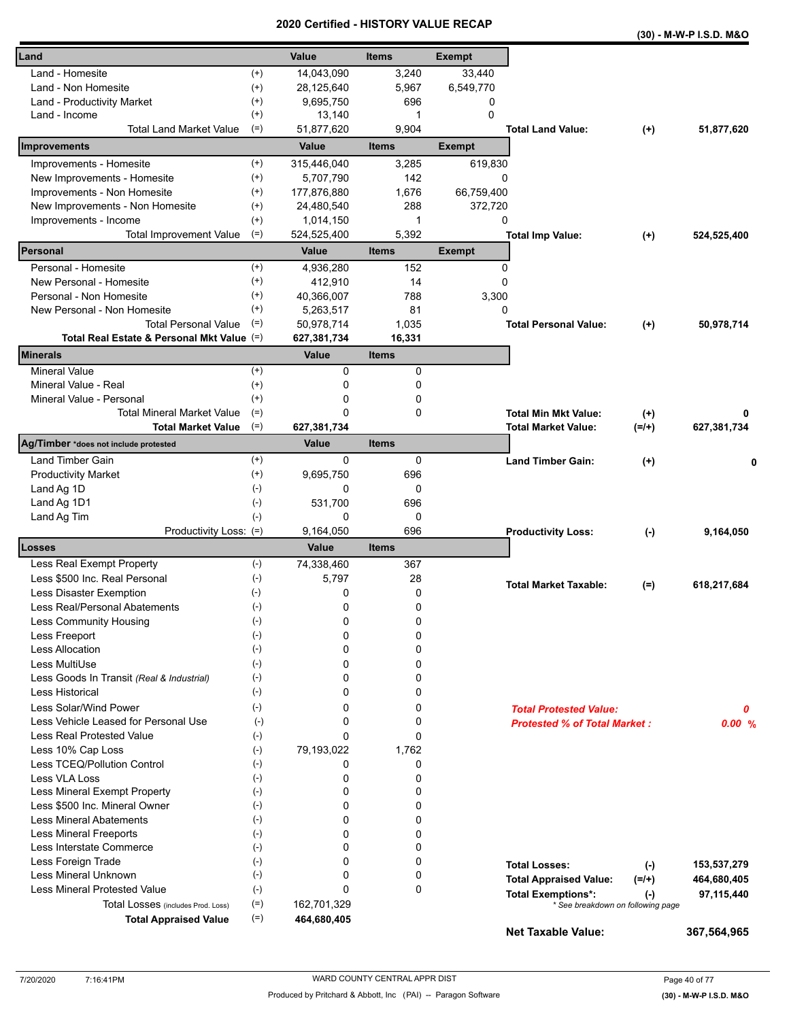|                                            |                    |               | Certilled - HISTORT VALUE RECAP |               |                                     |              | (30) - M-W-P I.S.D. M&O |
|--------------------------------------------|--------------------|---------------|---------------------------------|---------------|-------------------------------------|--------------|-------------------------|
| Land                                       |                    | Value         | <b>Items</b>                    | <b>Exempt</b> |                                     |              |                         |
| Land - Homesite                            | $^{(+)}$           | 14,043,090    | 3,240                           | 33,440        |                                     |              |                         |
| Land - Non Homesite                        | $^{(+)}$           | 28,125,640    | 5,967                           | 6,549,770     |                                     |              |                         |
| Land - Productivity Market                 | $^{(+)}$           | 9,695,750     | 696                             | 0             |                                     |              |                         |
| Land - Income                              | $^{(+)}$           | 13,140        | 1                               | $\Omega$      |                                     |              |                         |
| <b>Total Land Market Value</b>             | $(=)$              | 51,877,620    | 9,904                           |               | <b>Total Land Value:</b>            | $^{(+)}$     | 51,877,620              |
| Improvements                               |                    | Value         | <b>Items</b>                    | <b>Exempt</b> |                                     |              |                         |
| Improvements - Homesite                    | $^{(+)}$           | 315,446,040   | 3,285                           | 619,830       |                                     |              |                         |
| New Improvements - Homesite                | $^{(+)}$           | 5,707,790     | 142                             | 0             |                                     |              |                         |
| Improvements - Non Homesite                | $^{(+)}$           | 177,876,880   | 1,676                           | 66,759,400    |                                     |              |                         |
| New Improvements - Non Homesite            | $^{(+)}$           | 24,480,540    | 288                             | 372,720       |                                     |              |                         |
| Improvements - Income                      | $^{(+)}$           | 1,014,150     | 1                               | 0             |                                     |              |                         |
| <b>Total Improvement Value</b>             | $(=)$              | 524,525,400   | 5,392                           |               | <b>Total Imp Value:</b>             | $^{(+)}$     | 524,525,400             |
| Personal                                   |                    | Value         | <b>Items</b>                    | <b>Exempt</b> |                                     |              |                         |
| Personal - Homesite                        | $^{(+)}$           | 4,936,280     | 152                             | 0             |                                     |              |                         |
| New Personal - Homesite                    | $^{(+)}$           | 412,910       | 14                              | 0             |                                     |              |                         |
| Personal - Non Homesite                    | $^{(+)}$           | 40,366,007    | 788                             | 3,300         |                                     |              |                         |
| New Personal - Non Homesite                | $^{(+)}$           | 5,263,517     | 81                              | 0             |                                     |              |                         |
| <b>Total Personal Value</b>                | $(=)$              | 50,978,714    | 1,035                           |               | <b>Total Personal Value:</b>        | $^{(+)}$     | 50,978,714              |
| Total Real Estate & Personal Mkt Value (=) |                    | 627,381,734   | 16,331                          |               |                                     |              |                         |
| <b>Minerals</b>                            |                    | Value         | <b>Items</b>                    |               |                                     |              |                         |
| <b>Mineral Value</b>                       | $^{(+)}$           | 0             | 0                               |               |                                     |              |                         |
| Mineral Value - Real                       | $^{(+)}$           | 0             | 0                               |               |                                     |              |                         |
| Mineral Value - Personal                   | $^{(+)}$           | 0             | 0                               |               |                                     |              |                         |
| <b>Total Mineral Market Value</b>          | $(=)$              | 0             | 0                               |               | <b>Total Min Mkt Value:</b>         | $(+)$        | 0                       |
| <b>Total Market Value</b>                  | $(=)$              | 627,381,734   |                                 |               | <b>Total Market Value:</b>          | $(=/+)$      | 627,381,734             |
| Ag/Timber *does not include protested      |                    | Value         | <b>Items</b>                    |               |                                     |              |                         |
| <b>Land Timber Gain</b>                    | $^{(+)}$           | 0             | 0                               |               | <b>Land Timber Gain:</b>            | $(+)$        | 0                       |
| <b>Productivity Market</b>                 | $^{(+)}$           | 9,695,750     | 696                             |               |                                     |              |                         |
| Land Ag 1D                                 | $(-)$              | 0             | 0                               |               |                                     |              |                         |
| Land Ag 1D1                                | $(\text{-})$       | 531,700       | 696                             |               |                                     |              |                         |
| Land Ag Tim                                | $(-)$              | 0             | 0                               |               |                                     |              |                         |
| Productivity Loss: (=)                     |                    | 9,164,050     | 696                             |               | <b>Productivity Loss:</b>           | $(\text{-})$ | 9,164,050               |
| Losses                                     |                    | Value         | <b>Items</b>                    |               |                                     |              |                         |
| Less Real Exempt Property                  | $(-)$              | 74,338,460    | 367                             |               |                                     |              |                         |
| Less \$500 Inc. Real Personal              | $(\text{-})$       | 5,797         | 28                              |               |                                     |              |                         |
| Less Disaster Exemption                    | $(-)$              | 0             | 0                               |               | <b>Total Market Taxable:</b>        | $(=)$        | 618,217,684             |
| Less Real/Personal Abatements              | $(\textnormal{-})$ | 0             | 0                               |               |                                     |              |                         |
| Less Community Housing                     | $(-)$              | 0             | 0                               |               |                                     |              |                         |
| Less Freeport                              | $(-)$              | 0             | 0                               |               |                                     |              |                         |
| Less Allocation                            | $(-)$              | 0             | 0                               |               |                                     |              |                         |
| Less MultiUse                              | $(-)$              | 0             | 0                               |               |                                     |              |                         |
| Less Goods In Transit (Real & Industrial)  | $(-)$              | 0             | 0                               |               |                                     |              |                         |
| <b>Less Historical</b>                     | $(-)$              | 0             | 0                               |               |                                     |              |                         |
| Less Solar/Wind Power                      | $(-)$              | 0             | 0                               |               | <b>Total Protested Value:</b>       |              | 0                       |
| Less Vehicle Leased for Personal Use       | $(-)$              | 0             | 0                               |               | <b>Protested % of Total Market:</b> |              |                         |
| <b>Less Real Protested Value</b>           | $(-)$              | 0             | $\Omega$                        |               |                                     |              | 0.00%                   |
| Less 10% Cap Loss                          | $(-)$              | 79,193,022    | 1,762                           |               |                                     |              |                         |
| Less TCEQ/Pollution Control                | $(-)$              | 0             | 0                               |               |                                     |              |                         |
| Less VLA Loss                              | $(\cdot)$          | 0             | 0                               |               |                                     |              |                         |
| Less Mineral Exempt Property               | $(-)$              | 0             | 0                               |               |                                     |              |                         |
| Less \$500 Inc. Mineral Owner              | $(-)$              | 0             | 0                               |               |                                     |              |                         |
| <b>Less Mineral Abatements</b>             | $(-)$              | 0             | 0                               |               |                                     |              |                         |
|                                            |                    |               |                                 |               |                                     |              |                         |
| <b>Less Mineral Freeports</b>              | $(-)$              | 0<br>$\Omega$ | 0                               |               |                                     |              |                         |
| Less Interstate Commerce                   | $(\cdot)$          |               | 0                               |               |                                     |              |                         |
| Less Foreign Trade                         | $(-)$              | 0<br>0        | 0                               |               | <b>Total Losses:</b>                | $(-)$        | 153,537,279             |
| Less Mineral Unknown                       | $(\text{-})$       |               | 0                               |               | <b>Total Appraised Value:</b>       | $(=/+)$      | 464,680,405             |
| Less Mineral Protested Value               | $(-)$              | 0             | 0                               |               | <b>Total Exemptions*:</b>           | $(\cdot)$    | 97,115,440              |
| Total Losses (includes Prod. Loss)         | $(=)$              | 162,701,329   |                                 |               | * See breakdown on following page   |              |                         |
| <b>Total Appraised Value</b>               | $(=)$              | 464,680,405   |                                 |               | <b>Net Taxable Value:</b>           |              | 367,564,965             |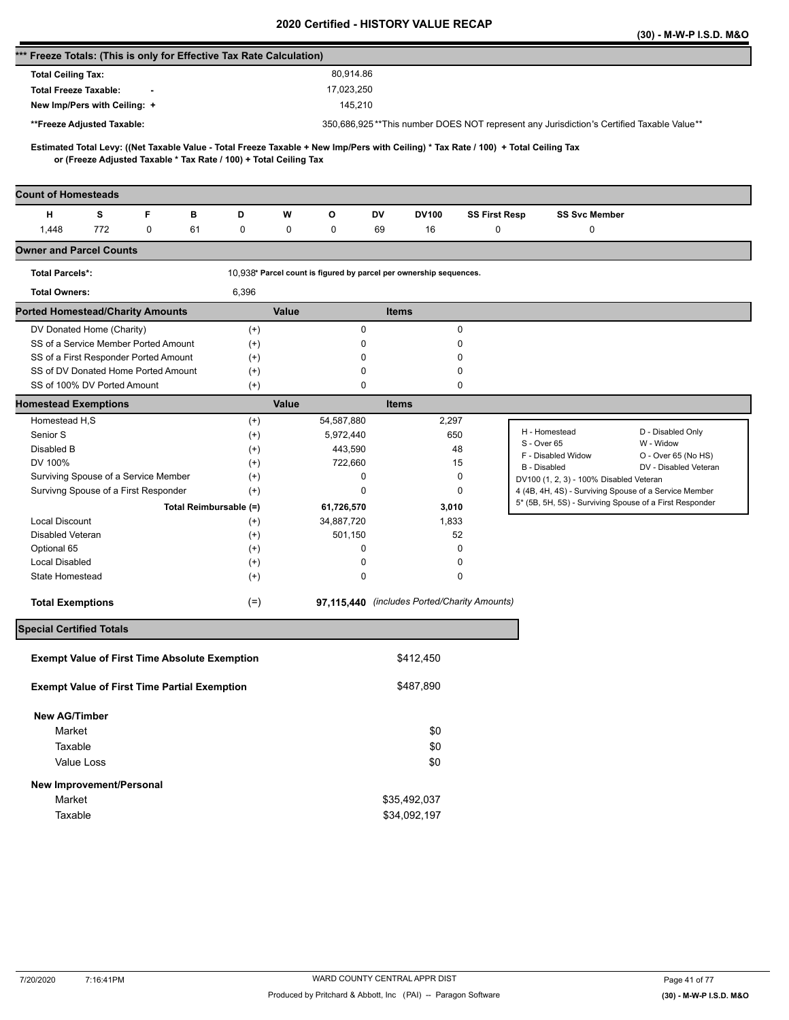|                                                                      |     |   |                        |                                                                   |       |                                                                    |              |              |                                              |                                                                                                                                     | (30) - M-W-P I.S.D. M&O |
|----------------------------------------------------------------------|-----|---|------------------------|-------------------------------------------------------------------|-------|--------------------------------------------------------------------|--------------|--------------|----------------------------------------------|-------------------------------------------------------------------------------------------------------------------------------------|-------------------------|
| *** Freeze Totals: (This is only for Effective Tax Rate Calculation) |     |   |                        |                                                                   |       |                                                                    |              |              |                                              |                                                                                                                                     |                         |
| <b>Total Ceiling Tax:</b>                                            |     |   |                        |                                                                   |       | 80.914.86                                                          |              |              |                                              |                                                                                                                                     |                         |
| <b>Total Freeze Taxable:</b>                                         |     |   |                        |                                                                   |       | 17,023,250                                                         |              |              |                                              |                                                                                                                                     |                         |
| New Imp/Pers with Ceiling: +                                         |     |   |                        |                                                                   |       | 145,210                                                            |              |              |                                              |                                                                                                                                     |                         |
| **Freeze Adjusted Taxable:                                           |     |   |                        |                                                                   |       |                                                                    |              |              |                                              | 350,686,925**This number DOES NOT represent any Jurisdiction's Certified Taxable Value**                                            |                         |
|                                                                      |     |   |                        |                                                                   |       |                                                                    |              |              |                                              |                                                                                                                                     |                         |
|                                                                      |     |   |                        | or (Freeze Adjusted Taxable * Tax Rate / 100) + Total Ceiling Tax |       |                                                                    |              |              |                                              | Estimated Total Levy: ((Net Taxable Value - Total Freeze Taxable + New Imp/Pers with Ceiling) * Tax Rate / 100) + Total Ceiling Tax |                         |
|                                                                      |     |   |                        |                                                                   |       |                                                                    |              |              |                                              |                                                                                                                                     |                         |
| <b>Count of Homesteads</b>                                           |     |   |                        |                                                                   |       |                                                                    |              |              |                                              |                                                                                                                                     |                         |
| н                                                                    | s   | F | в                      | D                                                                 | W     | О                                                                  | DV           | DV100        | <b>SS First Resp</b>                         | <b>SS Svc Member</b>                                                                                                                |                         |
| 1,448                                                                | 772 | 0 | 61                     | 0                                                                 | 0     | 0                                                                  | 69           | 16           | 0                                            | 0                                                                                                                                   |                         |
| <b>Owner and Parcel Counts</b>                                       |     |   |                        |                                                                   |       |                                                                    |              |              |                                              |                                                                                                                                     |                         |
| <b>Total Parcels*:</b>                                               |     |   |                        |                                                                   |       | 10,938* Parcel count is figured by parcel per ownership sequences. |              |              |                                              |                                                                                                                                     |                         |
| <b>Total Owners:</b>                                                 |     |   |                        | 6,396                                                             |       |                                                                    |              |              |                                              |                                                                                                                                     |                         |
| <b>Ported Homestead/Charity Amounts</b>                              |     |   |                        |                                                                   | Value |                                                                    | <b>Items</b> |              |                                              |                                                                                                                                     |                         |
| DV Donated Home (Charity)                                            |     |   |                        | $^{(+)}$                                                          |       | 0                                                                  |              |              | 0                                            |                                                                                                                                     |                         |
| SS of a Service Member Ported Amount                                 |     |   |                        | $^{(+)}$                                                          |       | 0                                                                  |              |              | 0                                            |                                                                                                                                     |                         |
| SS of a First Responder Ported Amount                                |     |   |                        | $^{(+)}$                                                          |       | 0                                                                  |              |              | 0                                            |                                                                                                                                     |                         |
| SS of DV Donated Home Ported Amount<br>SS of 100% DV Ported Amount   |     |   |                        | $^{(+)}$<br>$^{(+)}$                                              |       | 0<br>0                                                             |              |              | 0<br>0                                       |                                                                                                                                     |                         |
| <b>Homestead Exemptions</b>                                          |     |   |                        |                                                                   | Value |                                                                    | <b>Items</b> |              |                                              |                                                                                                                                     |                         |
| Homestead H,S                                                        |     |   |                        | $^{(+)}$                                                          |       | 54,587,880                                                         |              | 2,297        |                                              |                                                                                                                                     |                         |
| Senior S                                                             |     |   |                        | $^{(+)}$                                                          |       | 5,972,440                                                          |              |              | 650                                          | H - Homestead                                                                                                                       | D - Disabled Only       |
| Disabled B                                                           |     |   |                        | $^{(+)}$                                                          |       | 443,590                                                            |              |              | 48                                           | S - Over 65                                                                                                                         | W - Widow               |
| DV 100%                                                              |     |   |                        | $^{(+)}$                                                          |       | 722,660                                                            |              |              | 15                                           | F - Disabled Widow<br>B - Disabled                                                                                                  | O - Over 65 (No HS)     |
| Surviving Spouse of a Service Member                                 |     |   |                        | $^{(+)}$                                                          |       | 0                                                                  |              |              | 0                                            | DV100 (1, 2, 3) - 100% Disabled Veteran                                                                                             | DV - Disabled Veteran   |
| Survivng Spouse of a First Responder                                 |     |   |                        | $^{(+)}$                                                          |       | 0                                                                  |              |              | 0                                            | 4 (4B, 4H, 4S) - Surviving Spouse of a Service Member                                                                               |                         |
|                                                                      |     |   | Total Reimbursable (=) |                                                                   |       | 61,726,570                                                         |              | 3,010        |                                              | 5* (5B, 5H, 5S) - Surviving Spouse of a First Responder                                                                             |                         |
| <b>Local Discount</b>                                                |     |   |                        | $^{(+)}$                                                          |       | 34,887,720                                                         |              | 1,833        |                                              |                                                                                                                                     |                         |
| Disabled Veteran                                                     |     |   |                        | $^{(+)}$                                                          |       | 501,150                                                            |              |              | 52                                           |                                                                                                                                     |                         |
| Optional 65                                                          |     |   |                        | $^{(+)}$                                                          |       | 0                                                                  |              |              | 0                                            |                                                                                                                                     |                         |
| <b>Local Disabled</b>                                                |     |   |                        | $^{(+)}$                                                          |       | 0                                                                  |              |              | 0                                            |                                                                                                                                     |                         |
| State Homestead                                                      |     |   |                        | $^{(+)}$                                                          |       | 0                                                                  |              |              | 0                                            |                                                                                                                                     |                         |
| <b>Total Exemptions</b>                                              |     |   |                        | $(=)$                                                             |       |                                                                    |              |              | 97,115,440 (includes Ported/Charity Amounts) |                                                                                                                                     |                         |
| <b>Special Certified Totals</b>                                      |     |   |                        |                                                                   |       |                                                                    |              |              |                                              |                                                                                                                                     |                         |
|                                                                      |     |   |                        |                                                                   |       |                                                                    |              |              |                                              |                                                                                                                                     |                         |
| <b>Exempt Value of First Time Absolute Exemption</b>                 |     |   |                        |                                                                   |       |                                                                    |              | \$412,450    |                                              |                                                                                                                                     |                         |
| <b>Exempt Value of First Time Partial Exemption</b>                  |     |   |                        |                                                                   |       |                                                                    |              | \$487,890    |                                              |                                                                                                                                     |                         |
| <b>New AG/Timber</b>                                                 |     |   |                        |                                                                   |       |                                                                    |              |              |                                              |                                                                                                                                     |                         |
| Market                                                               |     |   |                        |                                                                   |       |                                                                    |              | \$0          |                                              |                                                                                                                                     |                         |
| Taxable                                                              |     |   |                        |                                                                   |       |                                                                    |              | \$0          |                                              |                                                                                                                                     |                         |
| Value Loss                                                           |     |   |                        |                                                                   |       |                                                                    |              | \$0          |                                              |                                                                                                                                     |                         |
| New Improvement/Personal                                             |     |   |                        |                                                                   |       |                                                                    |              |              |                                              |                                                                                                                                     |                         |
| Market                                                               |     |   |                        |                                                                   |       |                                                                    |              | \$35,492,037 |                                              |                                                                                                                                     |                         |
| Taxable                                                              |     |   |                        |                                                                   |       |                                                                    |              | \$34,092,197 |                                              |                                                                                                                                     |                         |
|                                                                      |     |   |                        |                                                                   |       |                                                                    |              |              |                                              |                                                                                                                                     |                         |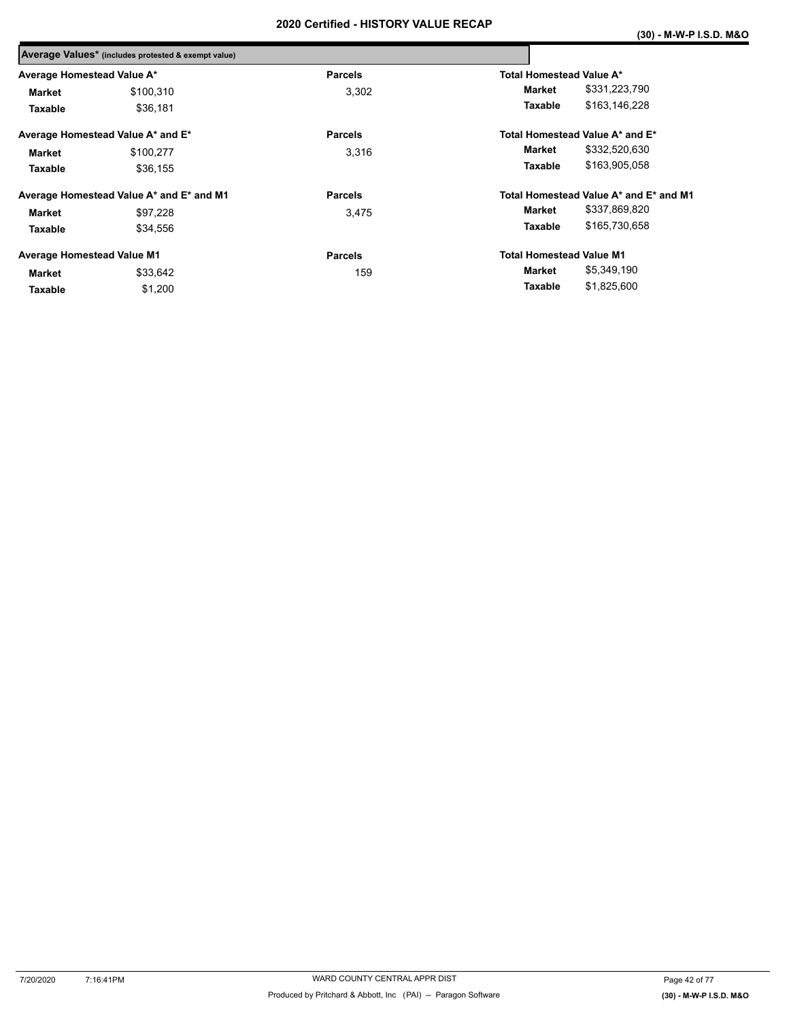|                                   | Average Values* (includes protested & exempt value) |                |                                        |  |
|-----------------------------------|-----------------------------------------------------|----------------|----------------------------------------|--|
| Average Homestead Value A*        |                                                     | <b>Parcels</b> | Total Homestead Value A*               |  |
| <b>Market</b>                     | \$100,310                                           | 3,302          | \$331,223,790<br>Market                |  |
| Taxable                           | \$36,181                                            |                | \$163,146,228<br><b>Taxable</b>        |  |
|                                   | Average Homestead Value A* and E*                   | <b>Parcels</b> | Total Homestead Value A* and E*        |  |
| <b>Market</b>                     | \$100,277                                           | 3,316          | \$332,520,630<br><b>Market</b>         |  |
| Taxable                           | \$36.155                                            |                | \$163,905,058<br>Taxable               |  |
|                                   | Average Homestead Value A* and E* and M1            | <b>Parcels</b> | Total Homestead Value A* and E* and M1 |  |
| <b>Market</b>                     | \$97.228                                            | 3.475          | \$337,869,820<br>Market                |  |
| Taxable                           | \$34,556                                            |                | \$165,730,658<br><b>Taxable</b>        |  |
| <b>Average Homestead Value M1</b> |                                                     | <b>Parcels</b> | <b>Total Homestead Value M1</b>        |  |
| Market                            | \$33,642                                            | 159            | \$5,349,190<br>Market                  |  |
| Taxable                           | \$1,200                                             |                | \$1,825,600<br>Taxable                 |  |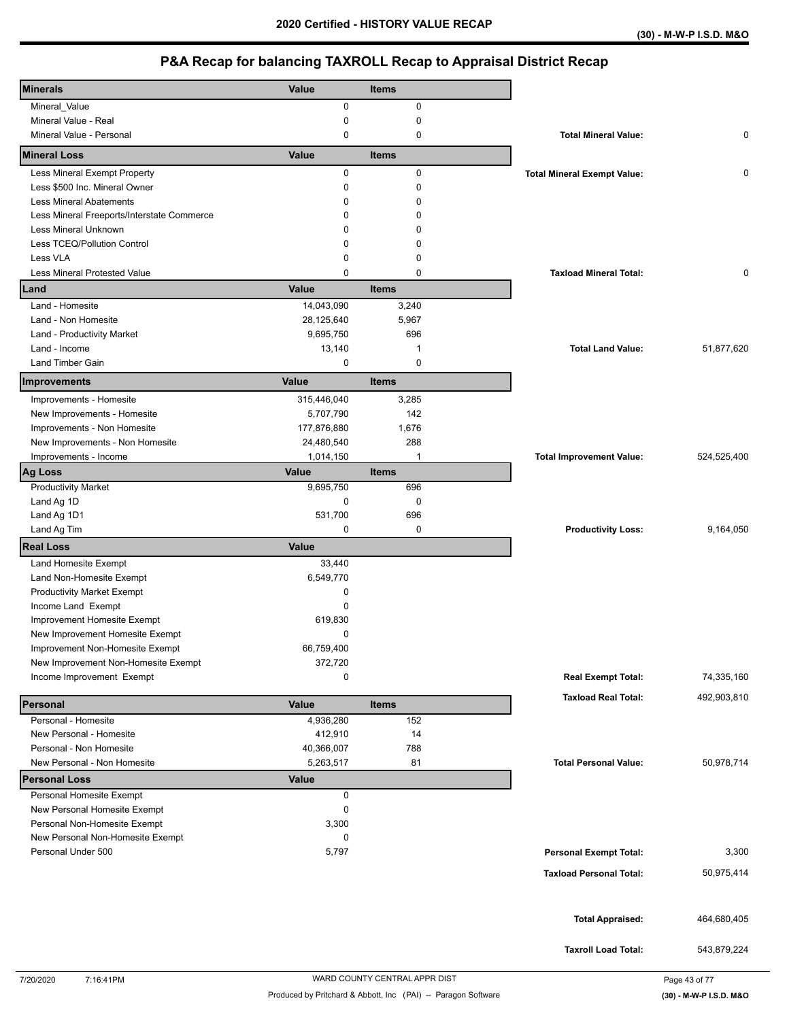| <b>Minerals</b>                                                    | Value        | <b>Items</b> |                                    |             |
|--------------------------------------------------------------------|--------------|--------------|------------------------------------|-------------|
| Mineral_Value                                                      | 0            | 0            |                                    |             |
| Mineral Value - Real                                               | 0            | 0            |                                    |             |
| Mineral Value - Personal                                           | $\mathbf 0$  | 0            | <b>Total Mineral Value:</b>        | 0           |
| <b>Mineral Loss</b>                                                | Value        | <b>Items</b> |                                    |             |
| Less Mineral Exempt Property                                       | 0            | 0            | <b>Total Mineral Exempt Value:</b> | 0           |
| Less \$500 Inc. Mineral Owner                                      | 0            | 0            |                                    |             |
| <b>Less Mineral Abatements</b>                                     | 0            | 0            |                                    |             |
| Less Mineral Freeports/Interstate Commerce                         | 0            | 0            |                                    |             |
| Less Mineral Unknown                                               | 0            | 0            |                                    |             |
| Less TCEQ/Pollution Control                                        | 0            | 0            |                                    |             |
| Less VLA                                                           | 0            | 0            |                                    |             |
| <b>Less Mineral Protested Value</b>                                | 0            | 0            | <b>Taxload Mineral Total:</b>      | 0           |
| Land                                                               | Value        | <b>Items</b> |                                    |             |
| Land - Homesite                                                    | 14,043,090   | 3,240        |                                    |             |
| Land - Non Homesite                                                | 28,125,640   | 5,967        |                                    |             |
| Land - Productivity Market                                         | 9,695,750    | 696          |                                    |             |
| Land - Income                                                      | 13,140       | 1            | <b>Total Land Value:</b>           | 51,877,620  |
| Land Timber Gain                                                   | 0            | $\mathbf 0$  |                                    |             |
| Improvements                                                       | Value        | <b>Items</b> |                                    |             |
| Improvements - Homesite                                            | 315,446,040  | 3,285        |                                    |             |
| New Improvements - Homesite                                        | 5,707,790    | 142          |                                    |             |
| Improvements - Non Homesite                                        | 177,876,880  | 1,676        |                                    |             |
| New Improvements - Non Homesite                                    | 24,480,540   | 288          |                                    |             |
| Improvements - Income                                              | 1,014,150    | 1            | <b>Total Improvement Value:</b>    | 524,525,400 |
| <b>Ag Loss</b>                                                     | Value        | <b>Items</b> |                                    |             |
| <b>Productivity Market</b>                                         | 9,695,750    | 696          |                                    |             |
| Land Ag 1D                                                         | 0            | $\mathbf 0$  |                                    |             |
| Land Ag 1D1                                                        | 531,700      | 696          |                                    |             |
| Land Ag Tim                                                        | 0            | 0            | <b>Productivity Loss:</b>          | 9,164,050   |
| <b>Real Loss</b>                                                   | Value        |              |                                    |             |
| Land Homesite Exempt                                               | 33,440       |              |                                    |             |
| Land Non-Homesite Exempt                                           | 6,549,770    |              |                                    |             |
| <b>Productivity Market Exempt</b>                                  | 0            |              |                                    |             |
| Income Land Exempt                                                 | $\mathbf 0$  |              |                                    |             |
| Improvement Homesite Exempt                                        | 619,830      |              |                                    |             |
|                                                                    |              |              |                                    |             |
|                                                                    | 0            |              |                                    |             |
| New Improvement Homesite Exempt<br>Improvement Non-Homesite Exempt | 66,759,400   |              |                                    |             |
|                                                                    |              |              |                                    |             |
| New Improvement Non-Homesite Exempt<br>Income Improvement Exempt   | 372,720<br>0 |              | <b>Real Exempt Total:</b>          | 74,335,160  |
|                                                                    |              |              |                                    |             |
| Personal                                                           | Value        | <b>Items</b> | <b>Taxload Real Total:</b>         | 492,903,810 |
| Personal - Homesite                                                | 4,936,280    | 152          |                                    |             |
| New Personal - Homesite                                            | 412,910      | 14           |                                    |             |
| Personal - Non Homesite                                            | 40,366,007   | 788          |                                    |             |
| New Personal - Non Homesite                                        | 5,263,517    | 81           | <b>Total Personal Value:</b>       | 50,978,714  |
| <b>Personal Loss</b>                                               | Value        |              |                                    |             |
| Personal Homesite Exempt                                           | 0            |              |                                    |             |
| New Personal Homesite Exempt                                       | 0            |              |                                    |             |
| Personal Non-Homesite Exempt                                       | 3,300        |              |                                    |             |
| New Personal Non-Homesite Exempt                                   | 0            |              |                                    |             |
| Personal Under 500                                                 | 5,797        |              | <b>Personal Exempt Total:</b>      | 3,300       |
|                                                                    |              |              | <b>Taxload Personal Total:</b>     | 50,975,414  |
|                                                                    |              |              |                                    |             |
|                                                                    |              |              |                                    |             |
|                                                                    |              |              | <b>Total Appraised:</b>            | 464,680,405 |
|                                                                    |              |              | <b>Taxroll Load Total:</b>         | 543,879,224 |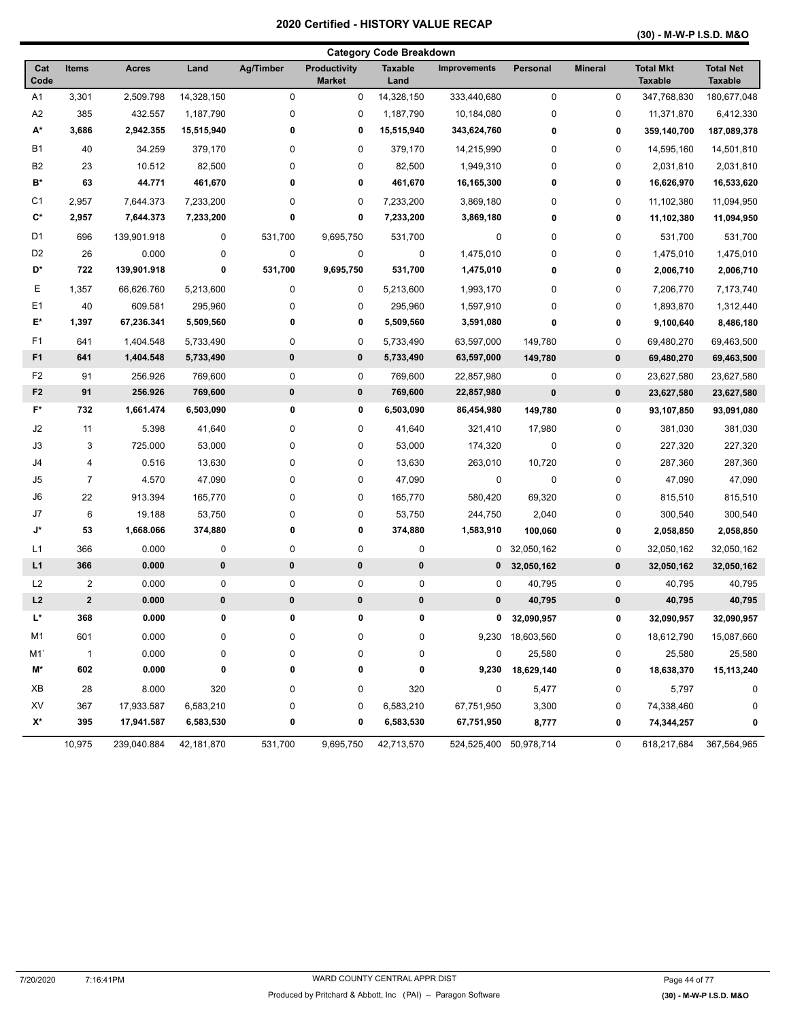**(30) - M-W-P I.S.D. M&O** 

|                |                |              |            |           |                               | <b>Category Code Breakdown</b> |                        |                  |                |                                    |                                    |
|----------------|----------------|--------------|------------|-----------|-------------------------------|--------------------------------|------------------------|------------------|----------------|------------------------------------|------------------------------------|
| Cat<br>Code    | <b>Items</b>   | <b>Acres</b> | Land       | Ag/Timber | Productivity<br><b>Market</b> | <b>Taxable</b><br>Land         | <b>Improvements</b>    | Personal         | <b>Mineral</b> | <b>Total Mkt</b><br><b>Taxable</b> | <b>Total Net</b><br><b>Taxable</b> |
| A <sub>1</sub> | 3,301          | 2,509.798    | 14,328,150 | $\pmb{0}$ | 0                             | 14,328,150                     | 333,440,680            | $\pmb{0}$        | 0              | 347,768,830                        | 180,677,048                        |
| A2             | 385            | 432.557      | 1,187,790  | $\pmb{0}$ | 0                             | 1,187,790                      | 10,184,080             | $\mathbf 0$      | 0              | 11,371,870                         | 6,412,330                          |
| A*             | 3,686          | 2,942.355    | 15,515,940 | 0         | 0                             | 15,515,940                     | 343,624,760            | 0                | 0              | 359,140,700                        | 187,089,378                        |
| <b>B1</b>      | 40             | 34.259       | 379,170    | 0         | 0                             | 379,170                        | 14,215,990             | 0                | 0              | 14,595,160                         | 14,501,810                         |
| B <sub>2</sub> | 23             | 10.512       | 82,500     | 0         | 0                             | 82,500                         | 1,949,310              | 0                | 0              | 2,031,810                          | 2,031,810                          |
| B*             | 63             | 44.771       | 461,670    | 0         | 0                             | 461,670                        | 16,165,300             | $\bf{0}$         | 0              | 16,626,970                         | 16,533,620                         |
| C1             | 2,957          | 7,644.373    | 7,233,200  | 0         | 0                             | 7,233,200                      | 3,869,180              | 0                | 0              | 11,102,380                         | 11,094,950                         |
| C*             | 2,957          | 7,644.373    | 7,233,200  | 0         | 0                             | 7,233,200                      | 3,869,180              | $\bf{0}$         | 0              | 11,102,380                         | 11,094,950                         |
| D <sub>1</sub> | 696            | 139,901.918  | 0          | 531,700   | 9,695,750                     | 531,700                        | 0                      | 0                | 0              | 531,700                            | 531,700                            |
| D <sub>2</sub> | 26             | 0.000        | 0          | $\pmb{0}$ | 0                             | 0                              | 1,475,010              | 0                | 0              | 1,475,010                          | 1,475,010                          |
| D*             | 722            | 139,901.918  | 0          | 531,700   | 9,695,750                     | 531,700                        | 1,475,010              | $\bf{0}$         | 0              | 2,006,710                          | 2,006,710                          |
| Е              | 1,357          | 66,626.760   | 5,213,600  | 0         | 0                             | 5,213,600                      | 1,993,170              | 0                | 0              | 7,206,770                          | 7,173,740                          |
| E <sub>1</sub> | 40             | 609.581      | 295,960    | 0         | 0                             | 295,960                        | 1,597,910              | 0                | 0              | 1,893,870                          | 1,312,440                          |
| E*             | 1,397          | 67,236.341   | 5,509,560  | 0         | 0                             | 5,509,560                      | 3,591,080              | $\bf{0}$         | 0              | 9,100,640                          | 8,486,180                          |
| F1             | 641            | 1,404.548    | 5,733,490  | $\pmb{0}$ | 0                             | 5,733,490                      | 63,597,000             | 149,780          | 0              | 69,480,270                         | 69,463,500                         |
| F1             | 641            | 1,404.548    | 5,733,490  | 0         | 0                             | 5,733,490                      | 63,597,000             | 149,780          | 0              | 69,480,270                         | 69,463,500                         |
| F2             | 91             | 256.926      | 769,600    | $\pmb{0}$ | 0                             | 769,600                        | 22,857,980             | $\mathbf 0$      | 0              | 23,627,580                         | 23,627,580                         |
| F <sub>2</sub> | 91             | 256.926      | 769,600    | $\pmb{0}$ | 0                             | 769,600                        | 22,857,980             | $\bf{0}$         | 0              | 23,627,580                         | 23,627,580                         |
| F*             | 732            | 1,661.474    | 6,503,090  | 0         | 0                             | 6,503,090                      | 86,454,980             | 149,780          | 0              | 93,107,850                         | 93,091,080                         |
| J2             | 11             | 5.398        | 41,640     | 0         | 0                             | 41,640                         | 321,410                | 17,980           | 0              | 381,030                            | 381,030                            |
| J3             | 3              | 725.000      | 53,000     | $\pmb{0}$ | 0                             | 53,000                         | 174,320                | $\mathbf 0$      | 0              | 227,320                            | 227,320                            |
| J4             | 4              | 0.516        | 13,630     | $\pmb{0}$ | 0                             | 13,630                         | 263,010                | 10,720           | $\pmb{0}$      | 287,360                            | 287,360                            |
| J <sub>5</sub> | $\overline{7}$ | 4.570        | 47,090     | 0         | 0                             | 47,090                         | 0                      | 0                | 0              | 47,090                             | 47,090                             |
| J6             | 22             | 913.394      | 165,770    | 0         | 0                             | 165,770                        | 580,420                | 69,320           | 0              | 815,510                            | 815,510                            |
| J7             | 6              | 19.188       | 53,750     | 0         | 0                             | 53,750                         | 244,750                | 2,040            | 0              | 300,540                            | 300,540                            |
| J*             | 53             | 1,668.066    | 374,880    | 0         | 0                             | 374,880                        | 1,583,910              | 100,060          | 0              | 2,058,850                          | 2,058,850                          |
| L1             | 366            | 0.000        | 0          | $\pmb{0}$ | 0                             | 0                              | 0                      | 32,050,162       | 0              | 32,050,162                         | 32,050,162                         |
| L1             | 366            | 0.000        | 0          | 0         | 0                             | $\pmb{0}$                      | $\mathbf 0$            | 32,050,162       | 0              | 32,050,162                         | 32,050,162                         |
| L <sub>2</sub> | $\overline{2}$ | 0.000        | 0          | 0         | 0                             | 0                              | 0                      | 40,795           | 0              | 40,795                             | 40,795                             |
| L2             | $\mathbf{2}$   | 0.000        | $\pmb{0}$  | $\pmb{0}$ | 0                             | $\pmb{0}$                      | 0                      | 40,795           | 0              | 40,795                             | 40,795                             |
| L*             | 368            | 0.000        | 0          | 0         | 0                             | 0                              | 0                      | 32,090,957       | 0              | 32,090,957                         | 32,090,957                         |
| M1             | 601            | 0.000        | $\pmb{0}$  | 0         | 0                             | 0                              |                        | 9,230 18,603,560 | 0              | 18,612,790                         | 15,087,660                         |
| M1             | $\mathbf{1}$   | 0.000        | $\pmb{0}$  | 0         | 0                             | 0                              | 0                      | 25,580           | 0              | 25,580                             | 25,580                             |
| M*             | 602            | 0.000        | 0          | 0         | 0                             | 0                              | 9,230                  | 18,629,140       | 0              | 18,638,370                         | 15,113,240                         |
| XВ             | 28             | 8.000        | 320        | 0         | 0                             | 320                            | 0                      | 5,477            | 0              | 5,797                              | 0                                  |
| XV             | 367            | 17,933.587   | 6,583,210  | 0         | 0                             | 6,583,210                      | 67,751,950             | 3,300            | 0              | 74,338,460                         | 0                                  |
| X*             | 395            | 17,941.587   | 6,583,530  | 0         | 0                             | 6,583,530                      | 67,751,950             | 8,777            | 0              | 74,344,257                         | 0                                  |
|                | 10,975         | 239,040.884  | 42,181,870 | 531,700   | 9,695,750                     | 42,713,570                     | 524,525,400 50,978,714 |                  | 0              | 618,217,684                        | 367,564,965                        |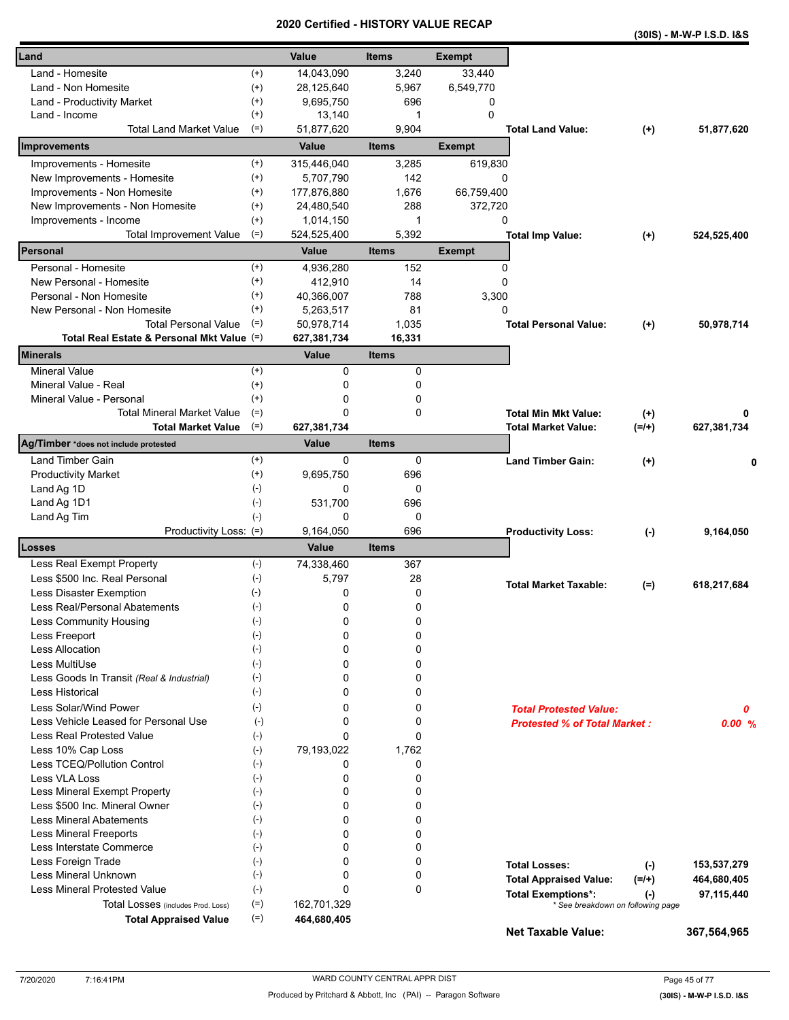|                                            |                    |              | Certified - HISTORT VALUE RECAP |               |                                     |           | (30IS) - M-W-P I.S.D. I&S |
|--------------------------------------------|--------------------|--------------|---------------------------------|---------------|-------------------------------------|-----------|---------------------------|
| Land                                       |                    | Value        | <b>Items</b>                    | <b>Exempt</b> |                                     |           |                           |
| Land - Homesite                            | $^{(+)}$           | 14,043,090   | 3,240                           | 33,440        |                                     |           |                           |
| Land - Non Homesite                        | $(+)$              | 28,125,640   | 5,967                           | 6,549,770     |                                     |           |                           |
| Land - Productivity Market                 | $^{(+)}$           | 9,695,750    | 696                             | 0             |                                     |           |                           |
| Land - Income                              | $^{(+)}$           | 13,140       | 1                               | $\Omega$      |                                     |           |                           |
| <b>Total Land Market Value</b>             | $(=)$              | 51,877,620   | 9,904                           |               | <b>Total Land Value:</b>            | $^{(+)}$  | 51,877,620                |
| Improvements                               |                    | Value        | <b>Items</b>                    | <b>Exempt</b> |                                     |           |                           |
| Improvements - Homesite                    | $^{(+)}$           | 315,446,040  | 3,285                           | 619,830       |                                     |           |                           |
| New Improvements - Homesite                | $(+)$              | 5,707,790    | 142                             | 0             |                                     |           |                           |
| Improvements - Non Homesite                | $(+)$              | 177,876,880  | 1,676                           | 66,759,400    |                                     |           |                           |
| New Improvements - Non Homesite            | $^{(+)}$           | 24,480,540   | 288                             | 372,720       |                                     |           |                           |
| Improvements - Income                      | $^{(+)}$           | 1,014,150    | 1                               | 0             |                                     |           |                           |
| <b>Total Improvement Value</b>             | $(=)$              | 524,525,400  | 5,392                           |               | <b>Total Imp Value:</b>             | $^{(+)}$  | 524,525,400               |
| Personal                                   |                    | Value        | <b>Items</b>                    | <b>Exempt</b> |                                     |           |                           |
| Personal - Homesite                        | $^{(+)}$           | 4,936,280    | 152                             | 0             |                                     |           |                           |
| New Personal - Homesite                    | $^{(+)}$           | 412,910      | 14                              | $\Omega$      |                                     |           |                           |
| Personal - Non Homesite                    | $^{(+)}$           | 40,366,007   | 788                             | 3,300         |                                     |           |                           |
| New Personal - Non Homesite                | $^{(+)}$           | 5,263,517    | 81                              | 0             |                                     |           |                           |
| <b>Total Personal Value</b>                | $(=)$              | 50,978,714   | 1,035                           |               | <b>Total Personal Value:</b>        | $^{(+)}$  | 50,978,714                |
| Total Real Estate & Personal Mkt Value (=) |                    | 627,381,734  | 16,331                          |               |                                     |           |                           |
| Minerals                                   |                    | Value        | <b>Items</b>                    |               |                                     |           |                           |
| <b>Mineral Value</b>                       | $^{(+)}$           | 0            | 0                               |               |                                     |           |                           |
| Mineral Value - Real                       | $^{(+)}$           | 0            | 0                               |               |                                     |           |                           |
| Mineral Value - Personal                   | $^{(+)}$           | 0            | 0                               |               |                                     |           |                           |
| <b>Total Mineral Market Value</b>          | $(=)$              | 0            | 0                               |               | <b>Total Min Mkt Value:</b>         | $^{(+)}$  | 0                         |
| <b>Total Market Value</b>                  | $(=)$              | 627,381,734  |                                 |               | <b>Total Market Value:</b>          | $(=/+)$   | 627,381,734               |
| Ag/Timber *does not include protested      |                    | Value        | <b>Items</b>                    |               |                                     |           |                           |
| Land Timber Gain                           | $^{(+)}$           | 0            | 0                               |               | <b>Land Timber Gain:</b>            | $^{(+)}$  | 0                         |
| <b>Productivity Market</b>                 | $^{(+)}$           | 9,695,750    | 696                             |               |                                     |           |                           |
| Land Ag 1D                                 | $(-)$              | 0            | 0                               |               |                                     |           |                           |
| Land Ag 1D1                                | $(-)$<br>$(-)$     | 531,700<br>0 | 696<br>0                        |               |                                     |           |                           |
| Land Ag Tim<br>Productivity Loss: (=)      |                    | 9,164,050    | 696                             |               | <b>Productivity Loss:</b>           |           | 9,164,050                 |
| Losses                                     |                    | Value        | <b>Items</b>                    |               |                                     | $(-)$     |                           |
| Less Real Exempt Property                  | $(-)$              | 74,338,460   | 367                             |               |                                     |           |                           |
| Less \$500 Inc. Real Personal              | $(\text{-})$       | 5,797        | 28                              |               |                                     |           |                           |
| Less Disaster Exemption                    | $(-)$              | 0            | 0                               |               | <b>Total Market Taxable:</b>        | $(=)$     | 618,217,684               |
| Less Real/Personal Abatements              | $(\textnormal{-})$ | 0            | 0                               |               |                                     |           |                           |
| Less Community Housing                     | $(-)$              | 0            | 0                               |               |                                     |           |                           |
| Less Freeport                              | $(-)$              | 0            | 0                               |               |                                     |           |                           |
| <b>Less Allocation</b>                     | $(-)$              | 0            | 0                               |               |                                     |           |                           |
| Less MultiUse                              | $(-)$              | 0            | 0                               |               |                                     |           |                           |
| Less Goods In Transit (Real & Industrial)  | $(-)$              | 0            | 0                               |               |                                     |           |                           |
| <b>Less Historical</b>                     | $(-)$              | 0            | 0                               |               |                                     |           |                           |
| Less Solar/Wind Power                      | $(-)$              | 0            | 0                               |               | <b>Total Protested Value:</b>       |           | 0                         |
| Less Vehicle Leased for Personal Use       | $(-)$              | 0            | 0                               |               | <b>Protested % of Total Market:</b> |           | 0.00%                     |
| Less Real Protested Value                  | $(-)$              | 0            | 0                               |               |                                     |           |                           |
| Less 10% Cap Loss                          | $(-)$              | 79,193,022   | 1,762                           |               |                                     |           |                           |
| Less TCEQ/Pollution Control                | $(-)$              | 0            | 0                               |               |                                     |           |                           |
| Less VLA Loss                              | $(\cdot)$          | 0            | 0                               |               |                                     |           |                           |
| Less Mineral Exempt Property               | $(-)$              | 0            | 0                               |               |                                     |           |                           |
| Less \$500 Inc. Mineral Owner              | $(-)$              | 0            | 0                               |               |                                     |           |                           |
| <b>Less Mineral Abatements</b>             | $(-)$              | 0            | 0                               |               |                                     |           |                           |
| <b>Less Mineral Freeports</b>              | $(-)$              | 0            | 0                               |               |                                     |           |                           |
| Less Interstate Commerce                   | $(\cdot)$          | 0            | 0                               |               |                                     |           |                           |
| Less Foreign Trade                         | $(-)$              | 0            | 0                               |               | <b>Total Losses:</b>                | $(-)$     | 153,537,279               |
| Less Mineral Unknown                       | $(-)$              | 0            | 0                               |               | <b>Total Appraised Value:</b>       | $(=/+)$   | 464,680,405               |
| Less Mineral Protested Value               | $(-)$              | 0            | 0                               |               | <b>Total Exemptions*:</b>           | $(\cdot)$ | 97,115,440                |
| Total Losses (includes Prod. Loss)         | $(=)$              | 162,701,329  |                                 |               | * See breakdown on following page   |           |                           |
| <b>Total Appraised Value</b>               | $(=)$              | 464,680,405  |                                 |               | <b>Net Taxable Value:</b>           |           | 367,564,965               |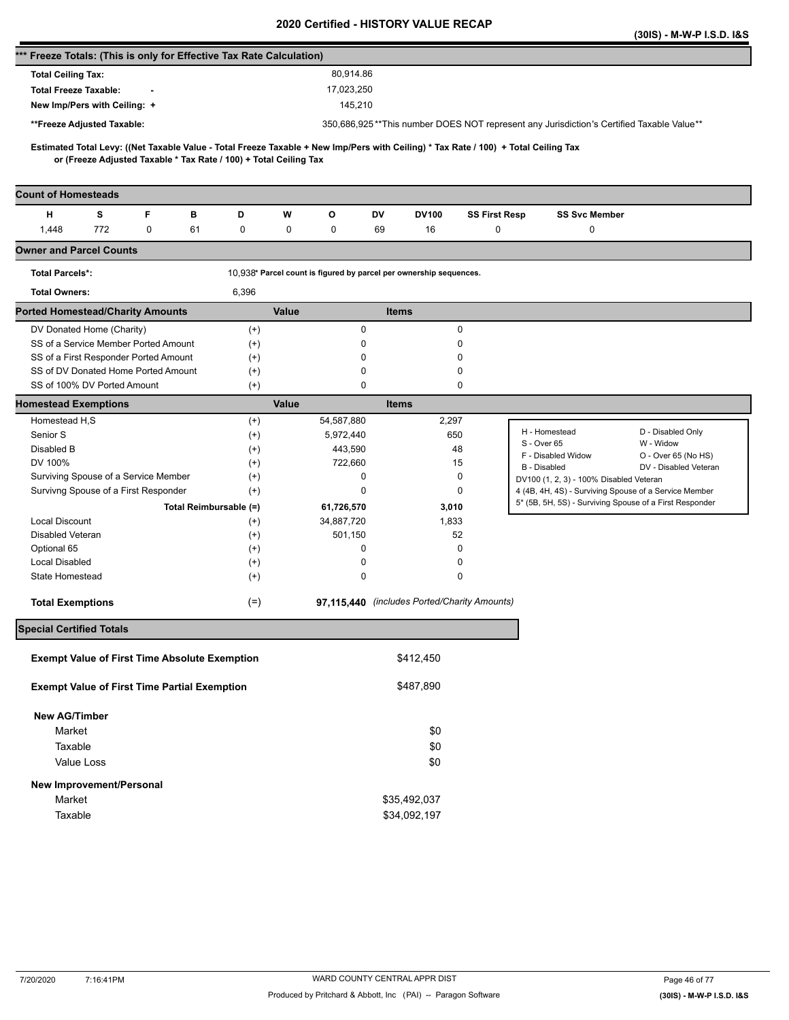|                                                                      |     |   |    |                                                                   |              |                                                                    |              |              |                                              |                                                                                                                                     | (30IS) - M-W-P I.S.D. I&S                    |
|----------------------------------------------------------------------|-----|---|----|-------------------------------------------------------------------|--------------|--------------------------------------------------------------------|--------------|--------------|----------------------------------------------|-------------------------------------------------------------------------------------------------------------------------------------|----------------------------------------------|
| *** Freeze Totals: (This is only for Effective Tax Rate Calculation) |     |   |    |                                                                   |              |                                                                    |              |              |                                              |                                                                                                                                     |                                              |
| <b>Total Ceiling Tax:</b>                                            |     |   |    |                                                                   |              | 80,914.86                                                          |              |              |                                              |                                                                                                                                     |                                              |
| <b>Total Freeze Taxable:</b>                                         |     |   |    |                                                                   |              | 17,023,250                                                         |              |              |                                              |                                                                                                                                     |                                              |
| New Imp/Pers with Ceiling: +                                         |     |   |    |                                                                   |              | 145,210                                                            |              |              |                                              |                                                                                                                                     |                                              |
| **Freeze Adjusted Taxable:                                           |     |   |    |                                                                   |              |                                                                    |              |              |                                              | 350,686,925**This number DOES NOT represent any Jurisdiction's Certified Taxable Value**                                            |                                              |
|                                                                      |     |   |    |                                                                   |              |                                                                    |              |              |                                              | Estimated Total Levy: ((Net Taxable Value - Total Freeze Taxable + New Imp/Pers with Ceiling) * Tax Rate / 100) + Total Ceiling Tax |                                              |
|                                                                      |     |   |    | or (Freeze Adjusted Taxable * Tax Rate / 100) + Total Ceiling Tax |              |                                                                    |              |              |                                              |                                                                                                                                     |                                              |
|                                                                      |     |   |    |                                                                   |              |                                                                    |              |              |                                              |                                                                                                                                     |                                              |
| <b>Count of Homesteads</b>                                           |     |   |    |                                                                   |              |                                                                    |              |              |                                              |                                                                                                                                     |                                              |
| н                                                                    | s   | F | в  | D                                                                 | W            | o                                                                  | DV           | <b>DV100</b> | <b>SS First Resp</b>                         | <b>SS Svc Member</b>                                                                                                                |                                              |
| 1,448                                                                | 772 | 0 | 61 | 0                                                                 | 0            | 0                                                                  | 69           | 16           | 0                                            | 0                                                                                                                                   |                                              |
| <b>Owner and Parcel Counts</b>                                       |     |   |    |                                                                   |              |                                                                    |              |              |                                              |                                                                                                                                     |                                              |
| <b>Total Parcels*:</b>                                               |     |   |    |                                                                   |              | 10,938* Parcel count is figured by parcel per ownership sequences. |              |              |                                              |                                                                                                                                     |                                              |
| <b>Total Owners:</b>                                                 |     |   |    | 6,396                                                             |              |                                                                    |              |              |                                              |                                                                                                                                     |                                              |
| <b>Ported Homestead/Charity Amounts</b>                              |     |   |    |                                                                   | <b>Value</b> |                                                                    | <b>Items</b> |              |                                              |                                                                                                                                     |                                              |
| DV Donated Home (Charity)                                            |     |   |    | $^{(+)}$                                                          |              | 0                                                                  |              |              | 0                                            |                                                                                                                                     |                                              |
| SS of a Service Member Ported Amount                                 |     |   |    | $^{(+)}$                                                          |              | 0                                                                  |              |              | 0                                            |                                                                                                                                     |                                              |
| SS of a First Responder Ported Amount                                |     |   |    | $^{(+)}$                                                          |              | 0                                                                  |              |              | $\Omega$                                     |                                                                                                                                     |                                              |
| SS of DV Donated Home Ported Amount<br>SS of 100% DV Ported Amount   |     |   |    | $^{(+)}$<br>$^{(+)}$                                              |              | 0<br>$\mathbf 0$                                                   |              |              | 0<br>0                                       |                                                                                                                                     |                                              |
| <b>Homestead Exemptions</b>                                          |     |   |    |                                                                   | Value        |                                                                    | <b>Items</b> |              |                                              |                                                                                                                                     |                                              |
| Homestead H,S                                                        |     |   |    | $^{(+)}$                                                          |              | 54,587,880                                                         |              | 2,297        |                                              |                                                                                                                                     |                                              |
| Senior S                                                             |     |   |    | $^{(+)}$                                                          |              | 5,972,440                                                          |              |              | 650                                          | H - Homestead                                                                                                                       | D - Disabled Only                            |
| Disabled B                                                           |     |   |    | $^{(+)}$                                                          |              | 443,590                                                            |              |              | 48                                           | S - Over 65                                                                                                                         | W - Widow                                    |
| DV 100%                                                              |     |   |    | $^{(+)}$                                                          |              | 722,660                                                            |              |              | 15                                           | F - Disabled Widow<br><b>B</b> - Disabled                                                                                           | O - Over 65 (No HS)<br>DV - Disabled Veteran |
| Surviving Spouse of a Service Member                                 |     |   |    | $^{(+)}$                                                          |              | 0                                                                  |              |              | 0                                            | DV100 (1, 2, 3) - 100% Disabled Veteran                                                                                             |                                              |
| Survivng Spouse of a First Responder                                 |     |   |    | $^{(+)}$                                                          |              | 0                                                                  |              |              | 0                                            | 4 (4B, 4H, 4S) - Surviving Spouse of a Service Member                                                                               |                                              |
|                                                                      |     |   |    | Total Reimbursable (=)                                            |              | 61,726,570                                                         |              | 3,010        |                                              | 5* (5B, 5H, 5S) - Surviving Spouse of a First Responder                                                                             |                                              |
| <b>Local Discount</b>                                                |     |   |    | $^{(+)}$                                                          |              | 34,887,720                                                         |              | 1,833        |                                              |                                                                                                                                     |                                              |
| <b>Disabled Veteran</b>                                              |     |   |    | $^{(+)}$                                                          |              | 501,150                                                            |              |              | 52                                           |                                                                                                                                     |                                              |
| Optional 65                                                          |     |   |    | $^{(+)}$                                                          |              | 0                                                                  |              |              | 0                                            |                                                                                                                                     |                                              |
| <b>Local Disabled</b>                                                |     |   |    | $^{(+)}$                                                          |              | 0                                                                  |              |              | 0                                            |                                                                                                                                     |                                              |
| State Homestead                                                      |     |   |    | $^{(+)}$                                                          |              | 0                                                                  |              |              | 0                                            |                                                                                                                                     |                                              |
| <b>Total Exemptions</b>                                              |     |   |    | $(=)$                                                             |              |                                                                    |              |              | 97,115,440 (includes Ported/Charity Amounts) |                                                                                                                                     |                                              |
| <b>Special Certified Totals</b>                                      |     |   |    |                                                                   |              |                                                                    |              |              |                                              |                                                                                                                                     |                                              |
| <b>Exempt Value of First Time Absolute Exemption</b>                 |     |   |    |                                                                   |              |                                                                    |              | \$412,450    |                                              |                                                                                                                                     |                                              |
|                                                                      |     |   |    |                                                                   |              |                                                                    |              |              |                                              |                                                                                                                                     |                                              |
| <b>Exempt Value of First Time Partial Exemption</b>                  |     |   |    |                                                                   |              |                                                                    |              | \$487,890    |                                              |                                                                                                                                     |                                              |
| <b>New AG/Timber</b>                                                 |     |   |    |                                                                   |              |                                                                    |              |              |                                              |                                                                                                                                     |                                              |
| Market                                                               |     |   |    |                                                                   |              |                                                                    |              | \$0          |                                              |                                                                                                                                     |                                              |
| Taxable                                                              |     |   |    |                                                                   |              |                                                                    |              | \$0          |                                              |                                                                                                                                     |                                              |
| Value Loss                                                           |     |   |    |                                                                   |              |                                                                    |              | \$0          |                                              |                                                                                                                                     |                                              |
| New Improvement/Personal                                             |     |   |    |                                                                   |              |                                                                    |              |              |                                              |                                                                                                                                     |                                              |
| Market                                                               |     |   |    |                                                                   |              |                                                                    |              | \$35,492,037 |                                              |                                                                                                                                     |                                              |
| Taxable                                                              |     |   |    |                                                                   |              |                                                                    |              | \$34,092,197 |                                              |                                                                                                                                     |                                              |
|                                                                      |     |   |    |                                                                   |              |                                                                    |              |              |                                              |                                                                                                                                     |                                              |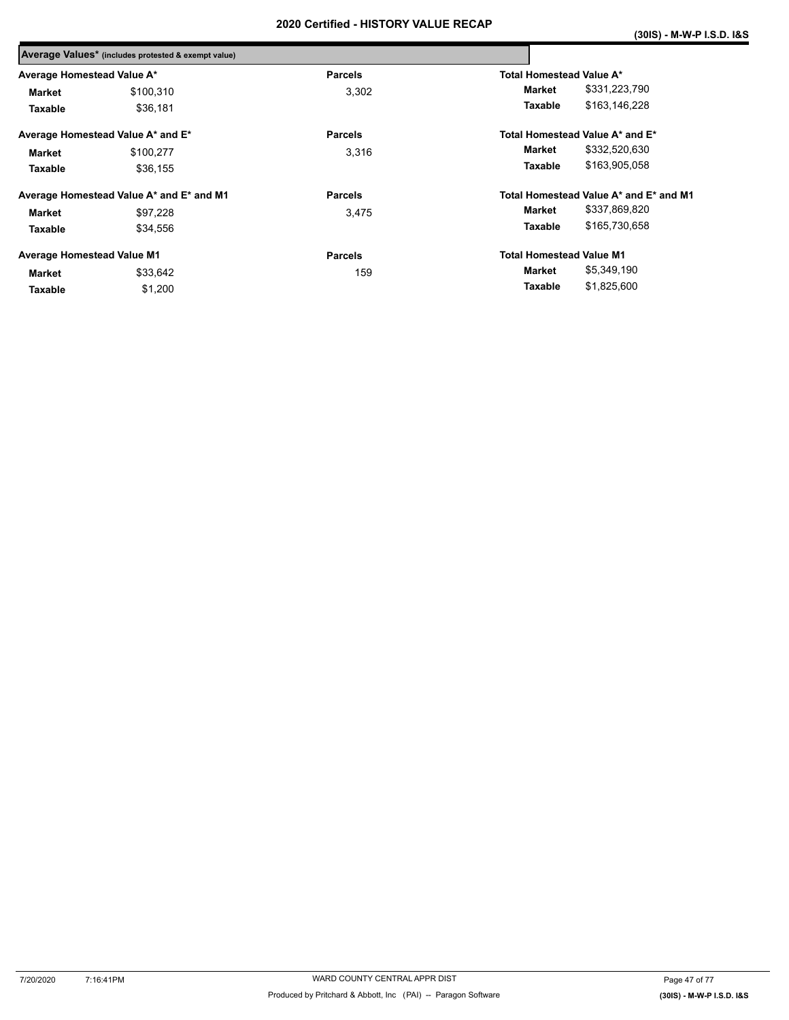|                                   | Average Values* (includes protested & exempt value) |                |                                        |  |
|-----------------------------------|-----------------------------------------------------|----------------|----------------------------------------|--|
| Average Homestead Value A*        |                                                     | <b>Parcels</b> | Total Homestead Value A*               |  |
| Market                            | \$100,310                                           | 3,302          | \$331,223,790<br>Market                |  |
| Taxable                           | \$36.181                                            |                | \$163.146.228<br>Taxable               |  |
|                                   | Average Homestead Value A* and E*                   | <b>Parcels</b> | Total Homestead Value A* and E*        |  |
| Market                            | \$100,277                                           | 3,316          | \$332,520,630<br>Market                |  |
| Taxable                           | \$36.155                                            |                | \$163,905,058<br><b>Taxable</b>        |  |
|                                   | Average Homestead Value A* and E* and M1            | <b>Parcels</b> | Total Homestead Value A* and E* and M1 |  |
| Market                            | \$97,228                                            | 3,475          | \$337,869,820<br>Market                |  |
| Taxable                           | \$34,556                                            |                | \$165,730,658<br>Taxable               |  |
| <b>Average Homestead Value M1</b> |                                                     | <b>Parcels</b> | <b>Total Homestead Value M1</b>        |  |
| Market                            | \$33,642                                            | 159            | \$5,349,190<br>Market                  |  |
| Taxable                           | \$1,200                                             |                | \$1,825,600<br>Taxable                 |  |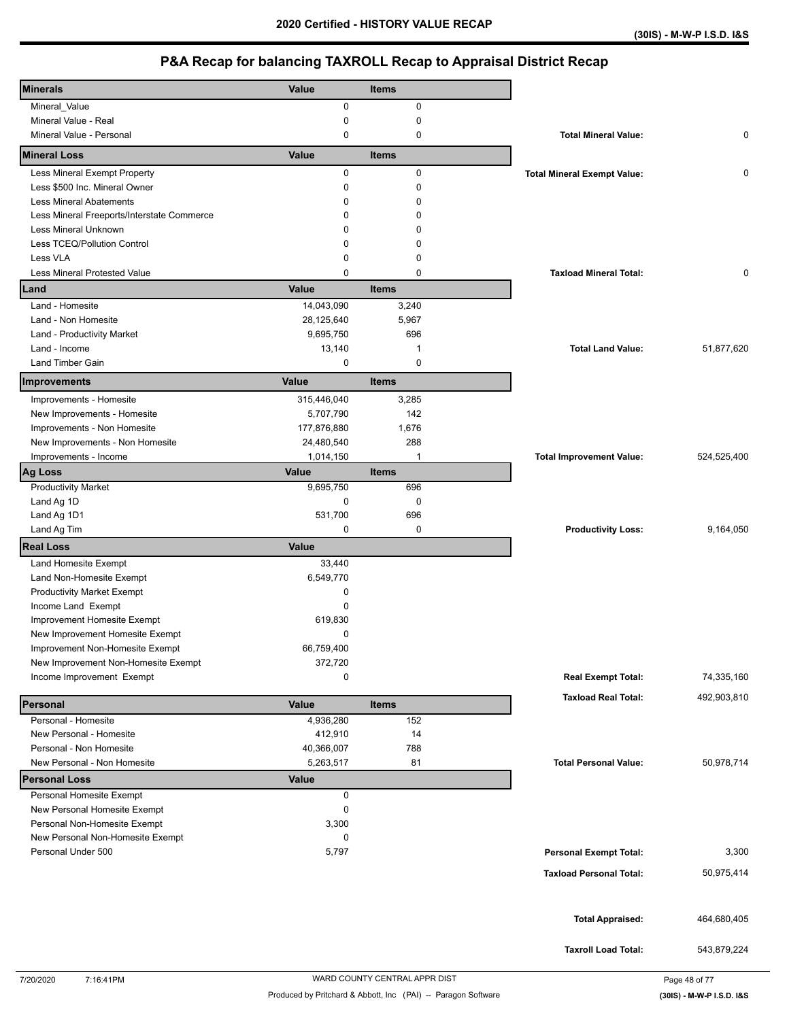| <b>Minerals</b>                            | Value       | Items        |                                    |             |
|--------------------------------------------|-------------|--------------|------------------------------------|-------------|
| Mineral_Value                              | 0           | $\mathbf 0$  |                                    |             |
| Mineral Value - Real                       | 0           | $\mathbf 0$  |                                    |             |
| Mineral Value - Personal                   | $\mathbf 0$ | $\mathbf 0$  | <b>Total Mineral Value:</b>        | 0           |
| <b>Mineral Loss</b>                        | Value       | <b>Items</b> |                                    |             |
| Less Mineral Exempt Property               | 0           | $\mathbf 0$  | <b>Total Mineral Exempt Value:</b> | 0           |
| Less \$500 Inc. Mineral Owner              | 0           | $\mathbf 0$  |                                    |             |
| <b>Less Mineral Abatements</b>             | $\Omega$    | 0            |                                    |             |
| Less Mineral Freeports/Interstate Commerce | 0           | 0            |                                    |             |
| Less Mineral Unknown                       | $\Omega$    | 0            |                                    |             |
| Less TCEQ/Pollution Control                | $\mathbf 0$ | 0            |                                    |             |
| Less VLA                                   | $\mathbf 0$ | 0            |                                    |             |
| <b>Less Mineral Protested Value</b>        | $\mathbf 0$ | 0            | <b>Taxload Mineral Total:</b>      | 0           |
| Land                                       | Value       | <b>Items</b> |                                    |             |
| Land - Homesite                            | 14,043,090  | 3,240        |                                    |             |
| Land - Non Homesite                        | 28,125,640  | 5,967        |                                    |             |
| Land - Productivity Market                 | 9,695,750   | 696          |                                    |             |
| Land - Income                              | 13,140      | 1            | <b>Total Land Value:</b>           | 51,877,620  |
| Land Timber Gain                           | 0           | $\mathbf 0$  |                                    |             |
| Improvements                               | Value       | <b>Items</b> |                                    |             |
| Improvements - Homesite                    | 315,446,040 | 3,285        |                                    |             |
| New Improvements - Homesite                | 5,707,790   | 142          |                                    |             |
| Improvements - Non Homesite                | 177,876,880 | 1,676        |                                    |             |
| New Improvements - Non Homesite            | 24,480,540  | 288          |                                    |             |
| Improvements - Income                      | 1,014,150   | $\mathbf{1}$ | <b>Total Improvement Value:</b>    | 524,525,400 |
| <b>Ag Loss</b>                             | Value       | <b>Items</b> |                                    |             |
| <b>Productivity Market</b>                 | 9,695,750   | 696          |                                    |             |
| Land Ag 1D                                 | 0           | $\pmb{0}$    |                                    |             |
| Land Ag 1D1                                | 531,700     | 696          |                                    |             |
| Land Ag Tim                                | $\mathbf 0$ | $\mathbf 0$  | <b>Productivity Loss:</b>          | 9,164,050   |
|                                            |             |              |                                    |             |
| <b>Real Loss</b>                           | Value       |              |                                    |             |
| Land Homesite Exempt                       | 33,440      |              |                                    |             |
| Land Non-Homesite Exempt                   | 6,549,770   |              |                                    |             |
| <b>Productivity Market Exempt</b>          | 0           |              |                                    |             |
| Income Land Exempt                         | $\Omega$    |              |                                    |             |
| Improvement Homesite Exempt                | 619,830     |              |                                    |             |
| New Improvement Homesite Exempt            | $\mathbf 0$ |              |                                    |             |
| Improvement Non-Homesite Exempt            | 66,759,400  |              |                                    |             |
| New Improvement Non-Homesite Exempt        | 372,720     |              |                                    |             |
| Income Improvement Exempt                  | 0           |              | <b>Real Exempt Total:</b>          | 74,335,160  |
| Personal                                   | Value       | <b>Items</b> | <b>Taxload Real Total:</b>         | 492,903,810 |
| Personal - Homesite                        | 4,936,280   | 152          |                                    |             |
| New Personal - Homesite                    | 412,910     | 14           |                                    |             |
| Personal - Non Homesite                    | 40,366,007  | 788          |                                    |             |
| New Personal - Non Homesite                | 5,263,517   | 81           | <b>Total Personal Value:</b>       | 50,978,714  |
| <b>Personal Loss</b>                       | Value       |              |                                    |             |
| Personal Homesite Exempt                   | 0           |              |                                    |             |
| New Personal Homesite Exempt               | 0           |              |                                    |             |
| Personal Non-Homesite Exempt               | 3,300       |              |                                    |             |
| New Personal Non-Homesite Exempt           | 0           |              |                                    |             |
| Personal Under 500                         | 5,797       |              | <b>Personal Exempt Total:</b>      | 3,300       |
|                                            |             |              | <b>Taxload Personal Total:</b>     | 50,975,414  |
|                                            |             |              |                                    |             |
|                                            |             |              |                                    |             |
|                                            |             |              | <b>Total Appraised:</b>            | 464,680,405 |
|                                            |             |              | <b>Taxroll Load Total:</b>         | 543,879,224 |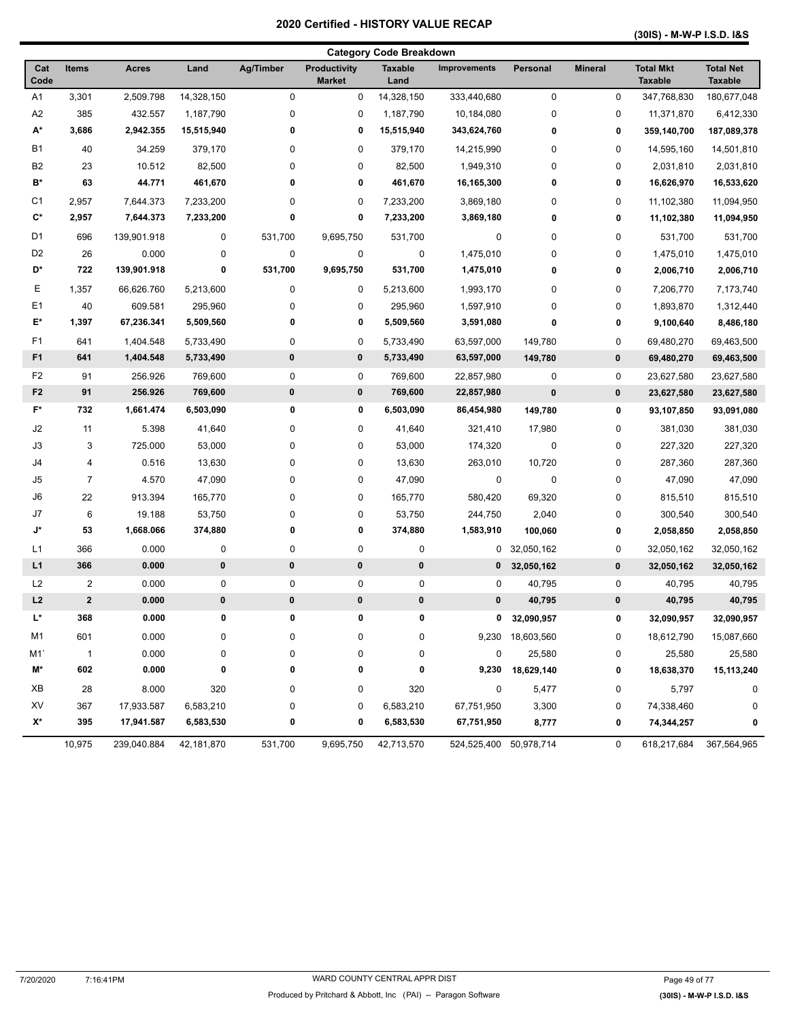**(30IS) - M-W-P I.S.D. I&S** 

| <b>Category Code Breakdown</b> |                |              |            |           |                                      |                        |                        |                  |                |                                    |                                    |
|--------------------------------|----------------|--------------|------------|-----------|--------------------------------------|------------------------|------------------------|------------------|----------------|------------------------------------|------------------------------------|
| Cat<br>Code                    | <b>Items</b>   | <b>Acres</b> | Land       | Ag/Timber | <b>Productivity</b><br><b>Market</b> | <b>Taxable</b><br>Land | <b>Improvements</b>    | <b>Personal</b>  | <b>Mineral</b> | <b>Total Mkt</b><br><b>Taxable</b> | <b>Total Net</b><br><b>Taxable</b> |
| A <sub>1</sub>                 | 3,301          | 2,509.798    | 14,328,150 | $\pmb{0}$ | 0                                    | 14,328,150             | 333,440,680            | $\pmb{0}$        | 0              | 347,768,830                        | 180,677,048                        |
| A2                             | 385            | 432.557      | 1,187,790  | 0         | 0                                    | 1,187,790              | 10,184,080             | 0                | 0              | 11,371,870                         | 6,412,330                          |
| A*                             | 3,686          | 2,942.355    | 15,515,940 | 0         | 0                                    | 15,515,940             | 343,624,760            | 0                | 0              | 359,140,700                        | 187,089,378                        |
| <b>B1</b>                      | 40             | 34.259       | 379,170    | 0         | 0                                    | 379,170                | 14,215,990             | 0                | 0              | 14,595,160                         | 14,501,810                         |
| B <sub>2</sub>                 | 23             | 10.512       | 82,500     | 0         | 0                                    | 82,500                 | 1,949,310              | 0                | 0              | 2,031,810                          | 2,031,810                          |
| B*                             | 63             | 44.771       | 461,670    | 0         | 0                                    | 461,670                | 16,165,300             | 0                | 0              | 16,626,970                         | 16,533,620                         |
| C <sub>1</sub>                 | 2,957          | 7,644.373    | 7,233,200  | 0         | 0                                    | 7,233,200              | 3,869,180              | 0                | 0              | 11,102,380                         | 11,094,950                         |
| C*                             | 2,957          | 7,644.373    | 7,233,200  | 0         | 0                                    | 7,233,200              | 3,869,180              | 0                | 0              | 11,102,380                         | 11,094,950                         |
| D1                             | 696            | 139,901.918  | 0          | 531,700   | 9,695,750                            | 531,700                | 0                      | 0                | 0              | 531,700                            | 531,700                            |
| D <sub>2</sub>                 | 26             | 0.000        | 0          | $\pmb{0}$ | 0                                    | 0                      | 1,475,010              | 0                | 0              | 1,475,010                          | 1,475,010                          |
| D*                             | 722            | 139,901.918  | 0          | 531,700   | 9,695,750                            | 531,700                | 1,475,010              | 0                | 0              | 2,006,710                          | 2,006,710                          |
| Е                              | 1,357          | 66,626.760   | 5,213,600  | 0         | 0                                    | 5,213,600              | 1,993,170              | 0                | 0              | 7,206,770                          | 7,173,740                          |
| E <sub>1</sub>                 | 40             | 609.581      | 295,960    | 0         | 0                                    | 295,960                | 1,597,910              | 0                | 0              | 1,893,870                          | 1,312,440                          |
| E*                             | 1,397          | 67,236.341   | 5,509,560  | 0         | 0                                    | 5,509,560              | 3,591,080              | 0                | 0              | 9,100,640                          | 8,486,180                          |
| F1                             | 641            | 1,404.548    | 5,733,490  | 0         | 0                                    | 5,733,490              | 63,597,000             | 149,780          | 0              | 69,480,270                         | 69,463,500                         |
| F <sub>1</sub>                 | 641            | 1,404.548    | 5,733,490  | 0         | 0                                    | 5,733,490              | 63,597,000             | 149,780          | $\mathbf 0$    | 69,480,270                         | 69,463,500                         |
| F <sub>2</sub>                 | 91             | 256.926      | 769,600    | 0         | 0                                    | 769,600                | 22,857,980             | $\mathbf 0$      | 0              | 23,627,580                         | 23,627,580                         |
| F <sub>2</sub>                 | 91             | 256.926      | 769,600    | $\pmb{0}$ | $\pmb{0}$                            | 769,600                | 22,857,980             | $\bf{0}$         | $\mathbf 0$    | 23,627,580                         | 23,627,580                         |
| F*                             | 732            | 1,661.474    | 6,503,090  | 0         | 0                                    | 6,503,090              | 86,454,980             | 149,780          | 0              | 93,107,850                         | 93,091,080                         |
| J2                             | 11             | 5.398        | 41,640     | 0         | 0                                    | 41,640                 | 321,410                | 17,980           | 0              | 381,030                            | 381,030                            |
| J3                             | 3              | 725.000      | 53,000     | 0         | 0                                    | 53,000                 | 174,320                | 0                | 0              | 227,320                            | 227,320                            |
| J4                             | 4              | 0.516        | 13,630     | $\pmb{0}$ | 0                                    | 13,630                 | 263,010                | 10,720           | 0              | 287,360                            | 287,360                            |
| J <sub>5</sub>                 | 7              | 4.570        | 47,090     | 0         | 0                                    | 47,090                 | 0                      | $\pmb{0}$        | 0              | 47,090                             | 47,090                             |
| J6                             | 22             | 913.394      | 165,770    | 0         | 0                                    | 165,770                | 580,420                | 69,320           | 0              | 815,510                            | 815,510                            |
| J7                             | 6              | 19.188       | 53,750     | 0         | 0                                    | 53,750                 | 244,750                | 2,040            | 0              | 300,540                            | 300,540                            |
| J*                             | 53             | 1,668.066    | 374,880    | 0         | 0                                    | 374,880                | 1,583,910              | 100,060          | 0              | 2,058,850                          | 2,058,850                          |
| L1                             | 366            | 0.000        | 0          | $\pmb{0}$ | 0                                    | 0                      | 0                      | 32,050,162       | 0              | 32,050,162                         | 32,050,162                         |
| L1                             | 366            | 0.000        | 0          | 0         | $\pmb{0}$                            | $\pmb{0}$              | 0                      | 32,050,162       | $\pmb{0}$      | 32,050,162                         | 32,050,162                         |
| L <sub>2</sub>                 | $\overline{2}$ | 0.000        | 0          | 0         | 0                                    | 0                      | 0                      | 40,795           | 0              | 40,795                             | 40,795                             |
| L2                             | $\mathbf{2}$   | 0.000        | 0          | 0         | $\pmb{0}$                            | $\pmb{0}$              | 0                      | 40,795           | $\pmb{0}$      | 40,795                             | 40,795                             |
| L*                             | 368            | 0.000        | 0          | 0         | 0                                    | 0                      | 0                      | 32,090,957       | 0              | 32,090,957                         | 32,090,957                         |
| M1                             | 601            | 0.000        | $\pmb{0}$  | 0         | 0                                    | 0                      |                        | 9,230 18,603,560 | 0              | 18,612,790                         | 15,087,660                         |
| M1                             | $\overline{1}$ | 0.000        | $\pmb{0}$  | $\pmb{0}$ | 0                                    | 0                      | 0                      | 25,580           | 0              | 25,580                             | 25,580                             |
| M*                             | 602            | 0.000        | 0          | 0         | 0                                    | 0                      | 9,230                  | 18,629,140       | 0              | 18,638,370                         | 15,113,240                         |
| XВ                             | 28             | 8.000        | 320        | 0         | 0                                    | 320                    | 0                      | 5,477            | 0              | 5,797                              | 0                                  |
| XV                             | 367            | 17,933.587   | 6,583,210  | 0         | 0                                    | 6,583,210              | 67,751,950             | 3,300            | 0              | 74,338,460                         | 0                                  |
| X*                             | 395            | 17,941.587   | 6,583,530  | 0         | 0                                    | 6,583,530              | 67,751,950             | 8,777            | 0              | 74,344,257                         | 0                                  |
|                                | 10,975         | 239,040.884  | 42,181,870 | 531,700   | 9,695,750                            | 42,713,570             | 524,525,400 50,978,714 |                  | 0              | 618,217,684                        | 367,564,965                        |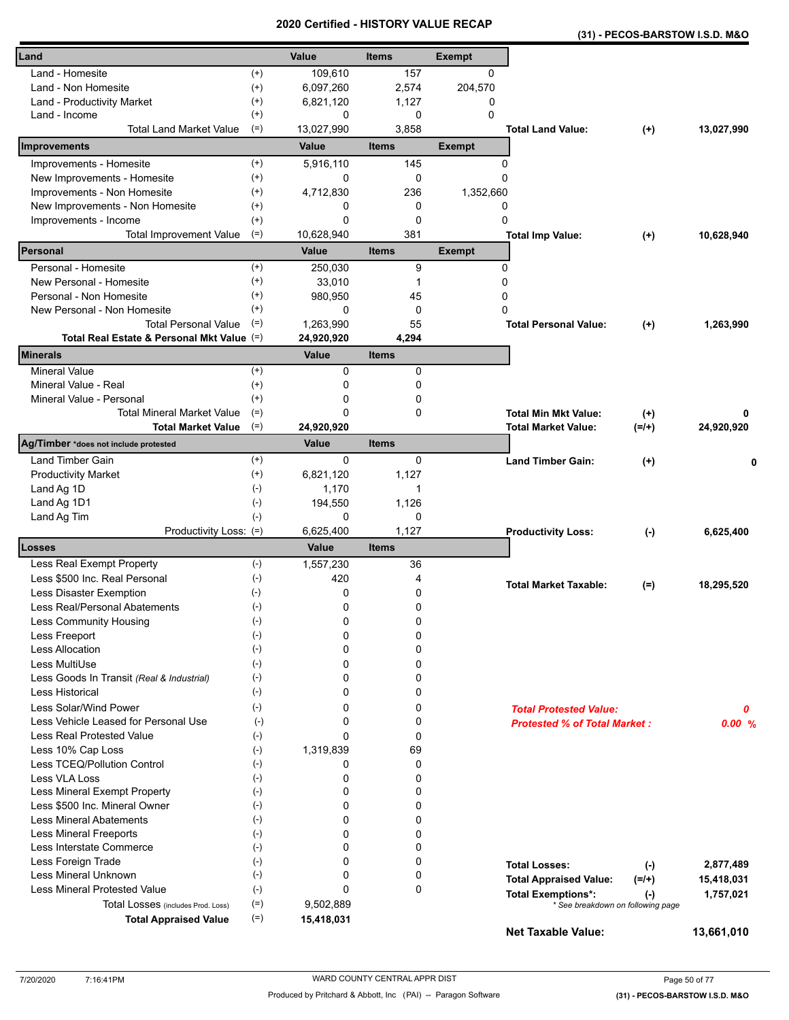| (31) - PECOS-BARSTOW I.S.D. M&O |  |
|---------------------------------|--|
|---------------------------------|--|

| Land                                       |                   | Value               | <b>Items</b>       | <b>Exempt</b> |                                          |            |
|--------------------------------------------|-------------------|---------------------|--------------------|---------------|------------------------------------------|------------|
| Land - Homesite                            | $^{(+)}$          | 109,610             | 157                | $\Omega$      |                                          |            |
| Land - Non Homesite                        | $^{(+)}$          | 6,097,260           | 2,574              | 204,570       |                                          |            |
| Land - Productivity Market                 | $^{(+)}$          | 6,821,120           | 1,127              | 0             |                                          |            |
| Land - Income                              | $^{(+)}$          | 0                   | $\mathbf 0$        | $\Omega$      |                                          |            |
| <b>Total Land Market Value</b>             | $(=)$             | 13,027,990          | 3,858              |               | <b>Total Land Value:</b><br>$^{(+)}$     | 13,027,990 |
| Improvements                               |                   | Value               | <b>Items</b>       | <b>Exempt</b> |                                          |            |
| Improvements - Homesite                    | $^{(+)}$          | 5,916,110           | 145                | $\Omega$      |                                          |            |
| New Improvements - Homesite                | $^{(+)}$          | 0                   | 0                  | $\Omega$      |                                          |            |
| Improvements - Non Homesite                | $^{(+)}$          | 4,712,830           | 236                | 1,352,660     |                                          |            |
| New Improvements - Non Homesite            | $^{(+)}$          | 0                   | 0                  | 0             |                                          |            |
| Improvements - Income                      | $^{(+)}$<br>$(=)$ | 0                   | $\mathbf 0$<br>381 | $\mathbf 0$   |                                          |            |
| Total Improvement Value<br>Personal        |                   | 10,628,940<br>Value | <b>Items</b>       | <b>Exempt</b> | <b>Total Imp Value:</b><br>$^{(+)}$      | 10,628,940 |
| Personal - Homesite                        | $^{(+)}$          | 250,030             | 9                  | 0             |                                          |            |
| New Personal - Homesite                    | $^{(+)}$          | 33,010              | $\mathbf{1}$       | $\mathbf 0$   |                                          |            |
| Personal - Non Homesite                    | $^{(+)}$          | 980,950             | 45                 | 0             |                                          |            |
| New Personal - Non Homesite                | $^{(+)}$          | 0                   | 0                  | $\Omega$      |                                          |            |
| <b>Total Personal Value</b>                | $(=)$             | 1,263,990           | 55                 |               | <b>Total Personal Value:</b><br>$^{(+)}$ | 1,263,990  |
| Total Real Estate & Personal Mkt Value (=) |                   | 24,920,920          | 4,294              |               |                                          |            |
| <b>Minerals</b>                            |                   | Value               | <b>Items</b>       |               |                                          |            |
| <b>Mineral Value</b>                       | $(+)$             | 0                   | 0                  |               |                                          |            |
| Mineral Value - Real                       | $^{(+)}$          | 0                   | $\mathbf 0$        |               |                                          |            |
| Mineral Value - Personal                   | $^{(+)}$          | 0                   | 0                  |               |                                          |            |
| <b>Total Mineral Market Value</b>          | $(=)$             | $\Omega$            | 0                  |               | <b>Total Min Mkt Value:</b><br>$(+)$     |            |
| <b>Total Market Value</b>                  | $(=)$             | 24,920,920          |                    |               | Total Market Value:<br>$(=/+)$           | 24,920,920 |
| Ag/Timber *does not include protested      |                   | Value               | <b>Items</b>       |               |                                          |            |
| Land Timber Gain                           | $^{(+)}$          | 0                   | 0                  |               | <b>Land Timber Gain:</b><br>$^{(+)}$     |            |
| <b>Productivity Market</b>                 | $^{(+)}$          | 6,821,120           | 1,127              |               |                                          |            |
| Land Ag 1D                                 | $(\text{-})$      | 1,170               | 1                  |               |                                          |            |
| Land Ag 1D1                                | $(-)$             | 194,550             | 1,126              |               |                                          |            |
| Land Ag Tim                                | $(-)$             | 0                   | $\mathbf 0$        |               |                                          |            |
| Productivity Loss: (=)                     |                   | 6,625,400           | 1,127              |               | <b>Productivity Loss:</b><br>$(-)$       | 6,625,400  |
| Losses                                     |                   | Value               | <b>Items</b>       |               |                                          |            |
| Less Real Exempt Property                  | $(-)$             | 1,557,230           | 36                 |               |                                          |            |
| Less \$500 Inc. Real Personal              | $(-)$             | 420                 | 4                  |               | <b>Total Market Taxable:</b><br>$(=)$    | 18,295,520 |
| Less Disaster Exemption                    | $(-)$             | 0                   | 0                  |               |                                          |            |
| Less Real/Personal Abatements              | $(\cdot)$         | 0                   | 0                  |               |                                          |            |
| <b>Less Community Housing</b>              | $(\text{-})$      | 0                   | $\pmb{0}$          |               |                                          |            |
| Less Freeport                              | $(\text{-})$      | 0                   | 0                  |               |                                          |            |
| <b>Less Allocation</b>                     | $(-)$             | $\Omega$            | $\mathbf 0$        |               |                                          |            |
| Less MultiUse                              | $(-)$             | 0                   | 0                  |               |                                          |            |
| Less Goods In Transit (Real & Industrial)  | $(-)$             | 0                   | 0                  |               |                                          |            |
| Less Historical                            | $(-)$             | 0                   | 0                  |               |                                          |            |
| <b>Less Solar/Wind Power</b>               | $(-)$             | 0                   | 0                  |               | <b>Total Protested Value:</b>            | 0          |
| Less Vehicle Leased for Personal Use       | $(-)$             | 0                   | $\mathbf 0$        |               | <b>Protested % of Total Market:</b>      | 0.00%      |
| Less Real Protested Value                  | $(-)$             | $\Omega$            | $\mathbf 0$        |               |                                          |            |
| Less 10% Cap Loss                          | $(-)$             | 1,319,839           | 69                 |               |                                          |            |
| Less TCEQ/Pollution Control                | $(-)$             | 0                   | 0                  |               |                                          |            |
| <b>Less VLA Loss</b>                       | $(-)$             | 0                   | $\Omega$           |               |                                          |            |
| Less Mineral Exempt Property               | $(-)$             | 0                   | 0                  |               |                                          |            |
| Less \$500 Inc. Mineral Owner              | $(-)$             | 0                   | 0                  |               |                                          |            |
| <b>Less Mineral Abatements</b>             | $(-)$             | $\Omega$            | $\mathbf 0$        |               |                                          |            |
| <b>Less Mineral Freeports</b>              | $(-)$<br>$(-)$    | 0<br>0              | 0                  |               |                                          |            |
| Less Interstate Commerce                   |                   | 0                   | 0<br>0             |               |                                          |            |
| Less Foreign Trade<br>Less Mineral Unknown | $(-)$<br>$(-)$    | 0                   | 0                  |               | <b>Total Losses:</b><br>$(\cdot)$        | 2,877,489  |
| Less Mineral Protested Value               | $(-)$             | $\Omega$            | $\mathbf 0$        |               | $(=/+)$<br><b>Total Appraised Value:</b> | 15,418,031 |
| Total Losses (includes Prod. Loss)         | $(=)$             | 9,502,889           |                    |               | <b>Total Exemptions*:</b><br>$(\cdot)$   | 1,757,021  |
| <b>Total Appraised Value</b>               | $(=)$             | 15,418,031          |                    |               | * See breakdown on following page        |            |
|                                            |                   |                     |                    |               | <b>Net Taxable Value:</b>                | 13,661,010 |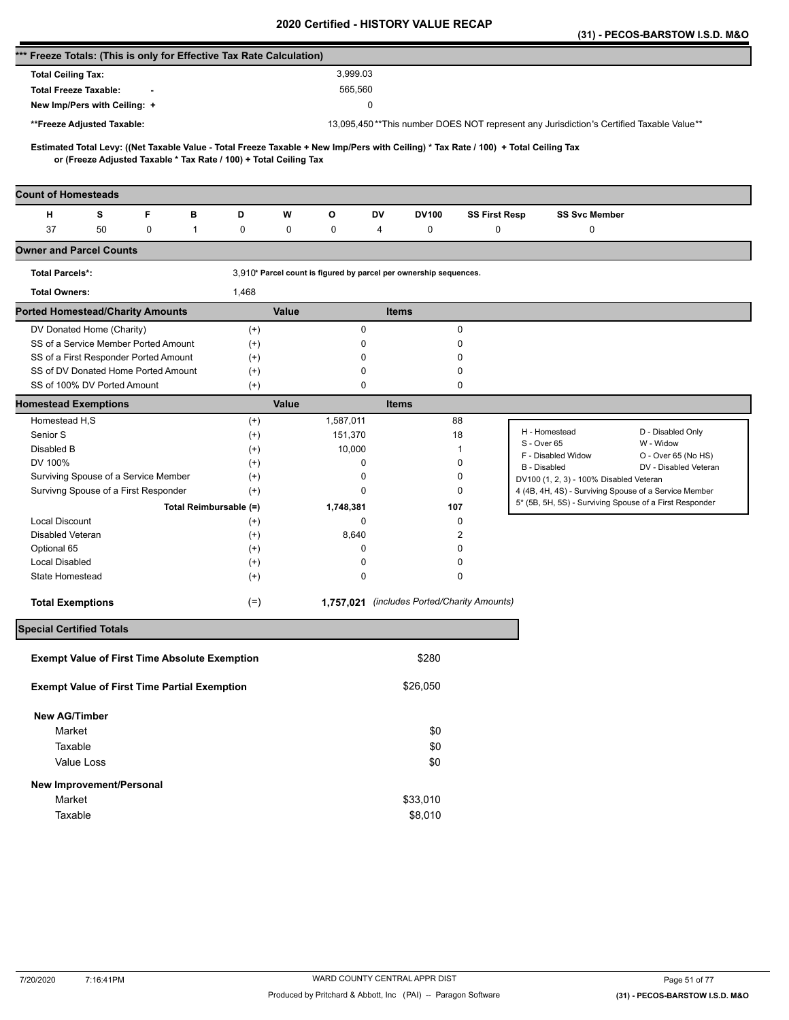|                                                                      |                           |   |                        |                                                                   |                                                                                         |                                                                                                                                     |                                             |          |                      |                    |                                         | (31) - PECOS-BARSTOW I.S.D. M&O                         |
|----------------------------------------------------------------------|---------------------------|---|------------------------|-------------------------------------------------------------------|-----------------------------------------------------------------------------------------|-------------------------------------------------------------------------------------------------------------------------------------|---------------------------------------------|----------|----------------------|--------------------|-----------------------------------------|---------------------------------------------------------|
| *** Freeze Totals: (This is only for Effective Tax Rate Calculation) |                           |   |                        |                                                                   |                                                                                         |                                                                                                                                     |                                             |          |                      |                    |                                         |                                                         |
| <b>Total Ceiling Tax:</b>                                            |                           |   |                        |                                                                   |                                                                                         | 3,999.03                                                                                                                            |                                             |          |                      |                    |                                         |                                                         |
| <b>Total Freeze Taxable:</b>                                         |                           |   |                        |                                                                   |                                                                                         | 565,560                                                                                                                             |                                             |          |                      |                    |                                         |                                                         |
| New Imp/Pers with Ceiling: +                                         |                           |   |                        |                                                                   |                                                                                         |                                                                                                                                     | 0                                           |          |                      |                    |                                         |                                                         |
| **Freeze Adjusted Taxable:                                           |                           |   |                        |                                                                   | 13,095,450**This number DOES NOT represent any Jurisdiction's Certified Taxable Value** |                                                                                                                                     |                                             |          |                      |                    |                                         |                                                         |
|                                                                      |                           |   |                        |                                                                   |                                                                                         |                                                                                                                                     |                                             |          |                      |                    |                                         |                                                         |
|                                                                      |                           |   |                        | or (Freeze Adjusted Taxable * Tax Rate / 100) + Total Ceiling Tax |                                                                                         | Estimated Total Levy: ((Net Taxable Value - Total Freeze Taxable + New Imp/Pers with Ceiling) * Tax Rate / 100) + Total Ceiling Tax |                                             |          |                      |                    |                                         |                                                         |
|                                                                      |                           |   |                        |                                                                   |                                                                                         |                                                                                                                                     |                                             |          |                      |                    |                                         |                                                         |
| <b>Count of Homesteads</b>                                           |                           |   |                        |                                                                   |                                                                                         |                                                                                                                                     |                                             |          |                      |                    |                                         |                                                         |
| н                                                                    | s                         | F | в                      | D                                                                 | W                                                                                       | О                                                                                                                                   | DV                                          | DV100    | <b>SS First Resp</b> |                    | <b>SS Svc Member</b>                    |                                                         |
| 37                                                                   | 50                        | 0 | 1                      | 0                                                                 | 0                                                                                       | 0                                                                                                                                   | 4                                           | 0        | $\mathbf 0$          |                    | 0                                       |                                                         |
| <b>Owner and Parcel Counts</b>                                       |                           |   |                        |                                                                   |                                                                                         |                                                                                                                                     |                                             |          |                      |                    |                                         |                                                         |
| <b>Total Parcels*:</b>                                               |                           |   |                        |                                                                   |                                                                                         | 3,910* Parcel count is figured by parcel per ownership sequences.                                                                   |                                             |          |                      |                    |                                         |                                                         |
| <b>Total Owners:</b>                                                 |                           |   |                        | 1,468                                                             |                                                                                         |                                                                                                                                     |                                             |          |                      |                    |                                         |                                                         |
| <b>Ported Homestead/Charity Amounts</b>                              |                           |   |                        |                                                                   | Value                                                                                   |                                                                                                                                     | <b>Items</b>                                |          |                      |                    |                                         |                                                         |
|                                                                      | DV Donated Home (Charity) |   |                        | $^{(+)}$                                                          |                                                                                         | 0                                                                                                                                   |                                             |          | 0                    |                    |                                         |                                                         |
| SS of a Service Member Ported Amount                                 |                           |   |                        | $^{(+)}$                                                          |                                                                                         | 0                                                                                                                                   |                                             |          | 0                    |                    |                                         |                                                         |
| SS of a First Responder Ported Amount                                |                           |   |                        | $^{(+)}$                                                          |                                                                                         | 0                                                                                                                                   |                                             |          | 0                    |                    |                                         |                                                         |
| SS of DV Donated Home Ported Amount                                  |                           |   |                        | $^{(+)}$                                                          |                                                                                         | 0<br>0                                                                                                                              |                                             |          | 0                    |                    |                                         |                                                         |
| SS of 100% DV Ported Amount                                          |                           |   |                        | $^{(+)}$                                                          |                                                                                         |                                                                                                                                     |                                             |          | 0                    |                    |                                         |                                                         |
| <b>Homestead Exemptions</b>                                          |                           |   |                        |                                                                   | Value                                                                                   |                                                                                                                                     | <b>Items</b>                                |          |                      |                    |                                         |                                                         |
| Homestead H,S                                                        |                           |   |                        | $^{(+)}$                                                          |                                                                                         | 1,587,011                                                                                                                           |                                             | 88       |                      | H - Homestead      |                                         | D - Disabled Only                                       |
| Senior S<br>Disabled B                                               |                           |   |                        | $^{(+)}$                                                          |                                                                                         | 151,370<br>10,000                                                                                                                   |                                             |          | 18<br>1              | S - Over 65        |                                         | W - Widow                                               |
| DV 100%                                                              |                           |   |                        | $^{(+)}$<br>$^{(+)}$                                              |                                                                                         | 0                                                                                                                                   |                                             |          | 0                    | F - Disabled Widow |                                         | O - Over 65 (No HS)                                     |
| Surviving Spouse of a Service Member                                 |                           |   |                        | $^{(+)}$                                                          |                                                                                         | 0                                                                                                                                   |                                             |          | 0                    | B - Disabled       |                                         | DV - Disabled Veteran                                   |
| Survivng Spouse of a First Responder                                 |                           |   |                        | $^{(+)}$                                                          |                                                                                         | 0                                                                                                                                   |                                             |          | 0                    |                    | DV100 (1, 2, 3) - 100% Disabled Veteran | 4 (4B, 4H, 4S) - Surviving Spouse of a Service Member   |
|                                                                      |                           |   | Total Reimbursable (=) |                                                                   |                                                                                         | 1,748,381                                                                                                                           |                                             | 107      |                      |                    |                                         | 5* (5B, 5H, 5S) - Surviving Spouse of a First Responder |
| <b>Local Discount</b>                                                |                           |   |                        | $^{(+)}$                                                          |                                                                                         | 0                                                                                                                                   |                                             |          | 0                    |                    |                                         |                                                         |
| Disabled Veteran                                                     |                           |   |                        | $^{(+)}$                                                          |                                                                                         | 8,640                                                                                                                               |                                             |          | 2                    |                    |                                         |                                                         |
| Optional 65                                                          |                           |   |                        | $^{(+)}$                                                          |                                                                                         | 0                                                                                                                                   |                                             |          | 0                    |                    |                                         |                                                         |
| <b>Local Disabled</b>                                                |                           |   |                        | $^{(+)}$                                                          |                                                                                         | 0                                                                                                                                   |                                             |          | 0                    |                    |                                         |                                                         |
| State Homestead                                                      |                           |   |                        | $^{(+)}$                                                          |                                                                                         | 0                                                                                                                                   |                                             |          | 0                    |                    |                                         |                                                         |
| <b>Total Exemptions</b>                                              |                           |   |                        | $(=)$                                                             |                                                                                         |                                                                                                                                     | 1,757,021 (includes Ported/Charity Amounts) |          |                      |                    |                                         |                                                         |
| <b>Special Certified Totals</b>                                      |                           |   |                        |                                                                   |                                                                                         |                                                                                                                                     |                                             |          |                      |                    |                                         |                                                         |
| <b>Exempt Value of First Time Absolute Exemption</b>                 |                           |   |                        |                                                                   |                                                                                         |                                                                                                                                     |                                             | \$280    |                      |                    |                                         |                                                         |
|                                                                      |                           |   |                        |                                                                   |                                                                                         |                                                                                                                                     |                                             |          |                      |                    |                                         |                                                         |
| <b>Exempt Value of First Time Partial Exemption</b>                  |                           |   |                        |                                                                   |                                                                                         |                                                                                                                                     |                                             | \$26,050 |                      |                    |                                         |                                                         |
| <b>New AG/Timber</b>                                                 |                           |   |                        |                                                                   |                                                                                         |                                                                                                                                     |                                             |          |                      |                    |                                         |                                                         |
| Market                                                               |                           |   |                        |                                                                   |                                                                                         |                                                                                                                                     |                                             | \$0      |                      |                    |                                         |                                                         |
| Taxable                                                              |                           |   |                        |                                                                   |                                                                                         |                                                                                                                                     |                                             | \$0      |                      |                    |                                         |                                                         |
|                                                                      | Value Loss                |   |                        |                                                                   |                                                                                         |                                                                                                                                     |                                             | \$0      |                      |                    |                                         |                                                         |
| New Improvement/Personal                                             |                           |   |                        |                                                                   |                                                                                         |                                                                                                                                     |                                             |          |                      |                    |                                         |                                                         |
| Market                                                               |                           |   |                        |                                                                   |                                                                                         |                                                                                                                                     |                                             | \$33,010 |                      |                    |                                         |                                                         |
| Taxable                                                              |                           |   |                        |                                                                   |                                                                                         |                                                                                                                                     |                                             | \$8,010  |                      |                    |                                         |                                                         |
|                                                                      |                           |   |                        |                                                                   |                                                                                         |                                                                                                                                     |                                             |          |                      |                    |                                         |                                                         |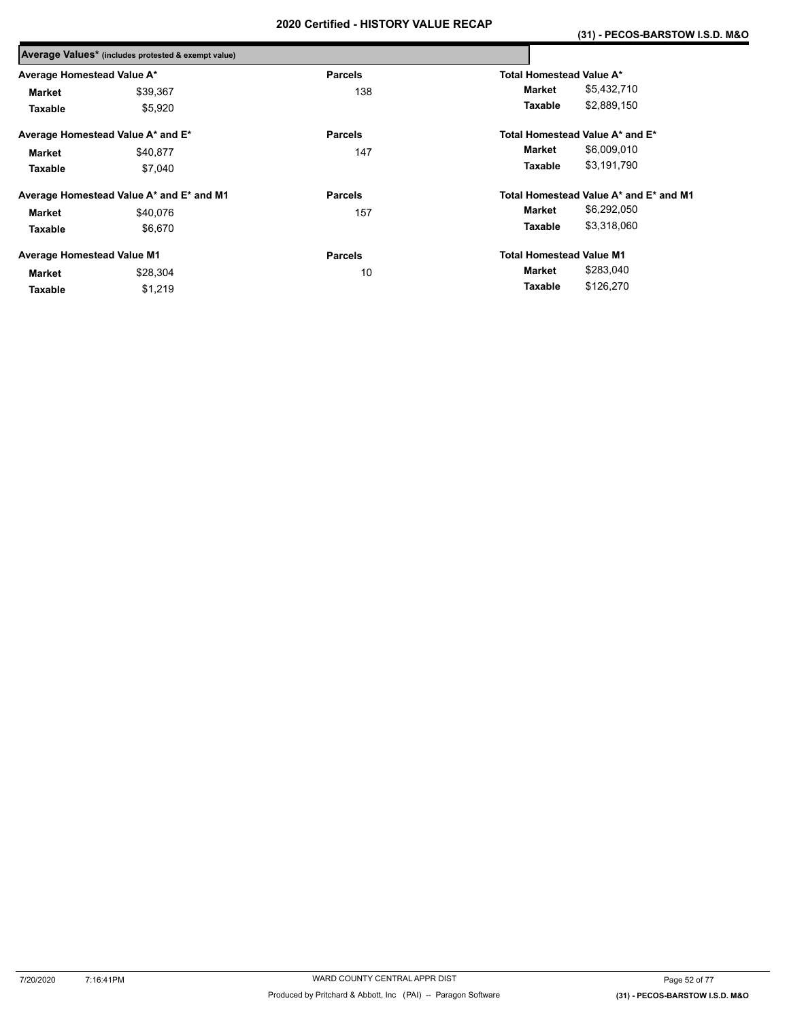|                                   | Average Values* (includes protested & exempt value) |                |                                        |
|-----------------------------------|-----------------------------------------------------|----------------|----------------------------------------|
| Average Homestead Value A*        |                                                     | <b>Parcels</b> | Total Homestead Value A*               |
| Market                            | \$39,367                                            | 138            | \$5,432,710<br>Market                  |
| Taxable                           | \$5,920                                             |                | \$2,889,150<br>Taxable                 |
|                                   | Average Homestead Value A* and E*                   | <b>Parcels</b> | Total Homestead Value A* and E*        |
| Market                            | \$40,877                                            | 147            | \$6,009,010<br>Market                  |
| Taxable                           | \$7.040                                             |                | \$3,191,790<br>Taxable                 |
|                                   | Average Homestead Value A* and E* and M1            | <b>Parcels</b> | Total Homestead Value A* and E* and M1 |
| Market                            | \$40.076                                            | 157            | \$6,292,050<br>Market                  |
| Taxable                           | \$6,670                                             |                | \$3,318,060<br>Taxable                 |
| <b>Average Homestead Value M1</b> |                                                     | <b>Parcels</b> | <b>Total Homestead Value M1</b>        |
| <b>Market</b>                     | \$28,304                                            | 10             | \$283,040<br>Market                    |
| Taxable                           | \$1,219                                             |                | \$126,270<br>Taxable                   |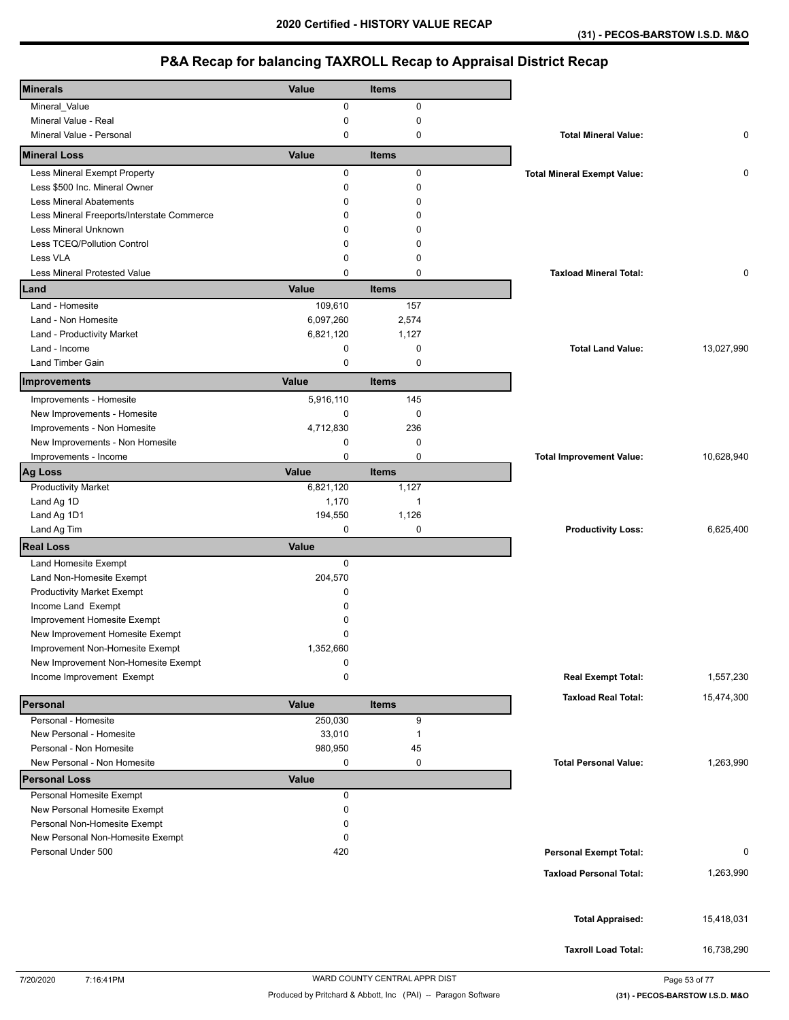| <b>Minerals</b>                                          | Value       | <b>Items</b> |                                    |            |
|----------------------------------------------------------|-------------|--------------|------------------------------------|------------|
| Mineral_Value                                            | 0           | 0            |                                    |            |
| Mineral Value - Real                                     | 0           | 0            |                                    |            |
| Mineral Value - Personal                                 | 0           | 0            | <b>Total Mineral Value:</b>        | 0          |
| <b>Mineral Loss</b>                                      | Value       | <b>Items</b> |                                    |            |
| Less Mineral Exempt Property                             | 0           | 0            | <b>Total Mineral Exempt Value:</b> | 0          |
| Less \$500 Inc. Mineral Owner                            | 0           | $\mathbf 0$  |                                    |            |
| <b>Less Mineral Abatements</b>                           | 0           | $\mathbf 0$  |                                    |            |
| Less Mineral Freeports/Interstate Commerce               | 0           | $\Omega$     |                                    |            |
| Less Mineral Unknown                                     | $\Omega$    | $\Omega$     |                                    |            |
| Less TCEQ/Pollution Control                              | 0           | $\Omega$     |                                    |            |
| Less VLA                                                 | 0           | $\mathbf 0$  |                                    |            |
| Less Mineral Protested Value                             | 0           | $\mathbf 0$  | <b>Taxload Mineral Total:</b>      | 0          |
| Land                                                     | Value       | <b>Items</b> |                                    |            |
| Land - Homesite                                          | 109,610     | 157          |                                    |            |
| Land - Non Homesite                                      | 6,097,260   | 2,574        |                                    |            |
| Land - Productivity Market                               | 6,821,120   | 1,127        |                                    |            |
| Land - Income                                            | 0           | 0            | <b>Total Land Value:</b>           | 13,027,990 |
| <b>Land Timber Gain</b>                                  | 0           | $\mathbf 0$  |                                    |            |
| Improvements                                             | Value       | <b>Items</b> |                                    |            |
| Improvements - Homesite                                  | 5,916,110   | 145          |                                    |            |
| New Improvements - Homesite                              | 0           | 0            |                                    |            |
| Improvements - Non Homesite                              | 4,712,830   | 236          |                                    |            |
| New Improvements - Non Homesite                          | 0           | 0            |                                    |            |
| Improvements - Income                                    | 0           | $\mathbf 0$  | <b>Total Improvement Value:</b>    | 10,628,940 |
| <b>Ag Loss</b>                                           | Value       | <b>Items</b> |                                    |            |
| <b>Productivity Market</b>                               | 6,821,120   | 1,127        |                                    |            |
| Land Ag 1D                                               | 1,170       | $\mathbf{1}$ |                                    |            |
| Land Ag 1D1                                              | 194,550     | 1,126        |                                    |            |
| Land Ag Tim                                              | 0           | 0            | <b>Productivity Loss:</b>          | 6,625,400  |
| <b>Real Loss</b>                                         | Value       |              |                                    |            |
| Land Homesite Exempt                                     | $\mathbf 0$ |              |                                    |            |
| Land Non-Homesite Exempt                                 | 204,570     |              |                                    |            |
| <b>Productivity Market Exempt</b>                        | 0           |              |                                    |            |
| Income Land Exempt                                       | 0           |              |                                    |            |
| Improvement Homesite Exempt                              | 0           |              |                                    |            |
| New Improvement Homesite Exempt                          | 0           |              |                                    |            |
| Improvement Non-Homesite Exempt                          | 1,352,660   |              |                                    |            |
| New Improvement Non-Homesite Exempt                      | 0           |              |                                    |            |
| Income Improvement Exempt                                | 0           |              | <b>Real Exempt Total:</b>          | 1,557,230  |
| Personal                                                 | Value       | <b>Items</b> | <b>Taxload Real Total:</b>         | 15,474,300 |
| Personal - Homesite                                      | 250,030     | 9            |                                    |            |
| New Personal - Homesite                                  | 33,010      | $\mathbf{1}$ |                                    |            |
| Personal - Non Homesite                                  | 980,950     | 45           |                                    |            |
| New Personal - Non Homesite                              | 0           | 0            | <b>Total Personal Value:</b>       | 1,263,990  |
| <b>Personal Loss</b>                                     | Value       |              |                                    |            |
| Personal Homesite Exempt<br>New Personal Homesite Exempt | 0<br>0      |              |                                    |            |
| Personal Non-Homesite Exempt                             | 0           |              |                                    |            |
| New Personal Non-Homesite Exempt                         | 0           |              |                                    |            |
| Personal Under 500                                       | 420         |              | <b>Personal Exempt Total:</b>      | 0          |
|                                                          |             |              |                                    |            |
|                                                          |             |              | <b>Taxload Personal Total:</b>     | 1,263,990  |
|                                                          |             |              |                                    |            |
|                                                          |             |              | <b>Total Appraised:</b>            | 15,418,031 |
|                                                          |             |              |                                    |            |
|                                                          |             |              | <b>Taxroll Load Total:</b>         | 16,738,290 |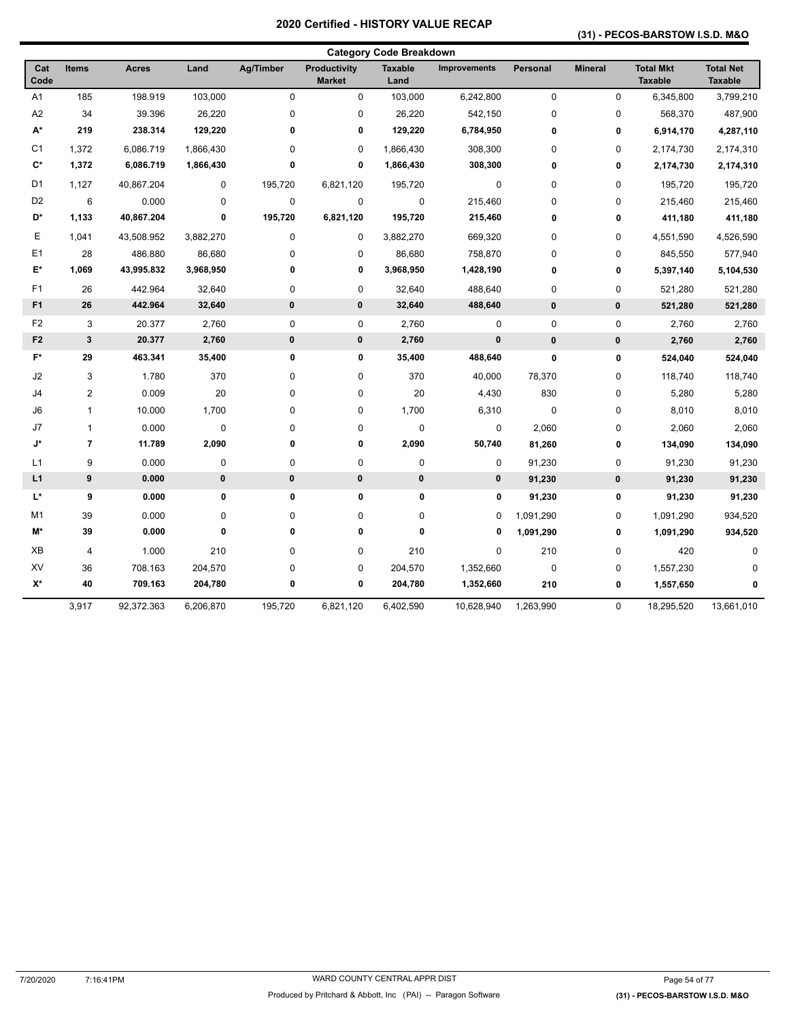### **(31) - PECOS-BARSTOW I.S.D. M&O**

| <b>Category Code Breakdown</b> |                          |              |           |              |                               |                        |                     |              |                |                                    |                                    |
|--------------------------------|--------------------------|--------------|-----------|--------------|-------------------------------|------------------------|---------------------|--------------|----------------|------------------------------------|------------------------------------|
| Cat<br>Code                    | <b>Items</b>             | <b>Acres</b> | Land      | Ag/Timber    | Productivity<br><b>Market</b> | <b>Taxable</b><br>Land | <b>Improvements</b> | Personal     | <b>Mineral</b> | <b>Total Mkt</b><br><b>Taxable</b> | <b>Total Net</b><br><b>Taxable</b> |
| A <sub>1</sub>                 | 185                      | 198.919      | 103,000   | $\mathbf 0$  | 0                             | 103,000                | 6,242,800           | $\mathbf 0$  | $\mathbf 0$    | 6,345,800                          | 3,799,210                          |
| A2                             | 34                       | 39.396       | 26,220    | $\pmb{0}$    | 0                             | 26,220                 | 542,150             | 0            | 0              | 568,370                            | 487,900                            |
| A*                             | 219                      | 238.314      | 129,220   | 0            | 0                             | 129,220                | 6,784,950           | 0            | 0              | 6,914,170                          | 4,287,110                          |
| C <sub>1</sub>                 | 1,372                    | 6,086.719    | 1,866,430 | $\mathbf 0$  | 0                             | 1,866,430              | 308,300             | 0            | 0              | 2,174,730                          | 2,174,310                          |
| $C^*$                          | 1,372                    | 6,086.719    | 1,866,430 | $\mathbf 0$  | 0                             | 1,866,430              | 308,300             | 0            | 0              | 2,174,730                          | 2,174,310                          |
| D <sub>1</sub>                 | 1,127                    | 40,867.204   | 0         | 195,720      | 6,821,120                     | 195,720                | $\pmb{0}$           | 0            | 0              | 195,720                            | 195,720                            |
| D <sub>2</sub>                 | 6                        | 0.000        | 0         | $\mathbf 0$  | 0                             | 0                      | 215,460             | 0            | 0              | 215,460                            | 215,460                            |
| D*                             | 1,133                    | 40,867.204   | 0         | 195,720      | 6,821,120                     | 195,720                | 215,460             | $\mathbf{0}$ | 0              | 411,180                            | 411,180                            |
| Е                              | 1,041                    | 43,508.952   | 3,882,270 | $\pmb{0}$    | 0                             | 3,882,270              | 669,320             | 0            | 0              | 4,551,590                          | 4,526,590                          |
| E <sub>1</sub>                 | 28                       | 486.880      | 86,680    | $\pmb{0}$    | 0                             | 86,680                 | 758,870             | 0            | 0              | 845,550                            | 577,940                            |
| E*                             | 1,069                    | 43,995.832   | 3,968,950 | 0            | 0                             | 3,968,950              | 1,428,190           | 0            | 0              | 5,397,140                          | 5,104,530                          |
| F <sub>1</sub>                 | 26                       | 442.964      | 32,640    | $\pmb{0}$    | 0                             | 32,640                 | 488,640             | 0            | 0              | 521,280                            | 521,280                            |
| F <sub>1</sub>                 | 26                       | 442.964      | 32,640    | $\mathbf{0}$ | $\pmb{0}$                     | 32,640                 | 488,640             | $\mathbf{0}$ | $\mathbf{0}$   | 521,280                            | 521,280                            |
| F <sub>2</sub>                 | 3                        | 20.377       | 2,760     | $\pmb{0}$    | 0                             | 2,760                  | 0                   | $\pmb{0}$    | $\pmb{0}$      | 2,760                              | 2,760                              |
| F <sub>2</sub>                 | $\mathbf 3$              | 20.377       | 2,760     | $\pmb{0}$    | 0                             | 2,760                  | 0                   | $\pmb{0}$    | $\pmb{0}$      | 2,760                              | 2,760                              |
| $F^*$                          | 29                       | 463.341      | 35,400    | 0            | 0                             | 35,400                 | 488,640             | $\mathbf{0}$ | 0              | 524,040                            | 524,040                            |
| J2                             | 3                        | 1.780        | 370       | $\pmb{0}$    | 0                             | 370                    | 40,000              | 78,370       | 0              | 118,740                            | 118,740                            |
| J4                             | $\overline{\mathbf{c}}$  | 0.009        | 20        | $\pmb{0}$    | 0                             | 20                     | 4,430               | 830          | 0              | 5,280                              | 5,280                              |
| J6                             | $\mathbf{1}$             | 10.000       | 1,700     | 0            | 0                             | 1,700                  | 6,310               | $\mathbf 0$  | 0              | 8,010                              | 8,010                              |
| J7                             | $\mathbf{1}$             | 0.000        | $\pmb{0}$ | $\pmb{0}$    | 0                             | $\mathbf 0$            | 0                   | 2,060        | 0              | 2,060                              | 2,060                              |
| J*                             | $\overline{\phantom{a}}$ | 11.789       | 2,090     | 0            | 0                             | 2,090                  | 50,740              | 81,260       | 0              | 134,090                            | 134,090                            |
| L1                             | 9                        | 0.000        | 0         | $\mathbf 0$  | 0                             | 0                      | 0                   | 91,230       | 0              | 91,230                             | 91,230                             |
| L1                             | $\boldsymbol{9}$         | 0.000        | 0         | $\pmb{0}$    | 0                             | $\pmb{0}$              | 0                   | 91,230       | $\pmb{0}$      | 91,230                             | 91,230                             |
| L*                             | 9                        | 0.000        | $\pmb{0}$ | $\pmb{0}$    | 0                             | 0                      | 0                   | 91,230       | 0              | 91,230                             | 91,230                             |
| M1                             | 39                       | 0.000        | 0         | 0            | 0                             | 0                      | 0                   | 1,091,290    | 0              | 1,091,290                          | 934,520                            |
| M*                             | 39                       | 0.000        | $\bf{0}$  | $\mathbf 0$  | 0                             | 0                      | 0                   | 1,091,290    | 0              | 1,091,290                          | 934,520                            |
| XB                             | 4                        | 1.000        | 210       | $\pmb{0}$    | 0                             | 210                    | 0                   | 210          | 0              | 420                                | $\mathbf 0$                        |
| XV                             | 36                       | 708.163      | 204,570   | 0            | 0                             | 204,570                | 1,352,660           | $\mathbf 0$  | 0              | 1,557,230                          | $\Omega$                           |
| $\mathsf{X}^\star$             | 40                       | 709.163      | 204,780   | $\pmb{0}$    | 0                             | 204,780                | 1,352,660           | 210          | 0              | 1,557,650                          | 0                                  |
|                                | 3,917                    | 92,372.363   | 6,206,870 | 195,720      | 6,821,120                     | 6,402,590              | 10,628,940          | 1,263,990    | 0              | 18,295,520                         | 13,661,010                         |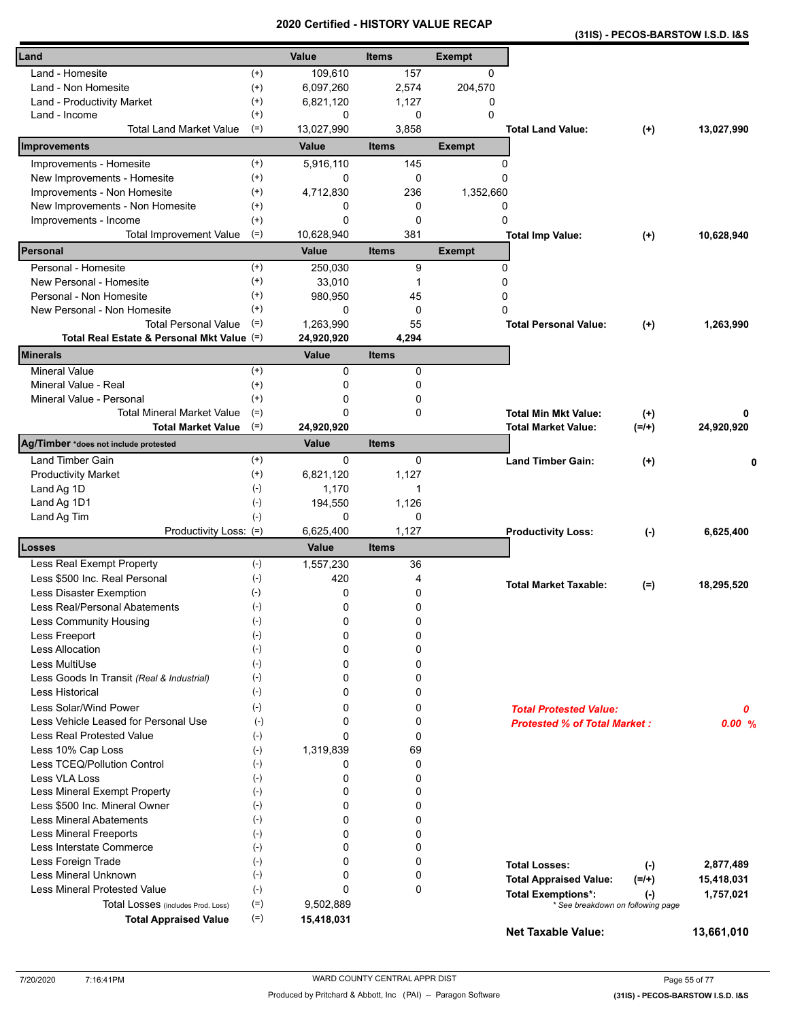| (31IS) - PECOS-BARSTOW I.S.D. I&S |
|-----------------------------------|
|-----------------------------------|

| Land                                       |                              | Value              | <b>Items</b>   | <b>Exempt</b> |                                                                             |            |
|--------------------------------------------|------------------------------|--------------------|----------------|---------------|-----------------------------------------------------------------------------|------------|
| Land - Homesite                            | $^{(+)}$                     | 109,610            | 157            | 0             |                                                                             |            |
| Land - Non Homesite                        | $^{(+)}$                     | 6,097,260          | 2,574          | 204,570       |                                                                             |            |
| Land - Productivity Market                 | $^{(+)}$                     | 6,821,120          | 1,127          | 0             |                                                                             |            |
| Land - Income                              | $^{(+)}$                     | 0                  | 0              | 0             |                                                                             |            |
| <b>Total Land Market Value</b>             | $(=)$                        | 13,027,990         | 3,858          |               | <b>Total Land Value:</b><br>$^{(+)}$                                        | 13,027,990 |
| Improvements                               |                              | Value              | <b>Items</b>   | <b>Exempt</b> |                                                                             |            |
| Improvements - Homesite                    | $^{(+)}$                     | 5,916,110          | 145            | 0             |                                                                             |            |
| New Improvements - Homesite                | $^{(+)}$                     | 0                  | 0              | 0             |                                                                             |            |
| Improvements - Non Homesite                | $^{(+)}$                     | 4,712,830          | 236            | 1,352,660     |                                                                             |            |
| New Improvements - Non Homesite            | $^{(+)}$                     | 0                  | 0              | 0             |                                                                             |            |
| Improvements - Income                      | $^{(+)}$                     | 0                  | 0              | 0             |                                                                             |            |
| Total Improvement Value                    | $(=)$                        | 10,628,940         | 381            |               | <b>Total Imp Value:</b><br>$^{(+)}$                                         | 10,628,940 |
| Personal                                   |                              | Value              | <b>Items</b>   | <b>Exempt</b> |                                                                             |            |
| Personal - Homesite                        | $^{(+)}$                     | 250,030            | 9              | 0             |                                                                             |            |
| New Personal - Homesite                    | $^{(+)}$                     | 33,010             | 1              | 0             |                                                                             |            |
| Personal - Non Homesite                    | $^{(+)}$                     | 980,950            | 45             | 0             |                                                                             |            |
| New Personal - Non Homesite                | $^{(+)}$                     | $\Omega$           | $\mathbf 0$    | $\Omega$      |                                                                             |            |
| <b>Total Personal Value</b>                | $(=)$                        | 1,263,990          | 55             |               | <b>Total Personal Value:</b><br>$(+)$                                       | 1,263,990  |
| Total Real Estate & Personal Mkt Value (=) |                              | 24,920,920         | 4,294          |               |                                                                             |            |
| <b>Minerals</b>                            |                              | Value              | <b>Items</b>   |               |                                                                             |            |
| <b>Mineral Value</b>                       | $^{(+)}$                     | $\Omega$           | $\mathbf 0$    |               |                                                                             |            |
| Mineral Value - Real                       | $^{(+)}$                     | 0                  | 0              |               |                                                                             |            |
| Mineral Value - Personal                   | $(+)$                        | 0                  | 0              |               |                                                                             |            |
| <b>Total Mineral Market Value</b>          | $(=)$                        | 0                  | 0              |               | <b>Total Min Mkt Value:</b><br>$(+)$                                        | 0          |
| <b>Total Market Value</b>                  | $(=)$                        | 24,920,920         |                |               | <b>Total Market Value:</b><br>$(=/+)$                                       | 24,920,920 |
| Ag/Timber *does not include protested      |                              | <b>Value</b>       | <b>Items</b>   |               |                                                                             |            |
| Land Timber Gain                           | $^{(+)}$                     | 0                  | 0              |               | <b>Land Timber Gain:</b><br>$^{(+)}$                                        |            |
| <b>Productivity Market</b>                 | $^{(+)}$                     | 6,821,120          | 1,127          |               |                                                                             |            |
| Land Ag 1D                                 | $(-)$                        | 1,170              | 1              |               |                                                                             |            |
| Land Ag 1D1                                | $(-)$                        | 194,550            | 1,126          |               |                                                                             |            |
| Land Ag Tim                                | $(-)$                        | 0                  | 0              |               |                                                                             |            |
| Productivity Loss: (=)<br><b>Losses</b>    |                              | 6,625,400<br>Value | 1,127<br>Items |               | <b>Productivity Loss:</b><br>$(-)$                                          | 6,625,400  |
| Less Real Exempt Property                  | $(-)$                        | 1,557,230          | 36             |               |                                                                             |            |
| Less \$500 Inc. Real Personal              | $(-)$                        | 420                | 4              |               |                                                                             |            |
| Less Disaster Exemption                    | $(\cdot)$                    | 0                  | 0              |               | <b>Total Market Taxable:</b><br>$(=)$                                       | 18,295,520 |
| Less Real/Personal Abatements              |                              | 0                  | 0              |               |                                                                             |            |
| Less Community Housing                     | $(\text{-})$<br>$(\hbox{-})$ | 0                  | 0              |               |                                                                             |            |
| Less Freeport                              | $(-)$                        | 0                  | 0              |               |                                                                             |            |
| <b>Less Allocation</b>                     | $(-)$                        | 0                  | 0              |               |                                                                             |            |
| Less MultiUse                              | $(-)$                        | 0                  | 0              |               |                                                                             |            |
| Less Goods In Transit (Real & Industrial)  | $(-)$                        | $\Omega$           | 0              |               |                                                                             |            |
| <b>Less Historical</b>                     | $(-)$                        | 0                  | 0              |               |                                                                             |            |
| Less Solar/Wind Power                      | $(-)$                        | 0                  | 0              |               |                                                                             |            |
| Less Vehicle Leased for Personal Use       | $(-)$                        | 0                  | 0              |               | <b>Total Protested Value:</b>                                               | 0          |
| <b>Less Real Protested Value</b>           | $(-)$                        | $\Omega$           | 0              |               | <b>Protested % of Total Market:</b>                                         | 0.00%      |
| Less 10% Cap Loss                          | $(-)$                        | 1,319,839          | 69             |               |                                                                             |            |
| Less TCEQ/Pollution Control                | $(-)$                        | 0                  | $\mathbf 0$    |               |                                                                             |            |
| Less VLA Loss                              | $(-)$                        | 0                  | 0              |               |                                                                             |            |
| Less Mineral Exempt Property               | $(-)$                        | 0                  | 0              |               |                                                                             |            |
| Less \$500 Inc. Mineral Owner              | $(-)$                        | 0                  | 0              |               |                                                                             |            |
| <b>Less Mineral Abatements</b>             | $(-)$                        | 0                  | 0              |               |                                                                             |            |
| <b>Less Mineral Freeports</b>              | $(-)$                        | 0                  | 0              |               |                                                                             |            |
| Less Interstate Commerce                   | $(-)$                        | $\Omega$           | 0              |               |                                                                             |            |
| Less Foreign Trade                         | $(-)$                        | $\Omega$           | 0              |               |                                                                             |            |
| Less Mineral Unknown                       | $(-)$                        | $\Omega$           | 0              |               | <b>Total Losses:</b><br>$(-)$                                               | 2,877,489  |
| <b>Less Mineral Protested Value</b>        | $(-)$                        | $\Omega$           | 0              |               | <b>Total Appraised Value:</b><br>$(=/+)$                                    | 15,418,031 |
| Total Losses (includes Prod. Loss)         | $(=)$                        | 9,502,889          |                |               | <b>Total Exemptions*:</b><br>$(\cdot)$<br>* See breakdown on following page | 1,757,021  |
| <b>Total Appraised Value</b>               | $(=)$                        | 15,418,031         |                |               |                                                                             |            |
|                                            |                              |                    |                |               | <b>Net Taxable Value:</b>                                                   | 13,661,010 |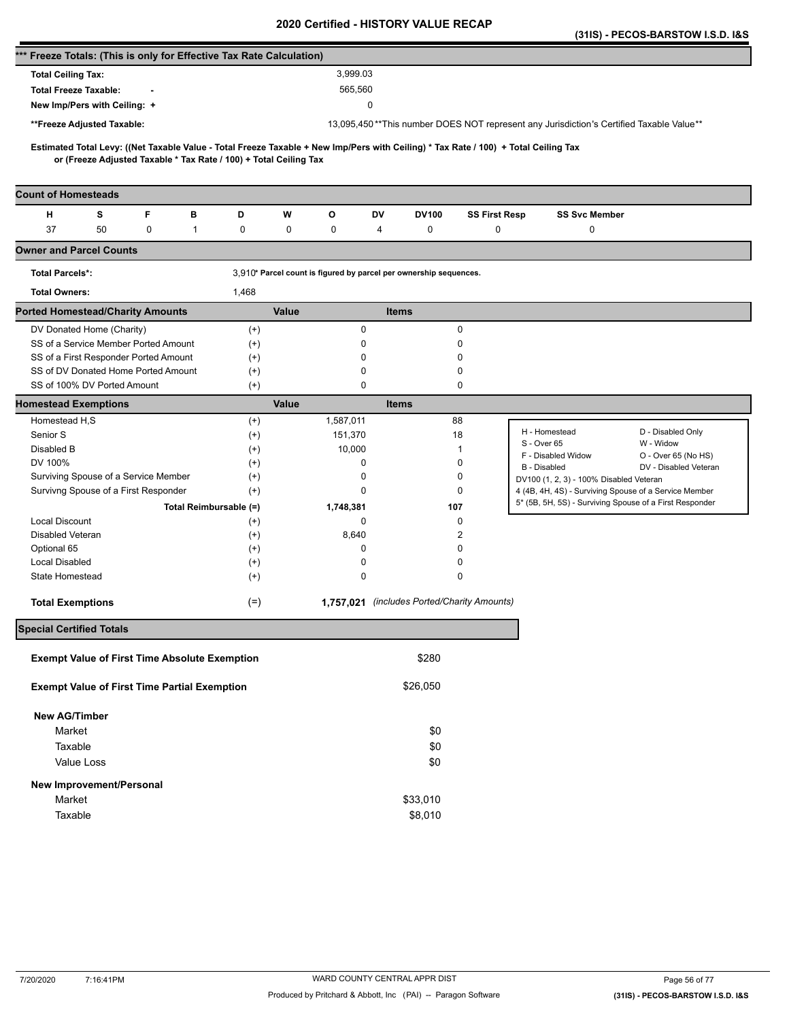|                                                                      |                           |   |                        |                                                                   |                                                                                         |                                                                   |                                             |          |                      |                                                                                                                                     |                                         | (31IS) - PECOS-BARSTOW I.S.D. I&S                       |
|----------------------------------------------------------------------|---------------------------|---|------------------------|-------------------------------------------------------------------|-----------------------------------------------------------------------------------------|-------------------------------------------------------------------|---------------------------------------------|----------|----------------------|-------------------------------------------------------------------------------------------------------------------------------------|-----------------------------------------|---------------------------------------------------------|
| *** Freeze Totals: (This is only for Effective Tax Rate Calculation) |                           |   |                        |                                                                   |                                                                                         |                                                                   |                                             |          |                      |                                                                                                                                     |                                         |                                                         |
| <b>Total Ceiling Tax:</b>                                            |                           |   |                        |                                                                   |                                                                                         | 3,999.03                                                          |                                             |          |                      |                                                                                                                                     |                                         |                                                         |
| <b>Total Freeze Taxable:</b>                                         |                           |   |                        |                                                                   |                                                                                         | 565,560                                                           |                                             |          |                      |                                                                                                                                     |                                         |                                                         |
| New Imp/Pers with Ceiling: +                                         |                           |   |                        |                                                                   |                                                                                         |                                                                   | 0                                           |          |                      |                                                                                                                                     |                                         |                                                         |
| **Freeze Adjusted Taxable:                                           |                           |   |                        |                                                                   | 13,095,450**This number DOES NOT represent any Jurisdiction's Certified Taxable Value** |                                                                   |                                             |          |                      |                                                                                                                                     |                                         |                                                         |
|                                                                      |                           |   |                        |                                                                   |                                                                                         |                                                                   |                                             |          |                      |                                                                                                                                     |                                         |                                                         |
|                                                                      |                           |   |                        | or (Freeze Adjusted Taxable * Tax Rate / 100) + Total Ceiling Tax |                                                                                         |                                                                   |                                             |          |                      | Estimated Total Levy: ((Net Taxable Value - Total Freeze Taxable + New Imp/Pers with Ceiling) * Tax Rate / 100) + Total Ceiling Tax |                                         |                                                         |
|                                                                      |                           |   |                        |                                                                   |                                                                                         |                                                                   |                                             |          |                      |                                                                                                                                     |                                         |                                                         |
| <b>Count of Homesteads</b>                                           |                           |   |                        |                                                                   |                                                                                         |                                                                   |                                             |          |                      |                                                                                                                                     |                                         |                                                         |
| н                                                                    | s                         | F | в                      | D                                                                 | W                                                                                       | О                                                                 | DV                                          | DV100    | <b>SS First Resp</b> |                                                                                                                                     | <b>SS Svc Member</b>                    |                                                         |
| 37                                                                   | 50                        | 0 | 1                      | 0                                                                 | 0                                                                                       | 0                                                                 | 4                                           | 0        | $\mathbf 0$          |                                                                                                                                     | 0                                       |                                                         |
| <b>Owner and Parcel Counts</b>                                       |                           |   |                        |                                                                   |                                                                                         |                                                                   |                                             |          |                      |                                                                                                                                     |                                         |                                                         |
| <b>Total Parcels*:</b>                                               |                           |   |                        |                                                                   |                                                                                         | 3,910* Parcel count is figured by parcel per ownership sequences. |                                             |          |                      |                                                                                                                                     |                                         |                                                         |
| <b>Total Owners:</b>                                                 |                           |   |                        | 1,468                                                             |                                                                                         |                                                                   |                                             |          |                      |                                                                                                                                     |                                         |                                                         |
| <b>Ported Homestead/Charity Amounts</b>                              |                           |   |                        |                                                                   | Value                                                                                   |                                                                   | <b>Items</b>                                |          |                      |                                                                                                                                     |                                         |                                                         |
|                                                                      | DV Donated Home (Charity) |   |                        | $^{(+)}$                                                          |                                                                                         | 0                                                                 |                                             |          | 0                    |                                                                                                                                     |                                         |                                                         |
| SS of a Service Member Ported Amount                                 |                           |   |                        | $^{(+)}$                                                          |                                                                                         | 0                                                                 |                                             |          | 0                    |                                                                                                                                     |                                         |                                                         |
| SS of a First Responder Ported Amount                                |                           |   |                        | $^{(+)}$                                                          |                                                                                         | 0                                                                 |                                             |          | 0                    |                                                                                                                                     |                                         |                                                         |
| SS of DV Donated Home Ported Amount                                  |                           |   |                        | $^{(+)}$                                                          |                                                                                         | 0                                                                 |                                             |          | 0                    |                                                                                                                                     |                                         |                                                         |
| SS of 100% DV Ported Amount                                          |                           |   |                        | $^{(+)}$                                                          |                                                                                         | 0                                                                 |                                             |          | 0                    |                                                                                                                                     |                                         |                                                         |
| <b>Homestead Exemptions</b>                                          |                           |   |                        |                                                                   | Value                                                                                   |                                                                   | <b>Items</b>                                |          |                      |                                                                                                                                     |                                         |                                                         |
| Homestead H,S                                                        |                           |   |                        | $^{(+)}$                                                          |                                                                                         | 1,587,011                                                         |                                             |          | 88                   | H - Homestead                                                                                                                       |                                         | D - Disabled Only                                       |
| Senior S                                                             |                           |   |                        | $^{(+)}$                                                          |                                                                                         | 151,370                                                           |                                             |          | 18                   | S - Over 65                                                                                                                         |                                         | W - Widow                                               |
| Disabled B                                                           |                           |   |                        | $^{(+)}$                                                          |                                                                                         | 10,000                                                            |                                             |          | 1                    | F - Disabled Widow                                                                                                                  |                                         | O - Over 65 (No HS)                                     |
| DV 100%<br>Surviving Spouse of a Service Member                      |                           |   |                        | $^{(+)}$<br>$^{(+)}$                                              |                                                                                         | 0<br>0                                                            |                                             |          | 0<br>0               | B - Disabled                                                                                                                        |                                         | DV - Disabled Veteran                                   |
| Survivng Spouse of a First Responder                                 |                           |   |                        | $^{(+)}$                                                          |                                                                                         | 0                                                                 |                                             |          | 0                    |                                                                                                                                     | DV100 (1, 2, 3) - 100% Disabled Veteran | 4 (4B, 4H, 4S) - Surviving Spouse of a Service Member   |
|                                                                      |                           |   | Total Reimbursable (=) |                                                                   |                                                                                         | 1,748,381                                                         |                                             | 107      |                      |                                                                                                                                     |                                         | 5* (5B, 5H, 5S) - Surviving Spouse of a First Responder |
| <b>Local Discount</b>                                                |                           |   |                        | $^{(+)}$                                                          |                                                                                         | 0                                                                 |                                             |          | 0                    |                                                                                                                                     |                                         |                                                         |
| Disabled Veteran                                                     |                           |   |                        | $^{(+)}$                                                          |                                                                                         | 8,640                                                             |                                             |          | 2                    |                                                                                                                                     |                                         |                                                         |
| Optional 65                                                          |                           |   |                        | $^{(+)}$                                                          |                                                                                         | 0                                                                 |                                             |          | 0                    |                                                                                                                                     |                                         |                                                         |
| <b>Local Disabled</b>                                                |                           |   |                        | $^{(+)}$                                                          |                                                                                         | 0                                                                 |                                             |          | 0                    |                                                                                                                                     |                                         |                                                         |
| State Homestead                                                      |                           |   |                        | $^{(+)}$                                                          |                                                                                         | 0                                                                 |                                             |          | 0                    |                                                                                                                                     |                                         |                                                         |
| <b>Total Exemptions</b>                                              |                           |   |                        | $(=)$                                                             |                                                                                         |                                                                   | 1,757,021 (includes Ported/Charity Amounts) |          |                      |                                                                                                                                     |                                         |                                                         |
| <b>Special Certified Totals</b>                                      |                           |   |                        |                                                                   |                                                                                         |                                                                   |                                             |          |                      |                                                                                                                                     |                                         |                                                         |
| <b>Exempt Value of First Time Absolute Exemption</b>                 |                           |   |                        |                                                                   |                                                                                         |                                                                   |                                             | \$280    |                      |                                                                                                                                     |                                         |                                                         |
| <b>Exempt Value of First Time Partial Exemption</b>                  |                           |   |                        |                                                                   |                                                                                         |                                                                   |                                             | \$26,050 |                      |                                                                                                                                     |                                         |                                                         |
|                                                                      |                           |   |                        |                                                                   |                                                                                         |                                                                   |                                             |          |                      |                                                                                                                                     |                                         |                                                         |
| <b>New AG/Timber</b>                                                 |                           |   |                        |                                                                   |                                                                                         |                                                                   |                                             |          |                      |                                                                                                                                     |                                         |                                                         |
| Market                                                               |                           |   |                        |                                                                   |                                                                                         |                                                                   |                                             | \$0      |                      |                                                                                                                                     |                                         |                                                         |
| Taxable                                                              |                           |   |                        |                                                                   |                                                                                         |                                                                   |                                             | \$0      |                      |                                                                                                                                     |                                         |                                                         |
|                                                                      | Value Loss                |   |                        |                                                                   |                                                                                         |                                                                   |                                             | \$0      |                      |                                                                                                                                     |                                         |                                                         |
| New Improvement/Personal                                             |                           |   |                        |                                                                   |                                                                                         |                                                                   |                                             |          |                      |                                                                                                                                     |                                         |                                                         |
| Market                                                               |                           |   |                        |                                                                   |                                                                                         |                                                                   |                                             | \$33,010 |                      |                                                                                                                                     |                                         |                                                         |
| Taxable                                                              |                           |   |                        |                                                                   |                                                                                         |                                                                   |                                             | \$8,010  |                      |                                                                                                                                     |                                         |                                                         |
|                                                                      |                           |   |                        |                                                                   |                                                                                         |                                                                   |                                             |          |                      |                                                                                                                                     |                                         |                                                         |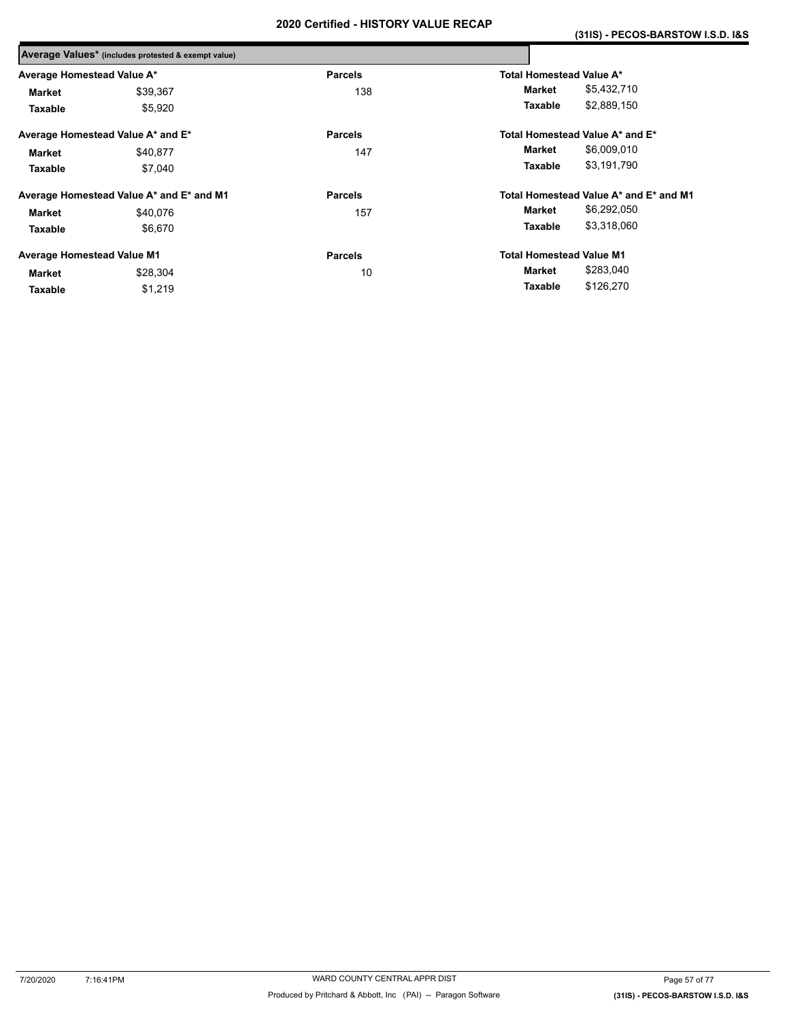|                                   | Average Values* (includes protested & exempt value) |                |                                 |                                        |
|-----------------------------------|-----------------------------------------------------|----------------|---------------------------------|----------------------------------------|
| Average Homestead Value A*        |                                                     | <b>Parcels</b> | Total Homestead Value A*        |                                        |
| Market                            | \$39,367                                            | 138            | Market                          | \$5,432,710                            |
| Taxable                           | \$5,920                                             |                | Taxable                         | \$2,889,150                            |
|                                   | Average Homestead Value A* and E*                   | <b>Parcels</b> |                                 | Total Homestead Value A* and E*        |
| Market                            | \$40.877                                            | 147            | Market                          | \$6,009,010                            |
| Taxable                           | \$7,040                                             |                | Taxable                         | \$3,191,790                            |
|                                   | Average Homestead Value A* and E* and M1            | <b>Parcels</b> |                                 | Total Homestead Value A* and E* and M1 |
| Market                            | \$40.076                                            | 157            | Market                          | \$6,292,050                            |
| Taxable                           | \$6,670                                             |                | Taxable                         | \$3,318,060                            |
| <b>Average Homestead Value M1</b> |                                                     | <b>Parcels</b> | <b>Total Homestead Value M1</b> |                                        |
| <b>Market</b>                     | \$28.304                                            | 10             | Market                          | \$283,040                              |
| Taxable                           | \$1,219                                             |                | Taxable                         | \$126,270                              |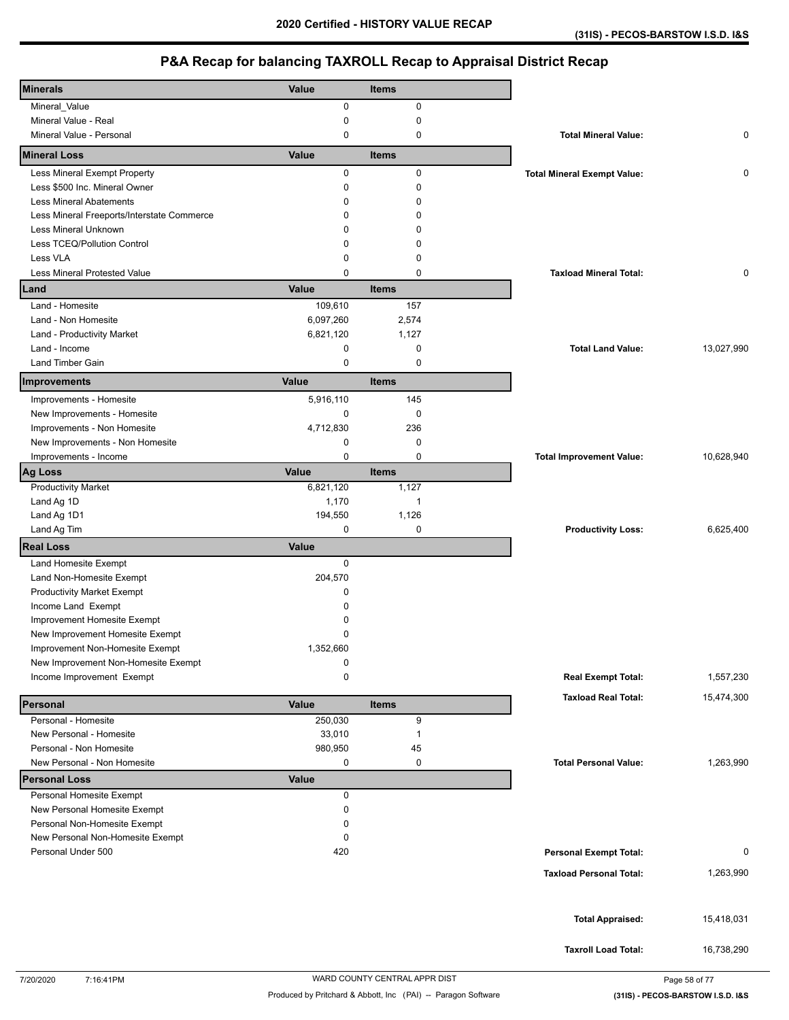| <b>Minerals</b>                            | Value        | <b>Items</b> |                                    |            |
|--------------------------------------------|--------------|--------------|------------------------------------|------------|
| Mineral_Value                              | 0            | 0            |                                    |            |
| Mineral Value - Real                       | 0            | $\mathbf 0$  |                                    |            |
| Mineral Value - Personal                   | 0            | 0            | <b>Total Mineral Value:</b>        | 0          |
| <b>Mineral Loss</b>                        | Value        | <b>Items</b> |                                    |            |
| Less Mineral Exempt Property               | 0            | 0            | <b>Total Mineral Exempt Value:</b> | 0          |
| Less \$500 Inc. Mineral Owner              | 0            | 0            |                                    |            |
| <b>Less Mineral Abatements</b>             | 0            | $\mathbf 0$  |                                    |            |
| Less Mineral Freeports/Interstate Commerce | $\Omega$     | $\Omega$     |                                    |            |
| Less Mineral Unknown                       | 0            | $\Omega$     |                                    |            |
| Less TCEQ/Pollution Control                | 0            | $\mathbf 0$  |                                    |            |
| Less VLA                                   | 0            | 0            |                                    |            |
| Less Mineral Protested Value               | $\Omega$     | $\mathbf 0$  | <b>Taxload Mineral Total:</b>      | 0          |
| Land                                       | Value        | <b>Items</b> |                                    |            |
| Land - Homesite                            | 109,610      | 157          |                                    |            |
| Land - Non Homesite                        | 6,097,260    | 2,574        |                                    |            |
| Land - Productivity Market                 | 6,821,120    | 1,127        |                                    |            |
| Land - Income                              | 0            | 0            | <b>Total Land Value:</b>           | 13,027,990 |
| <b>Land Timber Gain</b>                    | 0            | 0            |                                    |            |
| Improvements                               | Value        | <b>Items</b> |                                    |            |
| Improvements - Homesite                    | 5,916,110    | 145          |                                    |            |
| New Improvements - Homesite                | 0            | $\mathbf 0$  |                                    |            |
| Improvements - Non Homesite                | 4,712,830    | 236          |                                    |            |
| New Improvements - Non Homesite            | 0            | 0            |                                    |            |
| Improvements - Income                      | 0            | $\mathbf 0$  | <b>Total Improvement Value:</b>    | 10,628,940 |
| <b>Ag Loss</b>                             | Value        | <b>Items</b> |                                    |            |
| <b>Productivity Market</b>                 | 6,821,120    | 1,127        |                                    |            |
| Land Ag 1D                                 | 1,170        | $\mathbf{1}$ |                                    |            |
| Land Ag 1D1                                | 194,550      | 1,126        |                                    |            |
| Land Ag Tim                                | 0            | $\mathbf 0$  | <b>Productivity Loss:</b>          | 6,625,400  |
| <b>Real Loss</b>                           | Value        |              |                                    |            |
| Land Homesite Exempt                       | 0            |              |                                    |            |
| Land Non-Homesite Exempt                   | 204,570      |              |                                    |            |
| <b>Productivity Market Exempt</b>          | 0            |              |                                    |            |
| Income Land Exempt                         | 0            |              |                                    |            |
| Improvement Homesite Exempt                | 0            |              |                                    |            |
| New Improvement Homesite Exempt            | 0            |              |                                    |            |
| Improvement Non-Homesite Exempt            | 1,352,660    |              |                                    |            |
| New Improvement Non-Homesite Exempt        | 0            |              |                                    |            |
| Income Improvement Exempt                  | 0            |              | <b>Real Exempt Total:</b>          | 1,557,230  |
| Personal                                   | Value        | <b>Items</b> | <b>Taxload Real Total:</b>         | 15,474,300 |
| Personal - Homesite                        | 250,030      | 9            |                                    |            |
| New Personal - Homesite                    | 33,010       | 1            |                                    |            |
| Personal - Non Homesite                    | 980,950      | 45           |                                    |            |
| New Personal - Non Homesite                | 0            | 0            | <b>Total Personal Value:</b>       | 1,263,990  |
| <b>Personal Loss</b>                       | <b>Value</b> |              |                                    |            |
| Personal Homesite Exempt                   | 0            |              |                                    |            |
| New Personal Homesite Exempt               | 0            |              |                                    |            |
| Personal Non-Homesite Exempt               | 0            |              |                                    |            |
| New Personal Non-Homesite Exempt           | 0            |              |                                    |            |
| Personal Under 500                         | 420          |              | <b>Personal Exempt Total:</b>      | 0          |
|                                            |              |              | <b>Taxload Personal Total:</b>     | 1,263,990  |
|                                            |              |              |                                    |            |
|                                            |              |              |                                    |            |
|                                            |              |              | <b>Total Appraised:</b>            | 15,418,031 |
|                                            |              |              |                                    |            |
|                                            |              |              | <b>Taxroll Load Total:</b>         | 16,738,290 |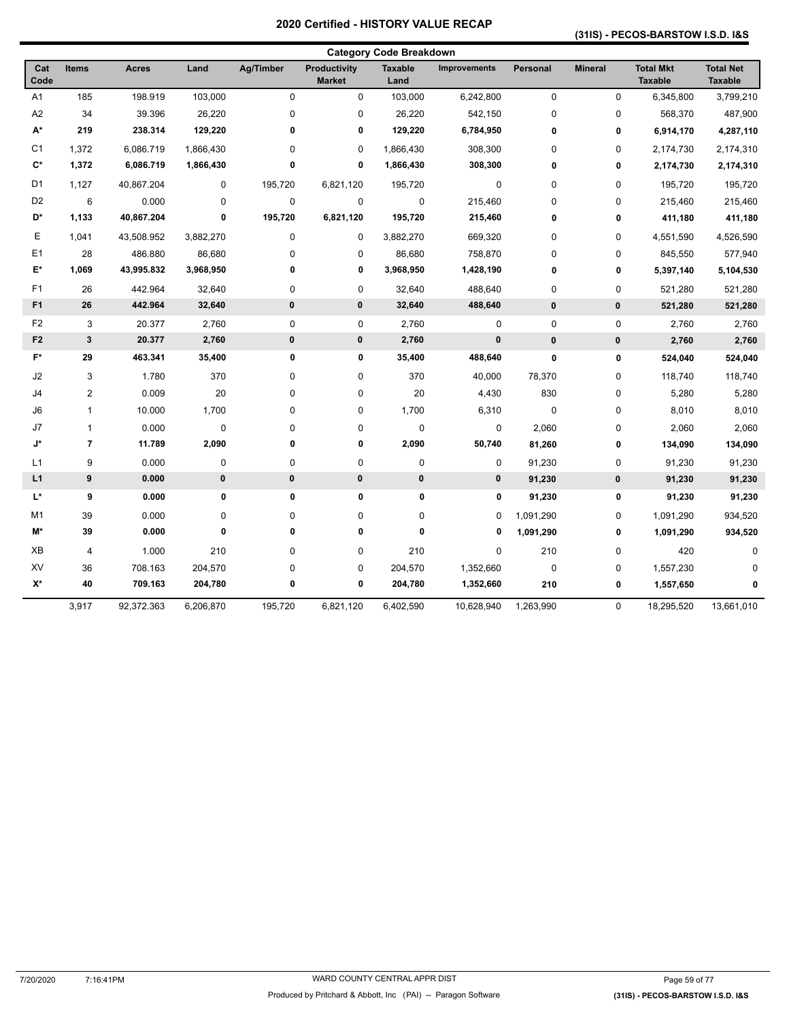### **(31IS) - PECOS-BARSTOW I.S.D. I&S**

|                    |                         |            |           |                  |                                      | <b>Category Code Breakdown</b> |                     |             |                |                                    |                                    |
|--------------------|-------------------------|------------|-----------|------------------|--------------------------------------|--------------------------------|---------------------|-------------|----------------|------------------------------------|------------------------------------|
| Cat<br>Code        | <b>Items</b>            | Acres      | Land      | <b>Ag/Timber</b> | <b>Productivity</b><br><b>Market</b> | <b>Taxable</b><br>Land         | <b>Improvements</b> | Personal    | <b>Mineral</b> | <b>Total Mkt</b><br><b>Taxable</b> | <b>Total Net</b><br><b>Taxable</b> |
| A <sub>1</sub>     | 185                     | 198.919    | 103,000   | $\mathbf 0$      | 0                                    | 103,000                        | 6,242,800           | $\pmb{0}$   | 0              | 6,345,800                          | 3,799,210                          |
| A2                 | 34                      | 39.396     | 26,220    | 0                | 0                                    | 26,220                         | 542,150             | $\mathbf 0$ | $\pmb{0}$      | 568,370                            | 487,900                            |
| A*                 | 219                     | 238.314    | 129,220   | $\mathbf 0$      | 0                                    | 129,220                        | 6,784,950           | $\bf{0}$    | 0              | 6,914,170                          | 4,287,110                          |
| C <sub>1</sub>     | 1,372                   | 6,086.719  | 1,866,430 | 0                | 0                                    | 1,866,430                      | 308,300             | $\mathbf 0$ | $\pmb{0}$      | 2,174,730                          | 2,174,310                          |
| $\mathbf{C}^*$     | 1,372                   | 6,086.719  | 1,866,430 | $\bf{0}$         | 0                                    | 1,866,430                      | 308,300             | $\bf{0}$    | 0              | 2,174,730                          | 2,174,310                          |
| D <sub>1</sub>     | 1,127                   | 40,867.204 | 0         | 195,720          | 6,821,120                            | 195,720                        | 0                   | $\mathbf 0$ | $\pmb{0}$      | 195,720                            | 195,720                            |
| D <sub>2</sub>     | 6                       | 0.000      | $\pmb{0}$ | $\pmb{0}$        | 0                                    | $\pmb{0}$                      | 215,460             | $\mathbf 0$ | $\pmb{0}$      | 215,460                            | 215,460                            |
| D*                 | 1,133                   | 40,867.204 | $\pmb{0}$ | 195,720          | 6,821,120                            | 195,720                        | 215,460             | $\mathbf 0$ | 0              | 411,180                            | 411,180                            |
| Ε                  | 1,041                   | 43,508.952 | 3,882,270 | 0                | 0                                    | 3,882,270                      | 669,320             | $\mathbf 0$ | $\pmb{0}$      | 4,551,590                          | 4,526,590                          |
| E <sub>1</sub>     | 28                      | 486.880    | 86,680    | 0                | 0                                    | 86,680                         | 758,870             | $\mathbf 0$ | $\pmb{0}$      | 845,550                            | 577,940                            |
| E*                 | 1,069                   | 43,995.832 | 3,968,950 | $\bf{0}$         | 0                                    | 3,968,950                      | 1,428,190           | $\mathbf 0$ | $\pmb{0}$      | 5,397,140                          | 5,104,530                          |
| F <sub>1</sub>     | 26                      | 442.964    | 32,640    | 0                | 0                                    | 32,640                         | 488,640             | $\mathbf 0$ | $\pmb{0}$      | 521,280                            | 521,280                            |
| F <sub>1</sub>     | 26                      | 442.964    | 32,640    | $\pmb{0}$        | 0                                    | 32,640                         | 488,640             | $\bf{0}$    | $\pmb{0}$      | 521,280                            | 521,280                            |
| F <sub>2</sub>     | 3                       | 20.377     | 2,760     | $\pmb{0}$        | 0                                    | 2,760                          | 0                   | $\pmb{0}$   | $\pmb{0}$      | 2,760                              | 2,760                              |
| F <sub>2</sub>     | $\mathbf 3$             | 20.377     | 2,760     | $\pmb{0}$        | 0                                    | 2,760                          | 0                   | $\bf{0}$    | 0              | 2,760                              | 2,760                              |
| $F^*$              | 29                      | 463.341    | 35,400    | 0                | 0                                    | 35,400                         | 488,640             | $\pmb{0}$   | 0              | 524,040                            | 524,040                            |
| J2                 | 3                       | 1.780      | 370       | 0                | 0                                    | 370                            | 40,000              | 78,370      | $\pmb{0}$      | 118,740                            | 118,740                            |
| J4                 | 2                       | 0.009      | 20        | 0                | 0                                    | 20                             | 4,430               | 830         | $\pmb{0}$      | 5,280                              | 5,280                              |
| J6                 | 1                       | 10.000     | 1,700     | 0                | 0                                    | 1,700                          | 6,310               | $\mathbf 0$ | $\pmb{0}$      | 8,010                              | 8,010                              |
| J7                 | $\mathbf{1}$            | 0.000      | $\pmb{0}$ | 0                | 0                                    | $\pmb{0}$                      | 0                   | 2,060       | $\pmb{0}$      | 2,060                              | 2,060                              |
| J*                 | $\overline{7}$          | 11.789     | 2,090     | $\bf{0}$         | 0                                    | 2,090                          | 50,740              | 81,260      | 0              | 134,090                            | 134,090                            |
| L1                 | 9                       | 0.000      | $\pmb{0}$ | 0                | 0                                    | $\pmb{0}$                      | 0                   | 91,230      | $\pmb{0}$      | 91,230                             | 91,230                             |
| L1                 | $\pmb{9}$               | 0.000      | $\pmb{0}$ | $\pmb{0}$        | 0                                    | $\pmb{0}$                      | 0                   | 91,230      | 0              | 91,230                             | 91,230                             |
| L*                 | 9                       | 0.000      | 0         | $\mathbf 0$      | 0                                    | 0                              | 0                   | 91,230      | 0              | 91,230                             | 91,230                             |
| M1                 | 39                      | 0.000      | 0         | 0                | 0                                    | 0                              | 0                   | 1,091,290   | $\pmb{0}$      | 1,091,290                          | 934,520                            |
| M*                 | 39                      | 0.000      | 0         | $\bf{0}$         | 0                                    | 0                              | 0                   | 1,091,290   | 0              | 1,091,290                          | 934,520                            |
| XB                 | $\overline{\mathbf{4}}$ | 1.000      | 210       | 0                | 0                                    | 210                            | 0                   | 210         | $\pmb{0}$      | 420                                | 0                                  |
| XV                 | 36                      | 708.163    | 204,570   | 0                | 0                                    | 204,570                        | 1,352,660           | $\pmb{0}$   | 0              | 1,557,230                          | 0                                  |
| $\mathsf{X}^\star$ | 40                      | 709.163    | 204,780   | $\pmb{0}$        | 0                                    | 204,780                        | 1,352,660           | 210         | 0              | 1,557,650                          | 0                                  |
|                    | 3,917                   | 92,372.363 | 6,206,870 | 195,720          | 6,821,120                            | 6,402,590                      | 10,628,940          | 1,263,990   | $\pmb{0}$      | 18,295,520                         | 13,661,010                         |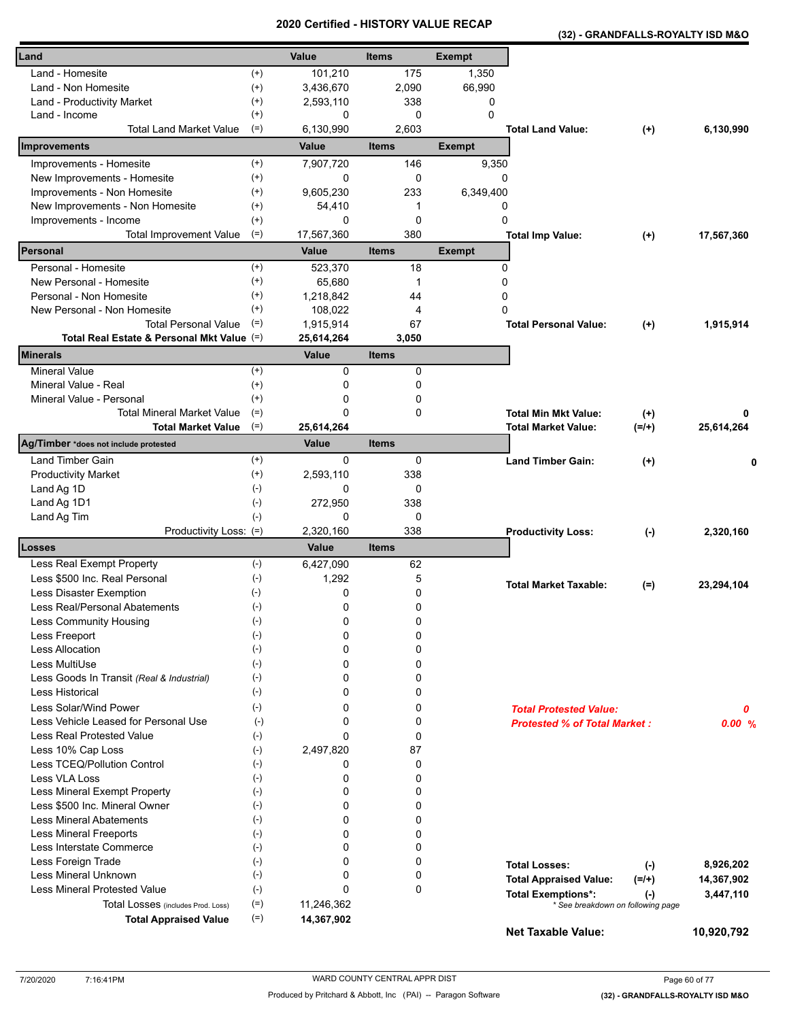**(32) - GRANDFALLS-ROYALTY ISD M&O** 

| Land                                                                      |                      | Value                      | <b>Items</b>        | <b>Exempt</b> |                                          |            |
|---------------------------------------------------------------------------|----------------------|----------------------------|---------------------|---------------|------------------------------------------|------------|
| Land - Homesite                                                           | $^{(+)}$             | 101,210                    | 175                 | 1,350         |                                          |            |
| Land - Non Homesite                                                       | $^{(+)}$             | 3,436,670                  | 2,090               | 66,990        |                                          |            |
| Land - Productivity Market                                                | $^{(+)}$             | 2,593,110                  | 338                 | 0             |                                          |            |
| Land - Income                                                             | $^{(+)}$             | 0                          | 0                   | $\mathbf{0}$  |                                          |            |
| <b>Total Land Market Value</b>                                            | $(=)$                | 6,130,990                  | 2,603               |               | <b>Total Land Value:</b><br>$(+)$        | 6,130,990  |
| <b>Improvements</b>                                                       |                      | Value                      | <b>Items</b>        | <b>Exempt</b> |                                          |            |
| Improvements - Homesite                                                   | $^{(+)}$             | 7,907,720                  | 146                 | 9,350         |                                          |            |
| New Improvements - Homesite                                               | $^{(+)}$             | 0                          | 0                   | 0             |                                          |            |
| Improvements - Non Homesite                                               | $^{(+)}$             | 9,605,230                  | 233                 | 6,349,400     |                                          |            |
| New Improvements - Non Homesite                                           | $^{(+)}$             | 54,410                     | 1                   | 0             |                                          |            |
| Improvements - Income                                                     | $^{(+)}$             | 0                          | 0                   | 0             |                                          |            |
| <b>Total Improvement Value</b><br>Personal                                | $(=)$                | 17,567,360<br><b>Value</b> | 380<br><b>Items</b> | <b>Exempt</b> | <b>Total Imp Value:</b><br>$(+)$         | 17,567,360 |
|                                                                           |                      |                            |                     |               |                                          |            |
| Personal - Homesite                                                       | $^{(+)}$<br>$^{(+)}$ | 523,370                    | 18                  | 0             |                                          |            |
| New Personal - Homesite                                                   |                      | 65,680                     | $\mathbf{1}$        | 0             |                                          |            |
| Personal - Non Homesite                                                   | $^{(+)}$<br>$^{(+)}$ | 1,218,842                  | 44                  | 0<br>$\Omega$ |                                          |            |
| New Personal - Non Homesite                                               |                      | 108,022                    | 4                   |               |                                          |            |
| <b>Total Personal Value</b><br>Total Real Estate & Personal Mkt Value (=) | $(=)$                | 1,915,914<br>25,614,264    | 67<br>3,050         |               | <b>Total Personal Value:</b><br>$(+)$    | 1,915,914  |
| <b>Minerals</b>                                                           |                      | <b>Value</b>               | <b>Items</b>        |               |                                          |            |
| <b>Mineral Value</b>                                                      | $(+)$                | 0                          | 0                   |               |                                          |            |
| Mineral Value - Real                                                      | $(+)$                | 0                          | 0                   |               |                                          |            |
| Mineral Value - Personal                                                  | $^{(+)}$             | 0                          | 0                   |               |                                          |            |
| <b>Total Mineral Market Value</b>                                         | $(=)$                | 0                          | 0                   |               | <b>Total Min Mkt Value:</b><br>$^{(+)}$  | 0          |
| <b>Total Market Value</b>                                                 | $(=)$                | 25,614,264                 |                     |               | <b>Total Market Value:</b><br>$(=/+)$    | 25,614,264 |
| Ag/Timber *does not include protested                                     |                      | Value                      | <b>Items</b>        |               |                                          |            |
| Land Timber Gain                                                          | $^{(+)}$             | 0                          | 0                   |               | <b>Land Timber Gain:</b><br>$^{(+)}$     | 0          |
| <b>Productivity Market</b>                                                | $^{(+)}$             | 2,593,110                  | 338                 |               |                                          |            |
| Land Ag 1D                                                                | $(-)$                | 0                          | 0                   |               |                                          |            |
| Land Ag 1D1                                                               | $(-)$                | 272,950                    | 338                 |               |                                          |            |
| Land Ag Tim                                                               | $(-)$                | 0                          | 0                   |               |                                          |            |
| Productivity Loss: (=)                                                    |                      | 2,320,160                  | 338                 |               | <b>Productivity Loss:</b><br>$(\cdot)$   | 2,320,160  |
| <b>Losses</b>                                                             |                      | Value                      | <b>Items</b>        |               |                                          |            |
| Less Real Exempt Property                                                 | $(-)$                | 6,427,090                  | 62                  |               |                                          |            |
| Less \$500 Inc. Real Personal                                             | $(\text{-})$         | 1,292                      | 5                   |               | <b>Total Market Taxable:</b><br>$(=)$    | 23,294,104 |
| Less Disaster Exemption                                                   | $(\cdot)$            | 0                          | 0                   |               |                                          |            |
| Less Real/Personal Abatements                                             | $(\textnormal{-})$   | 0                          | 0                   |               |                                          |            |
| <b>Less Community Housing</b>                                             | $(-)$                | 0                          | 0                   |               |                                          |            |
| Less Freeport                                                             | $(\cdot)$            | 0                          | 0                   |               |                                          |            |
| <b>Less Allocation</b>                                                    | $(-)$                | 0                          | 0                   |               |                                          |            |
| Less MultiUse                                                             | $(-)$                | 0                          | 0                   |               |                                          |            |
| Less Goods In Transit (Real & Industrial)                                 | $(-)$                | 0                          | 0                   |               |                                          |            |
| Less Historical                                                           | $(-)$                | 0                          | 0                   |               |                                          |            |
| Less Solar/Wind Power                                                     | $(-)$                | 0                          | 0                   |               | <b>Total Protested Value:</b>            | 0          |
| Less Vehicle Leased for Personal Use                                      | $(-)$                | 0                          | 0                   |               | <b>Protested % of Total Market:</b>      | 0.00%      |
| Less Real Protested Value                                                 | $(-)$                | $\Omega$                   | 0                   |               |                                          |            |
| Less 10% Cap Loss                                                         | $(-)$                | 2,497,820                  | 87                  |               |                                          |            |
| Less TCEQ/Pollution Control                                               | $(-)$                | 0                          | 0                   |               |                                          |            |
| Less VLA Loss                                                             | $(-)$                | 0                          | 0                   |               |                                          |            |
| Less Mineral Exempt Property                                              | $(-)$                | 0                          | 0                   |               |                                          |            |
| Less \$500 Inc. Mineral Owner                                             | $(-)$                | 0                          | 0                   |               |                                          |            |
| <b>Less Mineral Abatements</b>                                            | $(-)$                | $\Omega$                   | 0                   |               |                                          |            |
| Less Mineral Freeports                                                    | $(-)$                | 0                          | 0                   |               |                                          |            |
| Less Interstate Commerce                                                  | $(-)$                | 0                          | 0                   |               |                                          |            |
| Less Foreign Trade                                                        | $(-)$                | 0                          | 0                   |               | <b>Total Losses:</b><br>$(\cdot)$        | 8,926,202  |
| Less Mineral Unknown                                                      | $(-)$                | 0                          | 0                   |               | $(=/+)$<br><b>Total Appraised Value:</b> | 14,367,902 |
| <b>Less Mineral Protested Value</b>                                       | $(-)$                | $\Omega$                   | 0                   |               | <b>Total Exemptions*:</b><br>$(\cdot)$   | 3,447,110  |
| Total Losses (includes Prod. Loss)                                        | $(=)$                | 11,246,362                 |                     |               | * See breakdown on following page        |            |
| <b>Total Appraised Value</b>                                              | $(=)$                | 14,367,902                 |                     |               | Net Taxable Value:                       | 10,920,792 |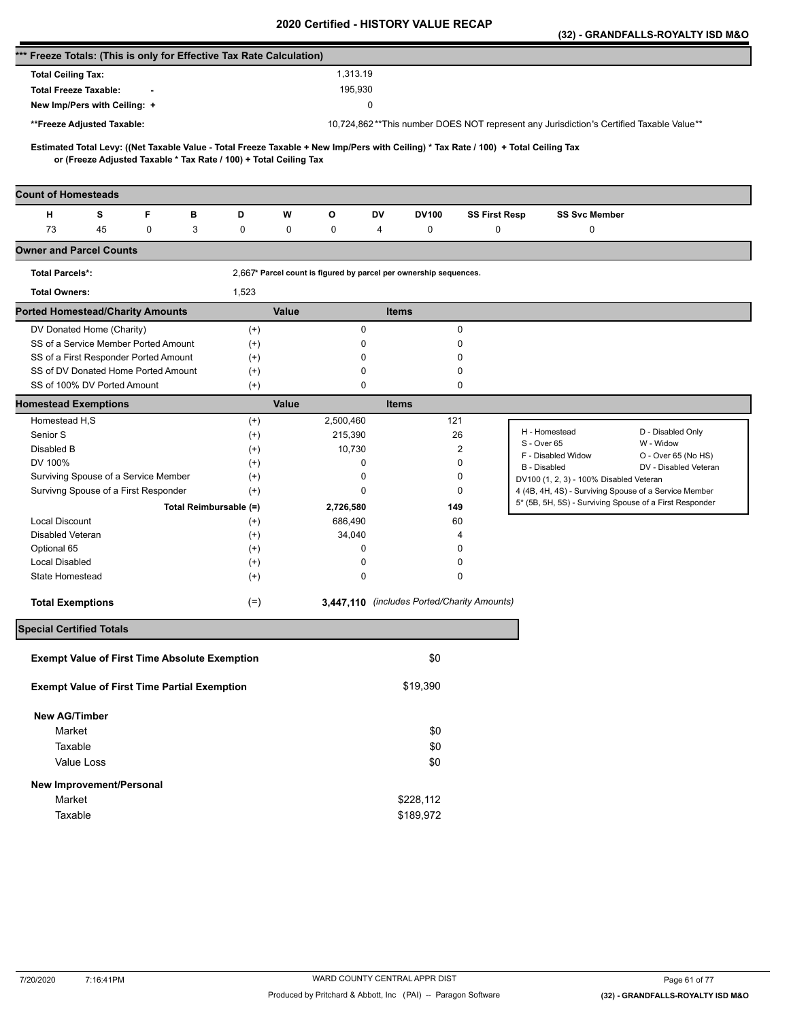|                                                                      |                                                      |   |   |                                                                   |       |                                                                   |              |           |                                             |                                                                                                                                     | (32) - GRANDFALLS-ROYALTY ISD M&O |
|----------------------------------------------------------------------|------------------------------------------------------|---|---|-------------------------------------------------------------------|-------|-------------------------------------------------------------------|--------------|-----------|---------------------------------------------|-------------------------------------------------------------------------------------------------------------------------------------|-----------------------------------|
| *** Freeze Totals: (This is only for Effective Tax Rate Calculation) |                                                      |   |   |                                                                   |       |                                                                   |              |           |                                             |                                                                                                                                     |                                   |
| <b>Total Ceiling Tax:</b>                                            |                                                      |   |   |                                                                   |       | 1,313.19                                                          |              |           |                                             |                                                                                                                                     |                                   |
| <b>Total Freeze Taxable:</b>                                         |                                                      |   |   |                                                                   |       | 195,930                                                           |              |           |                                             |                                                                                                                                     |                                   |
|                                                                      | New Imp/Pers with Ceiling: +                         |   |   |                                                                   |       |                                                                   | 0            |           |                                             |                                                                                                                                     |                                   |
|                                                                      | **Freeze Adjusted Taxable:                           |   |   |                                                                   |       |                                                                   |              |           |                                             | 10,724,862**This number DOES NOT represent any Jurisdiction's Certified Taxable Value**                                             |                                   |
|                                                                      |                                                      |   |   |                                                                   |       |                                                                   |              |           |                                             |                                                                                                                                     |                                   |
|                                                                      |                                                      |   |   | or (Freeze Adjusted Taxable * Tax Rate / 100) + Total Ceiling Tax |       |                                                                   |              |           |                                             | Estimated Total Levy: ((Net Taxable Value - Total Freeze Taxable + New Imp/Pers with Ceiling) * Tax Rate / 100) + Total Ceiling Tax |                                   |
| <b>Count of Homesteads</b>                                           |                                                      |   |   |                                                                   |       |                                                                   |              |           |                                             |                                                                                                                                     |                                   |
| н                                                                    | s                                                    | F | в | D                                                                 | W     | О                                                                 | DV           | DV100     | <b>SS First Resp</b>                        | <b>SS Svc Member</b>                                                                                                                |                                   |
| 73                                                                   | 45                                                   | 0 | 3 | 0                                                                 | 0     | 0                                                                 | 4            | 0         | $\mathbf 0$                                 | 0                                                                                                                                   |                                   |
| <b>Owner and Parcel Counts</b>                                       |                                                      |   |   |                                                                   |       |                                                                   |              |           |                                             |                                                                                                                                     |                                   |
| <b>Total Parcels*:</b>                                               |                                                      |   |   |                                                                   |       | 2,667* Parcel count is figured by parcel per ownership sequences. |              |           |                                             |                                                                                                                                     |                                   |
| <b>Total Owners:</b>                                                 |                                                      |   |   | 1,523                                                             |       |                                                                   |              |           |                                             |                                                                                                                                     |                                   |
| <b>Ported Homestead/Charity Amounts</b>                              |                                                      |   |   |                                                                   | Value |                                                                   | <b>Items</b> |           |                                             |                                                                                                                                     |                                   |
|                                                                      | DV Donated Home (Charity)                            |   |   | $^{(+)}$                                                          |       | 0                                                                 |              |           | 0                                           |                                                                                                                                     |                                   |
|                                                                      | SS of a Service Member Ported Amount                 |   |   | $^{(+)}$                                                          |       | 0                                                                 |              |           | 0                                           |                                                                                                                                     |                                   |
|                                                                      | SS of a First Responder Ported Amount                |   |   | $^{(+)}$                                                          |       | 0                                                                 |              |           | 0                                           |                                                                                                                                     |                                   |
|                                                                      | SS of DV Donated Home Ported Amount                  |   |   | $^{(+)}$                                                          |       | 0                                                                 |              |           | 0                                           |                                                                                                                                     |                                   |
|                                                                      | SS of 100% DV Ported Amount                          |   |   | $^{(+)}$                                                          |       | 0                                                                 |              |           | 0                                           |                                                                                                                                     |                                   |
| <b>Homestead Exemptions</b>                                          |                                                      |   |   |                                                                   | Value |                                                                   | <b>Items</b> |           |                                             |                                                                                                                                     |                                   |
| Homestead H,S                                                        |                                                      |   |   | $^{(+)}$                                                          |       | 2,500,460                                                         |              | 121       |                                             |                                                                                                                                     |                                   |
| Senior S                                                             |                                                      |   |   | $^{(+)}$                                                          |       | 215,390                                                           |              |           | 26                                          | H - Homestead                                                                                                                       | D - Disabled Only                 |
| Disabled B                                                           |                                                      |   |   | $^{(+)}$                                                          |       | 10,730                                                            |              |           | 2                                           | S - Over 65<br>F - Disabled Widow                                                                                                   | W - Widow<br>O - Over 65 (No HS)  |
| DV 100%                                                              |                                                      |   |   | $^{(+)}$                                                          |       | 0                                                                 |              |           | 0                                           | B - Disabled                                                                                                                        | DV - Disabled Veteran             |
|                                                                      | Surviving Spouse of a Service Member                 |   |   | $^{(+)}$                                                          |       | 0                                                                 |              |           | 0                                           | DV100 (1, 2, 3) - 100% Disabled Veteran                                                                                             |                                   |
|                                                                      | Survivng Spouse of a First Responder                 |   |   | $^{(+)}$                                                          |       | 0                                                                 |              |           | 0                                           | 4 (4B, 4H, 4S) - Surviving Spouse of a Service Member                                                                               |                                   |
|                                                                      |                                                      |   |   | Total Reimbursable (=)                                            |       | 2,726,580                                                         |              | 149       |                                             | 5* (5B, 5H, 5S) - Surviving Spouse of a First Responder                                                                             |                                   |
| <b>Local Discount</b>                                                |                                                      |   |   | $^{(+)}$                                                          |       | 686,490                                                           |              |           | 60                                          |                                                                                                                                     |                                   |
| Disabled Veteran                                                     |                                                      |   |   | $^{(+)}$                                                          |       | 34,040                                                            |              |           | 4                                           |                                                                                                                                     |                                   |
| Optional 65                                                          |                                                      |   |   | $^{(+)}$                                                          |       | 0                                                                 |              |           | 0                                           |                                                                                                                                     |                                   |
| <b>Local Disabled</b>                                                |                                                      |   |   | $^{(+)}$                                                          |       | 0                                                                 |              |           | 0                                           |                                                                                                                                     |                                   |
| State Homestead                                                      |                                                      |   |   | $^{(+)}$                                                          |       | 0                                                                 |              |           | 0                                           |                                                                                                                                     |                                   |
| <b>Total Exemptions</b>                                              |                                                      |   |   | $(=)$                                                             |       |                                                                   |              |           | 3,447,110 (includes Ported/Charity Amounts) |                                                                                                                                     |                                   |
| <b>Special Certified Totals</b>                                      |                                                      |   |   |                                                                   |       |                                                                   |              |           |                                             |                                                                                                                                     |                                   |
|                                                                      | <b>Exempt Value of First Time Absolute Exemption</b> |   |   |                                                                   |       |                                                                   |              | \$0       |                                             |                                                                                                                                     |                                   |
|                                                                      | <b>Exempt Value of First Time Partial Exemption</b>  |   |   |                                                                   |       |                                                                   |              | \$19,390  |                                             |                                                                                                                                     |                                   |
| <b>New AG/Timber</b>                                                 |                                                      |   |   |                                                                   |       |                                                                   |              |           |                                             |                                                                                                                                     |                                   |
| Market                                                               |                                                      |   |   |                                                                   |       |                                                                   |              | \$0       |                                             |                                                                                                                                     |                                   |
| Taxable                                                              |                                                      |   |   |                                                                   |       |                                                                   |              | \$0       |                                             |                                                                                                                                     |                                   |
|                                                                      | Value Loss                                           |   |   |                                                                   |       |                                                                   |              | \$0       |                                             |                                                                                                                                     |                                   |
|                                                                      |                                                      |   |   |                                                                   |       |                                                                   |              |           |                                             |                                                                                                                                     |                                   |
|                                                                      | New Improvement/Personal                             |   |   |                                                                   |       |                                                                   |              |           |                                             |                                                                                                                                     |                                   |
| Market                                                               |                                                      |   |   |                                                                   |       |                                                                   |              | \$228,112 |                                             |                                                                                                                                     |                                   |
| Taxable                                                              |                                                      |   |   |                                                                   |       |                                                                   |              | \$189,972 |                                             |                                                                                                                                     |                                   |
|                                                                      |                                                      |   |   |                                                                   |       |                                                                   |              |           |                                             |                                                                                                                                     |                                   |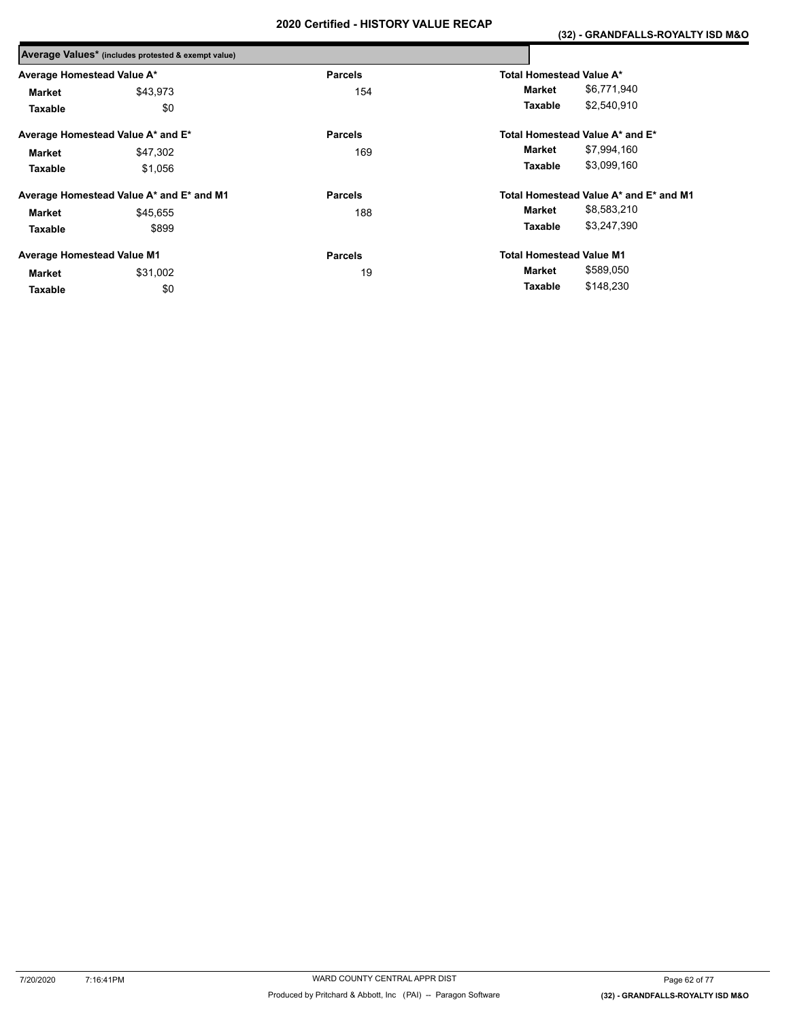|                                   | Average Values* (includes protested & exempt value) |                |                                        |
|-----------------------------------|-----------------------------------------------------|----------------|----------------------------------------|
| Average Homestead Value A*        |                                                     | <b>Parcels</b> | Total Homestead Value A*               |
| Market                            | \$43,973                                            | 154            | \$6,771,940<br>Market                  |
| Taxable                           | \$0                                                 |                | \$2,540,910<br>Taxable                 |
|                                   | Average Homestead Value A* and E*                   | <b>Parcels</b> | Total Homestead Value A* and E*        |
| <b>Market</b>                     | \$47,302                                            | 169            | \$7,994,160<br>Market                  |
| Taxable                           | \$1,056                                             |                | \$3,099,160<br>Taxable                 |
|                                   | Average Homestead Value A* and E* and M1            | <b>Parcels</b> | Total Homestead Value A* and E* and M1 |
| <b>Market</b>                     | \$45.655                                            | 188            | \$8,583,210<br>Market                  |
| Taxable                           | \$899                                               |                | \$3,247,390<br>Taxable                 |
| <b>Average Homestead Value M1</b> |                                                     | <b>Parcels</b> | <b>Total Homestead Value M1</b>        |
| Market                            | \$31,002                                            | 19             | \$589,050<br>Market                    |
| Taxable                           | \$0                                                 |                | \$148,230<br>Taxable                   |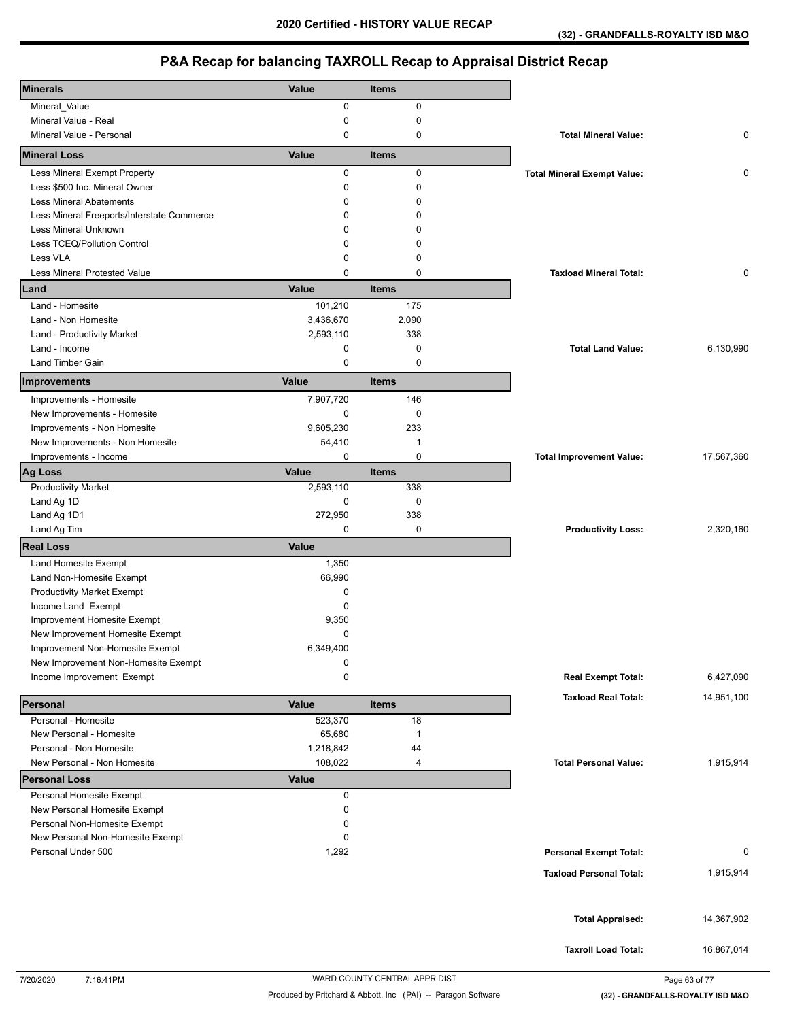| <b>Minerals</b>                            | Value        | <b>Items</b>   |                                    |            |
|--------------------------------------------|--------------|----------------|------------------------------------|------------|
| Mineral_Value                              | 0            | 0              |                                    |            |
| Mineral Value - Real                       | 0            | 0              |                                    |            |
| Mineral Value - Personal                   | 0            | 0              | <b>Total Mineral Value:</b>        | 0          |
| <b>Mineral Loss</b>                        | Value        | <b>Items</b>   |                                    |            |
| Less Mineral Exempt Property               | 0            | 0              | <b>Total Mineral Exempt Value:</b> | 0          |
| Less \$500 Inc. Mineral Owner              | $\Omega$     | $\mathbf 0$    |                                    |            |
| <b>Less Mineral Abatements</b>             | $\Omega$     | $\Omega$       |                                    |            |
| Less Mineral Freeports/Interstate Commerce | $\Omega$     | $\Omega$       |                                    |            |
| Less Mineral Unknown                       | $\Omega$     | 0              |                                    |            |
| Less TCEQ/Pollution Control                | 0            | 0              |                                    |            |
| Less VLA                                   | 0            | $\mathbf 0$    |                                    |            |
| <b>Less Mineral Protested Value</b>        | 0            | $\mathbf 0$    | <b>Taxload Mineral Total:</b>      | 0          |
| Land                                       | Value        | <b>Items</b>   |                                    |            |
| Land - Homesite                            | 101,210      | 175            |                                    |            |
| Land - Non Homesite                        | 3,436,670    | 2,090          |                                    |            |
| Land - Productivity Market                 | 2,593,110    | 338            |                                    |            |
| Land - Income                              | 0            | $\mathbf 0$    | <b>Total Land Value:</b>           | 6,130,990  |
| Land Timber Gain                           | 0            | $\mathbf 0$    |                                    |            |
| Improvements                               | Value        | <b>Items</b>   |                                    |            |
| Improvements - Homesite                    | 7,907,720    | 146            |                                    |            |
| New Improvements - Homesite                | 0            | 0              |                                    |            |
| Improvements - Non Homesite                | 9,605,230    | 233            |                                    |            |
| New Improvements - Non Homesite            | 54,410       | $\mathbf{1}$   |                                    |            |
| Improvements - Income                      | 0            | 0              | <b>Total Improvement Value:</b>    | 17,567,360 |
| <b>Ag Loss</b>                             | Value        | <b>Items</b>   |                                    |            |
| <b>Productivity Market</b>                 | 2,593,110    | 338            |                                    |            |
| Land Ag 1D                                 | 0            | 0              |                                    |            |
| Land Ag 1D1                                | 272,950      | 338            |                                    |            |
| Land Ag Tim                                | 0            | 0              | <b>Productivity Loss:</b>          | 2,320,160  |
| <b>Real Loss</b>                           | Value        |                |                                    |            |
| Land Homesite Exempt                       | 1,350        |                |                                    |            |
| Land Non-Homesite Exempt                   | 66,990       |                |                                    |            |
| <b>Productivity Market Exempt</b>          | 0            |                |                                    |            |
| Income Land Exempt                         | $\mathbf 0$  |                |                                    |            |
| Improvement Homesite Exempt                | 9,350        |                |                                    |            |
| New Improvement Homesite Exempt            | 0            |                |                                    |            |
| Improvement Non-Homesite Exempt            | 6,349,400    |                |                                    |            |
| New Improvement Non-Homesite Exempt        | 0            |                |                                    |            |
| Income Improvement Exempt                  | 0            |                | <b>Real Exempt Total:</b>          | 6,427,090  |
| Personal                                   | Value        | <b>Items</b>   | <b>Taxload Real Total:</b>         | 14,951,100 |
| Personal - Homesite                        | 523,370      | 18             |                                    |            |
| New Personal - Homesite                    | 65,680       | $\overline{1}$ |                                    |            |
| Personal - Non Homesite                    | 1,218,842    | 44             |                                    |            |
| New Personal - Non Homesite                | 108,022      | 4              | <b>Total Personal Value:</b>       | 1,915,914  |
| <b>Personal Loss</b>                       | <b>Value</b> |                |                                    |            |
| Personal Homesite Exempt                   | 0            |                |                                    |            |
| New Personal Homesite Exempt               | 0            |                |                                    |            |
| Personal Non-Homesite Exempt               | 0            |                |                                    |            |
| New Personal Non-Homesite Exempt           | 0            |                |                                    |            |
| Personal Under 500                         | 1,292        |                | <b>Personal Exempt Total:</b>      | 0          |
|                                            |              |                |                                    |            |
|                                            |              |                | <b>Taxload Personal Total:</b>     | 1,915,914  |
|                                            |              |                |                                    | 14,367,902 |
|                                            |              |                | <b>Total Appraised:</b>            |            |
|                                            |              |                | <b>Taxroll Load Total:</b>         | 16,867,014 |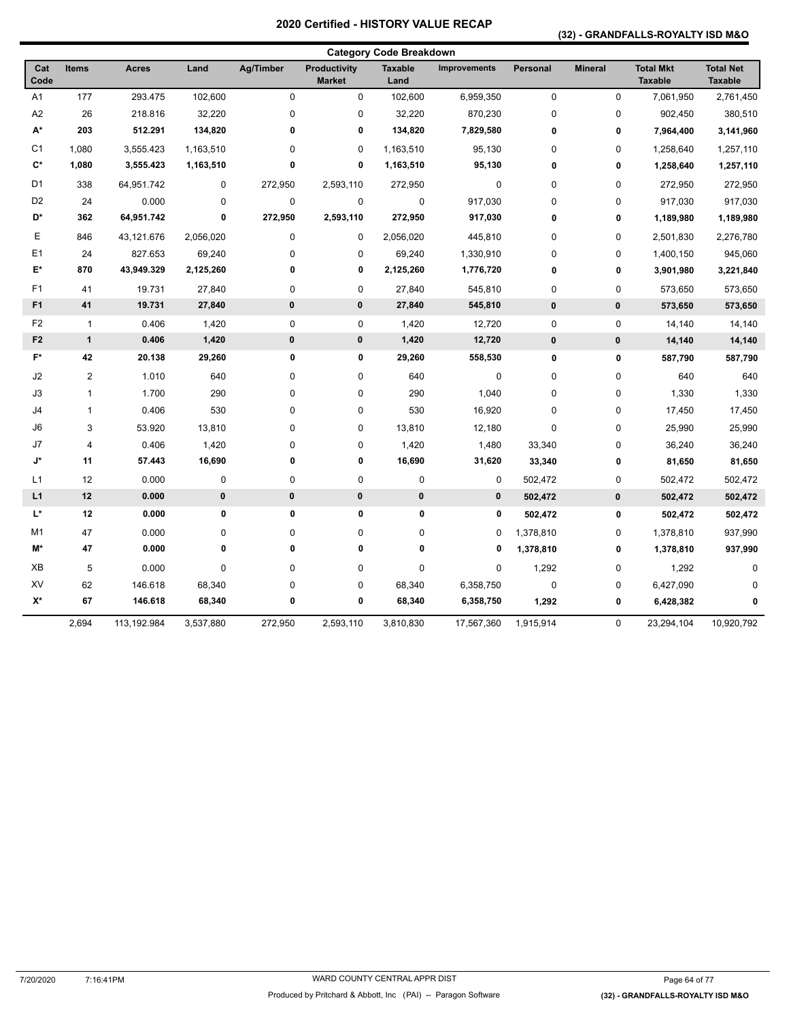### **(32) - GRANDFALLS-ROYALTY ISD M&O**

|                |                |              |           |             |                                      | <b>Category Code Breakdown</b> |                     |             |                |                                    |                                    |
|----------------|----------------|--------------|-----------|-------------|--------------------------------------|--------------------------------|---------------------|-------------|----------------|------------------------------------|------------------------------------|
| Cat<br>Code    | <b>Items</b>   | <b>Acres</b> | Land      | Ag/Timber   | <b>Productivity</b><br><b>Market</b> | <b>Taxable</b><br>Land         | <b>Improvements</b> | Personal    | <b>Mineral</b> | <b>Total Mkt</b><br><b>Taxable</b> | <b>Total Net</b><br><b>Taxable</b> |
| A <sub>1</sub> | 177            | 293.475      | 102,600   | 0           | 0                                    | 102,600                        | 6,959,350           | $\pmb{0}$   | 0              | 7,061,950                          | 2,761,450                          |
| A2             | 26             | 218.816      | 32,220    | 0           | 0                                    | 32,220                         | 870,230             | $\mathbf 0$ | 0              | 902,450                            | 380,510                            |
| A*             | 203            | 512.291      | 134,820   | $\bf{0}$    | 0                                    | 134,820                        | 7,829,580           | $\pmb{0}$   | 0              | 7,964,400                          | 3,141,960                          |
| C <sub>1</sub> | 1,080          | 3,555.423    | 1,163,510 | 0           | 0                                    | 1,163,510                      | 95,130              | $\mathbf 0$ | $\pmb{0}$      | 1,258,640                          | 1,257,110                          |
| $\mathbf{C}^*$ | 1,080          | 3,555.423    | 1,163,510 | 0           | 0                                    | 1,163,510                      | 95,130              | 0           | 0              | 1,258,640                          | 1,257,110                          |
| D <sub>1</sub> | 338            | 64,951.742   | 0         | 272,950     | 2,593,110                            | 272,950                        | 0                   | $\mathbf 0$ | $\mathsf 0$    | 272,950                            | 272,950                            |
| D <sub>2</sub> | 24             | 0.000        | 0         | 0           | 0                                    | 0                              | 917,030             | $\mathbf 0$ | 0              | 917,030                            | 917,030                            |
| D*             | 362            | 64,951.742   | 0         | 272,950     | 2,593,110                            | 272,950                        | 917,030             | $\bf{0}$    | 0              | 1,189,980                          | 1,189,980                          |
| E              | 846            | 43,121.676   | 2,056,020 | 0           | 0                                    | 2,056,020                      | 445,810             | $\mathbf 0$ | 0              | 2,501,830                          | 2,276,780                          |
| E1             | 24             | 827.653      | 69,240    | 0           | 0                                    | 69,240                         | 1,330,910           | $\mathbf 0$ | 0              | 1,400,150                          | 945,060                            |
| E*             | 870            | 43,949.329   | 2,125,260 | 0           | 0                                    | 2,125,260                      | 1,776,720           | $\pmb{0}$   | 0              | 3,901,980                          | 3,221,840                          |
| F <sub>1</sub> | 41             | 19.731       | 27,840    | 0           | 0                                    | 27,840                         | 545,810             | $\mathbf 0$ | 0              | 573,650                            | 573,650                            |
| F <sub>1</sub> | 41             | 19.731       | 27,840    | 0           | $\pmb{0}$                            | 27,840                         | 545,810             | $\pmb{0}$   | $\pmb{0}$      | 573,650                            | 573,650                            |
| F <sub>2</sub> | $\overline{1}$ | 0.406        | 1,420     | 0           | 0                                    | 1,420                          | 12,720              | $\pmb{0}$   | $\pmb{0}$      | 14,140                             | 14,140                             |
| F <sub>2</sub> | $\mathbf{1}$   | 0.406        | 1,420     | $\pmb{0}$   | $\pmb{0}$                            | 1,420                          | 12,720              | $\pmb{0}$   | $\pmb{0}$      | 14,140                             | 14,140                             |
| F*             | 42             | 20.138       | 29,260    | 0           | 0                                    | 29,260                         | 558,530             | $\pmb{0}$   | 0              | 587,790                            | 587,790                            |
| J2             | $\overline{2}$ | 1.010        | 640       | 0           | 0                                    | 640                            | 0                   | $\mathbf 0$ | $\pmb{0}$      | 640                                | 640                                |
| J3             | 1              | 1.700        | 290       | 0           | 0                                    | 290                            | 1,040               | $\mathbf 0$ | 0              | 1,330                              | 1,330                              |
| J4             | 1              | 0.406        | 530       | $\pmb{0}$   | 0                                    | 530                            | 16,920              | $\mathbf 0$ | $\mathsf 0$    | 17,450                             | 17,450                             |
| J6             | 3              | 53.920       | 13,810    | 0           | 0                                    | 13,810                         | 12,180              | $\mathbf 0$ | 0              | 25,990                             | 25,990                             |
| J7             | 4              | 0.406        | 1,420     | 0           | 0                                    | 1,420                          | 1,480               | 33,340      | 0              | 36,240                             | 36,240                             |
| J*             | 11             | 57.443       | 16,690    | 0           | 0                                    | 16,690                         | 31,620              | 33,340      | 0              | 81,650                             | 81,650                             |
| L <sub>1</sub> | 12             | 0.000        | 0         | 0           | 0                                    | 0                              | 0                   | 502,472     | 0              | 502,472                            | 502,472                            |
| L1             | 12             | 0.000        | $\pmb{0}$ | $\pmb{0}$   | $\pmb{0}$                            | $\pmb{0}$                      | $\pmb{0}$           | 502,472     | $\pmb{0}$      | 502,472                            | 502,472                            |
| L*             | 12             | 0.000        | $\pmb{0}$ | $\mathbf 0$ | 0                                    | $\pmb{0}$                      | 0                   | 502,472     | 0              | 502,472                            | 502,472                            |
| M1             | 47             | 0.000        | 0         | 0           | 0                                    | 0                              | 0                   | 1,378,810   | 0              | 1,378,810                          | 937,990                            |
| M*             | 47             | 0.000        | 0         | $\bf{0}$    | 0                                    | 0                              | 0                   | 1,378,810   | 0              | 1,378,810                          | 937,990                            |
| XB             | 5              | 0.000        | $\pmb{0}$ | 0           | 0                                    | $\mathbf 0$                    | 0                   | 1,292       | 0              | 1,292                              | 0                                  |
| XV             | 62             | 146.618      | 68,340    | 0           | 0                                    | 68,340                         | 6,358,750           | $\mathbf 0$ | 0              | 6,427,090                          |                                    |
| X*             | 67             | 146.618      | 68,340    | 0           | 0                                    | 68,340                         | 6,358,750           | 1,292       | 0              | 6,428,382                          | 0                                  |
|                | 2,694          | 113,192.984  | 3,537,880 | 272,950     | 2,593,110                            | 3,810,830                      | 17,567,360          | 1,915,914   | 0              | 23,294,104                         | 10,920,792                         |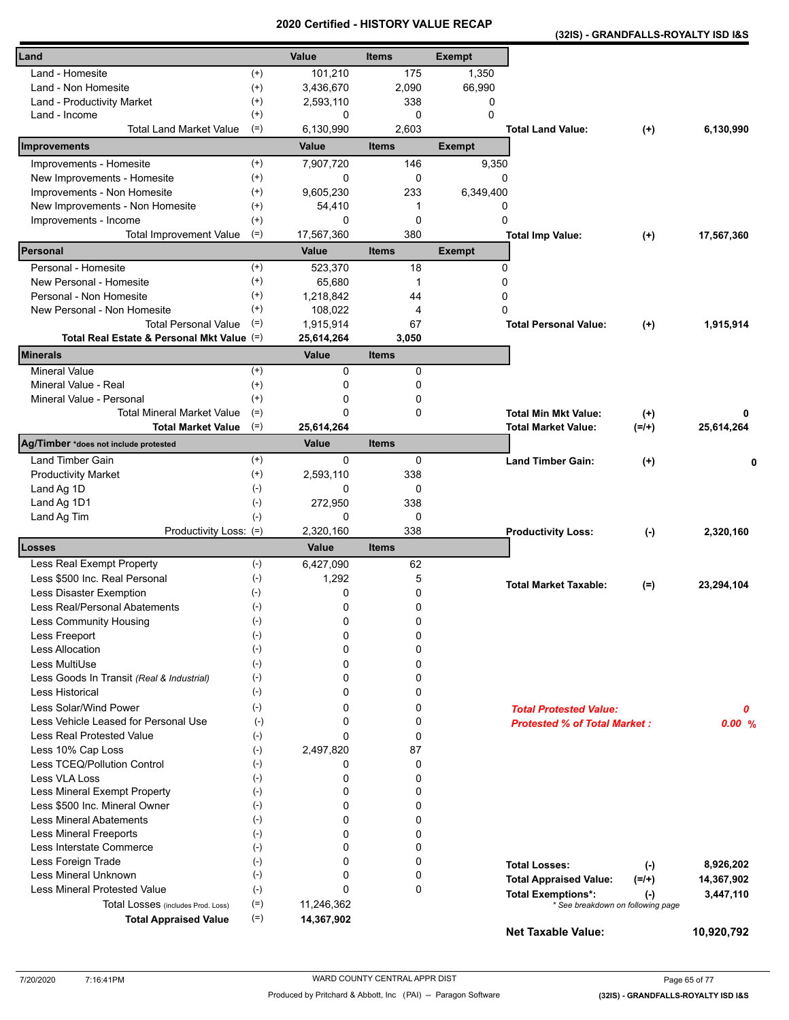**(32IS) - GRANDFALLS-ROYALTY ISD I&S** 

| Land                                                       |                      | Value                | <b>Items</b> | <b>Exempt</b>    |                                          |            |
|------------------------------------------------------------|----------------------|----------------------|--------------|------------------|------------------------------------------|------------|
| Land - Homesite                                            | $^{(+)}$             | 101,210              | 175          | 1,350            |                                          |            |
| Land - Non Homesite                                        | $^{(+)}$             | 3,436,670            | 2,090        | 66,990           |                                          |            |
| Land - Productivity Market                                 | $^{(+)}$             | 2,593,110            | 338          | 0                |                                          |            |
| Land - Income                                              | $^{(+)}$             | 0                    | 0            | $\mathbf{0}$     |                                          |            |
| <b>Total Land Market Value</b>                             | $(=)$                | 6,130,990            | 2,603        |                  | <b>Total Land Value:</b><br>$(+)$        | 6,130,990  |
| Improvements                                               |                      | Value                | <b>Items</b> | <b>Exempt</b>    |                                          |            |
| Improvements - Homesite                                    | $^{(+)}$             | 7,907,720            | 146          | 9,350            |                                          |            |
| New Improvements - Homesite                                | $^{(+)}$             | 0                    | 0            | 0                |                                          |            |
| Improvements - Non Homesite                                | $^{(+)}$             | 9,605,230            | 233          | 6,349,400        |                                          |            |
| New Improvements - Non Homesite                            | $^{(+)}$             | 54,410               | 1            | 0                |                                          |            |
| Improvements - Income                                      | $^{(+)}$             | 0                    | $\mathbf 0$  | 0                |                                          |            |
| <b>Total Improvement Value</b><br>Personal                 | $(=)$                | 17,567,360           | 380          |                  | <b>Total Imp Value:</b><br>$^{(+)}$      | 17,567,360 |
|                                                            |                      | <b>Value</b>         | <b>Items</b> | <b>Exempt</b>    |                                          |            |
| Personal - Homesite                                        | $(+)$                | 523,370              | 18           | 0                |                                          |            |
| New Personal - Homesite                                    | $^{(+)}$             | 65,680               | 1            | 0                |                                          |            |
| Personal - Non Homesite                                    | $^{(+)}$<br>$^{(+)}$ | 1,218,842            | 44           | 0<br>$\mathbf 0$ |                                          |            |
| New Personal - Non Homesite<br><b>Total Personal Value</b> | $(=)$                | 108,022<br>1,915,914 | 4<br>67      |                  | <b>Total Personal Value:</b>             |            |
| Total Real Estate & Personal Mkt Value (=)                 |                      | 25,614,264           | 3,050        |                  | $^{(+)}$                                 | 1,915,914  |
| <b>Minerals</b>                                            |                      | Value                | <b>Items</b> |                  |                                          |            |
| <b>Mineral Value</b>                                       | $^{(+)}$             | 0                    | 0            |                  |                                          |            |
| Mineral Value - Real                                       | $^{(+)}$             | 0                    | 0            |                  |                                          |            |
| Mineral Value - Personal                                   | $^{(+)}$             | 0                    | 0            |                  |                                          |            |
| <b>Total Mineral Market Value</b>                          | $(=)$                | 0                    | 0            |                  | <b>Total Min Mkt Value:</b><br>$^{(+)}$  | 0          |
| <b>Total Market Value</b>                                  | $(=)$                | 25,614,264           |              |                  | $(=/+)$<br><b>Total Market Value:</b>    | 25,614,264 |
| Ag/Timber *does not include protested                      |                      | Value                | <b>Items</b> |                  |                                          |            |
| Land Timber Gain                                           | $^{(+)}$             | 0                    | 0            |                  | <b>Land Timber Gain:</b><br>$^{(+)}$     | Ω          |
| <b>Productivity Market</b>                                 | $(+)$                | 2,593,110            | 338          |                  |                                          |            |
| Land Ag 1D                                                 | $(\text{-})$         | 0                    | 0            |                  |                                          |            |
| Land Ag 1D1                                                | $(\text{-})$         | 272,950              | 338          |                  |                                          |            |
| Land Ag Tim                                                | $(-)$                | 0                    | 0            |                  |                                          |            |
| Productivity Loss: (=)                                     |                      | 2,320,160            | 338          |                  | <b>Productivity Loss:</b><br>$(\cdot)$   | 2,320,160  |
| <b>Losses</b>                                              |                      | Value                | <b>Items</b> |                  |                                          |            |
| Less Real Exempt Property                                  | $(-)$                | 6,427,090            | 62           |                  |                                          |            |
| Less \$500 Inc. Real Personal                              | $(\cdot)$            | 1,292                | 5            |                  | <b>Total Market Taxable:</b><br>$(=)$    | 23,294,104 |
| Less Disaster Exemption                                    | $(\cdot)$            | 0                    | 0            |                  |                                          |            |
| Less Real/Personal Abatements                              | $(\text{-})$         | 0                    | 0            |                  |                                          |            |
| Less Community Housing<br>Less Freeport                    | $(-)$<br>$(-)$       | 0<br>0               | 0<br>0       |                  |                                          |            |
| <b>Less Allocation</b>                                     | $(-)$                | $\Omega$             | 0            |                  |                                          |            |
| Less MultiUse                                              | $(-)$                | $\Omega$             | 0            |                  |                                          |            |
| Less Goods In Transit (Real & Industrial)                  | $(-)$                | 0                    | 0            |                  |                                          |            |
| Less Historical                                            | $(-)$                | 0                    | 0            |                  |                                          |            |
| Less Solar/Wind Power                                      | $(-)$                | 0                    | 0            |                  | <b>Total Protested Value:</b>            | 0          |
| Less Vehicle Leased for Personal Use                       | $(-)$                | 0                    | 0            |                  | <b>Protested % of Total Market:</b>      | 0.00%      |
| <b>Less Real Protested Value</b>                           | $(-)$                | $\Omega$             | 0            |                  |                                          |            |
| Less 10% Cap Loss                                          | $(-)$                | 2,497,820            | 87           |                  |                                          |            |
| Less TCEQ/Pollution Control                                | $(-)$                | 0                    | 0            |                  |                                          |            |
| Less VLA Loss                                              | $(-)$                | 0                    | 0            |                  |                                          |            |
| Less Mineral Exempt Property                               | $(-)$                | 0                    | 0            |                  |                                          |            |
| Less \$500 Inc. Mineral Owner                              | $(-)$                | 0                    | 0            |                  |                                          |            |
| <b>Less Mineral Abatements</b>                             | $(-)$                | 0                    | 0            |                  |                                          |            |
| <b>Less Mineral Freeports</b>                              | $(-)$                | $\Omega$             | 0            |                  |                                          |            |
| Less Interstate Commerce                                   | $(-)$                | $\Omega$             | 0            |                  |                                          |            |
| Less Foreign Trade                                         | $(-)$                | 0                    | 0            |                  | <b>Total Losses:</b><br>$(\cdot)$        | 8,926,202  |
| Less Mineral Unknown                                       | $(-)$                | 0                    | 0            |                  | <b>Total Appraised Value:</b><br>$(=/+)$ | 14,367,902 |
| Less Mineral Protested Value                               | $(-)$                | $\Omega$             | 0            |                  | <b>Total Exemptions*:</b><br>$(\cdot)$   | 3,447,110  |
| Total Losses (includes Prod. Loss)                         | $(=)$                | 11,246,362           |              |                  | * See breakdown on following page        |            |
| <b>Total Appraised Value</b>                               | $(=)$                | 14,367,902           |              |                  | Net Taxable Value:                       | 10,920,792 |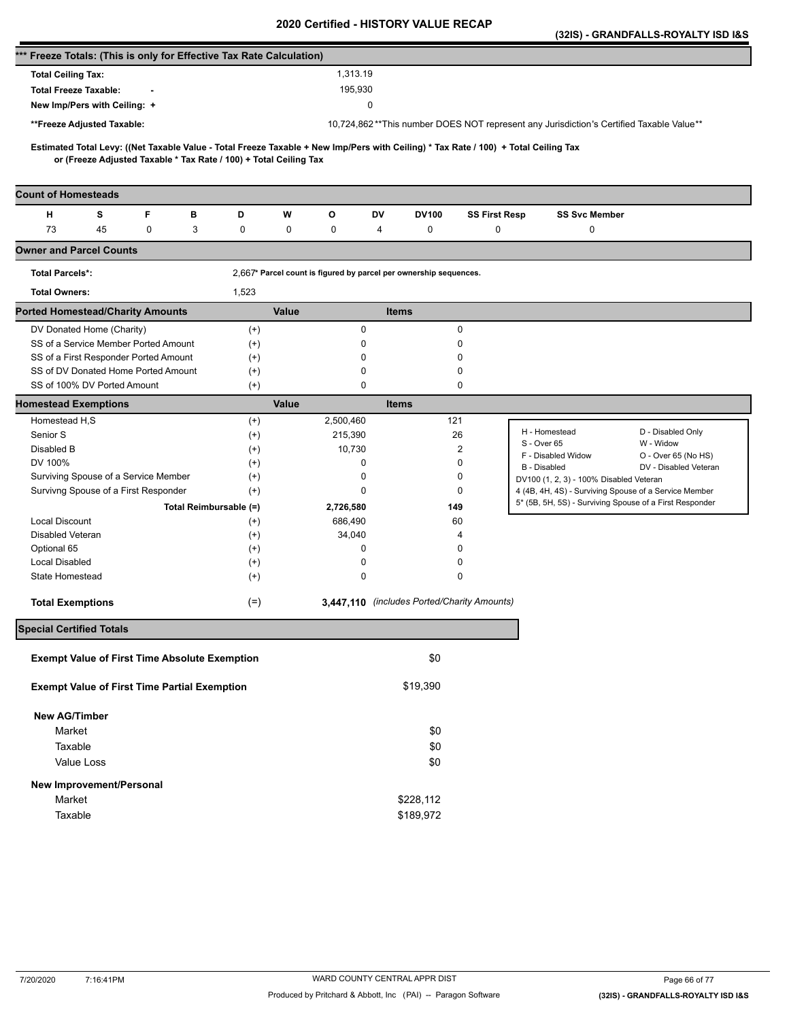|                                                                      |    |   |   |                                                                   |       |                                                                   |              |           |                                             |                                                                                                                                     | (32IS) - GRANDFALLS-ROYALTY ISD I&S |
|----------------------------------------------------------------------|----|---|---|-------------------------------------------------------------------|-------|-------------------------------------------------------------------|--------------|-----------|---------------------------------------------|-------------------------------------------------------------------------------------------------------------------------------------|-------------------------------------|
| *** Freeze Totals: (This is only for Effective Tax Rate Calculation) |    |   |   |                                                                   |       |                                                                   |              |           |                                             |                                                                                                                                     |                                     |
| <b>Total Ceiling Tax:</b>                                            |    |   |   |                                                                   |       | 1,313.19                                                          |              |           |                                             |                                                                                                                                     |                                     |
| <b>Total Freeze Taxable:</b>                                         |    |   |   |                                                                   |       | 195,930                                                           |              |           |                                             |                                                                                                                                     |                                     |
| New Imp/Pers with Ceiling: +                                         |    |   |   |                                                                   |       |                                                                   | 0            |           |                                             |                                                                                                                                     |                                     |
| **Freeze Adjusted Taxable:                                           |    |   |   |                                                                   |       |                                                                   |              |           |                                             | 10,724,862**This number DOES NOT represent any Jurisdiction's Certified Taxable Value**                                             |                                     |
|                                                                      |    |   |   |                                                                   |       |                                                                   |              |           |                                             |                                                                                                                                     |                                     |
|                                                                      |    |   |   | or (Freeze Adjusted Taxable * Tax Rate / 100) + Total Ceiling Tax |       |                                                                   |              |           |                                             | Estimated Total Levy: ((Net Taxable Value - Total Freeze Taxable + New Imp/Pers with Ceiling) * Tax Rate / 100) + Total Ceiling Tax |                                     |
| <b>Count of Homesteads</b>                                           |    |   |   |                                                                   |       |                                                                   |              |           |                                             |                                                                                                                                     |                                     |
| н                                                                    | s  | F | в | D                                                                 | W     | О                                                                 | DV           | DV100     | <b>SS First Resp</b>                        | <b>SS Svc Member</b>                                                                                                                |                                     |
| 73                                                                   | 45 | 0 | 3 | 0                                                                 | 0     | 0                                                                 | 4            | 0         | $\mathbf 0$                                 | 0                                                                                                                                   |                                     |
| <b>Owner and Parcel Counts</b>                                       |    |   |   |                                                                   |       |                                                                   |              |           |                                             |                                                                                                                                     |                                     |
| <b>Total Parcels*:</b>                                               |    |   |   |                                                                   |       | 2,667* Parcel count is figured by parcel per ownership sequences. |              |           |                                             |                                                                                                                                     |                                     |
| <b>Total Owners:</b>                                                 |    |   |   | 1,523                                                             |       |                                                                   |              |           |                                             |                                                                                                                                     |                                     |
| <b>Ported Homestead/Charity Amounts</b>                              |    |   |   |                                                                   | Value |                                                                   | <b>Items</b> |           |                                             |                                                                                                                                     |                                     |
| DV Donated Home (Charity)                                            |    |   |   | $^{(+)}$                                                          |       | 0                                                                 |              |           | 0                                           |                                                                                                                                     |                                     |
| SS of a Service Member Ported Amount                                 |    |   |   | $^{(+)}$                                                          |       | 0                                                                 |              |           | 0                                           |                                                                                                                                     |                                     |
| SS of a First Responder Ported Amount                                |    |   |   | $^{(+)}$                                                          |       | 0                                                                 |              |           | 0                                           |                                                                                                                                     |                                     |
| SS of DV Donated Home Ported Amount                                  |    |   |   | $^{(+)}$                                                          |       | 0                                                                 |              |           | 0                                           |                                                                                                                                     |                                     |
| SS of 100% DV Ported Amount                                          |    |   |   | $^{(+)}$                                                          |       | 0                                                                 |              |           | 0                                           |                                                                                                                                     |                                     |
| <b>Homestead Exemptions</b>                                          |    |   |   |                                                                   | Value |                                                                   | <b>Items</b> |           |                                             |                                                                                                                                     |                                     |
| Homestead H,S                                                        |    |   |   | $^{(+)}$                                                          |       | 2,500,460                                                         |              | 121       |                                             |                                                                                                                                     |                                     |
| Senior S                                                             |    |   |   | $^{(+)}$                                                          |       | 215,390                                                           |              |           | 26                                          | H - Homestead<br>S - Over 65                                                                                                        | D - Disabled Only<br>W - Widow      |
| Disabled B                                                           |    |   |   | $^{(+)}$                                                          |       | 10,730                                                            |              |           | 2                                           | F - Disabled Widow                                                                                                                  | O - Over 65 (No HS)                 |
| DV 100%<br>Surviving Spouse of a Service Member                      |    |   |   | $^{(+)}$                                                          |       | 0<br>0                                                            |              |           | 0<br>0                                      | B - Disabled                                                                                                                        | DV - Disabled Veteran               |
| Survivng Spouse of a First Responder                                 |    |   |   | $^{(+)}$<br>$^{(+)}$                                              |       | 0                                                                 |              |           | 0                                           | DV100 (1, 2, 3) - 100% Disabled Veteran<br>4 (4B, 4H, 4S) - Surviving Spouse of a Service Member                                    |                                     |
|                                                                      |    |   |   | Total Reimbursable (=)                                            |       | 2,726,580                                                         |              | 149       |                                             | 5* (5B, 5H, 5S) - Surviving Spouse of a First Responder                                                                             |                                     |
| <b>Local Discount</b>                                                |    |   |   | $^{(+)}$                                                          |       | 686,490                                                           |              |           | 60                                          |                                                                                                                                     |                                     |
| Disabled Veteran                                                     |    |   |   | $^{(+)}$                                                          |       | 34,040                                                            |              |           | 4                                           |                                                                                                                                     |                                     |
| Optional 65                                                          |    |   |   | $^{(+)}$                                                          |       | 0                                                                 |              |           | 0                                           |                                                                                                                                     |                                     |
| <b>Local Disabled</b>                                                |    |   |   | $^{(+)}$                                                          |       | 0                                                                 |              |           | 0                                           |                                                                                                                                     |                                     |
| State Homestead                                                      |    |   |   | $^{(+)}$                                                          |       | 0                                                                 |              |           | 0                                           |                                                                                                                                     |                                     |
| <b>Total Exemptions</b>                                              |    |   |   | $(=)$                                                             |       |                                                                   |              |           | 3,447,110 (includes Ported/Charity Amounts) |                                                                                                                                     |                                     |
| <b>Special Certified Totals</b>                                      |    |   |   |                                                                   |       |                                                                   |              |           |                                             |                                                                                                                                     |                                     |
| <b>Exempt Value of First Time Absolute Exemption</b>                 |    |   |   |                                                                   |       |                                                                   |              | \$0       |                                             |                                                                                                                                     |                                     |
| <b>Exempt Value of First Time Partial Exemption</b>                  |    |   |   |                                                                   |       |                                                                   |              | \$19,390  |                                             |                                                                                                                                     |                                     |
| <b>New AG/Timber</b>                                                 |    |   |   |                                                                   |       |                                                                   |              |           |                                             |                                                                                                                                     |                                     |
| Market                                                               |    |   |   |                                                                   |       |                                                                   |              | \$0       |                                             |                                                                                                                                     |                                     |
| Taxable                                                              |    |   |   |                                                                   |       |                                                                   |              | \$0       |                                             |                                                                                                                                     |                                     |
| Value Loss                                                           |    |   |   |                                                                   |       |                                                                   |              | \$0       |                                             |                                                                                                                                     |                                     |
| New Improvement/Personal                                             |    |   |   |                                                                   |       |                                                                   |              |           |                                             |                                                                                                                                     |                                     |
| Market                                                               |    |   |   |                                                                   |       |                                                                   |              | \$228,112 |                                             |                                                                                                                                     |                                     |
| Taxable                                                              |    |   |   |                                                                   |       |                                                                   |              | \$189,972 |                                             |                                                                                                                                     |                                     |
|                                                                      |    |   |   |                                                                   |       |                                                                   |              |           |                                             |                                                                                                                                     |                                     |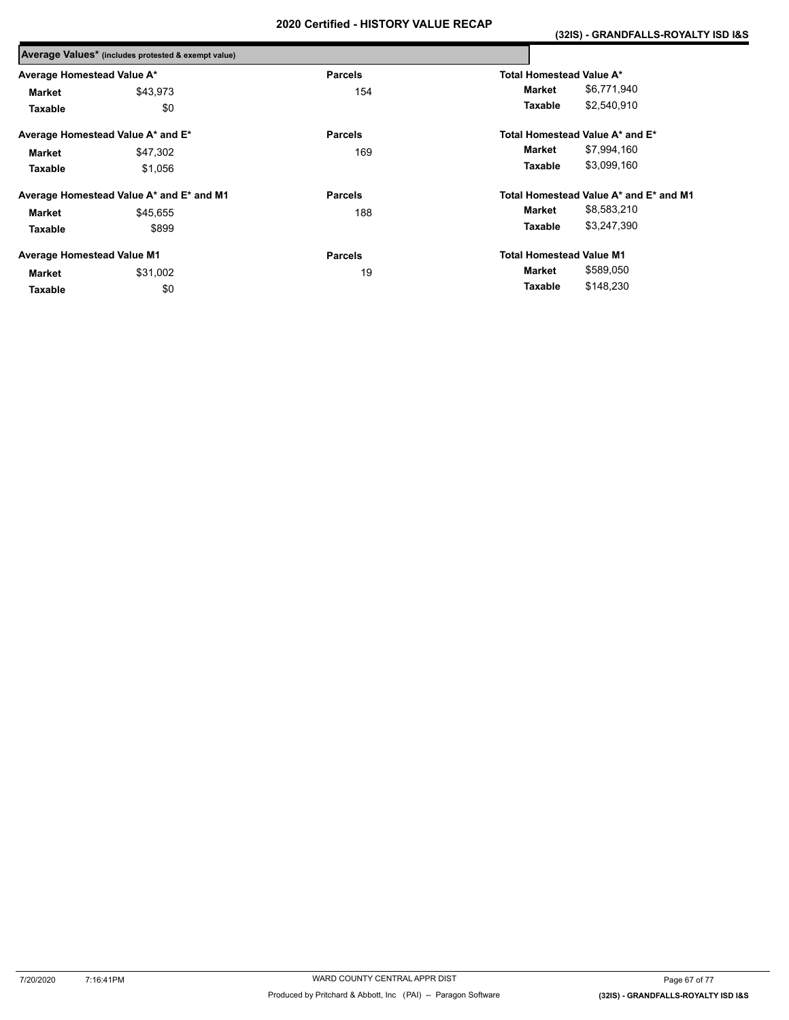|                                   | Average Values* (includes protested & exempt value) |                |                                        |
|-----------------------------------|-----------------------------------------------------|----------------|----------------------------------------|
| Average Homestead Value A*        |                                                     | <b>Parcels</b> | Total Homestead Value A*               |
| Market                            | \$43,973                                            | 154            | \$6,771,940<br>Market                  |
| Taxable                           | \$0                                                 |                | \$2,540,910<br>Taxable                 |
|                                   | Average Homestead Value A* and E*                   | <b>Parcels</b> | Total Homestead Value A* and E*        |
| <b>Market</b>                     | \$47,302                                            | 169            | \$7,994,160<br>Market                  |
| Taxable                           | \$1,056                                             |                | \$3,099,160<br>Taxable                 |
|                                   | Average Homestead Value A* and E* and M1            | <b>Parcels</b> | Total Homestead Value A* and E* and M1 |
| <b>Market</b>                     | \$45.655                                            | 188            | \$8,583,210<br>Market                  |
| Taxable                           | \$899                                               |                | \$3,247,390<br>Taxable                 |
| <b>Average Homestead Value M1</b> |                                                     | <b>Parcels</b> | <b>Total Homestead Value M1</b>        |
| Market                            | \$31,002                                            | 19             | \$589,050<br>Market                    |
| Taxable                           | \$0                                                 |                | \$148,230<br>Taxable                   |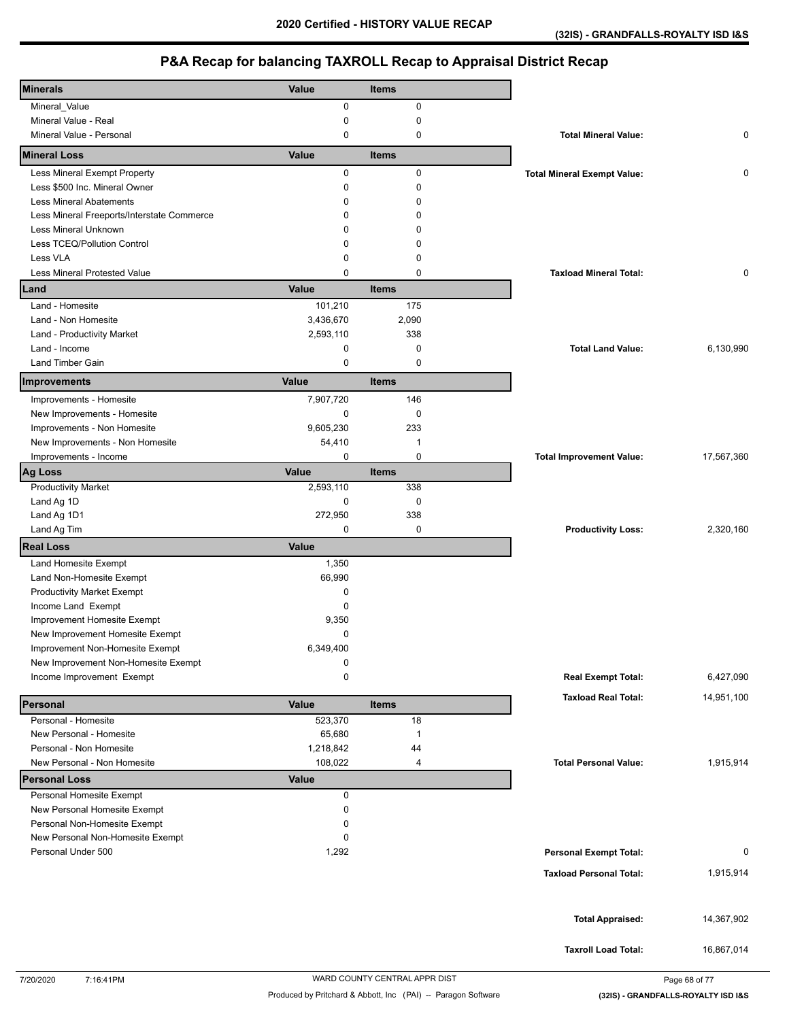| <b>Minerals</b>                            | Value        | <b>Items</b>   |                                    |            |
|--------------------------------------------|--------------|----------------|------------------------------------|------------|
|                                            | 0            | $\pmb{0}$      |                                    |            |
| Mineral_Value<br>Mineral Value - Real      | 0            | 0              |                                    |            |
| Mineral Value - Personal                   | $\mathbf 0$  | $\mathbf 0$    | <b>Total Mineral Value:</b>        | 0          |
| <b>Mineral Loss</b>                        | Value        | <b>Items</b>   |                                    |            |
| Less Mineral Exempt Property               | 0            | $\pmb{0}$      | <b>Total Mineral Exempt Value:</b> | 0          |
| Less \$500 Inc. Mineral Owner              | $\mathbf 0$  | $\mathbf 0$    |                                    |            |
| <b>Less Mineral Abatements</b>             | 0            | $\Omega$       |                                    |            |
| Less Mineral Freeports/Interstate Commerce | 0            | 0              |                                    |            |
| Less Mineral Unknown                       | 0            | 0              |                                    |            |
|                                            |              |                |                                    |            |
| Less TCEQ/Pollution Control<br>Less VLA    | 0            | 0              |                                    |            |
|                                            | $\mathbf 0$  | $\mathbf 0$    |                                    |            |
| <b>Less Mineral Protested Value</b>        | $\mathbf 0$  | $\mathbf 0$    | <b>Taxload Mineral Total:</b>      | 0          |
| Land                                       | Value        | <b>Items</b>   |                                    |            |
| Land - Homesite                            | 101,210      | 175            |                                    |            |
| Land - Non Homesite                        | 3,436,670    | 2,090          |                                    |            |
| Land - Productivity Market                 | 2,593,110    | 338            |                                    |            |
| Land - Income                              | 0            | $\mathbf 0$    | <b>Total Land Value:</b>           | 6,130,990  |
| Land Timber Gain                           | 0            | $\mathbf 0$    |                                    |            |
| Improvements                               | Value        | <b>Items</b>   |                                    |            |
| Improvements - Homesite                    | 7,907,720    | 146            |                                    |            |
|                                            |              |                |                                    |            |
| New Improvements - Homesite                | 0            | 0              |                                    |            |
| Improvements - Non Homesite                | 9,605,230    | 233            |                                    |            |
| New Improvements - Non Homesite            | 54,410       | $\overline{1}$ |                                    |            |
| Improvements - Income                      | 0            | $\pmb{0}$      | <b>Total Improvement Value:</b>    | 17,567,360 |
| Ag Loss                                    | Value        | <b>Items</b>   |                                    |            |
| <b>Productivity Market</b>                 | 2,593,110    | 338            |                                    |            |
| Land Ag 1D                                 | 0            | 0              |                                    |            |
| Land Ag 1D1                                | 272,950      | 338            |                                    |            |
| Land Ag Tim                                | $\mathbf 0$  | 0              | <b>Productivity Loss:</b>          | 2,320,160  |
| <b>Real Loss</b>                           | <b>Value</b> |                |                                    |            |
| Land Homesite Exempt                       | 1,350        |                |                                    |            |
| Land Non-Homesite Exempt                   | 66,990       |                |                                    |            |
| <b>Productivity Market Exempt</b>          | 0            |                |                                    |            |
| Income Land Exempt                         | 0            |                |                                    |            |
| Improvement Homesite Exempt                | 9,350        |                |                                    |            |
| New Improvement Homesite Exempt            | $\mathbf 0$  |                |                                    |            |
| Improvement Non-Homesite Exempt            | 6,349,400    |                |                                    |            |
| New Improvement Non-Homesite Exempt        | 0            |                |                                    |            |
| Income Improvement Exempt                  | 0            |                | <b>Real Exempt Total:</b>          | 6,427,090  |
|                                            |              |                | <b>Taxload Real Total:</b>         |            |
| Personal                                   | Value        | <b>Items</b>   |                                    | 14,951,100 |
| Personal - Homesite                        | 523,370      | 18             |                                    |            |
| New Personal - Homesite                    | 65,680       | $\overline{1}$ |                                    |            |
| Personal - Non Homesite                    | 1,218,842    | 44             |                                    |            |
| New Personal - Non Homesite                | 108,022      | 4              | <b>Total Personal Value:</b>       | 1,915,914  |
| <b>Personal Loss</b>                       | <b>Value</b> |                |                                    |            |
| Personal Homesite Exempt                   | 0            |                |                                    |            |
| New Personal Homesite Exempt               | 0            |                |                                    |            |
| Personal Non-Homesite Exempt               | 0            |                |                                    |            |
| New Personal Non-Homesite Exempt           | 0            |                |                                    |            |
| Personal Under 500                         | 1,292        |                | <b>Personal Exempt Total:</b>      | 0          |
|                                            |              |                |                                    |            |
|                                            |              |                | <b>Taxload Personal Total:</b>     | 1,915,914  |
|                                            |              |                |                                    |            |
|                                            |              |                |                                    |            |
|                                            |              |                | <b>Total Appraised:</b>            | 14,367,902 |
|                                            |              |                |                                    |            |
|                                            |              |                | <b>Taxroll Load Total:</b>         | 16,867,014 |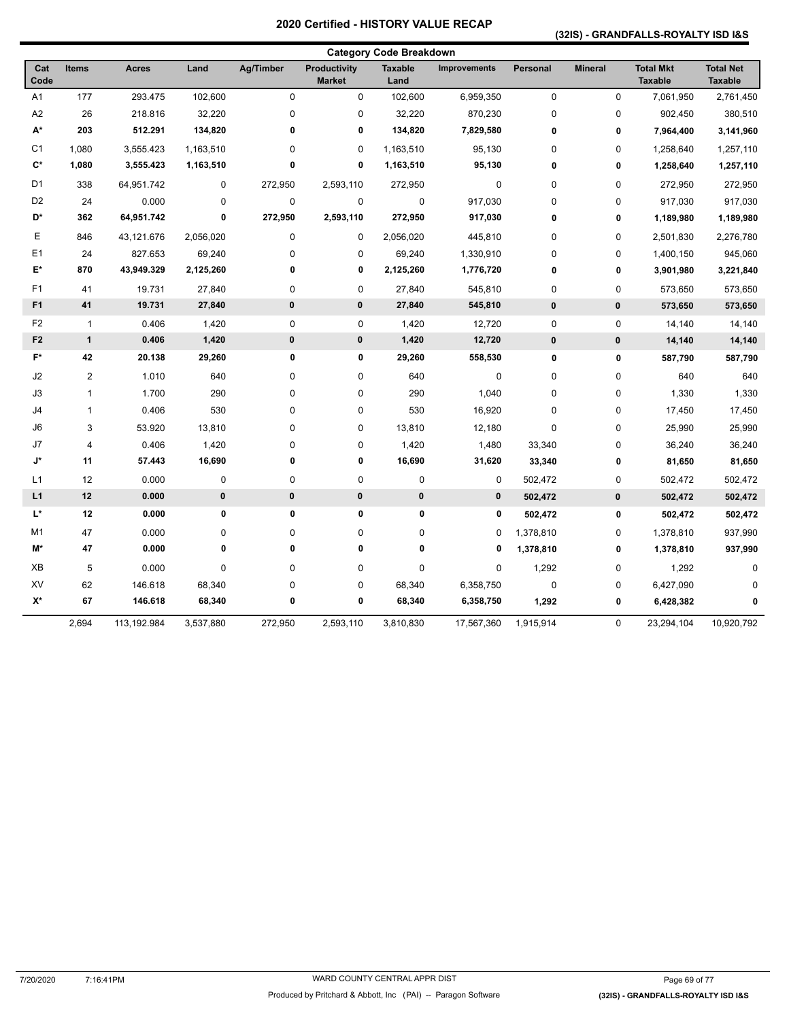### **(32IS) - GRANDFALLS-ROYALTY ISD I&S**

|                |                |              |           |              |                                      | <b>Category Code Breakdown</b> |                     |             |                |                                    |                                    |
|----------------|----------------|--------------|-----------|--------------|--------------------------------------|--------------------------------|---------------------|-------------|----------------|------------------------------------|------------------------------------|
| Cat<br>Code    | <b>Items</b>   | <b>Acres</b> | Land      | Ag/Timber    | <b>Productivity</b><br><b>Market</b> | <b>Taxable</b><br>Land         | <b>Improvements</b> | Personal    | <b>Mineral</b> | <b>Total Mkt</b><br><b>Taxable</b> | <b>Total Net</b><br><b>Taxable</b> |
| A1             | 177            | 293.475      | 102,600   | 0            | 0                                    | 102,600                        | 6,959,350           | $\pmb{0}$   | 0              | 7,061,950                          | 2,761,450                          |
| A <sub>2</sub> | 26             | 218.816      | 32,220    | 0            | 0                                    | 32,220                         | 870,230             | $\mathbf 0$ | 0              | 902,450                            | 380,510                            |
| A*             | 203            | 512.291      | 134,820   | $\bf{0}$     | 0                                    | 134,820                        | 7,829,580           | $\pmb{0}$   | 0              | 7,964,400                          | 3,141,960                          |
| C <sub>1</sub> | 1,080          | 3,555.423    | 1,163,510 | 0            | 0                                    | 1,163,510                      | 95,130              | $\mathbf 0$ | $\pmb{0}$      | 1,258,640                          | 1,257,110                          |
| $\mathbf{C}^*$ | 1,080          | 3,555.423    | 1,163,510 | 0            | 0                                    | 1,163,510                      | 95,130              | 0           | 0              | 1,258,640                          | 1,257,110                          |
| D <sub>1</sub> | 338            | 64,951.742   | 0         | 272,950      | 2,593,110                            | 272,950                        | $\mathbf 0$         | $\mathbf 0$ | $\pmb{0}$      | 272,950                            | 272,950                            |
| D <sub>2</sub> | 24             | 0.000        | 0         | 0            | 0                                    | $\pmb{0}$                      | 917,030             | $\mathbf 0$ | 0              | 917,030                            | 917,030                            |
| D*             | 362            | 64,951.742   | 0         | 272,950      | 2,593,110                            | 272,950                        | 917,030             | $\bf{0}$    | 0              | 1,189,980                          | 1,189,980                          |
| Ε              | 846            | 43,121.676   | 2,056,020 | 0            | 0                                    | 2,056,020                      | 445,810             | $\pmb{0}$   | $\mathsf 0$    | 2,501,830                          | 2,276,780                          |
| E1             | 24             | 827.653      | 69,240    | 0            | 0                                    | 69,240                         | 1,330,910           | $\mathbf 0$ | 0              | 1,400,150                          | 945,060                            |
| E*             | 870            | 43,949.329   | 2,125,260 | $\bf{0}$     | 0                                    | 2,125,260                      | 1,776,720           | 0           | 0              | 3,901,980                          | 3,221,840                          |
| F <sub>1</sub> | 41             | 19.731       | 27,840    | 0            | 0                                    | 27,840                         | 545,810             | $\mathbf 0$ | 0              | 573,650                            | 573,650                            |
| F <sub>1</sub> | 41             | 19.731       | 27,840    | 0            | $\pmb{0}$                            | 27,840                         | 545,810             | $\bf{0}$    | $\pmb{0}$      | 573,650                            | 573,650                            |
| F <sub>2</sub> | $\overline{1}$ | 0.406        | 1,420     | 0            | 0                                    | 1,420                          | 12,720              | $\pmb{0}$   | 0              | 14,140                             | 14,140                             |
| F <sub>2</sub> | $\mathbf{1}$   | 0.406        | 1,420     | $\pmb{0}$    | $\pmb{0}$                            | 1,420                          | 12,720              | $\pmb{0}$   | $\pmb{0}$      | 14,140                             | 14,140                             |
| F*             | 42             | 20.138       | 29,260    | 0            | 0                                    | 29,260                         | 558,530             | $\pmb{0}$   | 0              | 587,790                            | 587,790                            |
| J2             | $\overline{2}$ | 1.010        | 640       | 0            | 0                                    | 640                            | 0                   | $\mathbf 0$ | 0              | 640                                | 640                                |
| J3             | 1              | 1.700        | 290       | 0            | 0                                    | 290                            | 1,040               | $\mathbf 0$ | 0              | 1,330                              | 1,330                              |
| J4             | 1              | 0.406        | 530       | 0            | 0                                    | 530                            | 16,920              | $\mathbf 0$ | 0              | 17,450                             | 17,450                             |
| J6             | 3              | 53.920       | 13,810    | 0            | 0                                    | 13,810                         | 12,180              | $\mathbf 0$ | 0              | 25,990                             | 25,990                             |
| J7             | 4              | 0.406        | 1,420     | $\mathbf 0$  | 0                                    | 1,420                          | 1,480               | 33,340      | 0              | 36,240                             | 36,240                             |
| J*             | 11             | 57.443       | 16,690    | 0            | 0                                    | 16,690                         | 31,620              | 33,340      | 0              | 81,650                             | 81,650                             |
| L <sub>1</sub> | 12             | 0.000        | 0         | 0            | 0                                    | 0                              | 0                   | 502,472     | 0              | 502,472                            | 502,472                            |
| L1             | 12             | 0.000        | $\pmb{0}$ | $\pmb{0}$    | $\pmb{0}$                            | $\pmb{0}$                      | $\pmb{0}$           | 502,472     | $\pmb{0}$      | 502,472                            | 502,472                            |
| L*             | 12             | 0.000        | $\pmb{0}$ | 0            | 0                                    | 0                              | 0                   | 502,472     | 0              | 502,472                            | 502,472                            |
| M1             | 47             | 0.000        | 0         | 0            | 0                                    | 0                              | 0                   | 1,378,810   | 0              | 1,378,810                          | 937,990                            |
| M*             | 47             | 0.000        | $\pmb{0}$ | $\mathbf{0}$ | 0                                    | 0                              | 0                   | 1,378,810   | 0              | 1,378,810                          | 937,990                            |
| XB             | 5              | 0.000        | 0         | 0            | 0                                    | 0                              | 0                   | 1,292       | 0              | 1,292                              | 0                                  |
| XV             | 62             | 146.618      | 68,340    | 0            | 0                                    | 68,340                         | 6,358,750           | $\mathbf 0$ | 0              | 6,427,090                          |                                    |
| $X^*$          | 67             | 146.618      | 68,340    | 0            | 0                                    | 68,340                         | 6,358,750           | 1,292       | 0              | 6,428,382                          | 0                                  |
|                | 2,694          | 113,192.984  | 3,537,880 | 272,950      | 2,593,110                            | 3,810,830                      | 17,567,360          | 1,915,914   | 0              | 23,294,104                         | 10,920,792                         |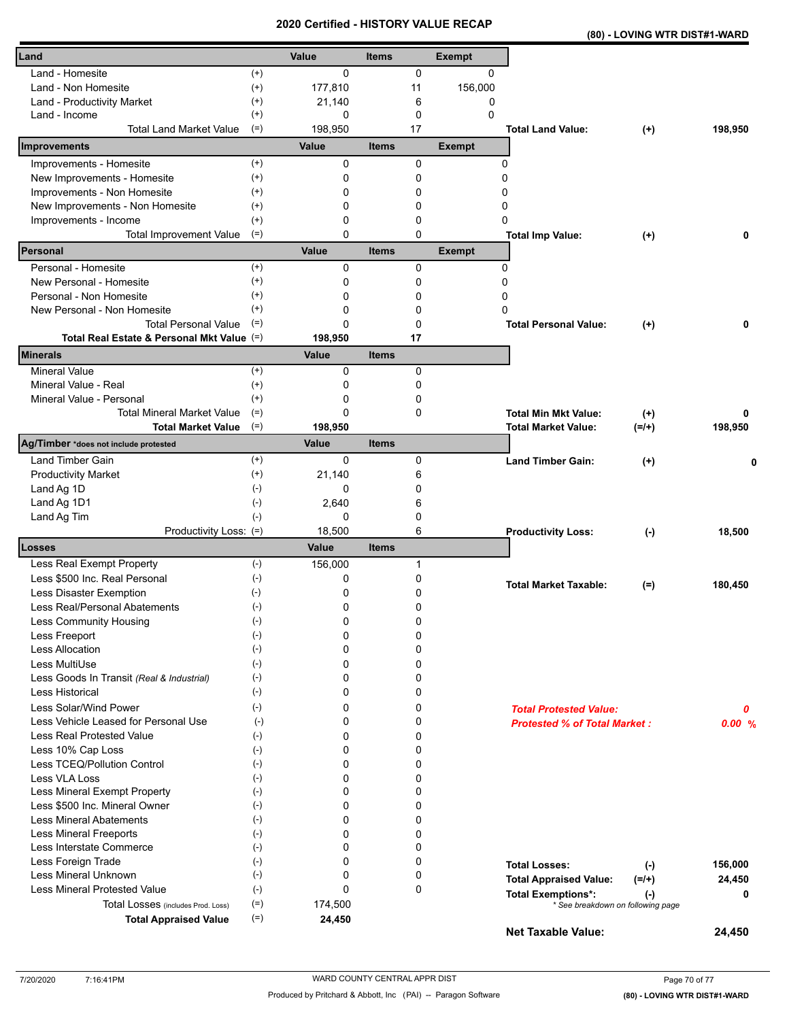| (80) - LOVING WTR DIST#1-WARD |
|-------------------------------|
|-------------------------------|

| Land                                       |                | Value         | Items        |              | <b>Exempt</b> |                                                |         |
|--------------------------------------------|----------------|---------------|--------------|--------------|---------------|------------------------------------------------|---------|
| Land - Homesite                            | $^{(+)}$       | $\Omega$      |              | 0            | 0             |                                                |         |
| Land - Non Homesite                        | $^{(+)}$       | 177,810       |              | 11           | 156,000       |                                                |         |
| Land - Productivity Market                 | $^{(+)}$       | 21,140        |              | 6            | 0             |                                                |         |
| Land - Income                              | $^{(+)}$       | 0             |              | 0            | 0             |                                                |         |
| <b>Total Land Market Value</b>             | $(=)$          | 198,950       |              | 17           |               | <b>Total Land Value:</b><br>$(+)$              | 198,950 |
| Improvements                               |                | Value         | <b>Items</b> |              | <b>Exempt</b> |                                                |         |
| Improvements - Homesite                    | $^{(+)}$       | 0             |              | 0            | 0             |                                                |         |
| New Improvements - Homesite                | $^{(+)}$       | 0             |              | 0            | 0             |                                                |         |
| Improvements - Non Homesite                | $^{(+)}$       | 0             |              | 0            | 0             |                                                |         |
| New Improvements - Non Homesite            | $^{(+)}$       | 0             |              | 0            | 0             |                                                |         |
| Improvements - Income                      | $^{(+)}$       | 0             |              | 0            | 0             |                                                |         |
| <b>Total Improvement Value</b>             | $(=)$          | 0             |              | 0            |               | <b>Total Imp Value:</b><br>$^{(+)}$            | 0       |
| Personal                                   |                | Value         | <b>Items</b> |              | <b>Exempt</b> |                                                |         |
| Personal - Homesite                        | $^{(+)}$       | 0             |              | 0            | 0             |                                                |         |
| New Personal - Homesite                    | $^{(+)}$       | 0             |              | 0            | 0             |                                                |         |
| Personal - Non Homesite                    | $^{(+)}$       | 0             |              | 0            | 0             |                                                |         |
| New Personal - Non Homesite                | $^{(+)}$       | 0             |              | 0            | ŋ             |                                                |         |
| <b>Total Personal Value</b>                | $(=)$          | 0             |              | 0            |               | <b>Total Personal Value:</b><br>$^{(+)}$       | 0       |
| Total Real Estate & Personal Mkt Value (=) |                | 198,950       |              | 17           |               |                                                |         |
| <b>Minerals</b><br><b>Mineral Value</b>    | $(+)$          | Value<br>0    | <b>Items</b> | 0            |               |                                                |         |
| Mineral Value - Real                       | $^{(+)}$       | 0             |              | $\mathbf{0}$ |               |                                                |         |
| Mineral Value - Personal                   | $^{(+)}$       | 0             |              | 0            |               |                                                |         |
| <b>Total Mineral Market Value</b>          | $(=)$          | 0             |              | 0            |               | <b>Total Min Mkt Value:</b>                    | 0       |
| <b>Total Market Value</b>                  | $(=)$          | 198,950       |              |              |               | $(+)$<br>$(=/+)$<br><b>Total Market Value:</b> | 198,950 |
| Ag/Timber *does not include protested      |                | Value         | <b>Items</b> |              |               |                                                |         |
| Land Timber Gain                           | $^{(+)}$       | $\mathbf 0$   |              | 0            |               | <b>Land Timber Gain:</b><br>$(+)$              |         |
| <b>Productivity Market</b>                 | $^{(+)}$       | 21,140        |              | 6            |               |                                                |         |
| Land Ag 1D                                 | $(-)$          | 0             |              | 0            |               |                                                |         |
| Land Ag 1D1                                | $(-)$          | 2,640         |              | 6            |               |                                                |         |
| Land Ag Tim                                | $(-)$          | 0             |              | 0            |               |                                                |         |
| Productivity Loss: (=)                     |                | 18,500        |              | 6            |               | <b>Productivity Loss:</b><br>$(\cdot)$         | 18,500  |
| <b>Losses</b>                              |                | Value         | <b>Items</b> |              |               |                                                |         |
| Less Real Exempt Property                  | $(-)$          | 156,000       |              | $\mathbf{1}$ |               |                                                |         |
| Less \$500 Inc. Real Personal              | $(\text{-})$   | 0             |              | 0            |               | <b>Total Market Taxable:</b><br>$(=)$          | 180,450 |
| Less Disaster Exemption                    | $(\cdot)$      | 0             |              | 0            |               |                                                |         |
| Less Real/Personal Abatements              | $(\text{-})$   | 0             |              | 0            |               |                                                |         |
| <b>Less Community Housing</b>              | $(-)$          | 0             |              | 0            |               |                                                |         |
| Less Freeport                              | $(-)$          | 0             |              | 0            |               |                                                |         |
| <b>Less Allocation</b>                     | $(-)$          | 0             |              | 0            |               |                                                |         |
| Less MultiUse                              | $(-)$          | 0             |              | 0            |               |                                                |         |
| Less Goods In Transit (Real & Industrial)  | $(-)$          | 0             |              | 0            |               |                                                |         |
| Less Historical                            | $(-)$          | 0             |              | 0            |               |                                                |         |
| Less Solar/Wind Power                      | $(-)$          | 0             |              | 0            |               | <b>Total Protested Value:</b>                  | 0       |
| Less Vehicle Leased for Personal Use       | $(-)$          | 0             |              | 0            |               | <b>Protested % of Total Market:</b>            | 0.00%   |
| Less Real Protested Value                  | $(-)$          | 0             |              | 0            |               |                                                |         |
| Less 10% Cap Loss                          | $(-)$          | 0             |              | 0            |               |                                                |         |
| Less TCEQ/Pollution Control                | $(-)$          | 0             |              | 0            |               |                                                |         |
| Less VLA Loss                              | $(-)$          | 0             |              | 0            |               |                                                |         |
| Less Mineral Exempt Property               | $(-)$          | 0             |              | 0            |               |                                                |         |
| Less \$500 Inc. Mineral Owner              | $(-)$          | 0             |              | 0            |               |                                                |         |
| <b>Less Mineral Abatements</b>             | $(-)$          | 0             |              | 0            |               |                                                |         |
| Less Mineral Freeports                     | $(-)$          | 0             |              | 0            |               |                                                |         |
| Less Interstate Commerce                   | $(-)$          | 0             |              | 0            |               |                                                |         |
| Less Foreign Trade                         | $(-)$          | 0             |              | 0            |               | <b>Total Losses:</b><br>$(\cdot)$              | 156,000 |
| Less Mineral Unknown                       | $(-)$          | 0<br>$\Omega$ |              | 0            |               | <b>Total Appraised Value:</b><br>$(=/+)$       | 24,450  |
| <b>Less Mineral Protested Value</b>        | $(-)$          |               |              | 0            |               | <b>Total Exemptions*:</b><br>$(-)$             | 0       |
| Total Losses (includes Prod. Loss)         | $(=)$<br>$(=)$ | 174,500       |              |              |               | * See breakdown on following page              |         |
| <b>Total Appraised Value</b>               |                | 24,450        |              |              |               | Net Taxable Value:                             | 24,450  |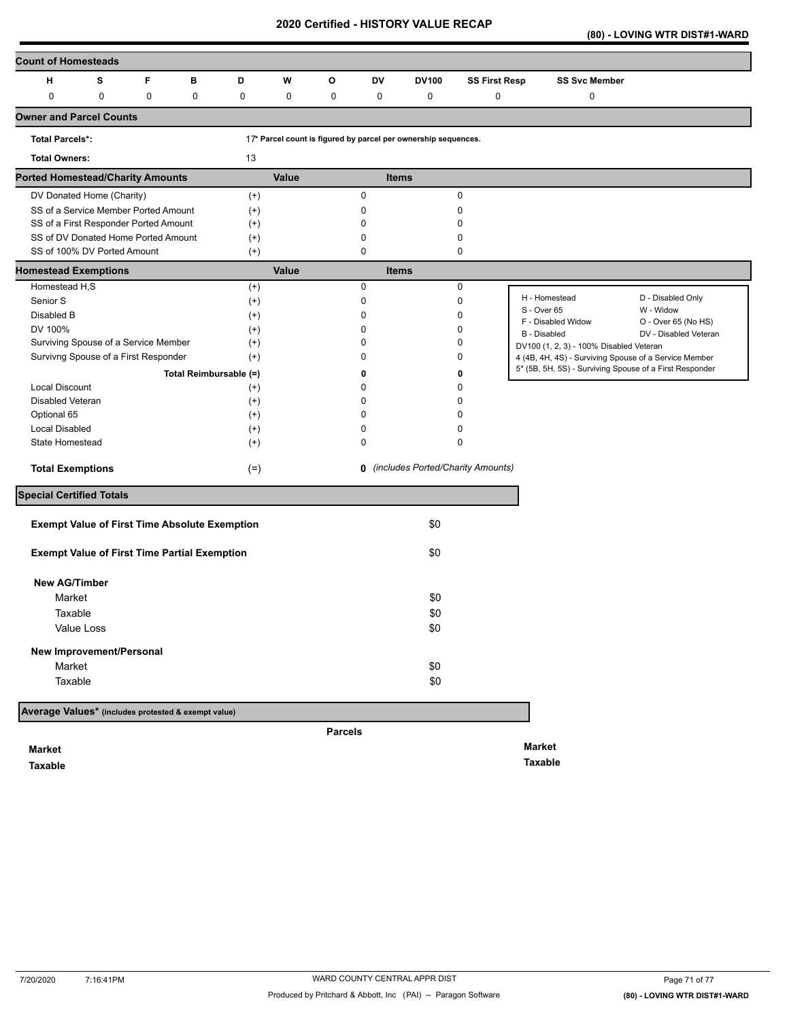**(80) - LOVING WTR DIST#1-WARD** 

| <b>Count of Homesteads</b>                           |             |                        |           |       |                |          |                                                                |                                     |                                                         |                                              |
|------------------------------------------------------|-------------|------------------------|-----------|-------|----------------|----------|----------------------------------------------------------------|-------------------------------------|---------------------------------------------------------|----------------------------------------------|
| S<br>н                                               | F           | в                      | D         | W     | O              | DV       | <b>DV100</b>                                                   | <b>SS First Resp</b>                | <b>SS Svc Member</b>                                    |                                              |
| $\pmb{0}$<br>$\pmb{0}$                               | $\mathbf 0$ | $\mathbf 0$            | $\pmb{0}$ | 0     | $\pmb{0}$      | 0        | 0                                                              | 0                                   | 0                                                       |                                              |
| <b>Owner and Parcel Counts</b>                       |             |                        |           |       |                |          |                                                                |                                     |                                                         |                                              |
| <b>Total Parcels*:</b>                               |             |                        |           |       |                |          | 17* Parcel count is figured by parcel per ownership sequences. |                                     |                                                         |                                              |
| <b>Total Owners:</b>                                 |             |                        | 13        |       |                |          |                                                                |                                     |                                                         |                                              |
| <b>Ported Homestead/Charity Amounts</b>              |             |                        |           | Value |                |          | <b>Items</b>                                                   |                                     |                                                         |                                              |
| DV Donated Home (Charity)                            |             |                        | $(+)$     |       |                | 0        |                                                                | 0                                   |                                                         |                                              |
| SS of a Service Member Ported Amount                 |             |                        | $(+)$     |       |                | 0        |                                                                | 0                                   |                                                         |                                              |
| SS of a First Responder Ported Amount                |             |                        | $^{(+)}$  |       |                | $\Omega$ |                                                                | $\Omega$                            |                                                         |                                              |
| SS of DV Donated Home Ported Amount                  |             |                        | $^{(+)}$  |       |                | 0        |                                                                | 0                                   |                                                         |                                              |
| SS of 100% DV Ported Amount                          |             |                        | $(+)$     |       |                | 0        |                                                                | 0                                   |                                                         |                                              |
| <b>Homestead Exemptions</b>                          |             |                        |           | Value |                |          | <b>Items</b>                                                   |                                     |                                                         |                                              |
| Homestead H,S                                        |             |                        | $^{(+)}$  |       |                | 0        |                                                                | 0                                   |                                                         |                                              |
| Senior S                                             |             |                        | $^{(+)}$  |       |                | 0        |                                                                | 0                                   | H - Homestead                                           | D - Disabled Only                            |
| Disabled B                                           |             |                        | $^{(+)}$  |       |                | 0        |                                                                | 0                                   | S - Over 65                                             | W - Widow                                    |
| DV 100%                                              |             |                        | $^{(+)}$  |       |                | 0        |                                                                | 0                                   | F - Disabled Widow<br>B - Disabled                      | O - Over 65 (No HS)<br>DV - Disabled Veteran |
| Surviving Spouse of a Service Member                 |             |                        | $^{(+)}$  |       |                | 0        |                                                                | 0                                   | DV100 (1, 2, 3) - 100% Disabled Veteran                 |                                              |
| Survivng Spouse of a First Responder                 |             |                        | $^{(+)}$  |       |                | O        |                                                                | 0                                   | 4 (4B, 4H, 4S) - Surviving Spouse of a Service Member   |                                              |
|                                                      |             | Total Reimbursable (=) |           |       |                | 0        |                                                                | 0                                   | 5* (5B, 5H, 5S) - Surviving Spouse of a First Responder |                                              |
| <b>Local Discount</b>                                |             |                        | $^{(+)}$  |       |                | 0        |                                                                | $\Omega$                            |                                                         |                                              |
| Disabled Veteran                                     |             |                        | $^{(+)}$  |       |                | 0        |                                                                | 0                                   |                                                         |                                              |
| Optional 65                                          |             |                        | $^{(+)}$  |       |                |          |                                                                | ŋ                                   |                                                         |                                              |
| <b>Local Disabled</b>                                |             |                        | $^{(+)}$  |       |                | 0        |                                                                | 0                                   |                                                         |                                              |
| State Homestead                                      |             |                        | $^{(+)}$  |       |                | 0        |                                                                | 0                                   |                                                         |                                              |
|                                                      |             |                        |           |       |                |          |                                                                |                                     |                                                         |                                              |
| <b>Total Exemptions</b>                              |             |                        | $(=)$     |       |                |          |                                                                | 0 (includes Ported/Charity Amounts) |                                                         |                                              |
| <b>Special Certified Totals</b>                      |             |                        |           |       |                |          |                                                                |                                     |                                                         |                                              |
|                                                      |             |                        |           |       |                |          |                                                                |                                     |                                                         |                                              |
| <b>Exempt Value of First Time Absolute Exemption</b> |             |                        |           |       |                |          | \$0                                                            |                                     |                                                         |                                              |
| <b>Exempt Value of First Time Partial Exemption</b>  |             |                        |           |       |                |          | \$0                                                            |                                     |                                                         |                                              |
| <b>New AG/Timber</b>                                 |             |                        |           |       |                |          |                                                                |                                     |                                                         |                                              |
| Market                                               |             |                        |           |       |                |          | \$0                                                            |                                     |                                                         |                                              |
| Taxable                                              |             |                        |           |       |                |          | \$0                                                            |                                     |                                                         |                                              |
| Value Loss                                           |             |                        |           |       |                |          | \$0                                                            |                                     |                                                         |                                              |
| New Improvement/Personal                             |             |                        |           |       |                |          |                                                                |                                     |                                                         |                                              |
|                                                      |             |                        |           |       |                |          |                                                                |                                     |                                                         |                                              |
| Market                                               |             |                        |           |       |                |          | \$0                                                            |                                     |                                                         |                                              |
| Taxable                                              |             |                        |           |       |                |          | \$0                                                            |                                     |                                                         |                                              |
| Average Values* (includes protested & exempt value)  |             |                        |           |       |                |          |                                                                |                                     |                                                         |                                              |
|                                                      |             |                        |           |       | <b>Parcels</b> |          |                                                                |                                     |                                                         |                                              |
| <b>Market</b>                                        |             |                        |           |       |                |          |                                                                |                                     | <b>Market</b>                                           |                                              |

**Taxable** 

**Taxable**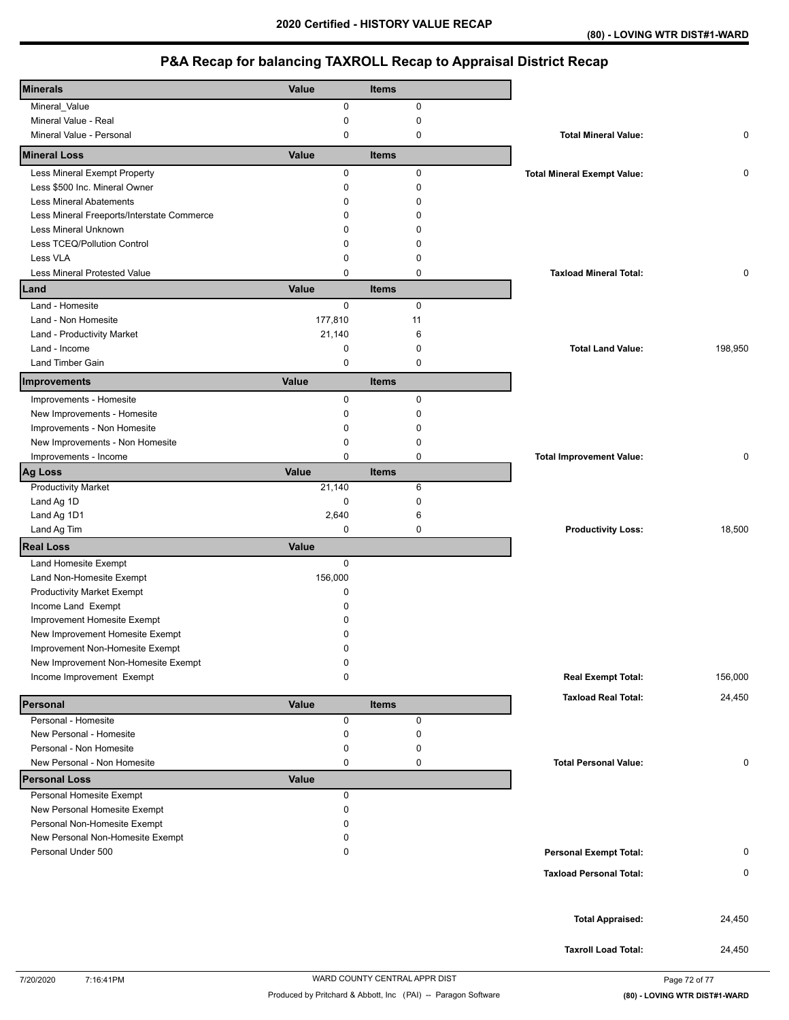| <b>Minerals</b>                                  |              |              |                                    |         |
|--------------------------------------------------|--------------|--------------|------------------------------------|---------|
|                                                  | Value        | <b>Items</b> |                                    |         |
| Mineral_Value                                    | 0            | $\pmb{0}$    |                                    |         |
| Mineral Value - Real<br>Mineral Value - Personal | 0<br>0       | 0<br>0       | <b>Total Mineral Value:</b>        | 0       |
| <b>Mineral Loss</b>                              | Value        | <b>Items</b> |                                    |         |
| Less Mineral Exempt Property                     | 0            | 0            | <b>Total Mineral Exempt Value:</b> | 0       |
| Less \$500 Inc. Mineral Owner                    | 0            | $\pmb{0}$    |                                    |         |
| <b>Less Mineral Abatements</b>                   | 0            | $\mathbf 0$  |                                    |         |
| Less Mineral Freeports/Interstate Commerce       | 0            | $\Omega$     |                                    |         |
| Less Mineral Unknown                             | 0            | 0            |                                    |         |
| Less TCEQ/Pollution Control                      | 0            | $\Omega$     |                                    |         |
| Less VLA                                         | 0            | 0            |                                    |         |
| Less Mineral Protested Value                     | 0            | $\mathbf 0$  | <b>Taxload Mineral Total:</b>      | 0       |
| Land                                             | Value        | <b>Items</b> |                                    |         |
| Land - Homesite                                  | 0            | 0            |                                    |         |
| Land - Non Homesite                              | 177,810      | 11           |                                    |         |
| Land - Productivity Market                       | 21,140       | 6            |                                    |         |
| Land - Income                                    | 0            | 0            | <b>Total Land Value:</b>           | 198,950 |
| <b>Land Timber Gain</b>                          | 0            | 0            |                                    |         |
| Improvements                                     | Value        | <b>Items</b> |                                    |         |
| Improvements - Homesite                          | 0            | $\pmb{0}$    |                                    |         |
| New Improvements - Homesite                      | 0            | $\mathbf 0$  |                                    |         |
| Improvements - Non Homesite                      | 0            | 0            |                                    |         |
| New Improvements - Non Homesite                  | 0            | 0            |                                    |         |
| Improvements - Income                            | 0            | $\pmb{0}$    | <b>Total Improvement Value:</b>    | 0       |
| Ag Loss                                          | Value        | <b>Items</b> |                                    |         |
| <b>Productivity Market</b>                       | 21,140       | 6            |                                    |         |
| Land Ag 1D                                       | 0            | $\mathbf 0$  |                                    |         |
| Land Ag 1D1                                      | 2,640        | 6            |                                    |         |
| Land Ag Tim                                      | 0            | $\mathbf 0$  | <b>Productivity Loss:</b>          | 18,500  |
| <b>Real Loss</b>                                 | Value        |              |                                    |         |
| Land Homesite Exempt                             | 0            |              |                                    |         |
| Land Non-Homesite Exempt                         | 156,000      |              |                                    |         |
| <b>Productivity Market Exempt</b>                | 0            |              |                                    |         |
| Income Land Exempt                               | 0            |              |                                    |         |
| Improvement Homesite Exempt                      | 0            |              |                                    |         |
| New Improvement Homesite Exempt                  | 0            |              |                                    |         |
| Improvement Non-Homesite Exempt                  | 0            |              |                                    |         |
| New Improvement Non-Homesite Exempt              | 0            |              |                                    |         |
| Income Improvement Exempt                        | 0            |              | <b>Real Exempt Total:</b>          | 156,000 |
| Personal                                         | Value        | <b>Items</b> | <b>Taxload Real Total:</b>         | 24,450  |
| Personal - Homesite                              | 0            | $\pmb{0}$    |                                    |         |
| New Personal - Homesite                          | 0            | 0            |                                    |         |
| Personal - Non Homesite                          | 0            | 0            |                                    |         |
| New Personal - Non Homesite                      | 0            | 0            | <b>Total Personal Value:</b>       | 0       |
| <b>Personal Loss</b>                             | <b>Value</b> |              |                                    |         |
| Personal Homesite Exempt                         | 0            |              |                                    |         |
| New Personal Homesite Exempt                     | 0            |              |                                    |         |
| Personal Non-Homesite Exempt                     | 0            |              |                                    |         |
| New Personal Non-Homesite Exempt                 | 0            |              |                                    |         |
| Personal Under 500                               | 0            |              | <b>Personal Exempt Total:</b>      | 0       |
|                                                  |              |              | <b>Taxload Personal Total:</b>     | 0       |
|                                                  |              |              |                                    |         |
|                                                  |              |              |                                    |         |
|                                                  |              |              | <b>Total Appraised:</b>            | 24,450  |
|                                                  |              |              | <b>Taxroll Load Total:</b>         | 24,450  |
|                                                  |              |              |                                    |         |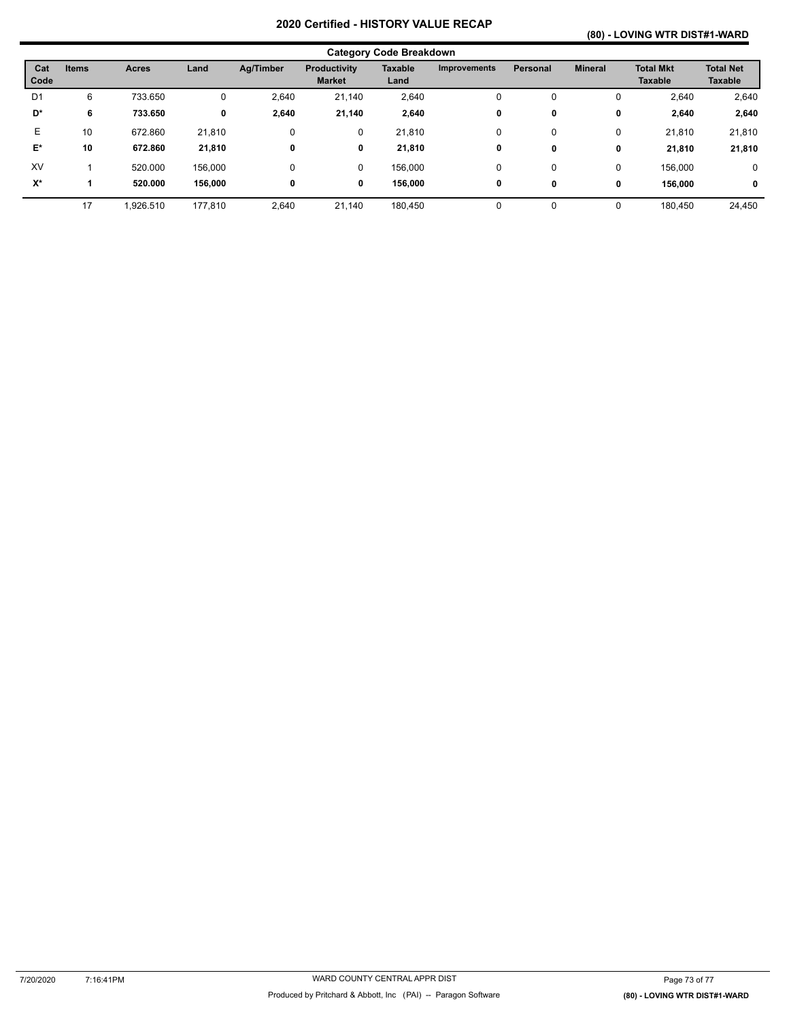## **(80) - LOVING WTR DIST#1-WARD**

| <b>Category Code Breakdown</b> |              |              |         |           |                                      |                        |                     |                 |                |                                    |                                    |
|--------------------------------|--------------|--------------|---------|-----------|--------------------------------------|------------------------|---------------------|-----------------|----------------|------------------------------------|------------------------------------|
| Cat<br>Code                    | <b>Items</b> | <b>Acres</b> | Land    | Ag/Timber | <b>Productivity</b><br><b>Market</b> | <b>Taxable</b><br>Land | <b>Improvements</b> | <b>Personal</b> | <b>Mineral</b> | <b>Total Mkt</b><br><b>Taxable</b> | <b>Total Net</b><br><b>Taxable</b> |
| D <sub>1</sub>                 | 6            | 733.650      | 0       | 2,640     | 21,140                               | 2,640                  | 0                   | 0               | 0              | 2,640                              | 2,640                              |
| D*                             | 6            | 733.650      | 0       | 2,640     | 21,140                               | 2,640                  | 0                   | 0               | 0              | 2,640                              | 2,640                              |
| Е                              | 10           | 672.860      | 21,810  | 0         | 0                                    | 21,810                 | 0                   | 0               | 0              | 21,810                             | 21,810                             |
| E*                             | 10           | 672.860      | 21,810  | 0         | 0                                    | 21,810                 | 0                   | 0               | 0              | 21,810                             | 21,810                             |
| XV                             |              | 520,000      | 156,000 | 0         | 0                                    | 156,000                | 0                   | 0               | 0              | 156.000                            | 0                                  |
| $X^*$                          |              | 520.000      | 156,000 | 0         | 0                                    | 156,000                | 0                   | 0               | 0              | 156.000                            | $\mathbf 0$                        |
|                                | 17           | 1,926.510    | 177,810 | 2,640     | 21,140                               | 180,450                | 0                   | 0               | 0              | 180,450                            | 24,450                             |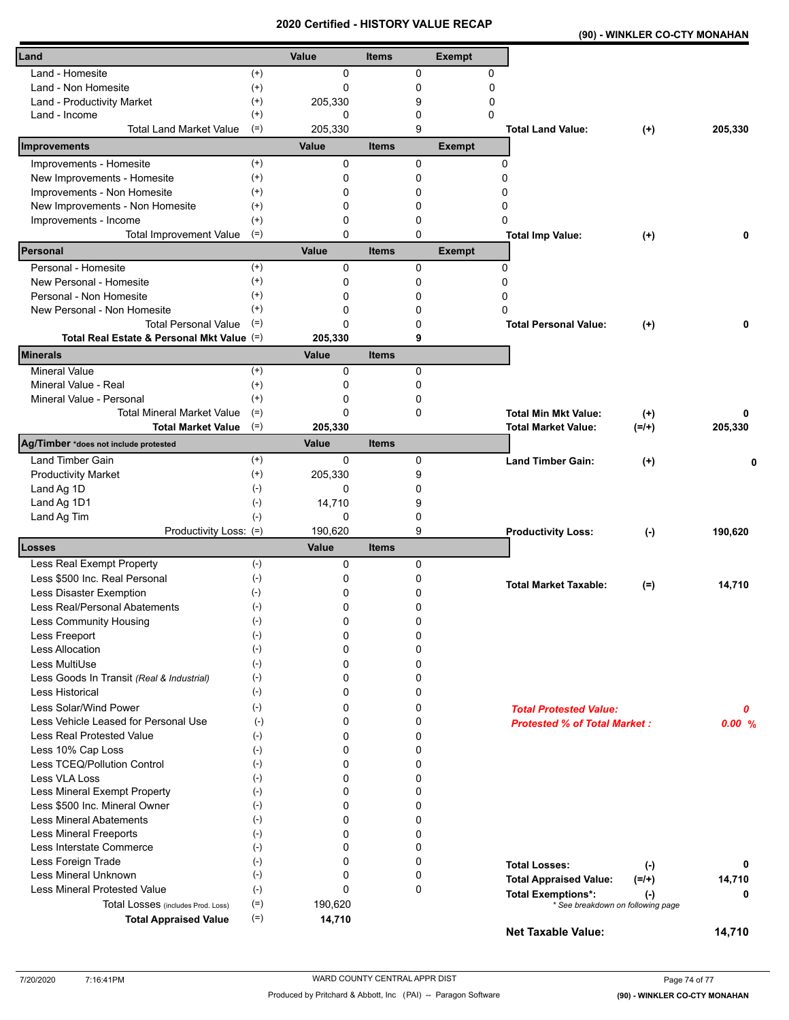#### **(90) - WINKLER CO-CTY MONAHAN**

| Land                                                       |                       | Value       | <b>Items</b> |              | <b>Exempt</b> |                                          |         |
|------------------------------------------------------------|-----------------------|-------------|--------------|--------------|---------------|------------------------------------------|---------|
| Land - Homesite                                            | $^{(+)}$              | 0           |              | 0            | 0             |                                          |         |
| Land - Non Homesite                                        | $^{(+)}$              | 0           |              | 0            | 0             |                                          |         |
| Land - Productivity Market                                 | $^{(+)}$              | 205,330     |              | 9            | 0             |                                          |         |
| Land - Income                                              | $^{(+)}$              | 0           |              | 0            | 0             |                                          |         |
| <b>Total Land Market Value</b>                             | $(=)$                 | 205.330     |              | 9            |               | <b>Total Land Value:</b><br>$(+)$        | 205,330 |
| Improvements                                               |                       | Value       | <b>Items</b> |              | <b>Exempt</b> |                                          |         |
| Improvements - Homesite                                    | $^{(+)}$              | 0           |              | 0            |               | 0                                        |         |
| New Improvements - Homesite                                | $^{(+)}$              | 0           |              | 0            |               | 0                                        |         |
| Improvements - Non Homesite                                | $^{(+)}$              | 0           |              | 0            |               | ი                                        |         |
| New Improvements - Non Homesite                            | $^{(+)}$              | 0           |              | 0            |               | 0                                        |         |
| Improvements - Income                                      | $^{(+)}$              | 0           |              | 0            |               | 0                                        |         |
| <b>Total Improvement Value</b>                             | $(=)$                 | 0<br>Value  |              | $\Omega$     |               | <b>Total Imp Value:</b><br>$(+)$         | 0       |
| Personal                                                   |                       |             | <b>Items</b> |              | <b>Exempt</b> |                                          |         |
| Personal - Homesite                                        | $^{(+)}$              | 0           |              | 0            |               | 0                                        |         |
| New Personal - Homesite                                    | $^{(+)}$              | 0           |              | 0            |               | 0                                        |         |
| Personal - Non Homesite                                    | $^{(+)}$<br>$^{(+)}$  | 0<br>0      |              | 0            |               | 0<br>ŋ                                   |         |
| New Personal - Non Homesite<br><b>Total Personal Value</b> | $(=)$                 | 0           |              | 0<br>0       |               |                                          | 0       |
| Total Real Estate & Personal Mkt Value (=)                 |                       | 205,330     |              | 9            |               | <b>Total Personal Value:</b><br>$^{(+)}$ |         |
| <b>Minerals</b>                                            |                       | Value       | <b>Items</b> |              |               |                                          |         |
| <b>Mineral Value</b>                                       | $(+)$                 | $\Omega$    |              | $\Omega$     |               |                                          |         |
| Mineral Value - Real                                       | $^{(+)}$              | 0           |              | $\mathbf{0}$ |               |                                          |         |
| Mineral Value - Personal                                   | $^{(+)}$              | 0           |              | 0            |               |                                          |         |
| <b>Total Mineral Market Value</b>                          | $(=)$                 | 0           |              | 0            |               | <b>Total Min Mkt Value:</b><br>$(+)$     | 0       |
| <b>Total Market Value</b>                                  | $(=)$                 | 205,330     |              |              |               | $(=/+)$<br><b>Total Market Value:</b>    | 205,330 |
| Ag/Timber *does not include protested                      |                       | Value       | <b>Items</b> |              |               |                                          |         |
| Land Timber Gain                                           | $^{(+)}$              | $\mathbf 0$ |              | 0            |               | <b>Land Timber Gain:</b><br>$^{(+)}$     |         |
| <b>Productivity Market</b>                                 | $^{(+)}$              | 205,330     |              | 9            |               |                                          |         |
| Land Ag 1D                                                 | $(-)$                 | 0           |              | 0            |               |                                          |         |
| Land Ag 1D1                                                | $(-)$                 | 14,710      |              | 9            |               |                                          |         |
| Land Ag Tim                                                | $(-)$                 | 0           |              | 0            |               |                                          |         |
| Productivity Loss: (=)                                     |                       | 190,620     |              | 9            |               | <b>Productivity Loss:</b><br>$(\cdot)$   | 190,620 |
| <b>Losses</b>                                              |                       | Value       | <b>Items</b> |              |               |                                          |         |
| Less Real Exempt Property                                  | $(-)$                 | 0           |              | 0            |               |                                          |         |
| Less \$500 Inc. Real Personal                              | $(-)$                 | 0           |              | 0            |               | <b>Total Market Taxable:</b><br>$(=)$    | 14,710  |
| Less Disaster Exemption                                    | $(\cdot)$             | 0           |              | 0            |               |                                          |         |
| Less Real/Personal Abatements                              | $(-)$                 | 0<br>0      |              | 0            |               |                                          |         |
| Less Community Housing                                     | $(-)$<br>$(\text{-})$ | 0           |              | 0<br>0       |               |                                          |         |
| Less Freeport<br>Less Allocation                           | $(-)$                 | 0           |              | 0            |               |                                          |         |
| Less MultiUse                                              | $(-)$                 | 0           |              | 0            |               |                                          |         |
| Less Goods In Transit (Real & Industrial)                  | $(-)$                 | 0           |              | 0            |               |                                          |         |
| Less Historical                                            | $(-)$                 | 0           |              | 0            |               |                                          |         |
| Less Solar/Wind Power                                      | $(-)$                 | 0           |              | 0            |               | <b>Total Protested Value:</b>            | 0       |
| Less Vehicle Leased for Personal Use                       | $(-)$                 | 0           |              | 0            |               | <b>Protested % of Total Market:</b>      | 0.00%   |
| <b>Less Real Protested Value</b>                           | $(-)$                 | 0           |              | 0            |               |                                          |         |
| Less 10% Cap Loss                                          | $(-)$                 | 0           |              | 0            |               |                                          |         |
| Less TCEQ/Pollution Control                                | $(-)$                 | 0           |              | 0            |               |                                          |         |
| Less VLA Loss                                              | $(-)$                 | 0           |              | 0            |               |                                          |         |
| Less Mineral Exempt Property                               | $(-)$                 | 0           |              | 0            |               |                                          |         |
| Less \$500 Inc. Mineral Owner                              | $(-)$                 | 0           |              | 0            |               |                                          |         |
| <b>Less Mineral Abatements</b>                             | $(-)$                 | 0           |              | 0            |               |                                          |         |
| <b>Less Mineral Freeports</b>                              | $(-)$                 | 0           |              | 0            |               |                                          |         |
| Less Interstate Commerce                                   | $(-)$                 | 0           |              | 0            |               |                                          |         |
| Less Foreign Trade                                         | $(-)$                 | 0           |              | 0            |               | <b>Total Losses:</b><br>$(-)$            | 0       |
| Less Mineral Unknown                                       | $(-)$                 | 0           |              | 0            |               | <b>Total Appraised Value:</b><br>$(=/+)$ | 14,710  |
| Less Mineral Protested Value                               | $(-)$                 | 0           |              | 0            |               | <b>Total Exemptions*:</b><br>$(\cdot)$   | 0       |
| Total Losses (includes Prod. Loss)                         | $(=)$                 | 190,620     |              |              |               | * See breakdown on following page        |         |
| <b>Total Appraised Value</b>                               | $(=)$                 | 14,710      |              |              |               | Net Taxable Value:                       | 14,710  |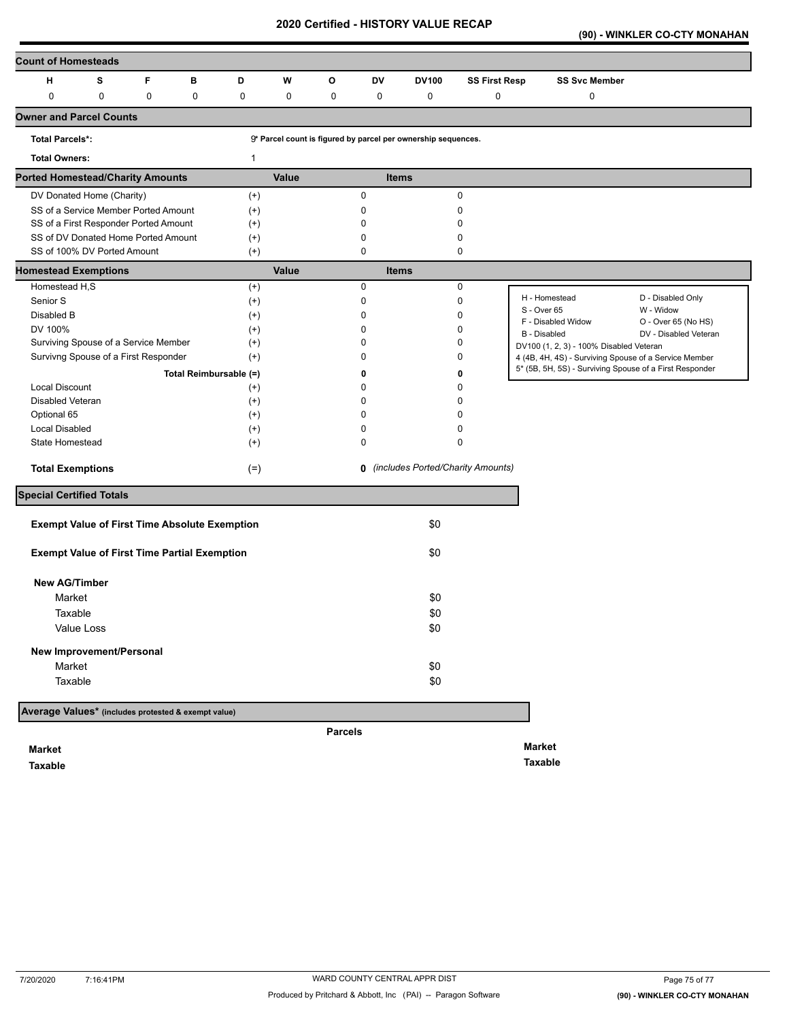**(90) - WINKLER CO-CTY MONAHAN** 

| <b>Count of Homesteads</b>                          |                                       |             |                                                      |              |       |                |             |                                                               |                                            |                                                                                                                  |                       |
|-----------------------------------------------------|---------------------------------------|-------------|------------------------------------------------------|--------------|-------|----------------|-------------|---------------------------------------------------------------|--------------------------------------------|------------------------------------------------------------------------------------------------------------------|-----------------------|
| н                                                   | s                                     | F           | в                                                    | D            | W     | $\circ$        | DV          | <b>DV100</b>                                                  | <b>SS First Resp</b>                       | <b>SS Svc Member</b>                                                                                             |                       |
| 0                                                   | 0                                     | $\mathbf 0$ | $\mathbf 0$                                          | 0            | 0     | 0              | 0           | 0                                                             | $\pmb{0}$                                  | 0                                                                                                                |                       |
| <b>Owner and Parcel Counts</b>                      |                                       |             |                                                      |              |       |                |             |                                                               |                                            |                                                                                                                  |                       |
| <b>Total Parcels*:</b>                              |                                       |             |                                                      |              |       |                |             | 9* Parcel count is figured by parcel per ownership sequences. |                                            |                                                                                                                  |                       |
| <b>Total Owners:</b>                                |                                       |             |                                                      | $\mathbf{1}$ |       |                |             |                                                               |                                            |                                                                                                                  |                       |
| <b>Ported Homestead/Charity Amounts</b>             |                                       |             |                                                      |              | Value |                |             | <b>Items</b>                                                  |                                            |                                                                                                                  |                       |
|                                                     | DV Donated Home (Charity)             |             |                                                      | $^{(+)}$     |       |                | $\mathbf 0$ |                                                               | $\pmb{0}$                                  |                                                                                                                  |                       |
|                                                     | SS of a Service Member Ported Amount  |             |                                                      | $(+)$        |       |                | 0           |                                                               | 0                                          |                                                                                                                  |                       |
|                                                     | SS of a First Responder Ported Amount |             |                                                      | $^{(+)}$     |       |                | 0           |                                                               | 0                                          |                                                                                                                  |                       |
|                                                     | SS of DV Donated Home Ported Amount   |             |                                                      | $^{(+)}$     |       |                | $\mathbf 0$ |                                                               | $\mathbf 0$                                |                                                                                                                  |                       |
|                                                     | SS of 100% DV Ported Amount           |             |                                                      | $(+)$        |       |                | 0           |                                                               | $\mathbf 0$                                |                                                                                                                  |                       |
| <b>Homestead Exemptions</b>                         |                                       |             |                                                      |              | Value |                |             | <b>Items</b>                                                  |                                            |                                                                                                                  |                       |
| Homestead H,S                                       |                                       |             |                                                      | $^{(+)}$     |       |                | 0           |                                                               | $\pmb{0}$                                  | H - Homestead                                                                                                    | D - Disabled Only     |
| Senior S                                            |                                       |             |                                                      | $^{(+)}$     |       |                | 0           |                                                               | 0                                          | S - Over 65                                                                                                      | W - Widow             |
| Disabled B                                          |                                       |             |                                                      | $(+)$        |       |                | 0           |                                                               | $\mathbf 0$                                | F - Disabled Widow                                                                                               | O - Over 65 (No HS)   |
| DV 100%                                             |                                       |             |                                                      | $^{(+)}$     |       |                | 0           |                                                               | $\Omega$                                   | B - Disabled                                                                                                     | DV - Disabled Veteran |
|                                                     | Surviving Spouse of a Service Member  |             |                                                      | $^{(+)}$     |       |                | 0           |                                                               | $\mathbf 0$                                | DV100 (1, 2, 3) - 100% Disabled Veteran                                                                          |                       |
|                                                     | Survivng Spouse of a First Responder  |             |                                                      | $^{(+)}$     |       |                | 0           |                                                               | 0                                          | 4 (4B, 4H, 4S) - Surviving Spouse of a Service Member<br>5* (5B, 5H, 5S) - Surviving Spouse of a First Responder |                       |
|                                                     |                                       |             | Total Reimbursable (=)                               |              |       |                | 0           |                                                               | 0                                          |                                                                                                                  |                       |
| Local Discount                                      |                                       |             |                                                      | $^{(+)}$     |       |                | 0           |                                                               | 0                                          |                                                                                                                  |                       |
| Disabled Veteran                                    |                                       |             |                                                      | $^{(+)}$     |       |                | 0           |                                                               | 0                                          |                                                                                                                  |                       |
| Optional 65                                         |                                       |             |                                                      | $^{(+)}$     |       |                | 0           |                                                               | $\Omega$                                   |                                                                                                                  |                       |
| Local Disabled                                      |                                       |             |                                                      | $^{(+)}$     |       |                | 0           |                                                               | 0                                          |                                                                                                                  |                       |
| State Homestead                                     |                                       |             |                                                      | $^{(+)}$     |       |                | 0           |                                                               | $\mathbf 0$                                |                                                                                                                  |                       |
| <b>Total Exemptions</b>                             |                                       |             |                                                      | $(=)$        |       |                |             |                                                               | <b>0</b> (includes Ported/Charity Amounts) |                                                                                                                  |                       |
| <b>Special Certified Totals</b>                     |                                       |             |                                                      |              |       |                |             |                                                               |                                            |                                                                                                                  |                       |
|                                                     |                                       |             | <b>Exempt Value of First Time Absolute Exemption</b> |              |       |                |             | \$0                                                           |                                            |                                                                                                                  |                       |
|                                                     |                                       |             | <b>Exempt Value of First Time Partial Exemption</b>  |              |       |                |             | \$0                                                           |                                            |                                                                                                                  |                       |
| <b>New AG/Timber</b>                                |                                       |             |                                                      |              |       |                |             |                                                               |                                            |                                                                                                                  |                       |
| Market                                              |                                       |             |                                                      |              |       |                |             | \$0                                                           |                                            |                                                                                                                  |                       |
|                                                     |                                       |             |                                                      |              |       |                |             |                                                               |                                            |                                                                                                                  |                       |
| Taxable                                             |                                       |             |                                                      |              |       |                |             | \$0                                                           |                                            |                                                                                                                  |                       |
|                                                     | Value Loss                            |             |                                                      |              |       |                |             | \$0                                                           |                                            |                                                                                                                  |                       |
| New Improvement/Personal                            |                                       |             |                                                      |              |       |                |             |                                                               |                                            |                                                                                                                  |                       |
| Market                                              |                                       |             |                                                      |              |       |                |             | \$0                                                           |                                            |                                                                                                                  |                       |
| Taxable                                             |                                       |             |                                                      |              |       |                |             | \$0                                                           |                                            |                                                                                                                  |                       |
| Average Values* (includes protested & exempt value) |                                       |             |                                                      |              |       |                |             |                                                               |                                            |                                                                                                                  |                       |
|                                                     |                                       |             |                                                      |              |       | <b>Parcels</b> |             |                                                               |                                            |                                                                                                                  |                       |
| <b>Market</b>                                       |                                       |             |                                                      |              |       |                |             |                                                               |                                            | Market                                                                                                           |                       |

**Taxable** 

**Taxable**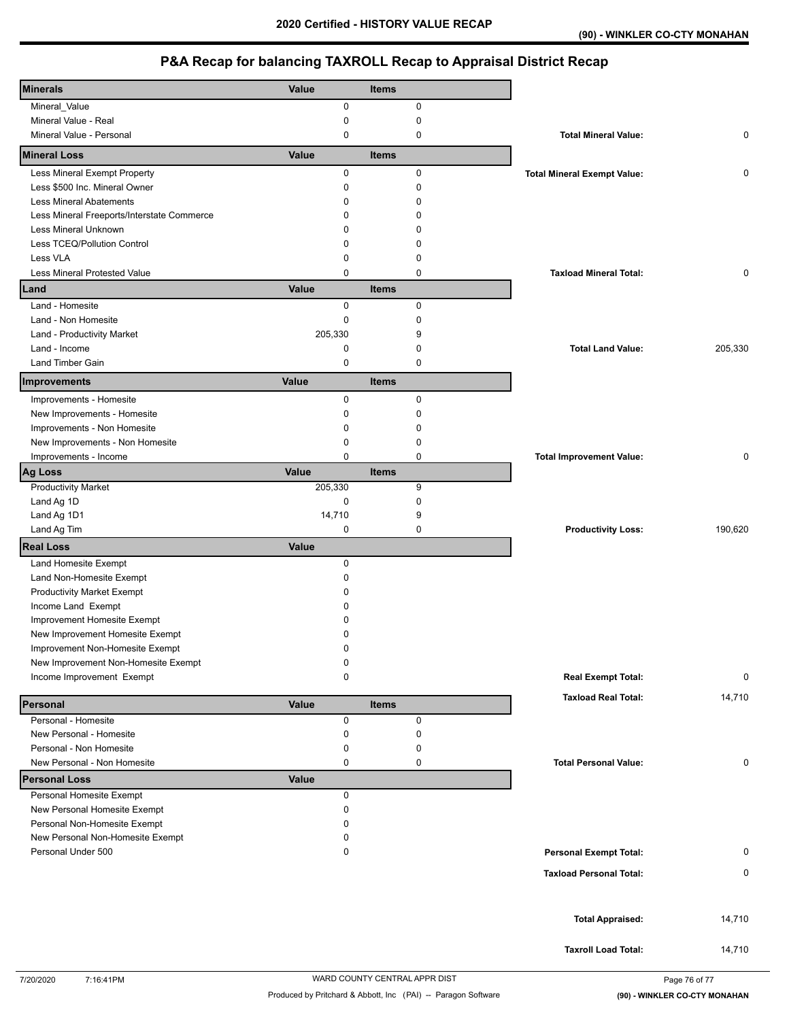# **P&A Recap for balancing TAXROLL Recap to Appraisal District Recap**

| <b>Minerals</b>                                  | Value      | <b>Items</b>     |                                    |         |
|--------------------------------------------------|------------|------------------|------------------------------------|---------|
| Mineral_Value                                    | 0          | $\mathsf 0$      |                                    |         |
| Mineral Value - Real<br>Mineral Value - Personal | 0<br>0     | $\mathbf 0$<br>0 | <b>Total Mineral Value:</b>        | 0       |
| <b>Mineral Loss</b>                              | Value      | <b>Items</b>     |                                    |         |
| Less Mineral Exempt Property                     | 0          | 0                | <b>Total Mineral Exempt Value:</b> | 0       |
| Less \$500 Inc. Mineral Owner                    | 0          | 0                |                                    |         |
| <b>Less Mineral Abatements</b>                   | 0          | $\Omega$         |                                    |         |
| Less Mineral Freeports/Interstate Commerce       | 0          | $\Omega$         |                                    |         |
| Less Mineral Unknown                             | 0          | $\Omega$         |                                    |         |
| Less TCEQ/Pollution Control                      | 0          | 0                |                                    |         |
| Less VLA                                         | 0          | 0                |                                    |         |
| Less Mineral Protested Value                     | 0          | $\mathbf 0$      | <b>Taxload Mineral Total:</b>      | 0       |
| Land                                             | Value      | <b>Items</b>     |                                    |         |
| Land - Homesite                                  | 0          | $\mathbf 0$      |                                    |         |
| Land - Non Homesite                              | 0          | $\mathbf 0$      |                                    |         |
| Land - Productivity Market                       | 205,330    | 9                |                                    |         |
| Land - Income                                    | 0          | 0                | <b>Total Land Value:</b>           | 205,330 |
| <b>Land Timber Gain</b>                          | 0          | $\pmb{0}$        |                                    |         |
| Improvements                                     | Value      | <b>Items</b>     |                                    |         |
| Improvements - Homesite                          | 0          | $\pmb{0}$        |                                    |         |
| New Improvements - Homesite                      | 0          | 0                |                                    |         |
| Improvements - Non Homesite                      | 0          | 0                |                                    |         |
| New Improvements - Non Homesite                  | 0          | 0                |                                    |         |
| Improvements - Income                            | 0          | 0                | <b>Total Improvement Value:</b>    | 0       |
| Ag Loss                                          | Value      | <b>Items</b>     |                                    |         |
| <b>Productivity Market</b>                       | 205,330    | 9                |                                    |         |
| Land Ag 1D                                       | 0          | $\mathbf 0$      |                                    |         |
| Land Ag 1D1                                      | 14,710     | 9                |                                    |         |
| Land Ag Tim                                      | 0          | 0                | <b>Productivity Loss:</b>          | 190,620 |
| <b>Real Loss</b>                                 | Value      |                  |                                    |         |
| Land Homesite Exempt                             | 0          |                  |                                    |         |
| Land Non-Homesite Exempt                         | 0          |                  |                                    |         |
| <b>Productivity Market Exempt</b>                | 0          |                  |                                    |         |
| Income Land Exempt                               | 0          |                  |                                    |         |
| Improvement Homesite Exempt                      | 0          |                  |                                    |         |
| New Improvement Homesite Exempt                  | 0          |                  |                                    |         |
| Improvement Non-Homesite Exempt                  | $\Omega$   |                  |                                    |         |
| New Improvement Non-Homesite Exempt              | 0          |                  |                                    |         |
| Income Improvement Exempt                        | 0          |                  | <b>Real Exempt Total:</b>          | 0       |
| Personal                                         | Value      | <b>Items</b>     | <b>Taxload Real Total:</b>         | 14,710  |
| Personal - Homesite                              | 0          | $\pmb{0}$        |                                    |         |
| New Personal - Homesite                          | 0          | 0                |                                    |         |
| Personal - Non Homesite                          | 0          | 0                |                                    |         |
| New Personal - Non Homesite                      | 0          | 0                | <b>Total Personal Value:</b>       | 0       |
| <b>Personal Loss</b><br>Personal Homesite Exempt | Value<br>0 |                  |                                    |         |
| New Personal Homesite Exempt                     | 0          |                  |                                    |         |
| Personal Non-Homesite Exempt                     | 0          |                  |                                    |         |
| New Personal Non-Homesite Exempt                 | 0          |                  |                                    |         |
| Personal Under 500                               | 0          |                  | <b>Personal Exempt Total:</b>      | 0       |
|                                                  |            |                  |                                    |         |
|                                                  |            |                  | <b>Taxload Personal Total:</b>     | 0       |
|                                                  |            |                  |                                    | 14,710  |
|                                                  |            |                  | <b>Total Appraised:</b>            |         |
|                                                  |            |                  | <b>Taxroll Load Total:</b>         | 14,710  |